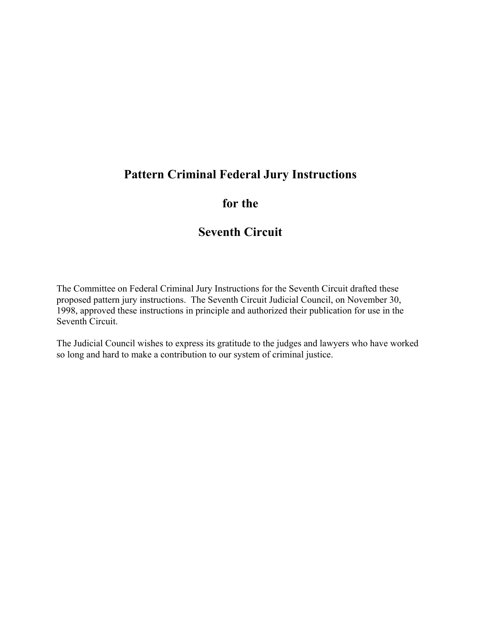# **Pattern Criminal Federal Jury Instructions**

# **for the**

# **Seventh Circuit**

The Committee on Federal Criminal Jury Instructions for the Seventh Circuit drafted these proposed pattern jury instructions. The Seventh Circuit Judicial Council, on November 30, 1998, approved these instructions in principle and authorized their publication for use in the Seventh Circuit.

The Judicial Council wishes to express its gratitude to the judges and lawyers who have worked so long and hard to make a contribution to our system of criminal justice.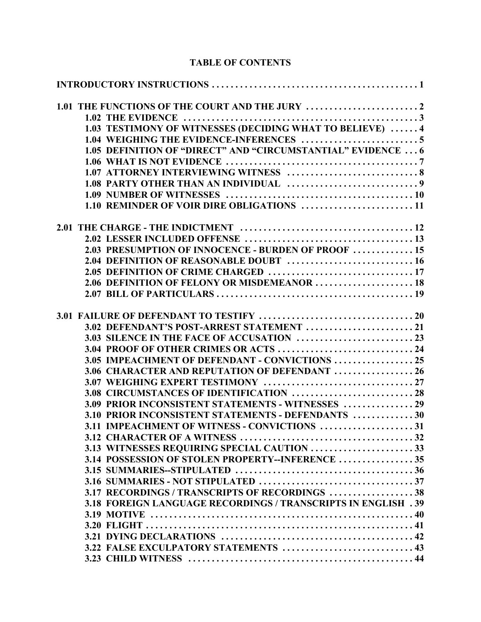# **TABLE OF CONTENTS**

| 1.03 TESTIMONY OF WITNESSES (DECIDING WHAT TO BELIEVE)  4     |  |
|---------------------------------------------------------------|--|
|                                                               |  |
| 1.05 DEFINITION OF "DIRECT" AND "CIRCUMSTANTIAL" EVIDENCE  6  |  |
|                                                               |  |
|                                                               |  |
|                                                               |  |
|                                                               |  |
| 1.10 REMINDER OF VOIR DIRE OBLIGATIONS  11                    |  |
|                                                               |  |
|                                                               |  |
| 2.03 PRESUMPTION OF INNOCENCE - BURDEN OF PROOF  15           |  |
|                                                               |  |
|                                                               |  |
| 2.06 DEFINITION OF FELONY OR MISDEMEANOR  18                  |  |
|                                                               |  |
|                                                               |  |
| 3.02 DEFENDANT'S POST-ARREST STATEMENT  21                    |  |
|                                                               |  |
| 3.04 PROOF OF OTHER CRIMES OR ACTS  24                        |  |
| 3.05 IMPEACHMENT OF DEFENDANT - CONVICTIONS  25               |  |
| 3.06 CHARACTER AND REPUTATION OF DEFENDANT  26                |  |
|                                                               |  |
| 3.08 CIRCUMSTANCES OF IDENTIFICATION  28                      |  |
| 3.09 PRIOR INCONSISTENT STATEMENTS - WITNESSES  29            |  |
| 3.10 PRIOR INCONSISTENT STATEMENTS - DEFENDANTS 30            |  |
| 3.11 IMPEACHMENT OF WITNESS - CONVICTIONS 31                  |  |
|                                                               |  |
| 3.13 WITNESSES REQUIRING SPECIAL CAUTION 33                   |  |
| 3.14 POSSESSION OF STOLEN PROPERTY--INFERENCE  35             |  |
|                                                               |  |
|                                                               |  |
| 3.17 RECORDINGS / TRANSCRIPTS OF RECORDINGS 38                |  |
| 3.18 FOREIGN LANGUAGE RECORDINGS / TRANSCRIPTS IN ENGLISH .39 |  |
|                                                               |  |
|                                                               |  |
|                                                               |  |
| 3.22 FALSE EXCULPATORY STATEMENTS  43                         |  |
|                                                               |  |
|                                                               |  |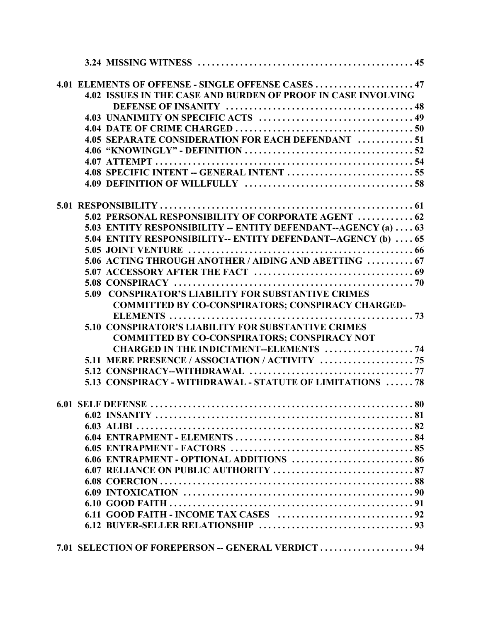|  | 4.01 ELEMENTS OF OFFENSE - SINGLE OFFENSE CASES  47                                                                    |
|--|------------------------------------------------------------------------------------------------------------------------|
|  | 4.02 ISSUES IN THE CASE AND BURDEN OF PROOF IN CASE INVOLVING                                                          |
|  |                                                                                                                        |
|  |                                                                                                                        |
|  |                                                                                                                        |
|  | 4.05 SEPARATE CONSIDERATION FOR EACH DEFENDANT 51                                                                      |
|  |                                                                                                                        |
|  |                                                                                                                        |
|  |                                                                                                                        |
|  |                                                                                                                        |
|  |                                                                                                                        |
|  | 5.02 PERSONAL RESPONSIBILITY OF CORPORATE AGENT  62                                                                    |
|  | 5.03 ENTITY RESPONSIBILITY -- ENTITY DEFENDANT--AGENCY (a)  63                                                         |
|  | 5.04 ENTITY RESPONSIBILITY-- ENTITY DEFENDANT--AGENCY (b)  65                                                          |
|  |                                                                                                                        |
|  | 5.06 ACTING THROUGH ANOTHER / AIDING AND ABETTING  67                                                                  |
|  |                                                                                                                        |
|  |                                                                                                                        |
|  | <b>5.09 CONSPIRATOR'S LIABILITY FOR SUBSTANTIVE CRIMES</b><br><b>COMMITTED BY CO-CONSPIRATORS; CONSPIRACY CHARGED-</b> |
|  |                                                                                                                        |
|  | <b>5.10 CONSPIRATOR'S LIABILITY FOR SUBSTANTIVE CRIMES</b>                                                             |
|  | <b>COMMITTED BY CO-CONSPIRATORS; CONSPIRACY NOT</b>                                                                    |
|  | <b>CHARGED IN THE INDICTMENT--ELEMENTS  74</b>                                                                         |
|  |                                                                                                                        |
|  |                                                                                                                        |
|  | 5.13 CONSPIRACY - WITHDRAWAL - STATUTE OF LIMITATIONS  78                                                              |
|  |                                                                                                                        |
|  |                                                                                                                        |
|  |                                                                                                                        |
|  |                                                                                                                        |
|  |                                                                                                                        |
|  | 6.06 ENTRAPMENT - OPTIONAL ADDITIONS  86                                                                               |
|  |                                                                                                                        |
|  |                                                                                                                        |
|  |                                                                                                                        |
|  |                                                                                                                        |
|  |                                                                                                                        |
|  |                                                                                                                        |
|  | 7.01 SELECTION OF FOREPERSON -- GENERAL VERDICT  94                                                                    |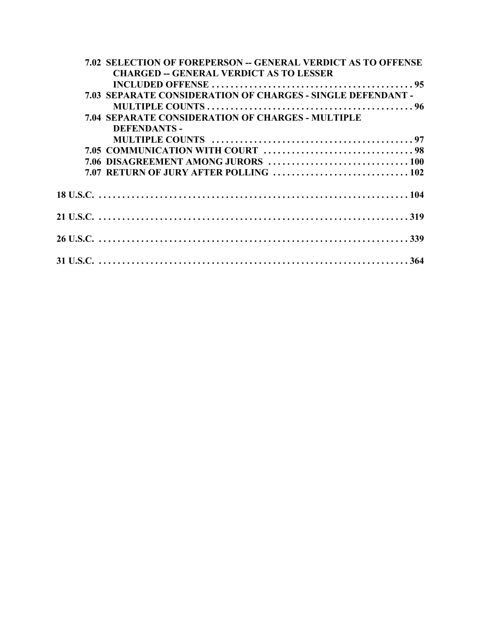| 7.02 SELECTION OF FOREPERSON -- GENERAL VERDICT AS TO OFFENSE |
|---------------------------------------------------------------|
| <b>CHARGED -- GENERAL VERDICT AS TO LESSER</b>                |
|                                                               |
| 7.03 SEPARATE CONSIDERATION OF CHARGES - SINGLE DEFENDANT -   |
|                                                               |
| <b>7.04 SEPARATE CONSIDERATION OF CHARGES - MULTIPLE</b>      |
| <b>DEFENDANTS-</b>                                            |
|                                                               |
|                                                               |
|                                                               |
|                                                               |
|                                                               |
|                                                               |
|                                                               |
|                                                               |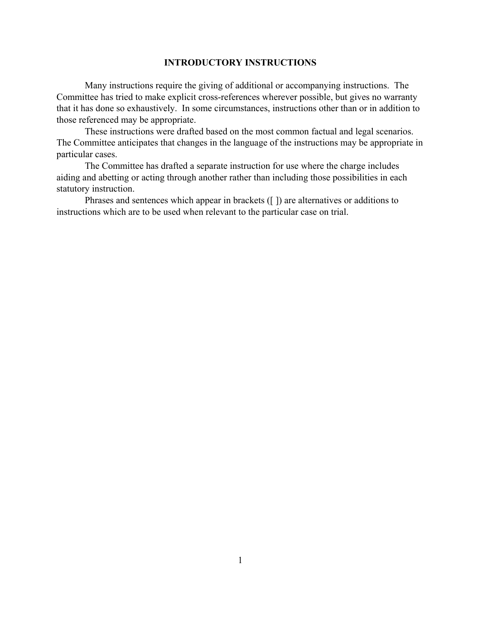## **INTRODUCTORY INSTRUCTIONS**

Many instructions require the giving of additional or accompanying instructions. The Committee has tried to make explicit cross-references wherever possible, but gives no warranty that it has done so exhaustively. In some circumstances, instructions other than or in addition to those referenced may be appropriate.

These instructions were drafted based on the most common factual and legal scenarios. The Committee anticipates that changes in the language of the instructions may be appropriate in particular cases.

The Committee has drafted a separate instruction for use where the charge includes aiding and abetting or acting through another rather than including those possibilities in each statutory instruction.

Phrases and sentences which appear in brackets ([ ]) are alternatives or additions to instructions which are to be used when relevant to the particular case on trial.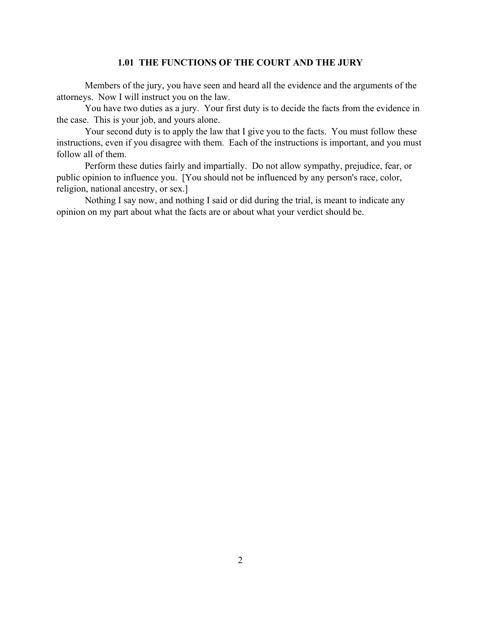## **1.01 THE FUNCTIONS OF THE COURT AND THE JURY**

Members of the jury, you have seen and heard all the evidence and the arguments of the attorneys. Now I will instruct you on the law.

You have two duties as a jury. Your first duty is to decide the facts from the evidence in the case. This is your job, and yours alone.

Your second duty is to apply the law that I give you to the facts. You must follow these instructions, even if you disagree with them. Each of the instructions is important, and you must follow all of them.

Perform these duties fairly and impartially. Do not allow sympathy, prejudice, fear, or public opinion to influence you. [You should not be influenced by any person's race, color, religion, national ancestry, or sex.]

Nothing I say now, and nothing I said or did during the trial, is meant to indicate any opinion on my part about what the facts are or about what your verdict should be.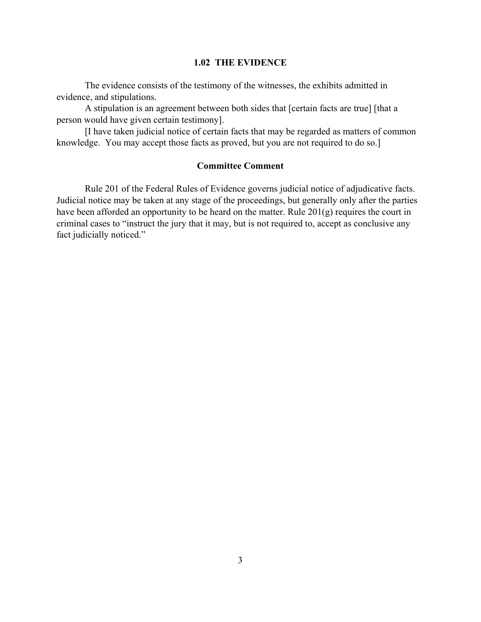### **1.02 THE EVIDENCE**

The evidence consists of the testimony of the witnesses, the exhibits admitted in evidence, and stipulations.

A stipulation is an agreement between both sides that [certain facts are true] [that a person would have given certain testimony].

[I have taken judicial notice of certain facts that may be regarded as matters of common knowledge. You may accept those facts as proved, but you are not required to do so.]

# **Committee Comment**

Rule 201 of the Federal Rules of Evidence governs judicial notice of adjudicative facts. Judicial notice may be taken at any stage of the proceedings, but generally only after the parties have been afforded an opportunity to be heard on the matter. Rule 201(g) requires the court in criminal cases to "instruct the jury that it may, but is not required to, accept as conclusive any fact judicially noticed."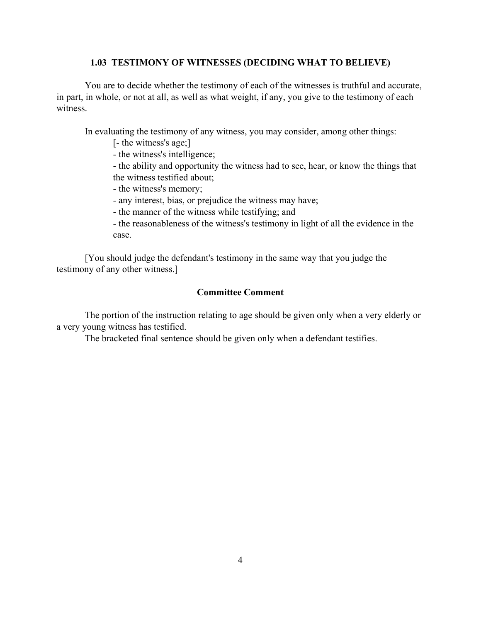### **1.03 TESTIMONY OF WITNESSES (DECIDING WHAT TO BELIEVE)**

You are to decide whether the testimony of each of the witnesses is truthful and accurate, in part, in whole, or not at all, as well as what weight, if any, you give to the testimony of each witness.

In evaluating the testimony of any witness, you may consider, among other things:

- [- the witness's age;]
- the witness's intelligence;

- the ability and opportunity the witness had to see, hear, or know the things that the witness testified about;

- the witness's memory;
- any interest, bias, or prejudice the witness may have;
- the manner of the witness while testifying; and
- the reasonableness of the witness's testimony in light of all the evidence in the case.

[You should judge the defendant's testimony in the same way that you judge the testimony of any other witness.]

### **Committee Comment**

The portion of the instruction relating to age should be given only when a very elderly or a very young witness has testified.

The bracketed final sentence should be given only when a defendant testifies.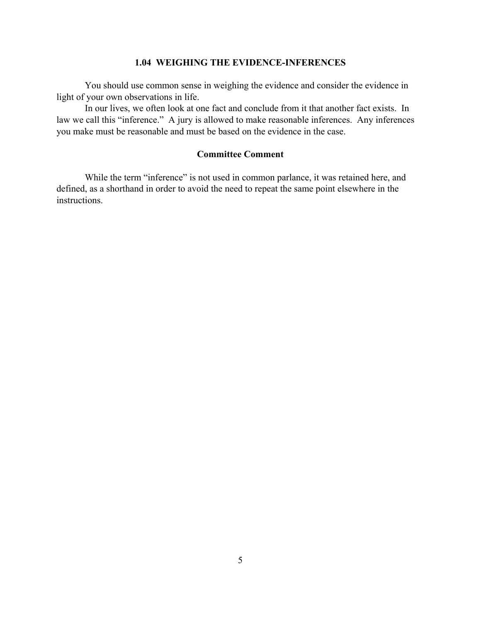### **1.04 WEIGHING THE EVIDENCE-INFERENCES**

You should use common sense in weighing the evidence and consider the evidence in light of your own observations in life.

In our lives, we often look at one fact and conclude from it that another fact exists. In law we call this "inference." A jury is allowed to make reasonable inferences. Any inferences you make must be reasonable and must be based on the evidence in the case.

# **Committee Comment**

While the term "inference" is not used in common parlance, it was retained here, and defined, as a shorthand in order to avoid the need to repeat the same point elsewhere in the instructions.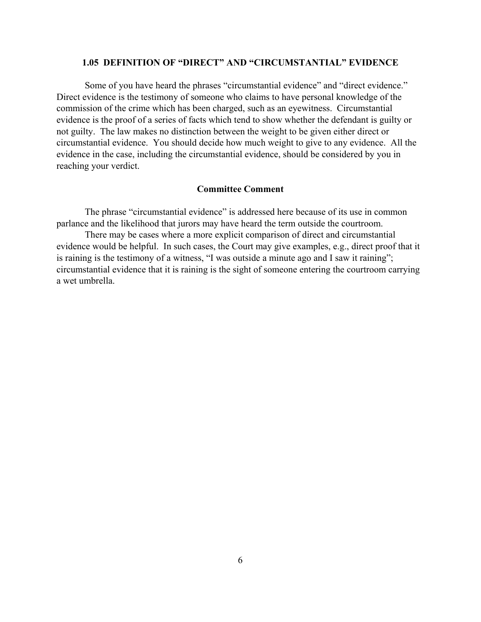### **1.05 DEFINITION OF "DIRECT" AND "CIRCUMSTANTIAL" EVIDENCE**

Some of you have heard the phrases "circumstantial evidence" and "direct evidence." Direct evidence is the testimony of someone who claims to have personal knowledge of the commission of the crime which has been charged, such as an eyewitness. Circumstantial evidence is the proof of a series of facts which tend to show whether the defendant is guilty or not guilty. The law makes no distinction between the weight to be given either direct or circumstantial evidence. You should decide how much weight to give to any evidence. All the evidence in the case, including the circumstantial evidence, should be considered by you in reaching your verdict.

### **Committee Comment**

The phrase "circumstantial evidence" is addressed here because of its use in common parlance and the likelihood that jurors may have heard the term outside the courtroom.

There may be cases where a more explicit comparison of direct and circumstantial evidence would be helpful. In such cases, the Court may give examples, e.g., direct proof that it is raining is the testimony of a witness, "I was outside a minute ago and I saw it raining"; circumstantial evidence that it is raining is the sight of someone entering the courtroom carrying a wet umbrella.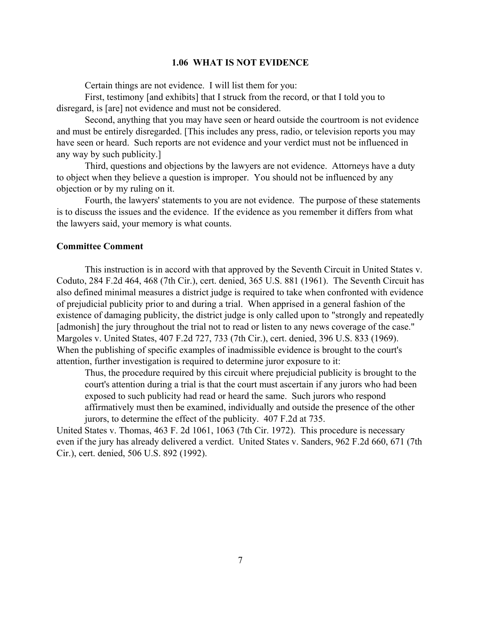### **1.06 WHAT IS NOT EVIDENCE**

Certain things are not evidence. I will list them for you:

First, testimony [and exhibits] that I struck from the record, or that I told you to disregard, is [are] not evidence and must not be considered.

Second, anything that you may have seen or heard outside the courtroom is not evidence and must be entirely disregarded. [This includes any press, radio, or television reports you may have seen or heard. Such reports are not evidence and your verdict must not be influenced in any way by such publicity.]

Third, questions and objections by the lawyers are not evidence. Attorneys have a duty to object when they believe a question is improper. You should not be influenced by any objection or by my ruling on it.

Fourth, the lawyers' statements to you are not evidence. The purpose of these statements is to discuss the issues and the evidence. If the evidence as you remember it differs from what the lawyers said, your memory is what counts.

### **Committee Comment**

This instruction is in accord with that approved by the Seventh Circuit in United States v. Coduto, 284 F.2d 464, 468 (7th Cir.), cert. denied, 365 U.S. 881 (1961). The Seventh Circuit has also defined minimal measures a district judge is required to take when confronted with evidence of prejudicial publicity prior to and during a trial. When apprised in a general fashion of the existence of damaging publicity, the district judge is only called upon to "strongly and repeatedly [admonish] the jury throughout the trial not to read or listen to any news coverage of the case." Margoles v. United States, 407 F.2d 727, 733 (7th Cir.), cert. denied, 396 U.S. 833 (1969). When the publishing of specific examples of inadmissible evidence is brought to the court's attention, further investigation is required to determine juror exposure to it:

Thus, the procedure required by this circuit where prejudicial publicity is brought to the court's attention during a trial is that the court must ascertain if any jurors who had been exposed to such publicity had read or heard the same. Such jurors who respond affirmatively must then be examined, individually and outside the presence of the other jurors, to determine the effect of the publicity. 407 F.2d at 735.

United States v. Thomas, 463 F. 2d 1061, 1063 (7th Cir. 1972). This procedure is necessary even if the jury has already delivered a verdict. United States v. Sanders, 962 F.2d 660, 671 (7th Cir.), cert. denied, 506 U.S. 892 (1992).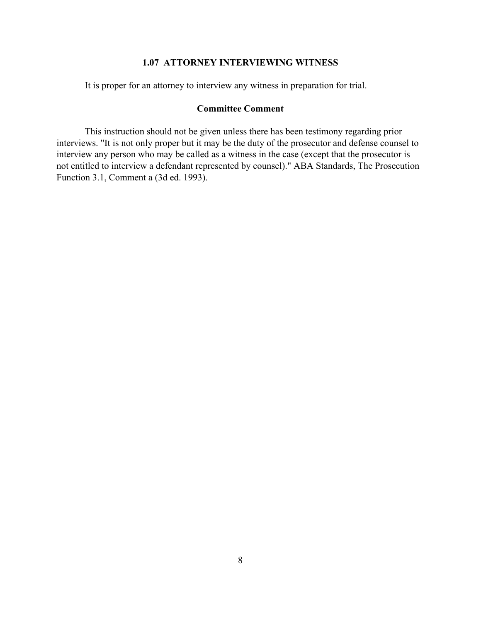# **1.07 ATTORNEY INTERVIEWING WITNESS**

It is proper for an attorney to interview any witness in preparation for trial.

# **Committee Comment**

This instruction should not be given unless there has been testimony regarding prior interviews. "It is not only proper but it may be the duty of the prosecutor and defense counsel to interview any person who may be called as a witness in the case (except that the prosecutor is not entitled to interview a defendant represented by counsel)." ABA Standards, The Prosecution Function 3.1, Comment a (3d ed. 1993).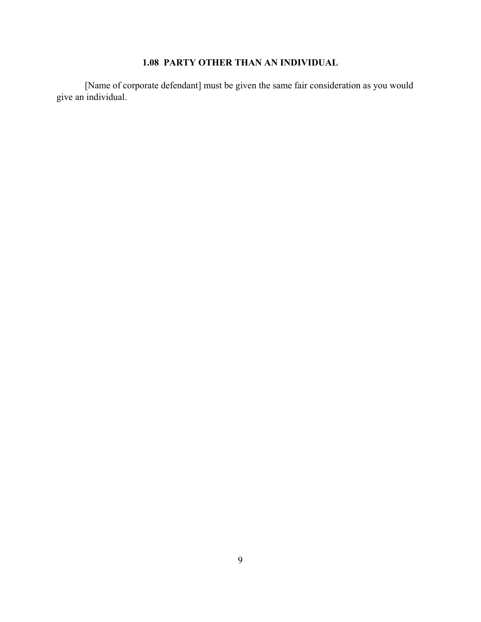# **1.08 PARTY OTHER THAN AN INDIVIDUAL**

[Name of corporate defendant] must be given the same fair consideration as you would give an individual.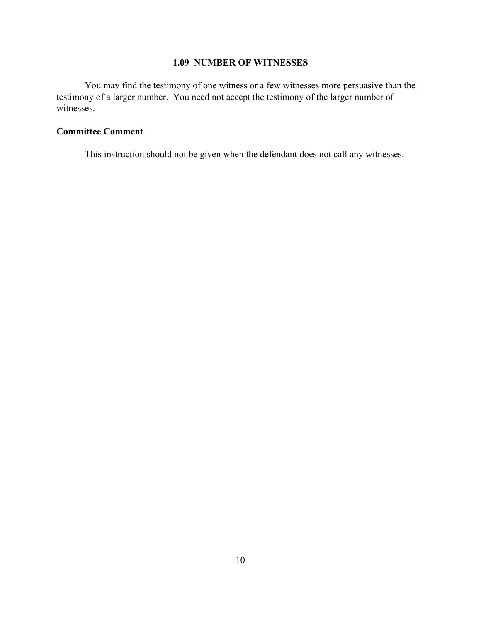# **1.09 NUMBER OF WITNESSES**

You may find the testimony of one witness or a few witnesses more persuasive than the testimony of a larger number. You need not accept the testimony of the larger number of witnesses.

# **Committee Comment**

This instruction should not be given when the defendant does not call any witnesses.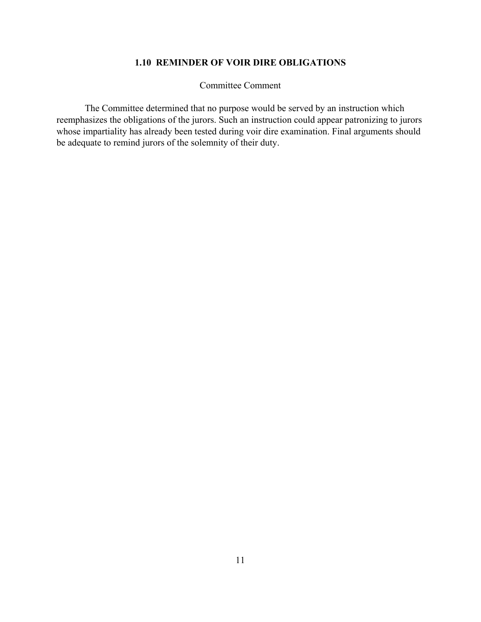# **1.10 REMINDER OF VOIR DIRE OBLIGATIONS**

Committee Comment

The Committee determined that no purpose would be served by an instruction which reemphasizes the obligations of the jurors. Such an instruction could appear patronizing to jurors whose impartiality has already been tested during voir dire examination. Final arguments should be adequate to remind jurors of the solemnity of their duty.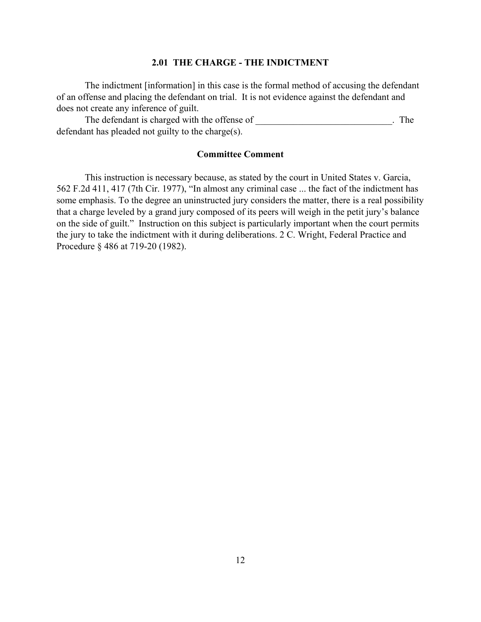### **2.01 THE CHARGE - THE INDICTMENT**

The indictment [information] in this case is the formal method of accusing the defendant of an offense and placing the defendant on trial. It is not evidence against the defendant and does not create any inference of guilt.

The defendant is charged with the offense of \_\_\_\_\_\_\_\_\_\_\_\_\_\_\_\_\_\_\_\_\_\_\_\_\_. The defendant has pleaded not guilty to the charge(s).

### **Committee Comment**

This instruction is necessary because, as stated by the court in United States v. Garcia, 562 F.2d 411, 417 (7th Cir. 1977), "In almost any criminal case ... the fact of the indictment has some emphasis. To the degree an uninstructed jury considers the matter, there is a real possibility that a charge leveled by a grand jury composed of its peers will weigh in the petit jury's balance on the side of guilt." Instruction on this subject is particularly important when the court permits the jury to take the indictment with it during deliberations. 2 C. Wright, Federal Practice and Procedure § 486 at 719-20 (1982).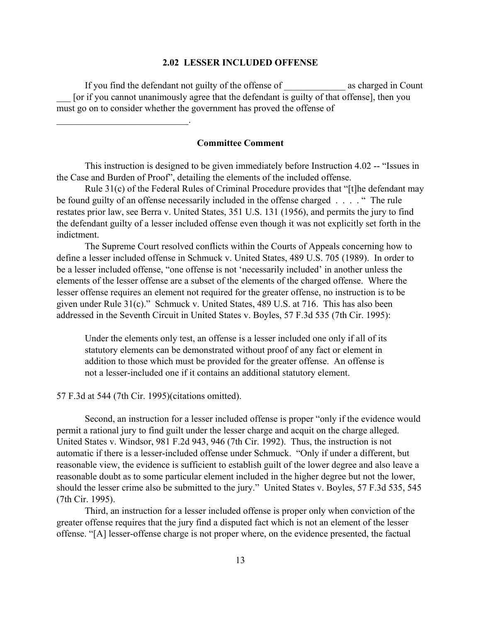### **2.02 LESSER INCLUDED OFFENSE**

If you find the defendant not guilty of the offense of \_\_\_\_\_\_\_\_\_\_\_\_\_ as charged in Count \_\_\_ [or if you cannot unanimously agree that the defendant is guilty of that offense], then you must go on to consider whether the government has proved the offense of

### **Committee Comment**

This instruction is designed to be given immediately before Instruction 4.02 -- "Issues in the Case and Burden of Proof", detailing the elements of the included offense.

Rule 31(c) of the Federal Rules of Criminal Procedure provides that "[t]he defendant may be found guilty of an offense necessarily included in the offense charged . . . . " The rule restates prior law, see Berra v. United States, 351 U.S. 131 (1956), and permits the jury to find the defendant guilty of a lesser included offense even though it was not explicitly set forth in the indictment.

The Supreme Court resolved conflicts within the Courts of Appeals concerning how to define a lesser included offense in Schmuck v. United States, 489 U.S. 705 (1989). In order to be a lesser included offense, "one offense is not 'necessarily included' in another unless the elements of the lesser offense are a subset of the elements of the charged offense. Where the lesser offense requires an element not required for the greater offense, no instruction is to be given under Rule 31(c)." Schmuck v. United States, 489 U.S. at 716. This has also been addressed in the Seventh Circuit in United States v. Boyles, 57 F.3d 535 (7th Cir. 1995):

Under the elements only test, an offense is a lesser included one only if all of its statutory elements can be demonstrated without proof of any fact or element in addition to those which must be provided for the greater offense. An offense is not a lesser-included one if it contains an additional statutory element.

### 57 F.3d at 544 (7th Cir. 1995)(citations omitted).

 $\mathcal{L}_\text{max}$  , where  $\mathcal{L}_\text{max}$  is the set of the set of the set of the set of the set of the set of the set of the set of the set of the set of the set of the set of the set of the set of the set of the set of the se

Second, an instruction for a lesser included offense is proper "only if the evidence would permit a rational jury to find guilt under the lesser charge and acquit on the charge alleged. United States v. Windsor, 981 F.2d 943, 946 (7th Cir. 1992). Thus, the instruction is not automatic if there is a lesser-included offense under Schmuck. "Only if under a different, but reasonable view, the evidence is sufficient to establish guilt of the lower degree and also leave a reasonable doubt as to some particular element included in the higher degree but not the lower, should the lesser crime also be submitted to the jury." United States v. Boyles, 57 F.3d 535, 545 (7th Cir. 1995).

Third, an instruction for a lesser included offense is proper only when conviction of the greater offense requires that the jury find a disputed fact which is not an element of the lesser offense. "[A] lesser-offense charge is not proper where, on the evidence presented, the factual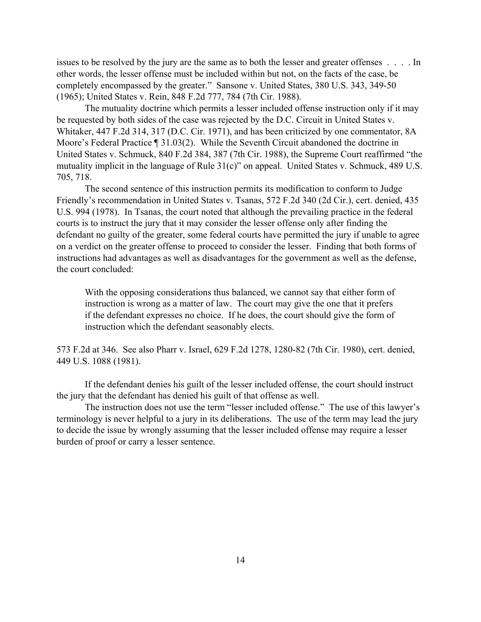issues to be resolved by the jury are the same as to both the lesser and greater offenses . . . . In other words, the lesser offense must be included within but not, on the facts of the case, be completely encompassed by the greater." Sansone v. United States, 380 U.S. 343, 349-50 (1965); United States v. Rein, 848 F.2d 777, 784 (7th Cir. 1988).

The mutuality doctrine which permits a lesser included offense instruction only if it may be requested by both sides of the case was rejected by the D.C. Circuit in United States v. Whitaker, 447 F.2d 314, 317 (D.C. Cir. 1971), and has been criticized by one commentator, 8A Moore's Federal Practice ¶ 31.03(2). While the Seventh Circuit abandoned the doctrine in United States v. Schmuck, 840 F.2d 384, 387 (7th Cir. 1988), the Supreme Court reaffirmed "the mutuality implicit in the language of Rule 31(c)" on appeal. United States v. Schmuck, 489 U.S. 705, 718.

The second sentence of this instruction permits its modification to conform to Judge Friendly's recommendation in United States v. Tsanas, 572 F.2d 340 (2d Cir.), cert. denied, 435 U.S. 994 (1978). In Tsanas, the court noted that although the prevailing practice in the federal courts is to instruct the jury that it may consider the lesser offense only after finding the defendant no guilty of the greater, some federal courts have permitted the jury if unable to agree on a verdict on the greater offense to proceed to consider the lesser. Finding that both forms of instructions had advantages as well as disadvantages for the government as well as the defense, the court concluded:

With the opposing considerations thus balanced, we cannot say that either form of instruction is wrong as a matter of law. The court may give the one that it prefers if the defendant expresses no choice. If he does, the court should give the form of instruction which the defendant seasonably elects.

573 F.2d at 346. See also Pharr v. Israel, 629 F.2d 1278, 1280-82 (7th Cir. 1980), cert. denied, 449 U.S. 1088 (1981).

If the defendant denies his guilt of the lesser included offense, the court should instruct the jury that the defendant has denied his guilt of that offense as well.

The instruction does not use the term "lesser included offense." The use of this lawyer's terminology is never helpful to a jury in its deliberations. The use of the term may lead the jury to decide the issue by wrongly assuming that the lesser included offense may require a lesser burden of proof or carry a lesser sentence.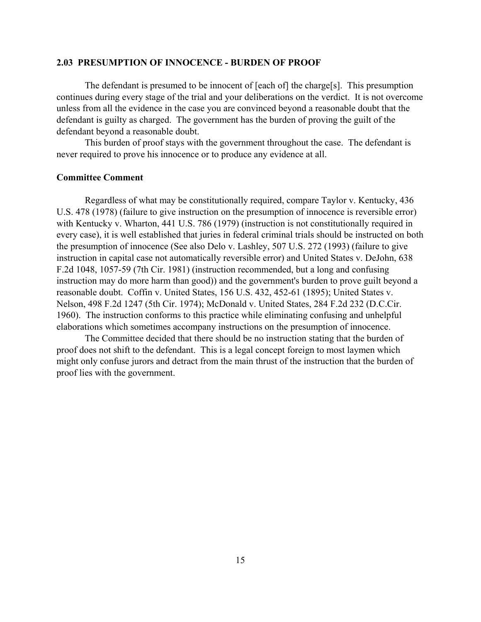### **2.03 PRESUMPTION OF INNOCENCE - BURDEN OF PROOF**

The defendant is presumed to be innocent of [each of] the charge[s]. This presumption continues during every stage of the trial and your deliberations on the verdict. It is not overcome unless from all the evidence in the case you are convinced beyond a reasonable doubt that the defendant is guilty as charged. The government has the burden of proving the guilt of the defendant beyond a reasonable doubt.

This burden of proof stays with the government throughout the case. The defendant is never required to prove his innocence or to produce any evidence at all.

### **Committee Comment**

Regardless of what may be constitutionally required, compare Taylor v. Kentucky, 436 U.S. 478 (1978) (failure to give instruction on the presumption of innocence is reversible error) with Kentucky v. Wharton, 441 U.S. 786 (1979) (instruction is not constitutionally required in every case), it is well established that juries in federal criminal trials should be instructed on both the presumption of innocence (See also Delo v. Lashley, 507 U.S. 272 (1993) (failure to give instruction in capital case not automatically reversible error) and United States v. DeJohn, 638 F.2d 1048, 1057-59 (7th Cir. 1981) (instruction recommended, but a long and confusing instruction may do more harm than good)) and the government's burden to prove guilt beyond a reasonable doubt. Coffin v. United States, 156 U.S. 432, 452-61 (1895); United States v. Nelson, 498 F.2d 1247 (5th Cir. 1974); McDonald v. United States, 284 F.2d 232 (D.C.Cir. 1960). The instruction conforms to this practice while eliminating confusing and unhelpful elaborations which sometimes accompany instructions on the presumption of innocence.

The Committee decided that there should be no instruction stating that the burden of proof does not shift to the defendant. This is a legal concept foreign to most laymen which might only confuse jurors and detract from the main thrust of the instruction that the burden of proof lies with the government.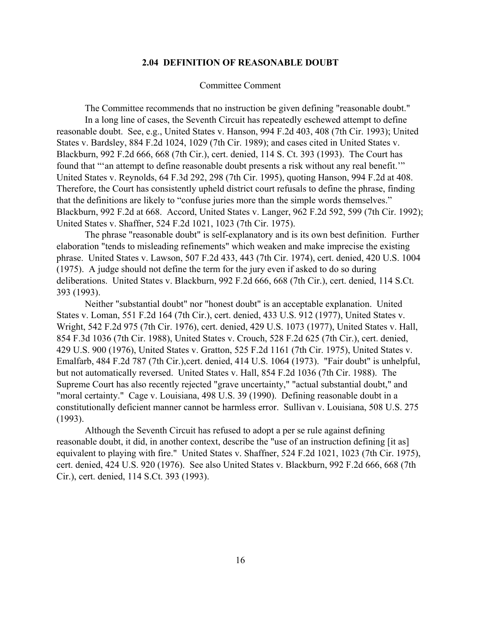### **2.04 DEFINITION OF REASONABLE DOUBT**

#### Committee Comment

The Committee recommends that no instruction be given defining "reasonable doubt." In a long line of cases, the Seventh Circuit has repeatedly eschewed attempt to define reasonable doubt. See, e.g., United States v. Hanson, 994 F.2d 403, 408 (7th Cir. 1993); United States v. Bardsley, 884 F.2d 1024, 1029 (7th Cir. 1989); and cases cited in United States v. Blackburn, 992 F.2d 666, 668 (7th Cir.), cert. denied, 114 S. Ct. 393 (1993). The Court has found that "'an attempt to define reasonable doubt presents a risk without any real benefit.'" United States v. Reynolds, 64 F.3d 292, 298 (7th Cir. 1995), quoting Hanson, 994 F.2d at 408. Therefore, the Court has consistently upheld district court refusals to define the phrase, finding that the definitions are likely to "confuse juries more than the simple words themselves." Blackburn, 992 F.2d at 668. Accord, United States v. Langer, 962 F.2d 592, 599 (7th Cir. 1992); United States v. Shaffner, 524 F.2d 1021, 1023 (7th Cir. 1975).

The phrase "reasonable doubt" is self-explanatory and is its own best definition. Further elaboration "tends to misleading refinements" which weaken and make imprecise the existing phrase. United States v. Lawson, 507 F.2d 433, 443 (7th Cir. 1974), cert. denied, 420 U.S. 1004 (1975). A judge should not define the term for the jury even if asked to do so during deliberations. United States v. Blackburn, 992 F.2d 666, 668 (7th Cir.), cert. denied, 114 S.Ct. 393 (1993).

Neither "substantial doubt" nor "honest doubt" is an acceptable explanation. United States v. Loman, 551 F.2d 164 (7th Cir.), cert. denied, 433 U.S. 912 (1977), United States v. Wright, 542 F.2d 975 (7th Cir. 1976), cert. denied, 429 U.S. 1073 (1977), United States v. Hall, 854 F.3d 1036 (7th Cir. 1988), United States v. Crouch, 528 F.2d 625 (7th Cir.), cert. denied, 429 U.S. 900 (1976), United States v. Gratton, 525 F.2d 1161 (7th Cir. 1975), United States v. Emalfarb, 484 F.2d 787 (7th Cir.),cert. denied, 414 U.S. 1064 (1973). "Fair doubt" is unhelpful, but not automatically reversed. United States v. Hall, 854 F.2d 1036 (7th Cir. 1988). The Supreme Court has also recently rejected "grave uncertainty," "actual substantial doubt," and "moral certainty." Cage v. Louisiana, 498 U.S. 39 (1990). Defining reasonable doubt in a constitutionally deficient manner cannot be harmless error. Sullivan v. Louisiana, 508 U.S. 275 (1993).

Although the Seventh Circuit has refused to adopt a per se rule against defining reasonable doubt, it did, in another context, describe the "use of an instruction defining [it as] equivalent to playing with fire." United States v. Shaffner, 524 F.2d 1021, 1023 (7th Cir. 1975), cert. denied, 424 U.S. 920 (1976). See also United States v. Blackburn, 992 F.2d 666, 668 (7th Cir.), cert. denied, 114 S.Ct. 393 (1993).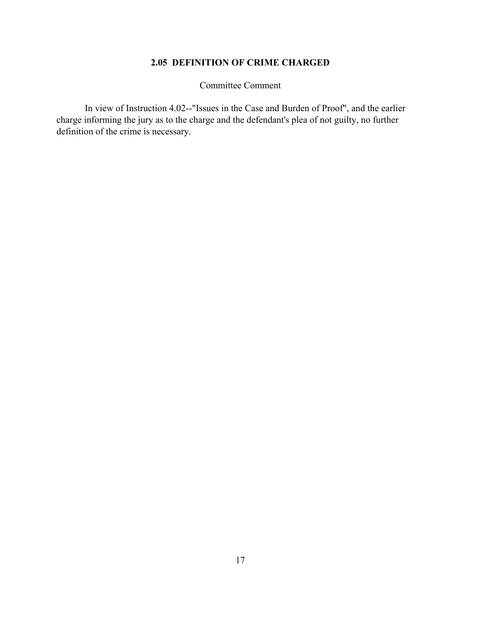# **2.05 DEFINITION OF CRIME CHARGED**

Committee Comment

In view of Instruction 4.02--"Issues in the Case and Burden of Proof", and the earlier charge informing the jury as to the charge and the defendant's plea of not guilty, no further definition of the crime is necessary.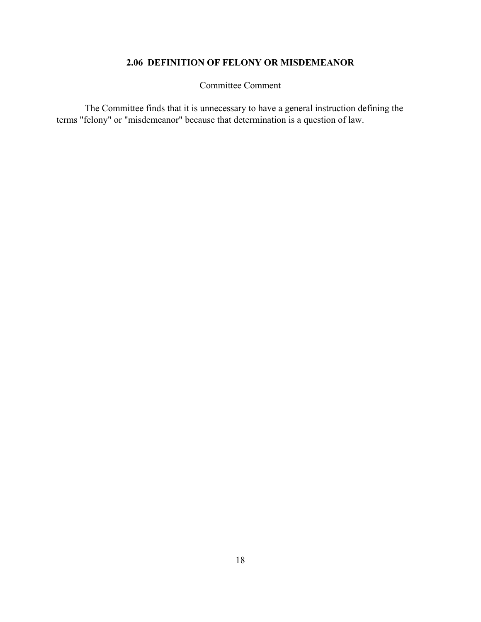# **2.06 DEFINITION OF FELONY OR MISDEMEANOR**

Committee Comment

The Committee finds that it is unnecessary to have a general instruction defining the terms "felony" or "misdemeanor" because that determination is a question of law.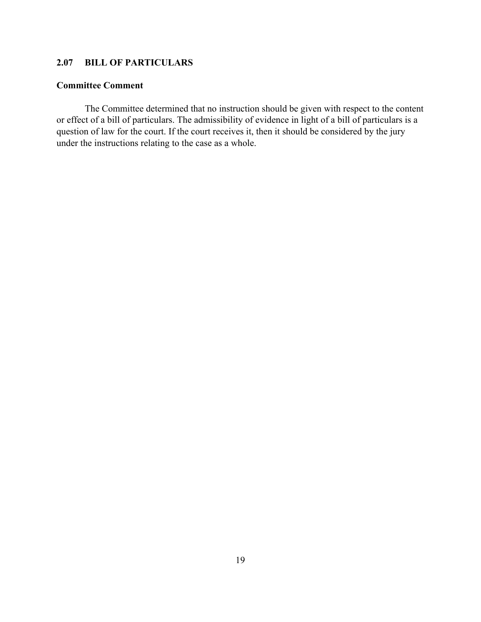# **2.07 BILL OF PARTICULARS**

### **Committee Comment**

The Committee determined that no instruction should be given with respect to the content or effect of a bill of particulars. The admissibility of evidence in light of a bill of particulars is a question of law for the court. If the court receives it, then it should be considered by the jury under the instructions relating to the case as a whole.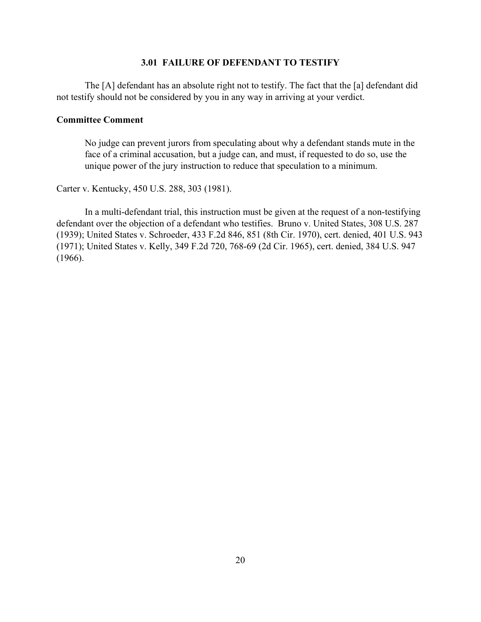## **3.01 FAILURE OF DEFENDANT TO TESTIFY**

The [A] defendant has an absolute right not to testify. The fact that the [a] defendant did not testify should not be considered by you in any way in arriving at your verdict.

### **Committee Comment**

No judge can prevent jurors from speculating about why a defendant stands mute in the face of a criminal accusation, but a judge can, and must, if requested to do so, use the unique power of the jury instruction to reduce that speculation to a minimum.

Carter v. Kentucky, 450 U.S. 288, 303 (1981).

In a multi-defendant trial, this instruction must be given at the request of a non-testifying defendant over the objection of a defendant who testifies. Bruno v. United States, 308 U.S. 287 (1939); United States v. Schroeder, 433 F.2d 846, 851 (8th Cir. 1970), cert. denied, 401 U.S. 943 (1971); United States v. Kelly, 349 F.2d 720, 768-69 (2d Cir. 1965), cert. denied, 384 U.S. 947 (1966).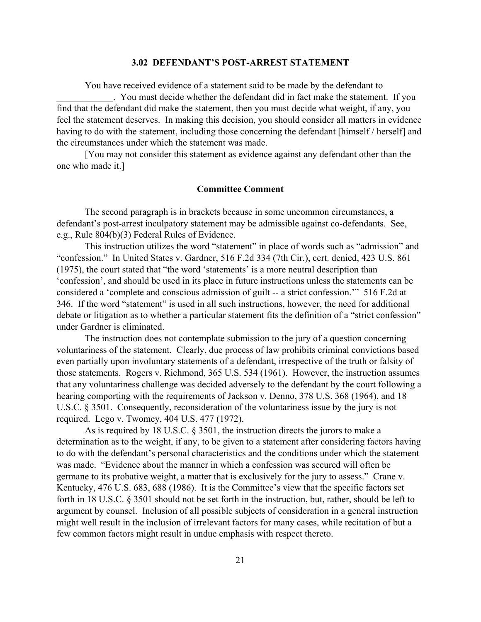### **3.02 DEFENDANT'S POST-ARREST STATEMENT**

You have received evidence of a statement said to be made by the defendant to

\_\_\_\_\_\_\_\_\_\_\_\_. You must decide whether the defendant did in fact make the statement. If you find that the defendant did make the statement, then you must decide what weight, if any, you feel the statement deserves. In making this decision, you should consider all matters in evidence having to do with the statement, including those concerning the defendant [himself / herself] and the circumstances under which the statement was made.

[You may not consider this statement as evidence against any defendant other than the one who made it.]

#### **Committee Comment**

The second paragraph is in brackets because in some uncommon circumstances, a defendant's post-arrest inculpatory statement may be admissible against co-defendants. See, e.g., Rule 804(b)(3) Federal Rules of Evidence.

This instruction utilizes the word "statement" in place of words such as "admission" and "confession." In United States v. Gardner, 516 F.2d 334 (7th Cir.), cert. denied, 423 U.S. 861 (1975), the court stated that "the word 'statements' is a more neutral description than 'confession', and should be used in its place in future instructions unless the statements can be considered a 'complete and conscious admission of guilt -- a strict confession.'" 516 F.2d at 346. If the word "statement" is used in all such instructions, however, the need for additional debate or litigation as to whether a particular statement fits the definition of a "strict confession" under Gardner is eliminated.

The instruction does not contemplate submission to the jury of a question concerning voluntariness of the statement. Clearly, due process of law prohibits criminal convictions based even partially upon involuntary statements of a defendant, irrespective of the truth or falsity of those statements. Rogers v. Richmond, 365 U.S. 534 (1961). However, the instruction assumes that any voluntariness challenge was decided adversely to the defendant by the court following a hearing comporting with the requirements of Jackson v. Denno, 378 U.S. 368 (1964), and 18 U.S.C. § 3501. Consequently, reconsideration of the voluntariness issue by the jury is not required. Lego v. Twomey, 404 U.S. 477 (1972).

As is required by 18 U.S.C. § 3501, the instruction directs the jurors to make a determination as to the weight, if any, to be given to a statement after considering factors having to do with the defendant's personal characteristics and the conditions under which the statement was made. "Evidence about the manner in which a confession was secured will often be germane to its probative weight, a matter that is exclusively for the jury to assess." Crane v. Kentucky, 476 U.S. 683, 688 (1986). It is the Committee's view that the specific factors set forth in 18 U.S.C. § 3501 should not be set forth in the instruction, but, rather, should be left to argument by counsel. Inclusion of all possible subjects of consideration in a general instruction might well result in the inclusion of irrelevant factors for many cases, while recitation of but a few common factors might result in undue emphasis with respect thereto.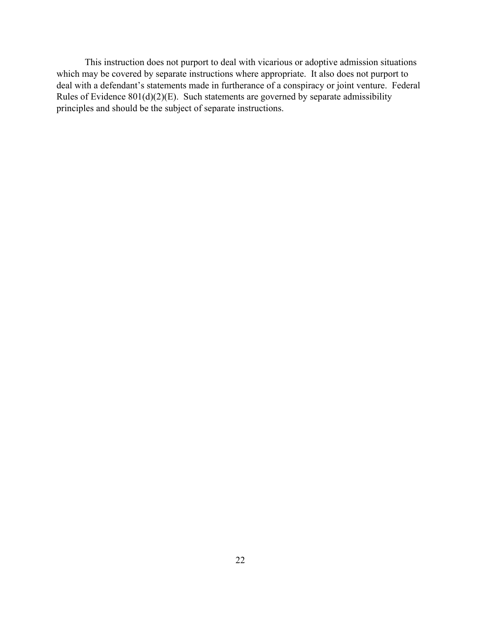This instruction does not purport to deal with vicarious or adoptive admission situations which may be covered by separate instructions where appropriate. It also does not purport to deal with a defendant's statements made in furtherance of a conspiracy or joint venture. Federal Rules of Evidence  $801(d)(2)(E)$ . Such statements are governed by separate admissibility principles and should be the subject of separate instructions.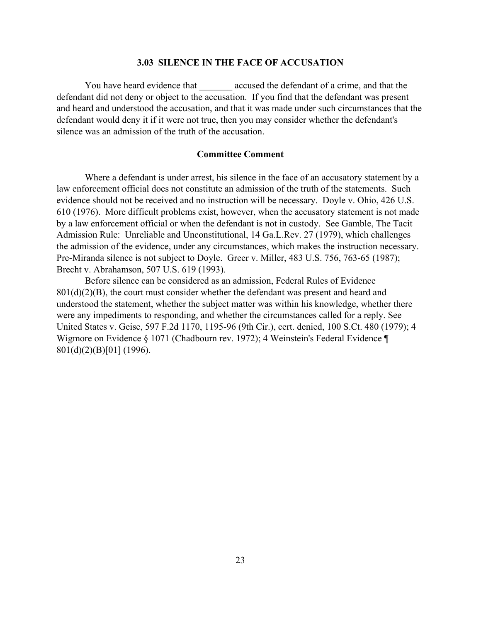### **3.03 SILENCE IN THE FACE OF ACCUSATION**

You have heard evidence that electric accused the defendant of a crime, and that the defendant did not deny or object to the accusation. If you find that the defendant was present and heard and understood the accusation, and that it was made under such circumstances that the defendant would deny it if it were not true, then you may consider whether the defendant's silence was an admission of the truth of the accusation.

### **Committee Comment**

Where a defendant is under arrest, his silence in the face of an accusatory statement by a law enforcement official does not constitute an admission of the truth of the statements. Such evidence should not be received and no instruction will be necessary. Doyle v. Ohio, 426 U.S. 610 (1976). More difficult problems exist, however, when the accusatory statement is not made by a law enforcement official or when the defendant is not in custody. See Gamble, The Tacit Admission Rule: Unreliable and Unconstitutional, 14 Ga.L.Rev. 27 (1979), which challenges the admission of the evidence, under any circumstances, which makes the instruction necessary. Pre-Miranda silence is not subject to Doyle. Greer v. Miller, 483 U.S. 756, 763-65 (1987); Brecht v. Abrahamson, 507 U.S. 619 (1993).

Before silence can be considered as an admission, Federal Rules of Evidence  $801(d)(2)(B)$ , the court must consider whether the defendant was present and heard and understood the statement, whether the subject matter was within his knowledge, whether there were any impediments to responding, and whether the circumstances called for a reply. See United States v. Geise, 597 F.2d 1170, 1195-96 (9th Cir.), cert. denied, 100 S.Ct. 480 (1979); 4 Wigmore on Evidence § 1071 (Chadbourn rev. 1972); 4 Weinstein's Federal Evidence ¶ 801(d)(2)(B)[01] (1996).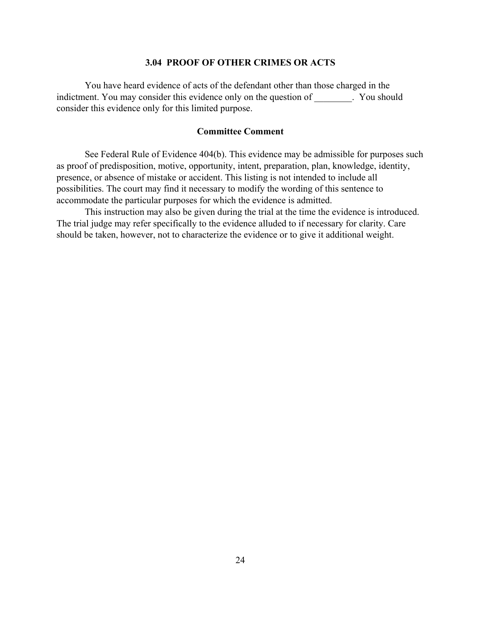### **3.04 PROOF OF OTHER CRIMES OR ACTS**

You have heard evidence of acts of the defendant other than those charged in the indictment. You may consider this evidence only on the question of \_\_\_\_\_\_\_\_. You should consider this evidence only for this limited purpose.

### **Committee Comment**

See Federal Rule of Evidence 404(b). This evidence may be admissible for purposes such as proof of predisposition, motive, opportunity, intent, preparation, plan, knowledge, identity, presence, or absence of mistake or accident. This listing is not intended to include all possibilities. The court may find it necessary to modify the wording of this sentence to accommodate the particular purposes for which the evidence is admitted.

This instruction may also be given during the trial at the time the evidence is introduced. The trial judge may refer specifically to the evidence alluded to if necessary for clarity. Care should be taken, however, not to characterize the evidence or to give it additional weight.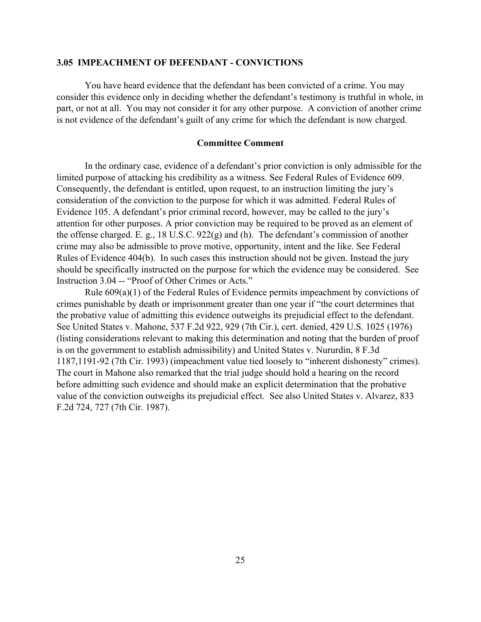### **3.05 IMPEACHMENT OF DEFENDANT - CONVICTIONS**

You have heard evidence that the defendant has been convicted of a crime. You may consider this evidence only in deciding whether the defendant's testimony is truthful in whole, in part, or not at all. You may not consider it for any other purpose. A conviction of another crime is not evidence of the defendant's guilt of any crime for which the defendant is now charged.

### **Committee Comment**

In the ordinary case, evidence of a defendant's prior conviction is only admissible for the limited purpose of attacking his credibility as a witness. See Federal Rules of Evidence 609. Consequently, the defendant is entitled, upon request, to an instruction limiting the jury's consideration of the conviction to the purpose for which it was admitted. Federal Rules of Evidence 105. A defendant's prior criminal record, however, may be called to the jury's attention for other purposes. A prior conviction may be required to be proved as an element of the offense charged. E. g., 18 U.S.C. 922(g) and (h). The defendant's commission of another crime may also be admissible to prove motive, opportunity, intent and the like. See Federal Rules of Evidence 404(b). In such cases this instruction should not be given. Instead the jury should be specifically instructed on the purpose for which the evidence may be considered. See Instruction 3.04 -- "Proof of Other Crimes or Acts."

Rule 609(a)(1) of the Federal Rules of Evidence permits impeachment by convictions of crimes punishable by death or imprisonment greater than one year if "the court determines that the probative value of admitting this evidence outweighs its prejudicial effect to the defendant. See United States v. Mahone, 537 F.2d 922, 929 (7th Cir.), cert. denied, 429 U.S. 1025 (1976) (listing considerations relevant to making this determination and noting that the burden of proof is on the government to establish admissibility) and United States v. Nururdin, 8 F.3d 1187,1191-92 (7th Cir. 1993) (impeachment value tied loosely to "inherent dishonesty" crimes). The court in Mahone also remarked that the trial judge should hold a hearing on the record before admitting such evidence and should make an explicit determination that the probative value of the conviction outweighs its prejudicial effect. See also United States v. Alvarez, 833 F.2d 724, 727 (7th Cir. 1987).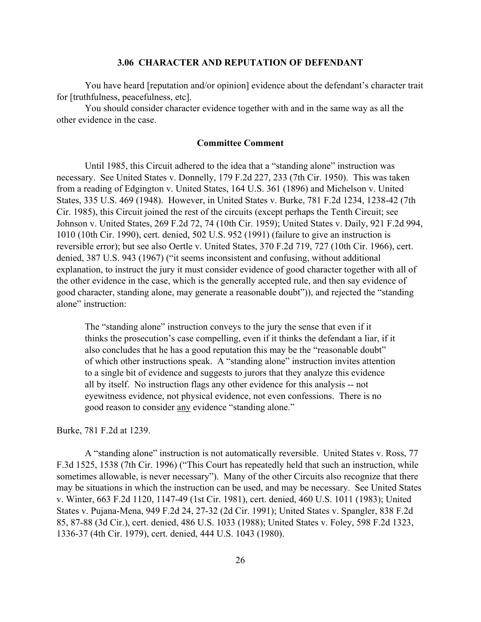### **3.06 CHARACTER AND REPUTATION OF DEFENDANT**

You have heard [reputation and/or opinion] evidence about the defendant's character trait for [truthfulness, peacefulness, etc].

You should consider character evidence together with and in the same way as all the other evidence in the case.

### **Committee Comment**

Until 1985, this Circuit adhered to the idea that a "standing alone" instruction was necessary. See United States v. Donnelly, 179 F.2d 227, 233 (7th Cir. 1950). This was taken from a reading of Edgington v. United States, 164 U.S. 361 (1896) and Michelson v. United States, 335 U.S. 469 (1948). However, in United States v. Burke, 781 F.2d 1234, 1238-42 (7th Cir. 1985), this Circuit joined the rest of the circuits (except perhaps the Tenth Circuit; see Johnson v. United States, 269 F.2d 72, 74 (10th Cir. 1959); United States v. Daily, 921 F.2d 994, 1010 (10th Cir. 1990), cert. denied, 502 U.S. 952 (1991) (failure to give an instruction is reversible error); but see also Oertle v. United States, 370 F.2d 719, 727 (10th Cir. 1966), cert. denied, 387 U.S. 943 (1967) ("it seems inconsistent and confusing, without additional explanation, to instruct the jury it must consider evidence of good character together with all of the other evidence in the case, which is the generally accepted rule, and then say evidence of good character, standing alone, may generate a reasonable doubt")), and rejected the "standing alone" instruction:

The "standing alone" instruction conveys to the jury the sense that even if it thinks the prosecution's case compelling, even if it thinks the defendant a liar, if it also concludes that he has a good reputation this may be the "reasonable doubt" of which other instructions speak. A "standing alone" instruction invites attention to a single bit of evidence and suggests to jurors that they analyze this evidence all by itself. No instruction flags any other evidence for this analysis -- not eyewitness evidence, not physical evidence, not even confessions. There is no good reason to consider any evidence "standing alone."

#### Burke, 781 F.2d at 1239.

A "standing alone" instruction is not automatically reversible. United States v. Ross, 77 F.3d 1525, 1538 (7th Cir. 1996) ("This Court has repeatedly held that such an instruction, while sometimes allowable, is never necessary"). Many of the other Circuits also recognize that there may be situations in which the instruction can be used, and may be necessary. See United States v. Winter, 663 F.2d 1120, 1147-49 (1st Cir. 1981), cert. denied, 460 U.S. 1011 (1983); United States v. Pujana-Mena, 949 F.2d 24, 27-32 (2d Cir. 1991); United States v. Spangler, 838 F.2d 85, 87-88 (3d Cir.), cert. denied, 486 U.S. 1033 (1988); United States v. Foley, 598 F.2d 1323, 1336-37 (4th Cir. 1979), cert. denied, 444 U.S. 1043 (1980).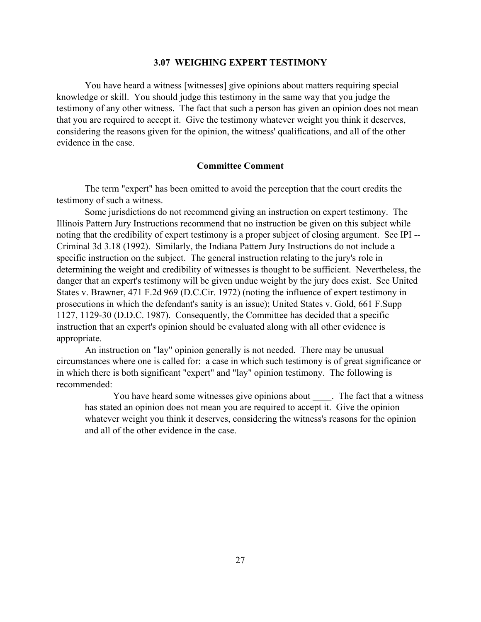### **3.07 WEIGHING EXPERT TESTIMONY**

You have heard a witness [witnesses] give opinions about matters requiring special knowledge or skill. You should judge this testimony in the same way that you judge the testimony of any other witness. The fact that such a person has given an opinion does not mean that you are required to accept it. Give the testimony whatever weight you think it deserves, considering the reasons given for the opinion, the witness' qualifications, and all of the other evidence in the case.

### **Committee Comment**

The term "expert" has been omitted to avoid the perception that the court credits the testimony of such a witness.

Some jurisdictions do not recommend giving an instruction on expert testimony. The Illinois Pattern Jury Instructions recommend that no instruction be given on this subject while noting that the credibility of expert testimony is a proper subject of closing argument. See IPI -- Criminal 3d 3.18 (1992). Similarly, the Indiana Pattern Jury Instructions do not include a specific instruction on the subject. The general instruction relating to the jury's role in determining the weight and credibility of witnesses is thought to be sufficient. Nevertheless, the danger that an expert's testimony will be given undue weight by the jury does exist. See United States v. Brawner, 471 F.2d 969 (D.C.Cir. 1972) (noting the influence of expert testimony in prosecutions in which the defendant's sanity is an issue); United States v. Gold, 661 F.Supp 1127, 1129-30 (D.D.C. 1987). Consequently, the Committee has decided that a specific instruction that an expert's opinion should be evaluated along with all other evidence is appropriate.

An instruction on "lay" opinion generally is not needed. There may be unusual circumstances where one is called for: a case in which such testimony is of great significance or in which there is both significant "expert" and "lay" opinion testimony. The following is recommended:

You have heard some witnesses give opinions about The fact that a witness has stated an opinion does not mean you are required to accept it. Give the opinion whatever weight you think it deserves, considering the witness's reasons for the opinion and all of the other evidence in the case.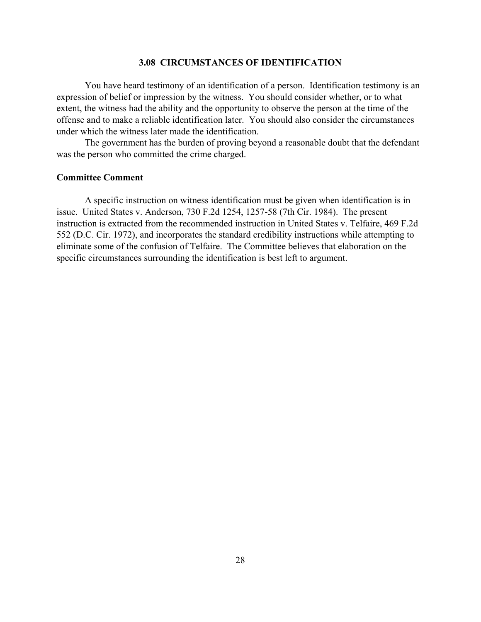### **3.08 CIRCUMSTANCES OF IDENTIFICATION**

You have heard testimony of an identification of a person. Identification testimony is an expression of belief or impression by the witness. You should consider whether, or to what extent, the witness had the ability and the opportunity to observe the person at the time of the offense and to make a reliable identification later. You should also consider the circumstances under which the witness later made the identification.

The government has the burden of proving beyond a reasonable doubt that the defendant was the person who committed the crime charged.

### **Committee Comment**

A specific instruction on witness identification must be given when identification is in issue. United States v. Anderson, 730 F.2d 1254, 1257-58 (7th Cir. 1984). The present instruction is extracted from the recommended instruction in United States v. Telfaire, 469 F.2d 552 (D.C. Cir. 1972), and incorporates the standard credibility instructions while attempting to eliminate some of the confusion of Telfaire. The Committee believes that elaboration on the specific circumstances surrounding the identification is best left to argument.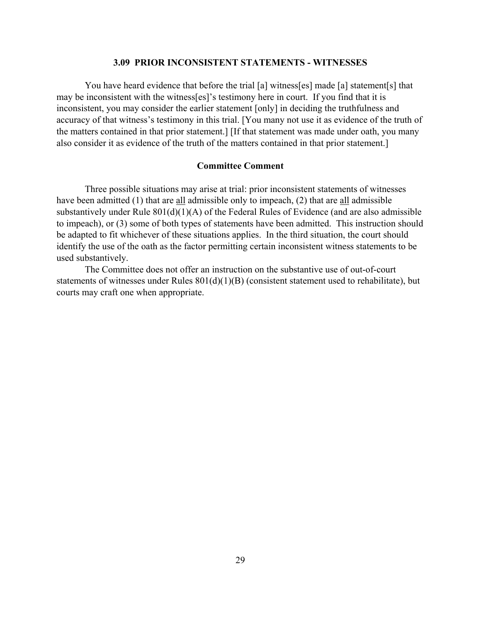### **3.09 PRIOR INCONSISTENT STATEMENTS - WITNESSES**

You have heard evidence that before the trial [a] witness[es] made [a] statement[s] that may be inconsistent with the witness[es]'s testimony here in court. If you find that it is inconsistent, you may consider the earlier statement [only] in deciding the truthfulness and accuracy of that witness's testimony in this trial. [You many not use it as evidence of the truth of the matters contained in that prior statement.] [If that statement was made under oath, you many also consider it as evidence of the truth of the matters contained in that prior statement.]

### **Committee Comment**

Three possible situations may arise at trial: prior inconsistent statements of witnesses have been admitted (1) that are all admissible only to impeach, (2) that are all admissible substantively under Rule 801(d)(1)(A) of the Federal Rules of Evidence (and are also admissible to impeach), or (3) some of both types of statements have been admitted. This instruction should be adapted to fit whichever of these situations applies. In the third situation, the court should identify the use of the oath as the factor permitting certain inconsistent witness statements to be used substantively.

The Committee does not offer an instruction on the substantive use of out-of-court statements of witnesses under Rules  $801(d)(1)(B)$  (consistent statement used to rehabilitate), but courts may craft one when appropriate.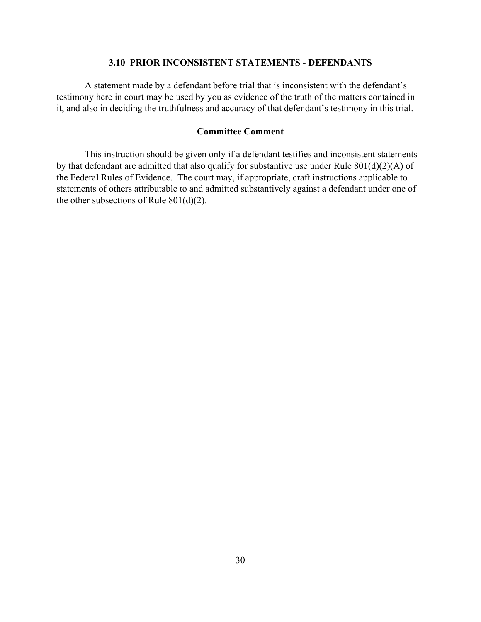## **3.10 PRIOR INCONSISTENT STATEMENTS - DEFENDANTS**

A statement made by a defendant before trial that is inconsistent with the defendant's testimony here in court may be used by you as evidence of the truth of the matters contained in it, and also in deciding the truthfulness and accuracy of that defendant's testimony in this trial.

### **Committee Comment**

This instruction should be given only if a defendant testifies and inconsistent statements by that defendant are admitted that also qualify for substantive use under Rule 801(d)(2)(A) of the Federal Rules of Evidence. The court may, if appropriate, craft instructions applicable to statements of others attributable to and admitted substantively against a defendant under one of the other subsections of Rule  $801(d)(2)$ .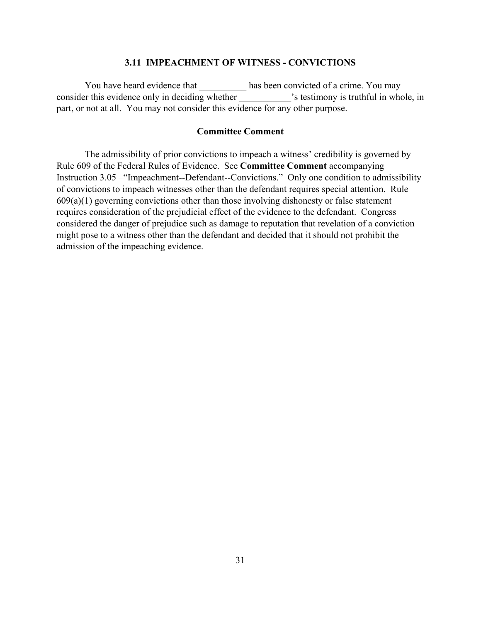### **3.11 IMPEACHMENT OF WITNESS - CONVICTIONS**

You have heard evidence that has been convicted of a crime. You may consider this evidence only in deciding whether  $\cdot$  s testimony is truthful in whole, in part, or not at all. You may not consider this evidence for any other purpose.

## **Committee Comment**

The admissibility of prior convictions to impeach a witness' credibility is governed by Rule 609 of the Federal Rules of Evidence. See **Committee Comment** accompanying Instruction 3.05 –"Impeachment--Defendant--Convictions." Only one condition to admissibility of convictions to impeach witnesses other than the defendant requires special attention. Rule  $609(a)(1)$  governing convictions other than those involving dishonesty or false statement requires consideration of the prejudicial effect of the evidence to the defendant. Congress considered the danger of prejudice such as damage to reputation that revelation of a conviction might pose to a witness other than the defendant and decided that it should not prohibit the admission of the impeaching evidence.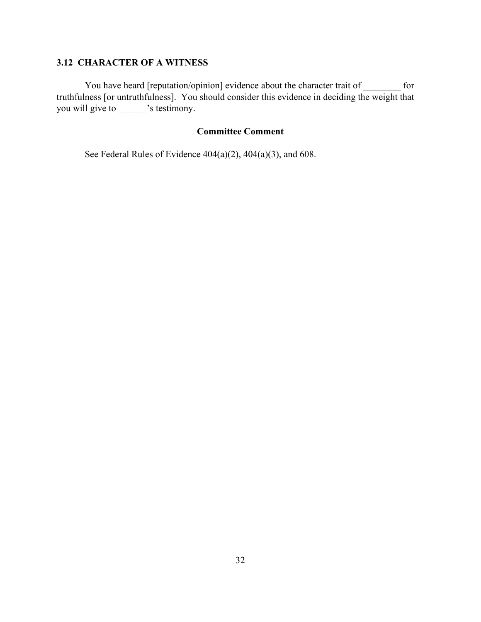# **3.12 CHARACTER OF A WITNESS**

You have heard [reputation/opinion] evidence about the character trait of \_\_\_\_\_\_\_ for truthfulness [or untruthfulness]. You should consider this evidence in deciding the weight that you will give to \_\_\_\_\_\_\_'s testimony.

# **Committee Comment**

See Federal Rules of Evidence 404(a)(2), 404(a)(3), and 608.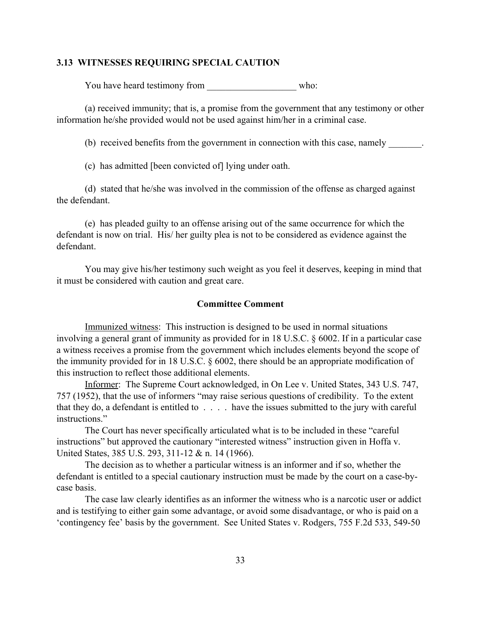### **3.13 WITNESSES REQUIRING SPECIAL CAUTION**

You have heard testimony from who:

(a) received immunity; that is, a promise from the government that any testimony or other information he/she provided would not be used against him/her in a criminal case.

(b) received benefits from the government in connection with this case, namely

(c) has admitted [been convicted of] lying under oath.

(d) stated that he/she was involved in the commission of the offense as charged against the defendant.

(e) has pleaded guilty to an offense arising out of the same occurrence for which the defendant is now on trial. His/ her guilty plea is not to be considered as evidence against the defendant.

You may give his/her testimony such weight as you feel it deserves, keeping in mind that it must be considered with caution and great care.

#### **Committee Comment**

Immunized witness: This instruction is designed to be used in normal situations involving a general grant of immunity as provided for in 18 U.S.C. § 6002. If in a particular case a witness receives a promise from the government which includes elements beyond the scope of the immunity provided for in 18 U.S.C. § 6002, there should be an appropriate modification of this instruction to reflect those additional elements.

Informer: The Supreme Court acknowledged, in On Lee v. United States, 343 U.S. 747, 757 (1952), that the use of informers "may raise serious questions of credibility. To the extent that they do, a defendant is entitled to . . . . have the issues submitted to the jury with careful instructions."

The Court has never specifically articulated what is to be included in these "careful instructions" but approved the cautionary "interested witness" instruction given in Hoffa v. United States, 385 U.S. 293, 311-12 & n. 14 (1966).

The decision as to whether a particular witness is an informer and if so, whether the defendant is entitled to a special cautionary instruction must be made by the court on a case-bycase basis.

The case law clearly identifies as an informer the witness who is a narcotic user or addict and is testifying to either gain some advantage, or avoid some disadvantage, or who is paid on a 'contingency fee' basis by the government. See United States v. Rodgers, 755 F.2d 533, 549-50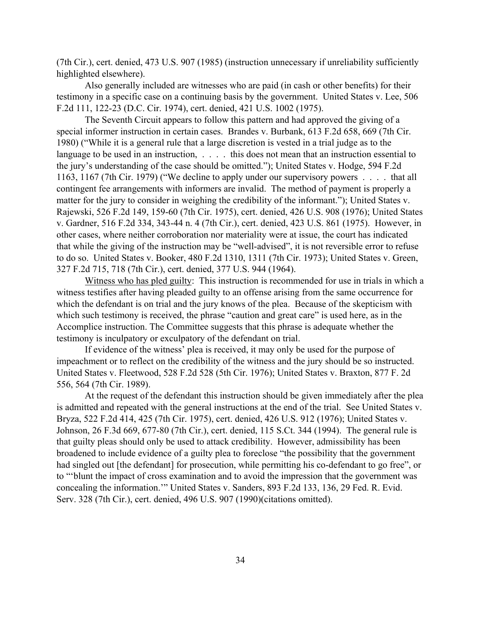(7th Cir.), cert. denied, 473 U.S. 907 (1985) (instruction unnecessary if unreliability sufficiently highlighted elsewhere).

Also generally included are witnesses who are paid (in cash or other benefits) for their testimony in a specific case on a continuing basis by the government. United States v. Lee, 506 F.2d 111, 122-23 (D.C. Cir. 1974), cert. denied, 421 U.S. 1002 (1975).

The Seventh Circuit appears to follow this pattern and had approved the giving of a special informer instruction in certain cases. Brandes v. Burbank, 613 F.2d 658, 669 (7th Cir. 1980) ("While it is a general rule that a large discretion is vested in a trial judge as to the language to be used in an instruction, . . . . this does not mean that an instruction essential to the jury's understanding of the case should be omitted."); United States v. Hodge, 594 F.2d 1163, 1167 (7th Cir. 1979) ("We decline to apply under our supervisory powers . . . . that all contingent fee arrangements with informers are invalid. The method of payment is properly a matter for the jury to consider in weighing the credibility of the informant."); United States v. Rajewski, 526 F.2d 149, 159-60 (7th Cir. 1975), cert. denied, 426 U.S. 908 (1976); United States v. Gardner, 516 F.2d 334, 343-44 n. 4 (7th Cir.), cert. denied, 423 U.S. 861 (1975). However, in other cases, where neither corroboration nor materiality were at issue, the court has indicated that while the giving of the instruction may be "well-advised", it is not reversible error to refuse to do so. United States v. Booker, 480 F.2d 1310, 1311 (7th Cir. 1973); United States v. Green, 327 F.2d 715, 718 (7th Cir.), cert. denied, 377 U.S. 944 (1964).

Witness who has pled guilty: This instruction is recommended for use in trials in which a witness testifies after having pleaded guilty to an offense arising from the same occurrence for which the defendant is on trial and the jury knows of the plea. Because of the skepticism with which such testimony is received, the phrase "caution and great care" is used here, as in the Accomplice instruction. The Committee suggests that this phrase is adequate whether the testimony is inculpatory or exculpatory of the defendant on trial.

If evidence of the witness' plea is received, it may only be used for the purpose of impeachment or to reflect on the credibility of the witness and the jury should be so instructed. United States v. Fleetwood, 528 F.2d 528 (5th Cir. 1976); United States v. Braxton, 877 F. 2d 556, 564 (7th Cir. 1989).

At the request of the defendant this instruction should be given immediately after the plea is admitted and repeated with the general instructions at the end of the trial. See United States v. Bryza, 522 F.2d 414, 425 (7th Cir. 1975), cert. denied, 426 U.S. 912 (1976); United States v. Johnson, 26 F.3d 669, 677-80 (7th Cir.), cert. denied, 115 S.Ct. 344 (1994). The general rule is that guilty pleas should only be used to attack credibility. However, admissibility has been broadened to include evidence of a guilty plea to foreclose "the possibility that the government had singled out [the defendant] for prosecution, while permitting his co-defendant to go free", or to "'blunt the impact of cross examination and to avoid the impression that the government was concealing the information.'" United States v. Sanders, 893 F.2d 133, 136, 29 Fed. R. Evid. Serv. 328 (7th Cir.), cert. denied, 496 U.S. 907 (1990)(citations omitted).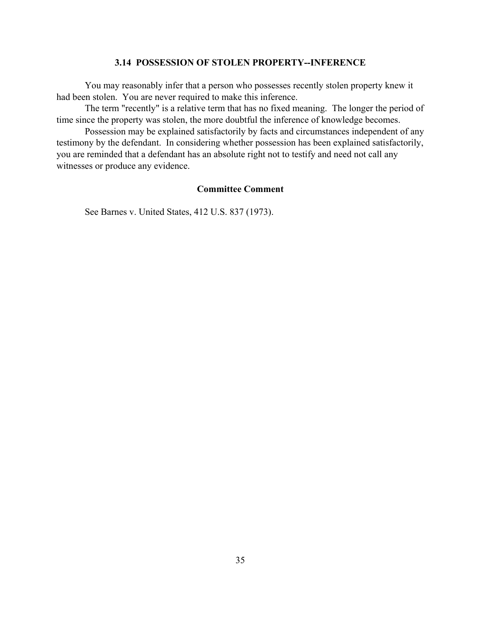# **3.14 POSSESSION OF STOLEN PROPERTY--INFERENCE**

You may reasonably infer that a person who possesses recently stolen property knew it had been stolen. You are never required to make this inference.

The term "recently" is a relative term that has no fixed meaning. The longer the period of time since the property was stolen, the more doubtful the inference of knowledge becomes.

Possession may be explained satisfactorily by facts and circumstances independent of any testimony by the defendant. In considering whether possession has been explained satisfactorily, you are reminded that a defendant has an absolute right not to testify and need not call any witnesses or produce any evidence.

#### **Committee Comment**

See Barnes v. United States, 412 U.S. 837 (1973).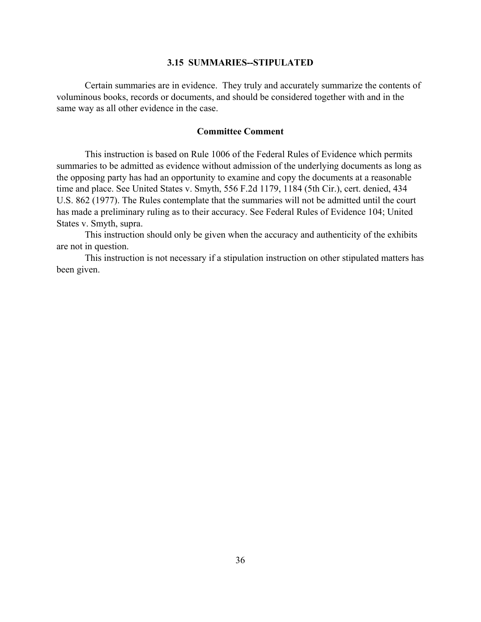#### **3.15 SUMMARIES--STIPULATED**

Certain summaries are in evidence. They truly and accurately summarize the contents of voluminous books, records or documents, and should be considered together with and in the same way as all other evidence in the case.

### **Committee Comment**

This instruction is based on Rule 1006 of the Federal Rules of Evidence which permits summaries to be admitted as evidence without admission of the underlying documents as long as the opposing party has had an opportunity to examine and copy the documents at a reasonable time and place. See United States v. Smyth, 556 F.2d 1179, 1184 (5th Cir.), cert. denied, 434 U.S. 862 (1977). The Rules contemplate that the summaries will not be admitted until the court has made a preliminary ruling as to their accuracy. See Federal Rules of Evidence 104; United States v. Smyth, supra.

This instruction should only be given when the accuracy and authenticity of the exhibits are not in question.

This instruction is not necessary if a stipulation instruction on other stipulated matters has been given.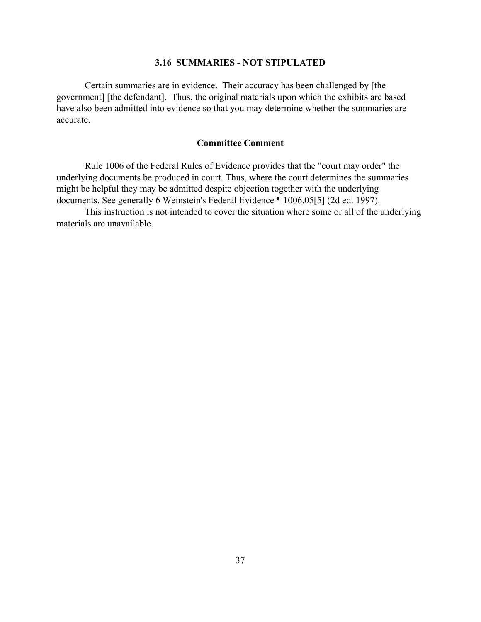# **3.16 SUMMARIES - NOT STIPULATED**

Certain summaries are in evidence. Their accuracy has been challenged by [the government] [the defendant]. Thus, the original materials upon which the exhibits are based have also been admitted into evidence so that you may determine whether the summaries are accurate.

# **Committee Comment**

Rule 1006 of the Federal Rules of Evidence provides that the "court may order" the underlying documents be produced in court. Thus, where the court determines the summaries might be helpful they may be admitted despite objection together with the underlying documents. See generally 6 Weinstein's Federal Evidence ¶ 1006.05[5] (2d ed. 1997).

This instruction is not intended to cover the situation where some or all of the underlying materials are unavailable.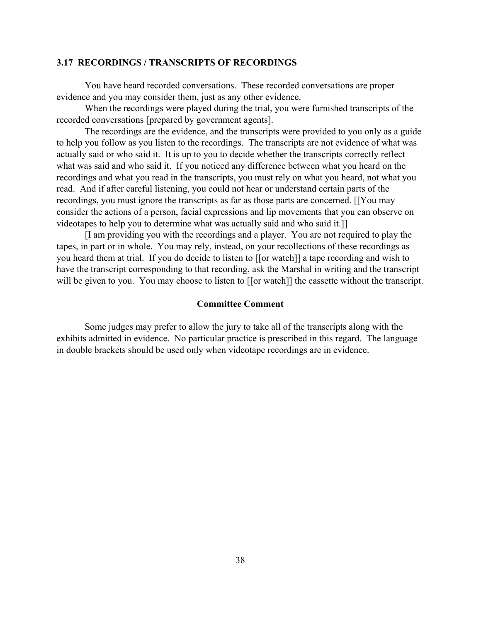#### **3.17 RECORDINGS / TRANSCRIPTS OF RECORDINGS**

You have heard recorded conversations. These recorded conversations are proper evidence and you may consider them, just as any other evidence.

When the recordings were played during the trial, you were furnished transcripts of the recorded conversations [prepared by government agents].

The recordings are the evidence, and the transcripts were provided to you only as a guide to help you follow as you listen to the recordings. The transcripts are not evidence of what was actually said or who said it. It is up to you to decide whether the transcripts correctly reflect what was said and who said it. If you noticed any difference between what you heard on the recordings and what you read in the transcripts, you must rely on what you heard, not what you read. And if after careful listening, you could not hear or understand certain parts of the recordings, you must ignore the transcripts as far as those parts are concerned. [[You may consider the actions of a person, facial expressions and lip movements that you can observe on videotapes to help you to determine what was actually said and who said it.]]

[I am providing you with the recordings and a player. You are not required to play the tapes, in part or in whole. You may rely, instead, on your recollections of these recordings as you heard them at trial. If you do decide to listen to [[or watch]] a tape recording and wish to have the transcript corresponding to that recording, ask the Marshal in writing and the transcript will be given to you. You may choose to listen to [[or watch]] the cassette without the transcript.

# **Committee Comment**

Some judges may prefer to allow the jury to take all of the transcripts along with the exhibits admitted in evidence. No particular practice is prescribed in this regard. The language in double brackets should be used only when videotape recordings are in evidence.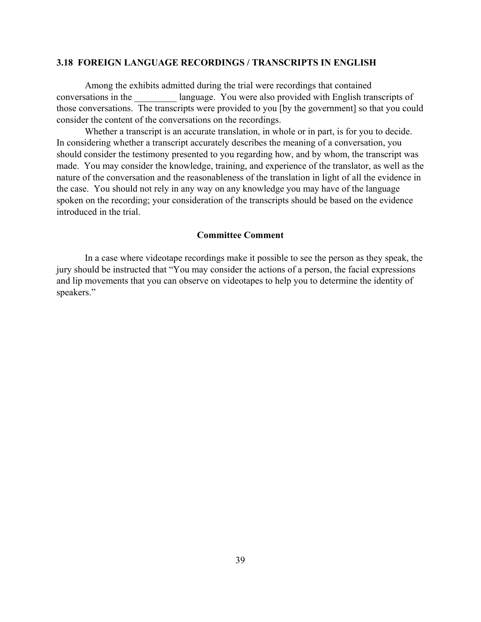#### **3.18 FOREIGN LANGUAGE RECORDINGS / TRANSCRIPTS IN ENGLISH**

Among the exhibits admitted during the trial were recordings that contained conversations in the language. You were also provided with English transcripts of those conversations. The transcripts were provided to you [by the government] so that you could consider the content of the conversations on the recordings.

Whether a transcript is an accurate translation, in whole or in part, is for you to decide. In considering whether a transcript accurately describes the meaning of a conversation, you should consider the testimony presented to you regarding how, and by whom, the transcript was made. You may consider the knowledge, training, and experience of the translator, as well as the nature of the conversation and the reasonableness of the translation in light of all the evidence in the case. You should not rely in any way on any knowledge you may have of the language spoken on the recording; your consideration of the transcripts should be based on the evidence introduced in the trial.

### **Committee Comment**

In a case where videotape recordings make it possible to see the person as they speak, the jury should be instructed that "You may consider the actions of a person, the facial expressions and lip movements that you can observe on videotapes to help you to determine the identity of speakers."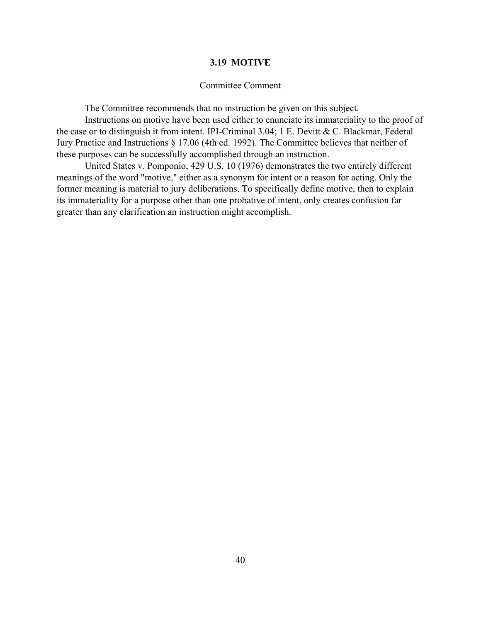# **3.19 MOTIVE**

#### Committee Comment

The Committee recommends that no instruction be given on this subject.

Instructions on motive have been used either to enunciate its immateriality to the proof of the case or to distinguish it from intent. IPI-Criminal 3.04; 1 E. Devitt & C. Blackmar, Federal Jury Practice and Instructions § 17.06 (4th ed. 1992). The Committee believes that neither of these purposes can be successfully accomplished through an instruction.

United States v. Pomponio, 429 U.S. 10 (1976) demonstrates the two entirely different meanings of the word "motive," either as a synonym for intent or a reason for acting. Only the former meaning is material to jury deliberations. To specifically define motive, then to explain its immateriality for a purpose other than one probative of intent, only creates confusion far greater than any clarification an instruction might accomplish.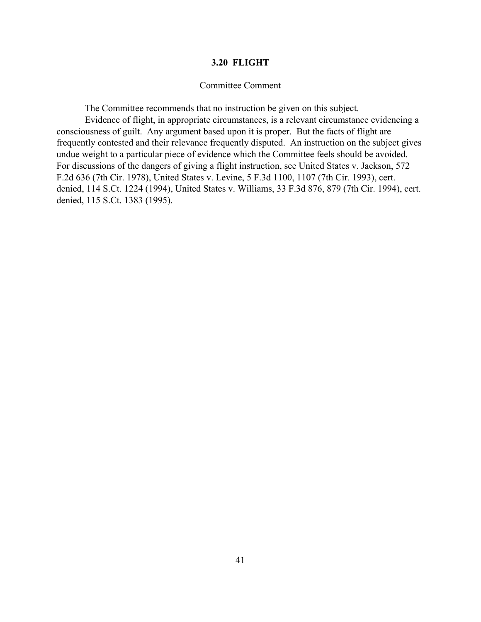#### **3.20 FLIGHT**

#### Committee Comment

The Committee recommends that no instruction be given on this subject.

Evidence of flight, in appropriate circumstances, is a relevant circumstance evidencing a consciousness of guilt. Any argument based upon it is proper. But the facts of flight are frequently contested and their relevance frequently disputed. An instruction on the subject gives undue weight to a particular piece of evidence which the Committee feels should be avoided. For discussions of the dangers of giving a flight instruction, see United States v. Jackson, 572 F.2d 636 (7th Cir. 1978), United States v. Levine, 5 F.3d 1100, 1107 (7th Cir. 1993), cert. denied, 114 S.Ct. 1224 (1994), United States v. Williams, 33 F.3d 876, 879 (7th Cir. 1994), cert. denied, 115 S.Ct. 1383 (1995).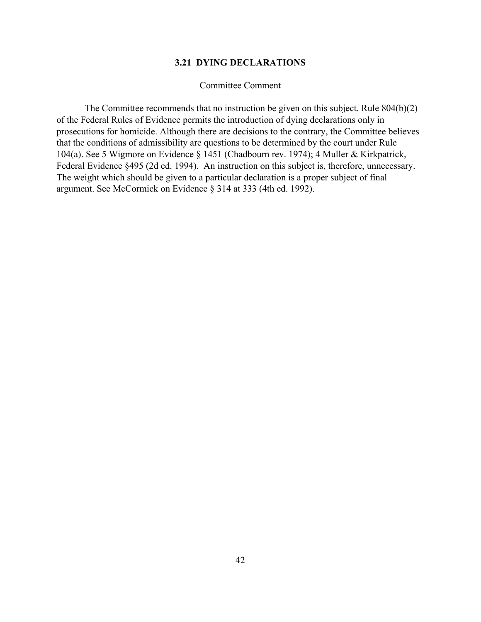#### **3.21 DYING DECLARATIONS**

#### Committee Comment

The Committee recommends that no instruction be given on this subject. Rule 804(b)(2) of the Federal Rules of Evidence permits the introduction of dying declarations only in prosecutions for homicide. Although there are decisions to the contrary, the Committee believes that the conditions of admissibility are questions to be determined by the court under Rule 104(a). See 5 Wigmore on Evidence § 1451 (Chadbourn rev. 1974); 4 Muller & Kirkpatrick, Federal Evidence §495 (2d ed. 1994). An instruction on this subject is, therefore, unnecessary. The weight which should be given to a particular declaration is a proper subject of final argument. See McCormick on Evidence § 314 at 333 (4th ed. 1992).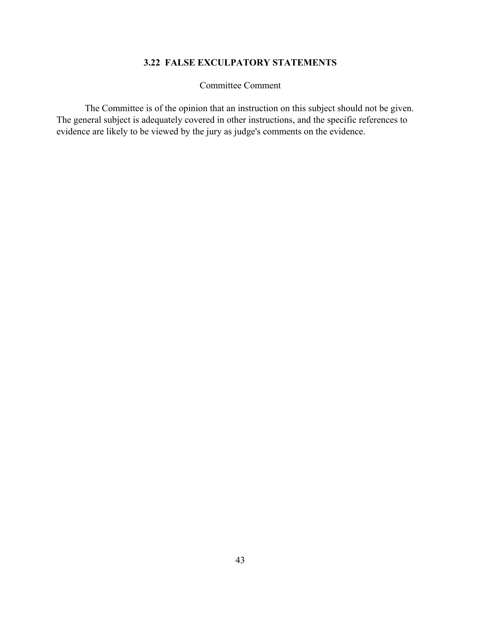# **3.22 FALSE EXCULPATORY STATEMENTS**

Committee Comment

The Committee is of the opinion that an instruction on this subject should not be given. The general subject is adequately covered in other instructions, and the specific references to evidence are likely to be viewed by the jury as judge's comments on the evidence.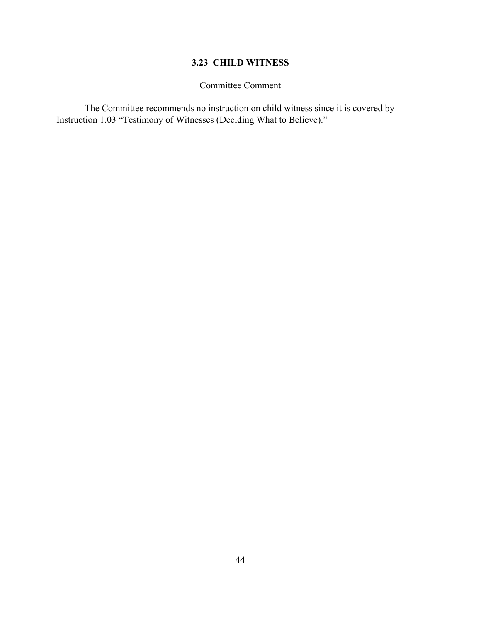# **3.23 CHILD WITNESS**

# Committee Comment

The Committee recommends no instruction on child witness since it is covered by Instruction 1.03 "Testimony of Witnesses (Deciding What to Believe)."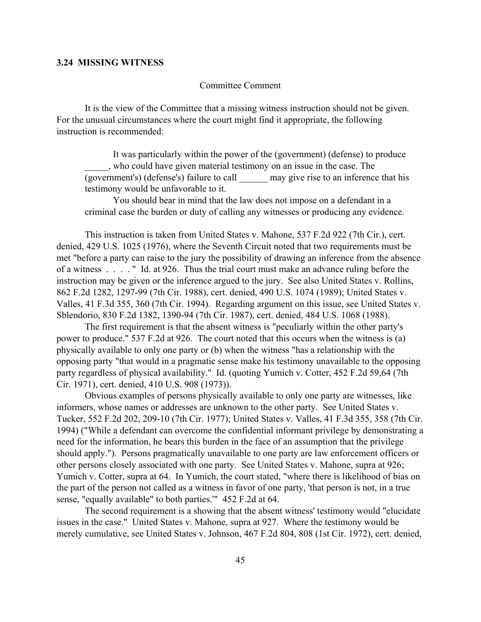#### **3.24 MISSING WITNESS**

#### Committee Comment

It is the view of the Committee that a missing witness instruction should not be given. For the unusual circumstances where the court might find it appropriate, the following instruction is recommended:

It was particularly within the power of the (government) (defense) to produce \_\_\_\_\_, who could have given material testimony on an issue in the case. The  $\overline{(goverment's)}$  (defense's) failure to call  $\qquad \qquad$  may give rise to an inference that his testimony would be unfavorable to it.

You should bear in mind that the law does not impose on a defendant in a criminal case the burden or duty of calling any witnesses or producing any evidence.

This instruction is taken from United States v. Mahone, 537 F.2d 922 (7th Cir.), cert. denied, 429 U.S. 1025 (1976), where the Seventh Circuit noted that two requirements must be met "before a party can raise to the jury the possibility of drawing an inference from the absence of a witness . . . . " Id. at 926. Thus the trial court must make an advance ruling before the instruction may be given or the inference argued to the jury. See also United States v. Rollins, 862 F.2d 1282, 1297-99 (7th Cir. 1988), cert. denied, 490 U.S. 1074 (1989); United States v. Valles, 41 F.3d 355, 360 (7th Cir. 1994). Regarding argument on this issue, see United States v. Sblendorio, 830 F.2d 1382, 1390-94 (7th Cir. 1987), cert. denied, 484 U.S. 1068 (1988).

The first requirement is that the absent witness is "peculiarly within the other party's power to produce." 537 F.2d at 926. The court noted that this occurs when the witness is (a) physically available to only one party or (b) when the witness "has a relationship with the opposing party "that would in a pragmatic sense make his testimony unavailable to the opposing party regardless of physical availability." Id. (quoting Yumich v. Cotter, 452 F.2d 59,64 (7th Cir. 1971), cert. denied, 410 U.S. 908 (1973)).

Obvious examples of persons physically available to only one party are witnesses, like informers, whose names or addresses are unknown to the other party. See United States v. Tucker, 552 F.2d 202, 209-10 (7th Cir. 1977); United States v. Valles, 41 F.3d 355, 358 (7th Cir. 1994) ("While a defendant can overcome the confidential informant privilege by demonstrating a need for the information, he bears this burden in the face of an assumption that the privilege should apply."). Persons pragmatically unavailable to one party are law enforcement officers or other persons closely associated with one party. See United States v. Mahone, supra at 926; Yumich v. Cotter, supra at 64. In Yumich, the court stated, "where there is likelihood of bias on the part of the person not called as a witness in favor of one party, 'that person is not, in a true sense, "equally available" to both parties.'" 452 F.2d at 64.

The second requirement is a showing that the absent witness' testimony would "elucidate issues in the case." United States v. Mahone, supra at 927. Where the testimony would be merely cumulative, see United States v. Johnson, 467 F.2d 804, 808 (1st Cir. 1972), cert. denied,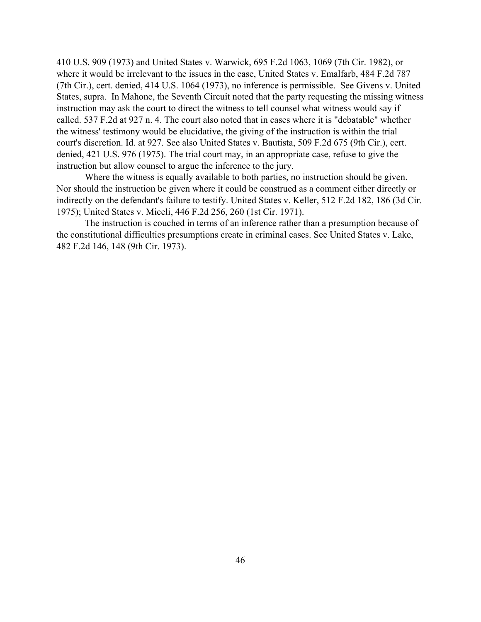410 U.S. 909 (1973) and United States v. Warwick, 695 F.2d 1063, 1069 (7th Cir. 1982), or where it would be irrelevant to the issues in the case, United States v. Emalfarb, 484 F.2d 787 (7th Cir.), cert. denied, 414 U.S. 1064 (1973), no inference is permissible. See Givens v. United States, supra. In Mahone, the Seventh Circuit noted that the party requesting the missing witness instruction may ask the court to direct the witness to tell counsel what witness would say if called. 537 F.2d at 927 n. 4. The court also noted that in cases where it is "debatable" whether the witness' testimony would be elucidative, the giving of the instruction is within the trial court's discretion. Id. at 927. See also United States v. Bautista, 509 F.2d 675 (9th Cir.), cert. denied, 421 U.S. 976 (1975). The trial court may, in an appropriate case, refuse to give the instruction but allow counsel to argue the inference to the jury.

Where the witness is equally available to both parties, no instruction should be given. Nor should the instruction be given where it could be construed as a comment either directly or indirectly on the defendant's failure to testify. United States v. Keller, 512 F.2d 182, 186 (3d Cir. 1975); United States v. Miceli, 446 F.2d 256, 260 (1st Cir. 1971).

The instruction is couched in terms of an inference rather than a presumption because of the constitutional difficulties presumptions create in criminal cases. See United States v. Lake, 482 F.2d 146, 148 (9th Cir. 1973).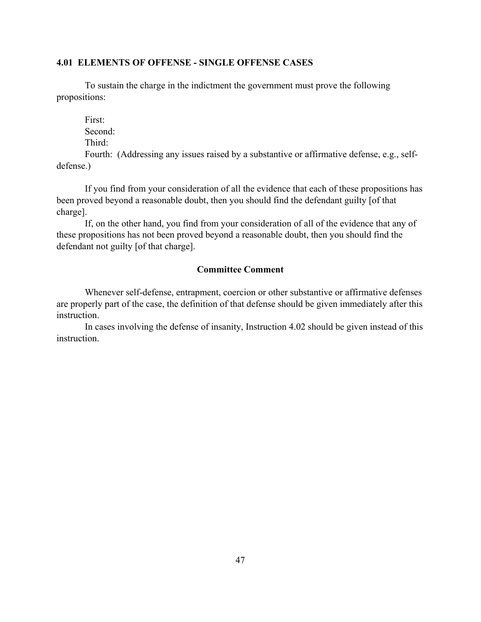# **4.01 ELEMENTS OF OFFENSE - SINGLE OFFENSE CASES**

To sustain the charge in the indictment the government must prove the following propositions:

First: Second: Third:

Fourth: (Addressing any issues raised by a substantive or affirmative defense, e.g., selfdefense.)

If you find from your consideration of all the evidence that each of these propositions has been proved beyond a reasonable doubt, then you should find the defendant guilty [of that charge].

If, on the other hand, you find from your consideration of all of the evidence that any of these propositions has not been proved beyond a reasonable doubt, then you should find the defendant not guilty [of that charge].

# **Committee Comment**

Whenever self-defense, entrapment, coercion or other substantive or affirmative defenses are properly part of the case, the definition of that defense should be given immediately after this instruction.

In cases involving the defense of insanity, Instruction 4.02 should be given instead of this instruction.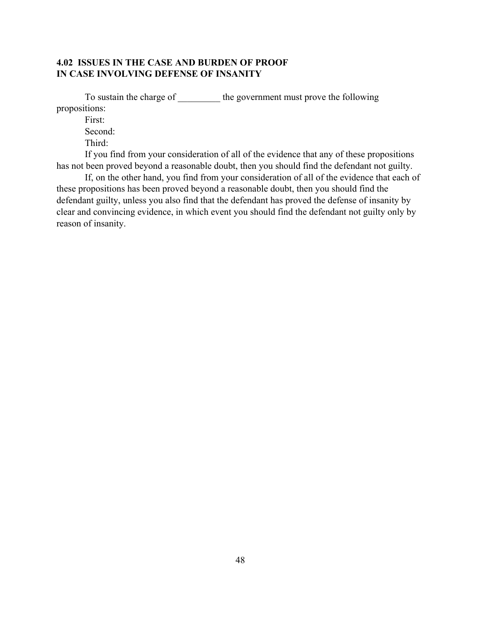# **4.02 ISSUES IN THE CASE AND BURDEN OF PROOF IN CASE INVOLVING DEFENSE OF INSANITY**

To sustain the charge of \_\_\_\_\_\_\_\_\_\_\_\_ the government must prove the following propositions:

First:

Second:

Third:

If you find from your consideration of all of the evidence that any of these propositions has not been proved beyond a reasonable doubt, then you should find the defendant not guilty.

If, on the other hand, you find from your consideration of all of the evidence that each of these propositions has been proved beyond a reasonable doubt, then you should find the defendant guilty, unless you also find that the defendant has proved the defense of insanity by clear and convincing evidence, in which event you should find the defendant not guilty only by reason of insanity.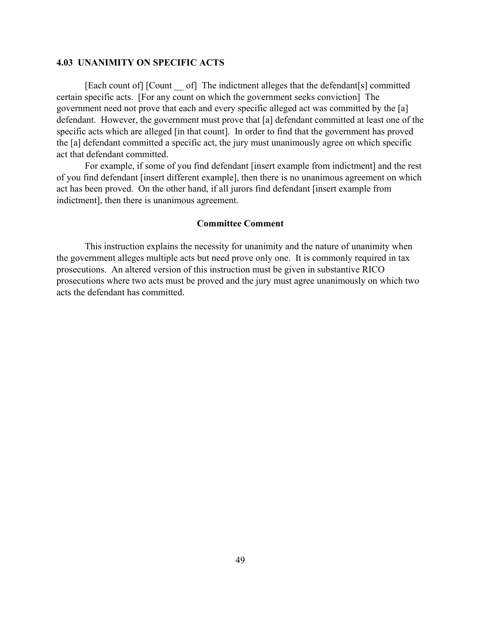#### **4.03 UNANIMITY ON SPECIFIC ACTS**

[Each count of] [Count \_\_ of] The indictment alleges that the defendant[s] committed certain specific acts. [For any count on which the government seeks conviction] The government need not prove that each and every specific alleged act was committed by the [a] defendant. However, the government must prove that [a] defendant committed at least one of the specific acts which are alleged [in that count]. In order to find that the government has proved the [a] defendant committed a specific act, the jury must unanimously agree on which specific act that defendant committed.

For example, if some of you find defendant [insert example from indictment] and the rest of you find defendant [insert different example], then there is no unanimous agreement on which act has been proved. On the other hand, if all jurors find defendant [insert example from indictment], then there is unanimous agreement.

#### **Committee Comment**

This instruction explains the necessity for unanimity and the nature of unanimity when the government alleges multiple acts but need prove only one. It is commonly required in tax prosecutions. An altered version of this instruction must be given in substantive RICO prosecutions where two acts must be proved and the jury must agree unanimously on which two acts the defendant has committed.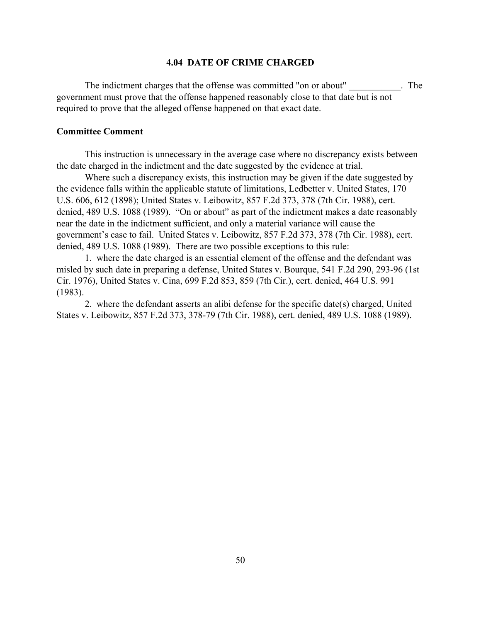#### **4.04 DATE OF CRIME CHARGED**

The indictment charges that the offense was committed "on or about" The government must prove that the offense happened reasonably close to that date but is not required to prove that the alleged offense happened on that exact date.

#### **Committee Comment**

This instruction is unnecessary in the average case where no discrepancy exists between the date charged in the indictment and the date suggested by the evidence at trial.

Where such a discrepancy exists, this instruction may be given if the date suggested by the evidence falls within the applicable statute of limitations, Ledbetter v. United States, 170 U.S. 606, 612 (1898); United States v. Leibowitz, 857 F.2d 373, 378 (7th Cir. 1988), cert. denied, 489 U.S. 1088 (1989). "On or about" as part of the indictment makes a date reasonably near the date in the indictment sufficient, and only a material variance will cause the government's case to fail. United States v. Leibowitz, 857 F.2d 373, 378 (7th Cir. 1988), cert. denied, 489 U.S. 1088 (1989). There are two possible exceptions to this rule:

1. where the date charged is an essential element of the offense and the defendant was misled by such date in preparing a defense, United States v. Bourque, 541 F.2d 290, 293-96 (1st Cir. 1976), United States v. Cina, 699 F.2d 853, 859 (7th Cir.), cert. denied, 464 U.S. 991 (1983).

2. where the defendant asserts an alibi defense for the specific date(s) charged, United States v. Leibowitz, 857 F.2d 373, 378-79 (7th Cir. 1988), cert. denied, 489 U.S. 1088 (1989).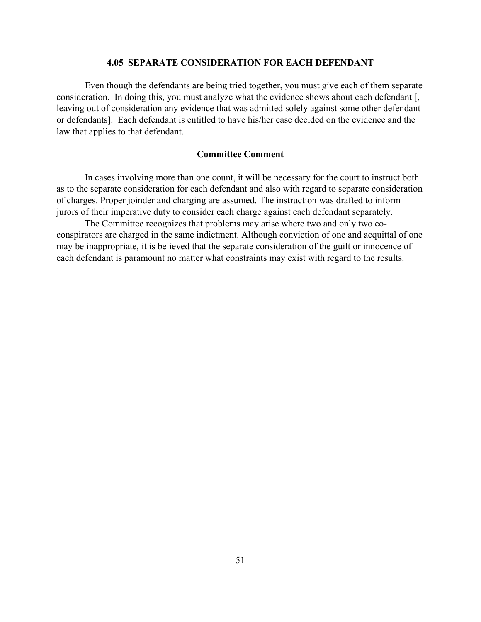#### **4.05 SEPARATE CONSIDERATION FOR EACH DEFENDANT**

Even though the defendants are being tried together, you must give each of them separate consideration. In doing this, you must analyze what the evidence shows about each defendant [, leaving out of consideration any evidence that was admitted solely against some other defendant or defendants]. Each defendant is entitled to have his/her case decided on the evidence and the law that applies to that defendant.

#### **Committee Comment**

In cases involving more than one count, it will be necessary for the court to instruct both as to the separate consideration for each defendant and also with regard to separate consideration of charges. Proper joinder and charging are assumed. The instruction was drafted to inform jurors of their imperative duty to consider each charge against each defendant separately.

The Committee recognizes that problems may arise where two and only two coconspirators are charged in the same indictment. Although conviction of one and acquittal of one may be inappropriate, it is believed that the separate consideration of the guilt or innocence of each defendant is paramount no matter what constraints may exist with regard to the results.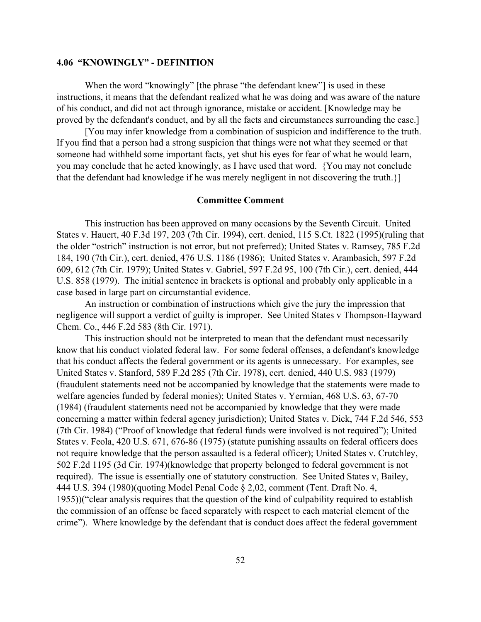#### **4.06 "KNOWINGLY" - DEFINITION**

When the word "knowingly" [the phrase "the defendant knew"] is used in these instructions, it means that the defendant realized what he was doing and was aware of the nature of his conduct, and did not act through ignorance, mistake or accident. [Knowledge may be proved by the defendant's conduct, and by all the facts and circumstances surrounding the case.]

[You may infer knowledge from a combination of suspicion and indifference to the truth. If you find that a person had a strong suspicion that things were not what they seemed or that someone had withheld some important facts, yet shut his eyes for fear of what he would learn, you may conclude that he acted knowingly, as I have used that word. {You may not conclude that the defendant had knowledge if he was merely negligent in not discovering the truth.}]

#### **Committee Comment**

This instruction has been approved on many occasions by the Seventh Circuit. United States v. Hauert, 40 F.3d 197, 203 (7th Cir. 1994), cert. denied, 115 S.Ct. 1822 (1995)(ruling that the older "ostrich" instruction is not error, but not preferred); United States v. Ramsey, 785 F.2d 184, 190 (7th Cir.), cert. denied, 476 U.S. 1186 (1986); United States v. Arambasich, 597 F.2d 609, 612 (7th Cir. 1979); United States v. Gabriel, 597 F.2d 95, 100 (7th Cir.), cert. denied, 444 U.S. 858 (1979). The initial sentence in brackets is optional and probably only applicable in a case based in large part on circumstantial evidence.

An instruction or combination of instructions which give the jury the impression that negligence will support a verdict of guilty is improper. See United States v Thompson-Hayward Chem. Co., 446 F.2d 583 (8th Cir. 1971).

This instruction should not be interpreted to mean that the defendant must necessarily know that his conduct violated federal law. For some federal offenses, a defendant's knowledge that his conduct affects the federal government or its agents is unnecessary. For examples, see United States v. Stanford, 589 F.2d 285 (7th Cir. 1978), cert. denied, 440 U.S. 983 (1979) (fraudulent statements need not be accompanied by knowledge that the statements were made to welfare agencies funded by federal monies); United States v. Yermian, 468 U.S. 63, 67-70 (1984) (fraudulent statements need not be accompanied by knowledge that they were made concerning a matter within federal agency jurisdiction); United States v. Dick, 744 F.2d 546, 553 (7th Cir. 1984) ("Proof of knowledge that federal funds were involved is not required"); United States v. Feola, 420 U.S. 671, 676-86 (1975) (statute punishing assaults on federal officers does not require knowledge that the person assaulted is a federal officer); United States v. Crutchley, 502 F.2d 1195 (3d Cir. 1974)(knowledge that property belonged to federal government is not required). The issue is essentially one of statutory construction. See United States v, Bailey, 444 U.S. 394 (1980)(quoting Model Penal Code § 2,02, comment (Tent. Draft No. 4, 1955))("clear analysis requires that the question of the kind of culpability required to establish the commission of an offense be faced separately with respect to each material element of the crime"). Where knowledge by the defendant that is conduct does affect the federal government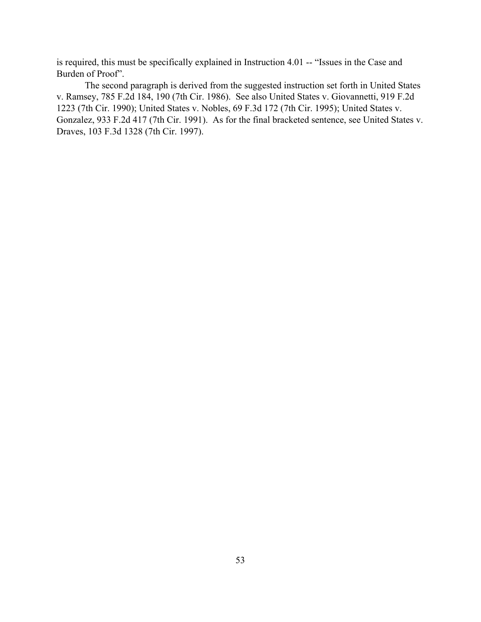is required, this must be specifically explained in Instruction 4.01 -- "Issues in the Case and Burden of Proof".

The second paragraph is derived from the suggested instruction set forth in United States v. Ramsey, 785 F.2d 184, 190 (7th Cir. 1986). See also United States v. Giovannetti, 919 F.2d 1223 (7th Cir. 1990); United States v. Nobles, 69 F.3d 172 (7th Cir. 1995); United States v. Gonzalez, 933 F.2d 417 (7th Cir. 1991). As for the final bracketed sentence, see United States v. Draves, 103 F.3d 1328 (7th Cir. 1997).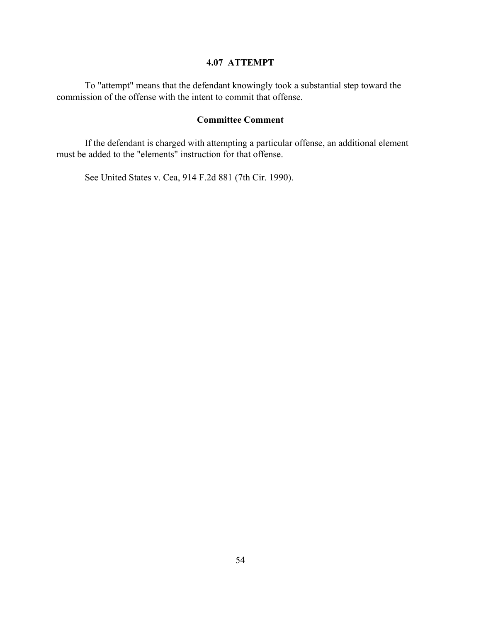# **4.07 ATTEMPT**

To "attempt" means that the defendant knowingly took a substantial step toward the commission of the offense with the intent to commit that offense.

# **Committee Comment**

If the defendant is charged with attempting a particular offense, an additional element must be added to the "elements" instruction for that offense.

See United States v. Cea, 914 F.2d 881 (7th Cir. 1990).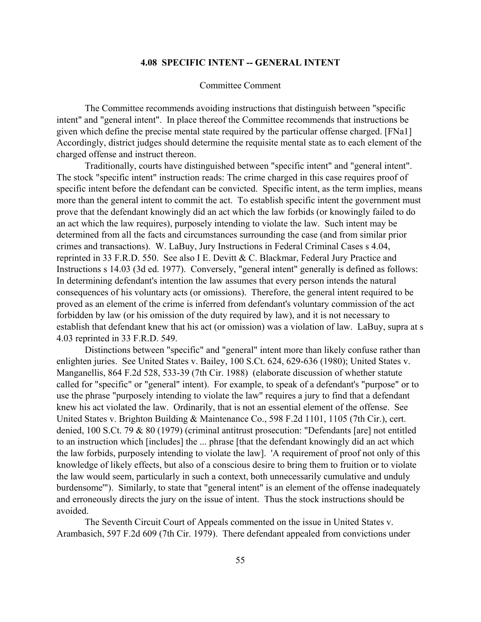#### **4.08 SPECIFIC INTENT -- GENERAL INTENT**

#### Committee Comment

The Committee recommends avoiding instructions that distinguish between "specific intent" and "general intent". In place thereof the Committee recommends that instructions be given which define the precise mental state required by the particular offense charged. [FNa1] Accordingly, district judges should determine the requisite mental state as to each element of the charged offense and instruct thereon.

Traditionally, courts have distinguished between "specific intent" and "general intent". The stock "specific intent" instruction reads: The crime charged in this case requires proof of specific intent before the defendant can be convicted. Specific intent, as the term implies, means more than the general intent to commit the act. To establish specific intent the government must prove that the defendant knowingly did an act which the law forbids (or knowingly failed to do an act which the law requires), purposely intending to violate the law. Such intent may be determined from all the facts and circumstances surrounding the case (and from similar prior crimes and transactions). W. LaBuy, Jury Instructions in Federal Criminal Cases s 4.04, reprinted in 33 F.R.D. 550. See also I E. Devitt & C. Blackmar, Federal Jury Practice and Instructions s 14.03 (3d ed. 1977). Conversely, "general intent" generally is defined as follows: In determining defendant's intention the law assumes that every person intends the natural consequences of his voluntary acts (or omissions). Therefore, the general intent required to be proved as an element of the crime is inferred from defendant's voluntary commission of the act forbidden by law (or his omission of the duty required by law), and it is not necessary to establish that defendant knew that his act (or omission) was a violation of law. LaBuy, supra at s 4.03 reprinted in 33 F.R.D. 549.

Distinctions between "specific" and "general" intent more than likely confuse rather than enlighten juries. See United States v. Bailey, 100 S.Ct. 624, 629-636 (1980); United States v. Manganellis, 864 F.2d 528, 533-39 (7th Cir. 1988) (elaborate discussion of whether statute called for "specific" or "general" intent). For example, to speak of a defendant's "purpose" or to use the phrase "purposely intending to violate the law" requires a jury to find that a defendant knew his act violated the law. Ordinarily, that is not an essential element of the offense. See United States v. Brighton Building & Maintenance Co., 598 F.2d 1101, 1105 (7th Cir.), cert. denied, 100 S.Ct. 79 & 80 (1979) (criminal antitrust prosecution: "Defendants [are] not entitled to an instruction which [includes] the ... phrase [that the defendant knowingly did an act which the law forbids, purposely intending to violate the law]. 'A requirement of proof not only of this knowledge of likely effects, but also of a conscious desire to bring them to fruition or to violate the law would seem, particularly in such a context, both unnecessarily cumulative and unduly burdensome'"). Similarly, to state that "general intent" is an element of the offense inadequately and erroneously directs the jury on the issue of intent. Thus the stock instructions should be avoided.

The Seventh Circuit Court of Appeals commented on the issue in United States v. Arambasich, 597 F.2d 609 (7th Cir. 1979). There defendant appealed from convictions under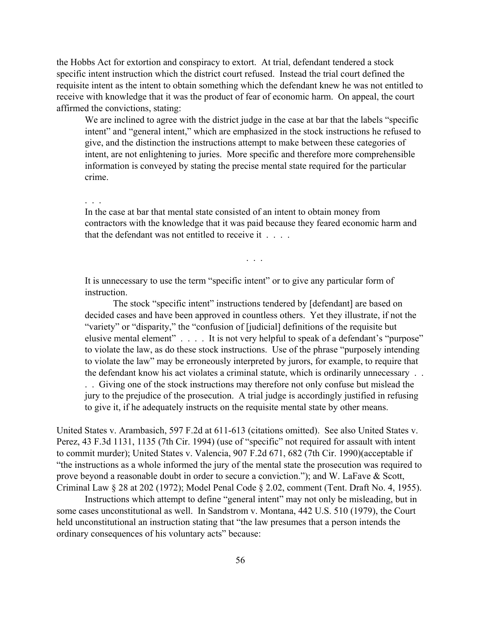the Hobbs Act for extortion and conspiracy to extort. At trial, defendant tendered a stock specific intent instruction which the district court refused. Instead the trial court defined the requisite intent as the intent to obtain something which the defendant knew he was not entitled to receive with knowledge that it was the product of fear of economic harm. On appeal, the court affirmed the convictions, stating:

We are inclined to agree with the district judge in the case at bar that the labels "specific intent" and "general intent," which are emphasized in the stock instructions he refused to give, and the distinction the instructions attempt to make between these categories of intent, are not enlightening to juries. More specific and therefore more comprehensible information is conveyed by stating the precise mental state required for the particular crime.

. . .

In the case at bar that mental state consisted of an intent to obtain money from contractors with the knowledge that it was paid because they feared economic harm and that the defendant was not entitled to receive it . . . .

. . .

It is unnecessary to use the term "specific intent" or to give any particular form of instruction.

The stock "specific intent" instructions tendered by [defendant] are based on decided cases and have been approved in countless others. Yet they illustrate, if not the "variety" or "disparity," the "confusion of [judicial] definitions of the requisite but elusive mental element" . . . . It is not very helpful to speak of a defendant's "purpose" to violate the law, as do these stock instructions. Use of the phrase "purposely intending to violate the law" may be erroneously interpreted by jurors, for example, to require that the defendant know his act violates a criminal statute, which is ordinarily unnecessary . . . . Giving one of the stock instructions may therefore not only confuse but mislead the jury to the prejudice of the prosecution. A trial judge is accordingly justified in refusing to give it, if he adequately instructs on the requisite mental state by other means.

United States v. Arambasich, 597 F.2d at 611-613 (citations omitted). See also United States v. Perez, 43 F.3d 1131, 1135 (7th Cir. 1994) (use of "specific" not required for assault with intent to commit murder); United States v. Valencia, 907 F.2d 671, 682 (7th Cir. 1990)(acceptable if "the instructions as a whole informed the jury of the mental state the prosecution was required to prove beyond a reasonable doubt in order to secure a conviction."); and W. LaFave & Scott, Criminal Law § 28 at 202 (1972); Model Penal Code § 2.02, comment (Tent. Draft No. 4, 1955).

Instructions which attempt to define "general intent" may not only be misleading, but in some cases unconstitutional as well. In Sandstrom v. Montana, 442 U.S. 510 (1979), the Court held unconstitutional an instruction stating that "the law presumes that a person intends the ordinary consequences of his voluntary acts" because: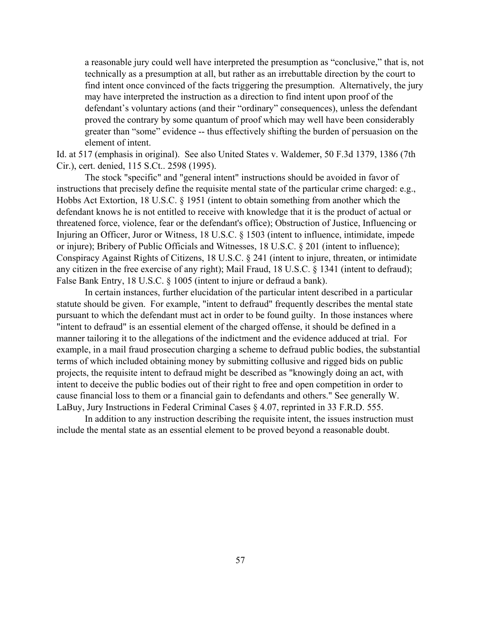a reasonable jury could well have interpreted the presumption as "conclusive," that is, not technically as a presumption at all, but rather as an irrebuttable direction by the court to find intent once convinced of the facts triggering the presumption. Alternatively, the jury may have interpreted the instruction as a direction to find intent upon proof of the defendant's voluntary actions (and their "ordinary" consequences), unless the defendant proved the contrary by some quantum of proof which may well have been considerably greater than "some" evidence -- thus effectively shifting the burden of persuasion on the element of intent.

Id. at 517 (emphasis in original). See also United States v. Waldemer, 50 F.3d 1379, 1386 (7th Cir.), cert. denied, 115 S.Ct.. 2598 (1995).

The stock "specific" and "general intent" instructions should be avoided in favor of instructions that precisely define the requisite mental state of the particular crime charged: e.g., Hobbs Act Extortion, 18 U.S.C. § 1951 (intent to obtain something from another which the defendant knows he is not entitled to receive with knowledge that it is the product of actual or threatened force, violence, fear or the defendant's office); Obstruction of Justice, Influencing or Injuring an Officer, Juror or Witness, 18 U.S.C. § 1503 (intent to influence, intimidate, impede or injure); Bribery of Public Officials and Witnesses, 18 U.S.C. § 201 (intent to influence); Conspiracy Against Rights of Citizens, 18 U.S.C. § 241 (intent to injure, threaten, or intimidate any citizen in the free exercise of any right); Mail Fraud, 18 U.S.C. § 1341 (intent to defraud); False Bank Entry, 18 U.S.C. § 1005 (intent to injure or defraud a bank).

In certain instances, further elucidation of the particular intent described in a particular statute should be given. For example, "intent to defraud" frequently describes the mental state pursuant to which the defendant must act in order to be found guilty. In those instances where "intent to defraud" is an essential element of the charged offense, it should be defined in a manner tailoring it to the allegations of the indictment and the evidence adduced at trial. For example, in a mail fraud prosecution charging a scheme to defraud public bodies, the substantial terms of which included obtaining money by submitting collusive and rigged bids on public projects, the requisite intent to defraud might be described as "knowingly doing an act, with intent to deceive the public bodies out of their right to free and open competition in order to cause financial loss to them or a financial gain to defendants and others." See generally W. LaBuy, Jury Instructions in Federal Criminal Cases § 4.07, reprinted in 33 F.R.D. 555.

In addition to any instruction describing the requisite intent, the issues instruction must include the mental state as an essential element to be proved beyond a reasonable doubt.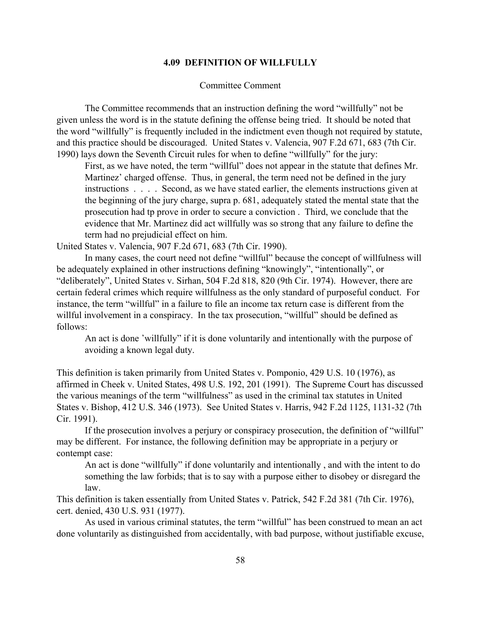#### **4.09 DEFINITION OF WILLFULLY**

#### Committee Comment

The Committee recommends that an instruction defining the word "willfully" not be given unless the word is in the statute defining the offense being tried. It should be noted that the word "willfully" is frequently included in the indictment even though not required by statute, and this practice should be discouraged. United States v. Valencia, 907 F.2d 671, 683 (7th Cir. 1990) lays down the Seventh Circuit rules for when to define "willfully" for the jury:

First, as we have noted, the term "willful" does not appear in the statute that defines Mr. Martinez' charged offense. Thus, in general, the term need not be defined in the jury instructions . . . . Second, as we have stated earlier, the elements instructions given at the beginning of the jury charge, supra p. 681, adequately stated the mental state that the prosecution had tp prove in order to secure a conviction . Third, we conclude that the evidence that Mr. Martinez did act willfully was so strong that any failure to define the term had no prejudicial effect on him.

United States v. Valencia, 907 F.2d 671, 683 (7th Cir. 1990).

In many cases, the court need not define "willful" because the concept of willfulness will be adequately explained in other instructions defining "knowingly", "intentionally", or "deliberately", United States v. Sirhan, 504 F.2d 818, 820 (9th Cir. 1974). However, there are certain federal crimes which require willfulness as the only standard of purposeful conduct. For instance, the term "willful" in a failure to file an income tax return case is different from the willful involvement in a conspiracy. In the tax prosecution, "willful" should be defined as follows:

An act is done 'willfully' if it is done voluntarily and intentionally with the purpose of avoiding a known legal duty.

This definition is taken primarily from United States v. Pomponio, 429 U.S. 10 (1976), as affirmed in Cheek v. United States, 498 U.S. 192, 201 (1991). The Supreme Court has discussed the various meanings of the term "willfulness" as used in the criminal tax statutes in United States v. Bishop, 412 U.S. 346 (1973). See United States v. Harris, 942 F.2d 1125, 1131-32 (7th Cir. 1991).

If the prosecution involves a perjury or conspiracy prosecution, the definition of "willful" may be different. For instance, the following definition may be appropriate in a perjury or contempt case:

An act is done "willfully" if done voluntarily and intentionally , and with the intent to do something the law forbids; that is to say with a purpose either to disobey or disregard the law.

This definition is taken essentially from United States v. Patrick, 542 F.2d 381 (7th Cir. 1976), cert. denied, 430 U.S. 931 (1977).

As used in various criminal statutes, the term "willful" has been construed to mean an act done voluntarily as distinguished from accidentally, with bad purpose, without justifiable excuse,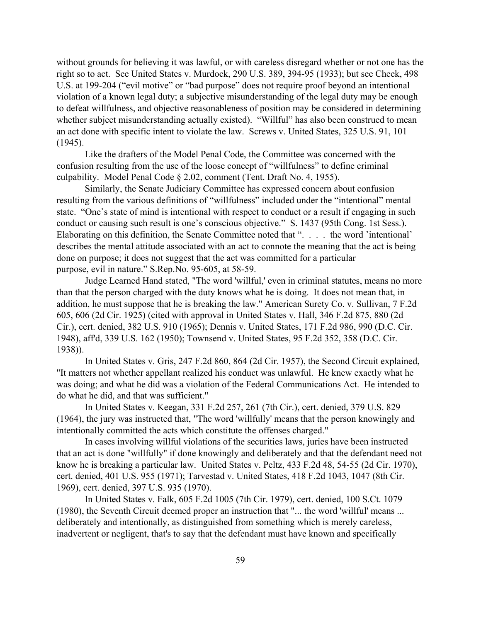without grounds for believing it was lawful, or with careless disregard whether or not one has the right so to act. See United States v. Murdock, 290 U.S. 389, 394-95 (1933); but see Cheek, 498 U.S. at 199-204 ("evil motive" or "bad purpose" does not require proof beyond an intentional violation of a known legal duty; a subjective misunderstanding of the legal duty may be enough to defeat willfulness, and objective reasonableness of position may be considered in determining whether subject misunderstanding actually existed). "Willful" has also been construed to mean an act done with specific intent to violate the law. Screws v. United States, 325 U.S. 91, 101 (1945).

Like the drafters of the Model Penal Code, the Committee was concerned with the confusion resulting from the use of the loose concept of "willfulness" to define criminal culpability. Model Penal Code § 2.02, comment (Tent. Draft No. 4, 1955).

Similarly, the Senate Judiciary Committee has expressed concern about confusion resulting from the various definitions of "willfulness" included under the "intentional" mental state. "One's state of mind is intentional with respect to conduct or a result if engaging in such conduct or causing such result is one's conscious objective." S. 1437 (95th Cong. 1st Sess.). Elaborating on this definition, the Senate Committee noted that ". . . . the word 'intentional' describes the mental attitude associated with an act to connote the meaning that the act is being done on purpose; it does not suggest that the act was committed for a particular purpose, evil in nature." S.Rep.No. 95-605, at 58-59.

Judge Learned Hand stated, "The word 'willful,' even in criminal statutes, means no more than that the person charged with the duty knows what he is doing. It does not mean that, in addition, he must suppose that he is breaking the law." American Surety Co. v. Sullivan, 7 F.2d 605, 606 (2d Cir. 1925) (cited with approval in United States v. Hall, 346 F.2d 875, 880 (2d Cir.), cert. denied, 382 U.S. 910 (1965); Dennis v. United States, 171 F.2d 986, 990 (D.C. Cir. 1948), aff'd, 339 U.S. 162 (1950); Townsend v. United States, 95 F.2d 352, 358 (D.C. Cir. 1938)).

In United States v. Gris, 247 F.2d 860, 864 (2d Cir. 1957), the Second Circuit explained, "It matters not whether appellant realized his conduct was unlawful. He knew exactly what he was doing; and what he did was a violation of the Federal Communications Act. He intended to do what he did, and that was sufficient."

In United States v. Keegan, 331 F.2d 257, 261 (7th Cir.), cert. denied, 379 U.S. 829 (1964), the jury was instructed that, "The word 'willfully' means that the person knowingly and intentionally committed the acts which constitute the offenses charged."

In cases involving willful violations of the securities laws, juries have been instructed that an act is done "willfully" if done knowingly and deliberately and that the defendant need not know he is breaking a particular law. United States v. Peltz, 433 F.2d 48, 54-55 (2d Cir. 1970), cert. denied, 401 U.S. 955 (1971); Tarvestad v. United States, 418 F.2d 1043, 1047 (8th Cir. 1969), cert. denied, 397 U.S. 935 (1970).

In United States v. Falk, 605 F.2d 1005 (7th Cir. 1979), cert. denied, 100 S.Ct. 1079 (1980), the Seventh Circuit deemed proper an instruction that "... the word 'willful' means ... deliberately and intentionally, as distinguished from something which is merely careless, inadvertent or negligent, that's to say that the defendant must have known and specifically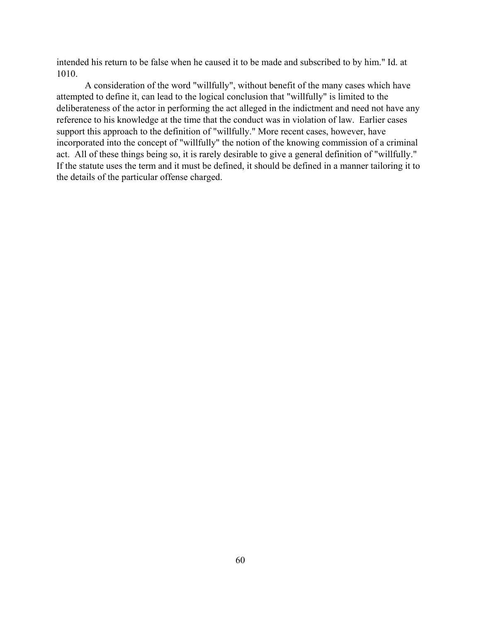intended his return to be false when he caused it to be made and subscribed to by him." Id. at 1010.

A consideration of the word "willfully", without benefit of the many cases which have attempted to define it, can lead to the logical conclusion that "willfully" is limited to the deliberateness of the actor in performing the act alleged in the indictment and need not have any reference to his knowledge at the time that the conduct was in violation of law. Earlier cases support this approach to the definition of "willfully." More recent cases, however, have incorporated into the concept of "willfully" the notion of the knowing commission of a criminal act. All of these things being so, it is rarely desirable to give a general definition of "willfully." If the statute uses the term and it must be defined, it should be defined in a manner tailoring it to the details of the particular offense charged.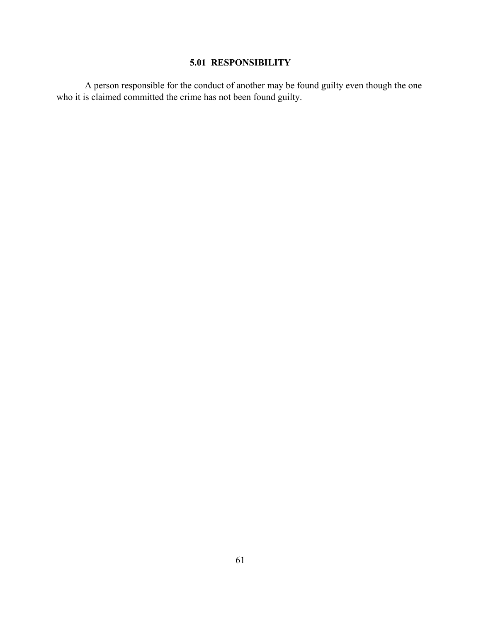# **5.01 RESPONSIBILITY**

A person responsible for the conduct of another may be found guilty even though the one who it is claimed committed the crime has not been found guilty.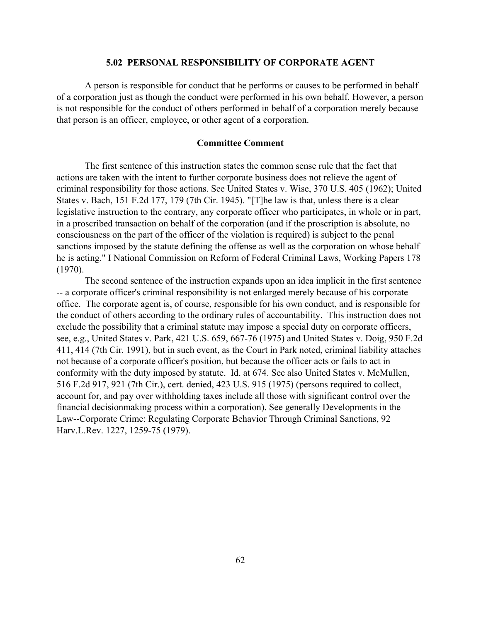#### **5.02 PERSONAL RESPONSIBILITY OF CORPORATE AGENT**

A person is responsible for conduct that he performs or causes to be performed in behalf of a corporation just as though the conduct were performed in his own behalf. However, a person is not responsible for the conduct of others performed in behalf of a corporation merely because that person is an officer, employee, or other agent of a corporation.

# **Committee Comment**

The first sentence of this instruction states the common sense rule that the fact that actions are taken with the intent to further corporate business does not relieve the agent of criminal responsibility for those actions. See United States v. Wise, 370 U.S. 405 (1962); United States v. Bach, 151 F.2d 177, 179 (7th Cir. 1945). "[T]he law is that, unless there is a clear legislative instruction to the contrary, any corporate officer who participates, in whole or in part, in a proscribed transaction on behalf of the corporation (and if the proscription is absolute, no consciousness on the part of the officer of the violation is required) is subject to the penal sanctions imposed by the statute defining the offense as well as the corporation on whose behalf he is acting." I National Commission on Reform of Federal Criminal Laws, Working Papers 178 (1970).

The second sentence of the instruction expands upon an idea implicit in the first sentence -- a corporate officer's criminal responsibility is not enlarged merely because of his corporate office. The corporate agent is, of course, responsible for his own conduct, and is responsible for the conduct of others according to the ordinary rules of accountability. This instruction does not exclude the possibility that a criminal statute may impose a special duty on corporate officers, see, e.g., United States v. Park, 421 U.S. 659, 667-76 (1975) and United States v. Doig, 950 F.2d 411, 414 (7th Cir. 1991), but in such event, as the Court in Park noted, criminal liability attaches not because of a corporate officer's position, but because the officer acts or fails to act in conformity with the duty imposed by statute. Id. at 674. See also United States v. McMullen, 516 F.2d 917, 921 (7th Cir.), cert. denied, 423 U.S. 915 (1975) (persons required to collect, account for, and pay over withholding taxes include all those with significant control over the financial decisionmaking process within a corporation). See generally Developments in the Law--Corporate Crime: Regulating Corporate Behavior Through Criminal Sanctions, 92 Harv.L.Rev. 1227, 1259-75 (1979).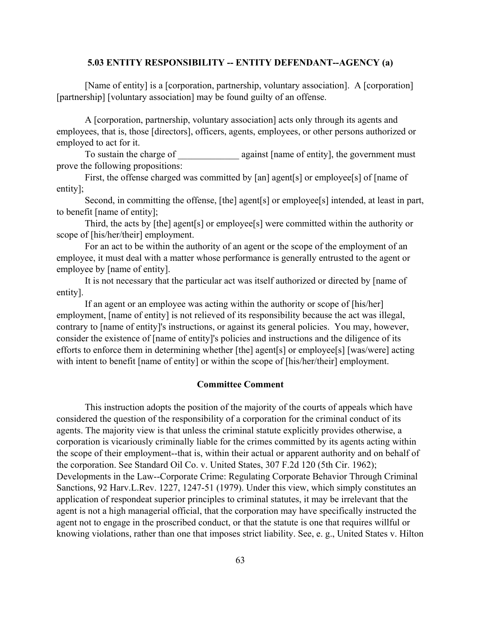#### **5.03 ENTITY RESPONSIBILITY -- ENTITY DEFENDANT--AGENCY (a)**

[Name of entity] is a [corporation, partnership, voluntary association]. A [corporation] [partnership] [voluntary association] may be found guilty of an offense.

A [corporation, partnership, voluntary association] acts only through its agents and employees, that is, those [directors], officers, agents, employees, or other persons authorized or employed to act for it.

To sustain the charge of \_\_\_\_\_\_\_\_\_\_\_\_\_\_\_ against [name of entity], the government must prove the following propositions:

First, the offense charged was committed by [an] agent[s] or employee[s] of [name of entity];

Second, in committing the offense, [the] agent[s] or employee[s] intended, at least in part, to benefit [name of entity];

Third, the acts by [the] agent[s] or employee[s] were committed within the authority or scope of [his/her/their] employment.

For an act to be within the authority of an agent or the scope of the employment of an employee, it must deal with a matter whose performance is generally entrusted to the agent or employee by [name of entity].

It is not necessary that the particular act was itself authorized or directed by [name of entity].

If an agent or an employee was acting within the authority or scope of [his/her] employment, [name of entity] is not relieved of its responsibility because the act was illegal, contrary to [name of entity]'s instructions, or against its general policies. You may, however, consider the existence of [name of entity]'s policies and instructions and the diligence of its efforts to enforce them in determining whether [the] agent[s] or employee[s] [was/were] acting with intent to benefit [name of entity] or within the scope of [his/her/their] employment.

# **Committee Comment**

This instruction adopts the position of the majority of the courts of appeals which have considered the question of the responsibility of a corporation for the criminal conduct of its agents. The majority view is that unless the criminal statute explicitly provides otherwise, a corporation is vicariously criminally liable for the crimes committed by its agents acting within the scope of their employment--that is, within their actual or apparent authority and on behalf of the corporation. See Standard Oil Co. v. United States, 307 F.2d 120 (5th Cir. 1962); Developments in the Law--Corporate Crime: Regulating Corporate Behavior Through Criminal Sanctions, 92 Harv.L.Rev. 1227, 1247-51 (1979). Under this view, which simply constitutes an application of respondeat superior principles to criminal statutes, it may be irrelevant that the agent is not a high managerial official, that the corporation may have specifically instructed the agent not to engage in the proscribed conduct, or that the statute is one that requires willful or knowing violations, rather than one that imposes strict liability. See, e. g., United States v. Hilton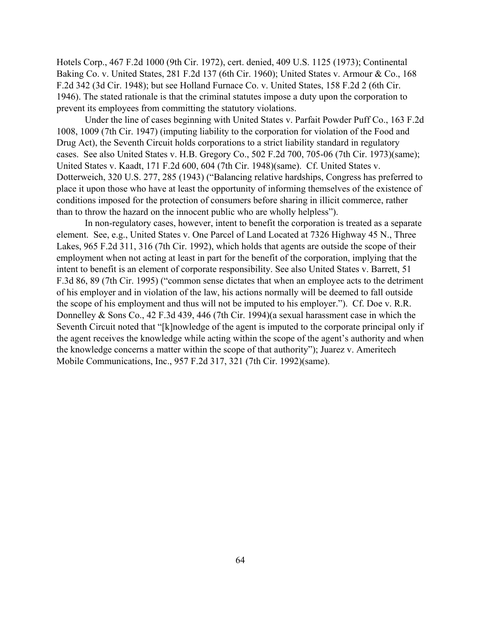Hotels Corp., 467 F.2d 1000 (9th Cir. 1972), cert. denied, 409 U.S. 1125 (1973); Continental Baking Co. v. United States, 281 F.2d 137 (6th Cir. 1960); United States v. Armour & Co., 168 F.2d 342 (3d Cir. 1948); but see Holland Furnace Co. v. United States, 158 F.2d 2 (6th Cir. 1946). The stated rationale is that the criminal statutes impose a duty upon the corporation to prevent its employees from committing the statutory violations.

Under the line of cases beginning with United States v. Parfait Powder Puff Co., 163 F.2d 1008, 1009 (7th Cir. 1947) (imputing liability to the corporation for violation of the Food and Drug Act), the Seventh Circuit holds corporations to a strict liability standard in regulatory cases. See also United States v. H.B. Gregory Co., 502 F.2d 700, 705-06 (7th Cir. 1973)(same); United States v. Kaadt, 171 F.2d 600, 604 (7th Cir. 1948)(same). Cf. United States v. Dotterweich, 320 U.S. 277, 285 (1943) ("Balancing relative hardships, Congress has preferred to place it upon those who have at least the opportunity of informing themselves of the existence of conditions imposed for the protection of consumers before sharing in illicit commerce, rather than to throw the hazard on the innocent public who are wholly helpless").

In non-regulatory cases, however, intent to benefit the corporation is treated as a separate element. See, e.g., United States v. One Parcel of Land Located at 7326 Highway 45 N., Three Lakes, 965 F.2d 311, 316 (7th Cir. 1992), which holds that agents are outside the scope of their employment when not acting at least in part for the benefit of the corporation, implying that the intent to benefit is an element of corporate responsibility. See also United States v. Barrett, 51 F.3d 86, 89 (7th Cir. 1995) ("common sense dictates that when an employee acts to the detriment of his employer and in violation of the law, his actions normally will be deemed to fall outside the scope of his employment and thus will not be imputed to his employer."). Cf. Doe v. R.R. Donnelley & Sons Co., 42 F.3d 439, 446 (7th Cir. 1994)(a sexual harassment case in which the Seventh Circuit noted that "[k]nowledge of the agent is imputed to the corporate principal only if the agent receives the knowledge while acting within the scope of the agent's authority and when the knowledge concerns a matter within the scope of that authority"); Juarez v. Ameritech Mobile Communications, Inc., 957 F.2d 317, 321 (7th Cir. 1992)(same).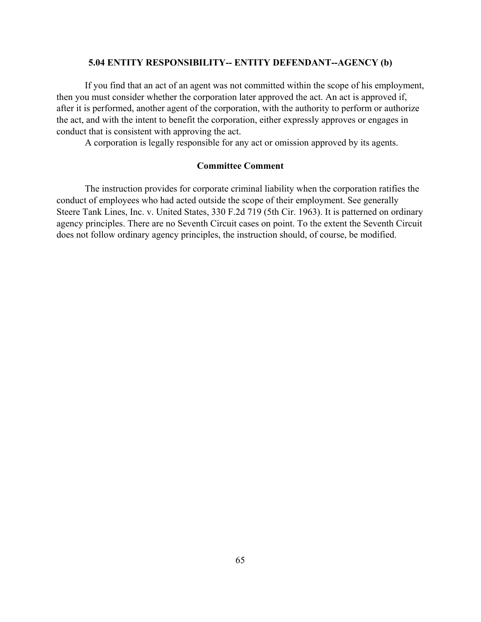# **5.04 ENTITY RESPONSIBILITY-- ENTITY DEFENDANT--AGENCY (b)**

If you find that an act of an agent was not committed within the scope of his employment, then you must consider whether the corporation later approved the act. An act is approved if, after it is performed, another agent of the corporation, with the authority to perform or authorize the act, and with the intent to benefit the corporation, either expressly approves or engages in conduct that is consistent with approving the act.

A corporation is legally responsible for any act or omission approved by its agents.

# **Committee Comment**

The instruction provides for corporate criminal liability when the corporation ratifies the conduct of employees who had acted outside the scope of their employment. See generally Steere Tank Lines, Inc. v. United States, 330 F.2d 719 (5th Cir. 1963). It is patterned on ordinary agency principles. There are no Seventh Circuit cases on point. To the extent the Seventh Circuit does not follow ordinary agency principles, the instruction should, of course, be modified.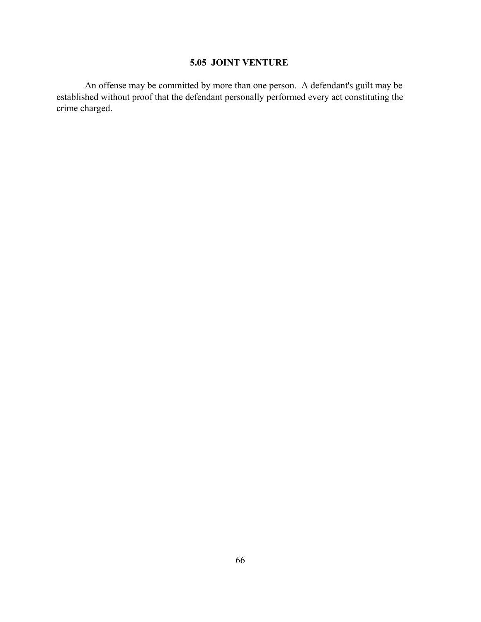# **5.05 JOINT VENTURE**

An offense may be committed by more than one person. A defendant's guilt may be established without proof that the defendant personally performed every act constituting the crime charged.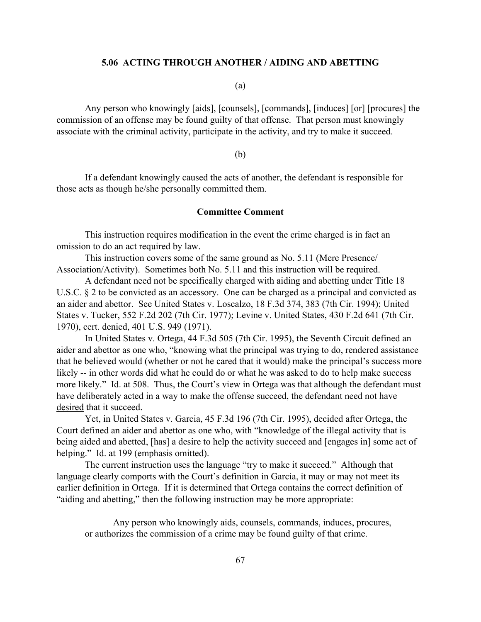#### **5.06 ACTING THROUGH ANOTHER / AIDING AND ABETTING**

(a)

Any person who knowingly [aids], [counsels], [commands], [induces] [or] [procures] the commission of an offense may be found guilty of that offense. That person must knowingly associate with the criminal activity, participate in the activity, and try to make it succeed.

(b)

If a defendant knowingly caused the acts of another, the defendant is responsible for those acts as though he/she personally committed them.

#### **Committee Comment**

This instruction requires modification in the event the crime charged is in fact an omission to do an act required by law.

This instruction covers some of the same ground as No. 5.11 (Mere Presence/ Association/Activity). Sometimes both No. 5.11 and this instruction will be required.

A defendant need not be specifically charged with aiding and abetting under Title 18 U.S.C. § 2 to be convicted as an accessory. One can be charged as a principal and convicted as an aider and abettor. See United States v. Loscalzo, 18 F.3d 374, 383 (7th Cir. 1994); United States v. Tucker, 552 F.2d 202 (7th Cir. 1977); Levine v. United States, 430 F.2d 641 (7th Cir. 1970), cert. denied, 401 U.S. 949 (1971).

In United States v. Ortega, 44 F.3d 505 (7th Cir. 1995), the Seventh Circuit defined an aider and abettor as one who, "knowing what the principal was trying to do, rendered assistance that he believed would (whether or not he cared that it would) make the principal's success more likely -- in other words did what he could do or what he was asked to do to help make success more likely." Id. at 508. Thus, the Court's view in Ortega was that although the defendant must have deliberately acted in a way to make the offense succeed, the defendant need not have desired that it succeed.

Yet, in United States v. Garcia, 45 F.3d 196 (7th Cir. 1995), decided after Ortega, the Court defined an aider and abettor as one who, with "knowledge of the illegal activity that is being aided and abetted, [has] a desire to help the activity succeed and [engages in] some act of helping." Id. at 199 (emphasis omitted).

The current instruction uses the language "try to make it succeed." Although that language clearly comports with the Court's definition in Garcia, it may or may not meet its earlier definition in Ortega. If it is determined that Ortega contains the correct definition of "aiding and abetting," then the following instruction may be more appropriate:

Any person who knowingly aids, counsels, commands, induces, procures, or authorizes the commission of a crime may be found guilty of that crime.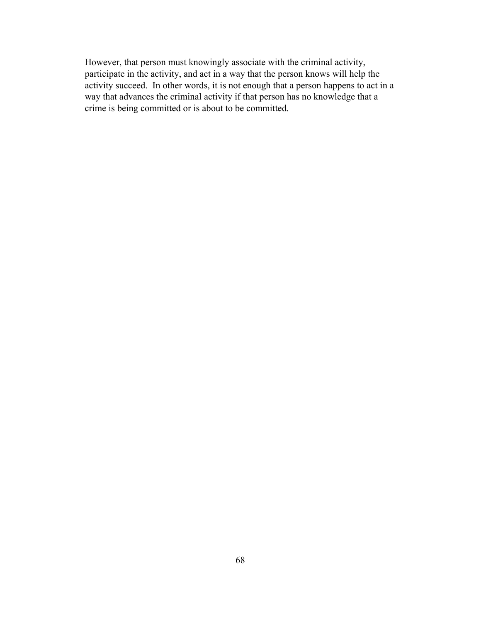However, that person must knowingly associate with the criminal activity, participate in the activity, and act in a way that the person knows will help the activity succeed. In other words, it is not enough that a person happens to act in a way that advances the criminal activity if that person has no knowledge that a crime is being committed or is about to be committed.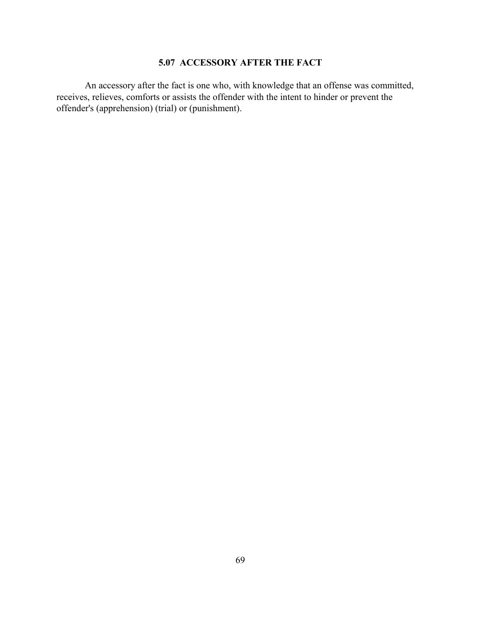## **5.07 ACCESSORY AFTER THE FACT**

An accessory after the fact is one who, with knowledge that an offense was committed, receives, relieves, comforts or assists the offender with the intent to hinder or prevent the offender's (apprehension) (trial) or (punishment).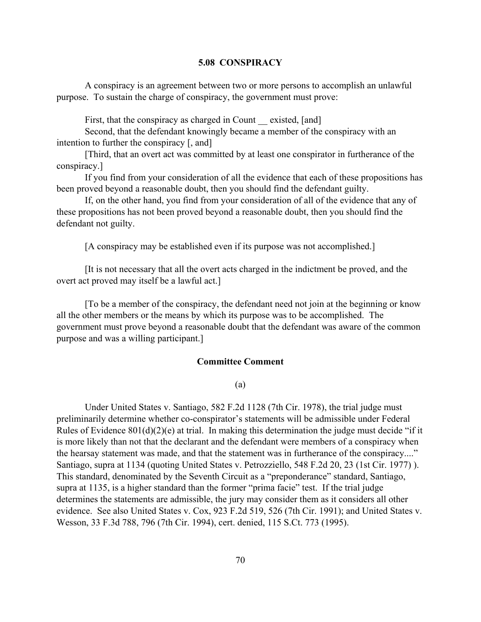#### **5.08 CONSPIRACY**

A conspiracy is an agreement between two or more persons to accomplish an unlawful purpose. To sustain the charge of conspiracy, the government must prove:

First, that the conspiracy as charged in Count existed, [and]

Second, that the defendant knowingly became a member of the conspiracy with an intention to further the conspiracy [, and]

[Third, that an overt act was committed by at least one conspirator in furtherance of the conspiracy.]

If you find from your consideration of all the evidence that each of these propositions has been proved beyond a reasonable doubt, then you should find the defendant guilty.

If, on the other hand, you find from your consideration of all of the evidence that any of these propositions has not been proved beyond a reasonable doubt, then you should find the defendant not guilty.

[A conspiracy may be established even if its purpose was not accomplished.]

[It is not necessary that all the overt acts charged in the indictment be proved, and the overt act proved may itself be a lawful act.]

[To be a member of the conspiracy, the defendant need not join at the beginning or know all the other members or the means by which its purpose was to be accomplished. The government must prove beyond a reasonable doubt that the defendant was aware of the common purpose and was a willing participant.]

#### **Committee Comment**

(a)

Under United States v. Santiago, 582 F.2d 1128 (7th Cir. 1978), the trial judge must preliminarily determine whether co-conspirator's statements will be admissible under Federal Rules of Evidence 801(d)(2)(e) at trial. In making this determination the judge must decide "if it is more likely than not that the declarant and the defendant were members of a conspiracy when the hearsay statement was made, and that the statement was in furtherance of the conspiracy...." Santiago, supra at 1134 (quoting United States v. Petrozziello, 548 F.2d 20, 23 (1st Cir. 1977) ). This standard, denominated by the Seventh Circuit as a "preponderance" standard, Santiago, supra at 1135, is a higher standard than the former "prima facie" test. If the trial judge determines the statements are admissible, the jury may consider them as it considers all other evidence. See also United States v. Cox, 923 F.2d 519, 526 (7th Cir. 1991); and United States v. Wesson, 33 F.3d 788, 796 (7th Cir. 1994), cert. denied, 115 S.Ct. 773 (1995).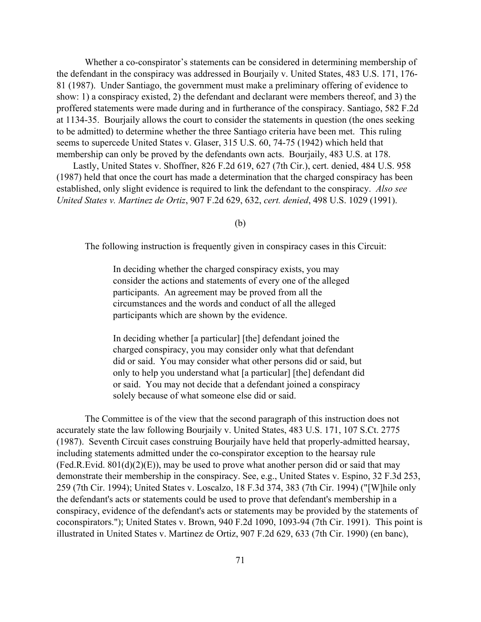Whether a co-conspirator's statements can be considered in determining membership of the defendant in the conspiracy was addressed in Bourjaily v. United States, 483 U.S. 171, 176- 81 (1987). Under Santiago, the government must make a preliminary offering of evidence to show: 1) a conspiracy existed, 2) the defendant and declarant were members thereof, and 3) the proffered statements were made during and in furtherance of the conspiracy. Santiago, 582 F.2d at 1134-35. Bourjaily allows the court to consider the statements in question (the ones seeking to be admitted) to determine whether the three Santiago criteria have been met. This ruling seems to supercede United States v. Glaser, 315 U.S. 60, 74-75 (1942) which held that membership can only be proved by the defendants own acts. Bourjaily, 483 U.S. at 178.

 Lastly, United States v. Shoffner, 826 F.2d 619, 627 (7th Cir.), cert. denied, 484 U.S. 958 (1987) held that once the court has made a determination that the charged conspiracy has been established, only slight evidence is required to link the defendant to the conspiracy. *Also see United States v. Martinez de Ortiz*, 907 F.2d 629, 632, *cert. denied*, 498 U.S. 1029 (1991).

(b)

The following instruction is frequently given in conspiracy cases in this Circuit:

In deciding whether the charged conspiracy exists, you may consider the actions and statements of every one of the alleged participants. An agreement may be proved from all the circumstances and the words and conduct of all the alleged participants which are shown by the evidence.

In deciding whether [a particular] [the] defendant joined the charged conspiracy, you may consider only what that defendant did or said. You may consider what other persons did or said, but only to help you understand what [a particular] [the] defendant did or said. You may not decide that a defendant joined a conspiracy solely because of what someone else did or said.

The Committee is of the view that the second paragraph of this instruction does not accurately state the law following Bourjaily v. United States, 483 U.S. 171, 107 S.Ct. 2775 (1987). Seventh Circuit cases construing Bourjaily have held that properly-admitted hearsay, including statements admitted under the co-conspirator exception to the hearsay rule  $(Fed.R.Evid. 801(d)(2)(E))$ , may be used to prove what another person did or said that may demonstrate their membership in the conspiracy. See, e.g., United States v. Espino, 32 F.3d 253, 259 (7th Cir. 1994); United States v. Loscalzo, 18 F.3d 374, 383 (7th Cir. 1994) ("[W]hile only the defendant's acts or statements could be used to prove that defendant's membership in a conspiracy, evidence of the defendant's acts or statements may be provided by the statements of coconspirators."); United States v. Brown, 940 F.2d 1090, 1093-94 (7th Cir. 1991). This point is illustrated in United States v. Martinez de Ortiz, 907 F.2d 629, 633 (7th Cir. 1990) (en banc),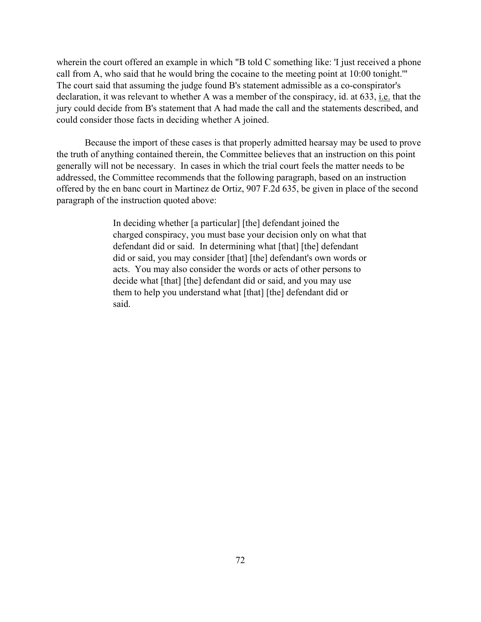wherein the court offered an example in which "B told C something like: 'I just received a phone call from A, who said that he would bring the cocaine to the meeting point at 10:00 tonight.'" The court said that assuming the judge found B's statement admissible as a co-conspirator's declaration, it was relevant to whether A was a member of the conspiracy, id. at 633, i.e. that the jury could decide from B's statement that A had made the call and the statements described, and could consider those facts in deciding whether A joined.

Because the import of these cases is that properly admitted hearsay may be used to prove the truth of anything contained therein, the Committee believes that an instruction on this point generally will not be necessary. In cases in which the trial court feels the matter needs to be addressed, the Committee recommends that the following paragraph, based on an instruction offered by the en banc court in Martinez de Ortiz, 907 F.2d 635, be given in place of the second paragraph of the instruction quoted above:

> In deciding whether [a particular] [the] defendant joined the charged conspiracy, you must base your decision only on what that defendant did or said. In determining what [that] [the] defendant did or said, you may consider [that] [the] defendant's own words or acts. You may also consider the words or acts of other persons to decide what [that] [the] defendant did or said, and you may use them to help you understand what [that] [the] defendant did or said.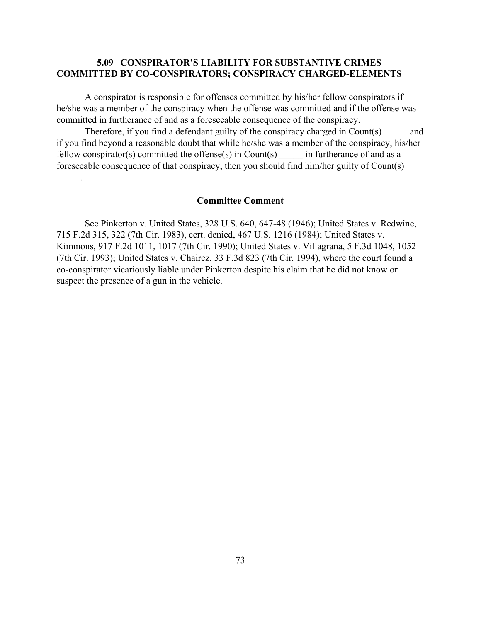## **5.09 CONSPIRATOR'S LIABILITY FOR SUBSTANTIVE CRIMES COMMITTED BY CO-CONSPIRATORS; CONSPIRACY CHARGED-ELEMENTS**

A conspirator is responsible for offenses committed by his/her fellow conspirators if he/she was a member of the conspiracy when the offense was committed and if the offense was committed in furtherance of and as a foreseeable consequence of the conspiracy.

Therefore, if you find a defendant guilty of the conspiracy charged in Count(s) and if you find beyond a reasonable doubt that while he/she was a member of the conspiracy, his/her fellow conspirator(s) committed the offense(s) in Count(s)  $\qquad$  in furtherance of and as a foreseeable consequence of that conspiracy, then you should find him/her guilty of Count(s)

## **Committee Comment**

 $\mathbb{Z}^2$ 

See Pinkerton v. United States, 328 U.S. 640, 647-48 (1946); United States v. Redwine, 715 F.2d 315, 322 (7th Cir. 1983), cert. denied, 467 U.S. 1216 (1984); United States v. Kimmons, 917 F.2d 1011, 1017 (7th Cir. 1990); United States v. Villagrana, 5 F.3d 1048, 1052 (7th Cir. 1993); United States v. Chairez, 33 F.3d 823 (7th Cir. 1994), where the court found a co-conspirator vicariously liable under Pinkerton despite his claim that he did not know or suspect the presence of a gun in the vehicle.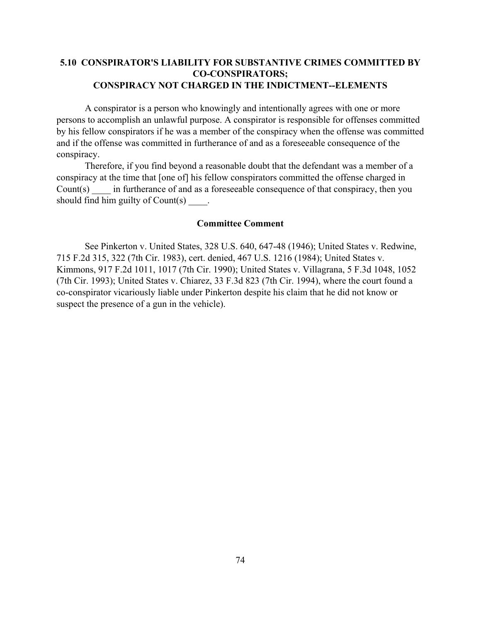## **5.10 CONSPIRATOR'S LIABILITY FOR SUBSTANTIVE CRIMES COMMITTED BY CO-CONSPIRATORS; CONSPIRACY NOT CHARGED IN THE INDICTMENT--ELEMENTS**

A conspirator is a person who knowingly and intentionally agrees with one or more persons to accomplish an unlawful purpose. A conspirator is responsible for offenses committed by his fellow conspirators if he was a member of the conspiracy when the offense was committed and if the offense was committed in furtherance of and as a foreseeable consequence of the conspiracy.

Therefore, if you find beyond a reasonable doubt that the defendant was a member of a conspiracy at the time that [one of] his fellow conspirators committed the offense charged in Count(s) in furtherance of and as a foreseeable consequence of that conspiracy, then you should find him guilty of  $Count(s)$ .

#### **Committee Comment**

See Pinkerton v. United States, 328 U.S. 640, 647-48 (1946); United States v. Redwine, 715 F.2d 315, 322 (7th Cir. 1983), cert. denied, 467 U.S. 1216 (1984); United States v. Kimmons, 917 F.2d 1011, 1017 (7th Cir. 1990); United States v. Villagrana, 5 F.3d 1048, 1052 (7th Cir. 1993); United States v. Chiarez, 33 F.3d 823 (7th Cir. 1994), where the court found a co-conspirator vicariously liable under Pinkerton despite his claim that he did not know or suspect the presence of a gun in the vehicle).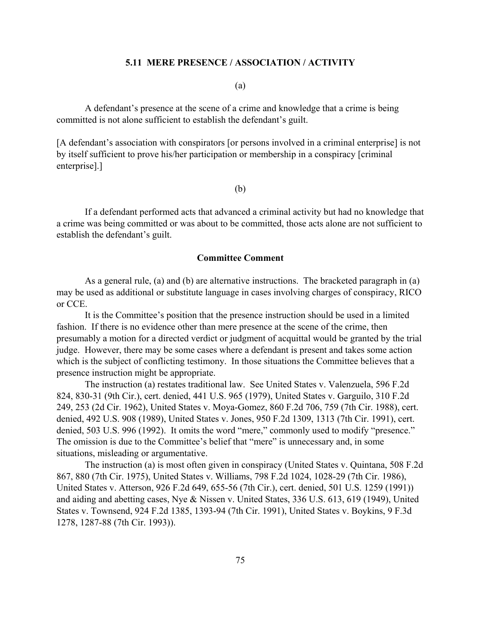#### **5.11 MERE PRESENCE / ASSOCIATION / ACTIVITY**

(a)

A defendant's presence at the scene of a crime and knowledge that a crime is being committed is not alone sufficient to establish the defendant's guilt.

[A defendant's association with conspirators [or persons involved in a criminal enterprise] is not by itself sufficient to prove his/her participation or membership in a conspiracy [criminal enterprise].]

(b)

If a defendant performed acts that advanced a criminal activity but had no knowledge that a crime was being committed or was about to be committed, those acts alone are not sufficient to establish the defendant's guilt.

#### **Committee Comment**

As a general rule, (a) and (b) are alternative instructions. The bracketed paragraph in (a) may be used as additional or substitute language in cases involving charges of conspiracy, RICO or CCE.

It is the Committee's position that the presence instruction should be used in a limited fashion. If there is no evidence other than mere presence at the scene of the crime, then presumably a motion for a directed verdict or judgment of acquittal would be granted by the trial judge. However, there may be some cases where a defendant is present and takes some action which is the subject of conflicting testimony. In those situations the Committee believes that a presence instruction might be appropriate.

The instruction (a) restates traditional law. See United States v. Valenzuela, 596 F.2d 824, 830-31 (9th Cir.), cert. denied, 441 U.S. 965 (1979), United States v. Garguilo, 310 F.2d 249, 253 (2d Cir. 1962), United States v. Moya-Gomez, 860 F.2d 706, 759 (7th Cir. 1988), cert. denied, 492 U.S. 908 (1989), United States v. Jones, 950 F.2d 1309, 1313 (7th Cir. 1991), cert. denied, 503 U.S. 996 (1992). It omits the word "mere," commonly used to modify "presence." The omission is due to the Committee's belief that "mere" is unnecessary and, in some situations, misleading or argumentative.

The instruction (a) is most often given in conspiracy (United States v. Quintana, 508 F.2d 867, 880 (7th Cir. 1975), United States v. Williams, 798 F.2d 1024, 1028-29 (7th Cir. 1986), United States v. Atterson, 926 F.2d 649, 655-56 (7th Cir.), cert. denied, 501 U.S. 1259 (1991)) and aiding and abetting cases, Nye & Nissen v. United States, 336 U.S. 613, 619 (1949), United States v. Townsend, 924 F.2d 1385, 1393-94 (7th Cir. 1991), United States v. Boykins, 9 F.3d 1278, 1287-88 (7th Cir. 1993)).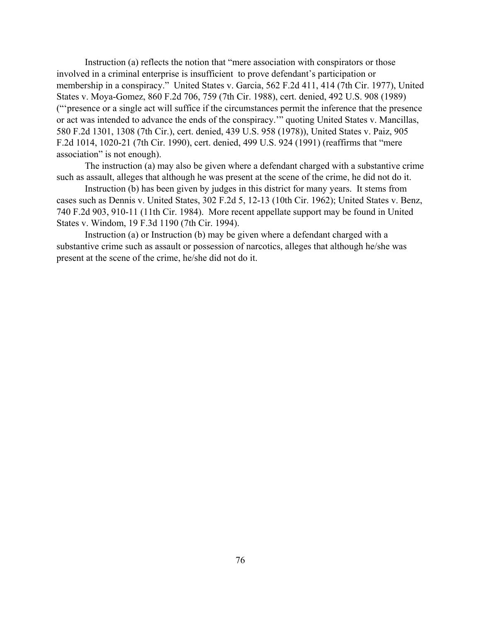Instruction (a) reflects the notion that "mere association with conspirators or those involved in a criminal enterprise is insufficient to prove defendant's participation or membership in a conspiracy." United States v. Garcia, 562 F.2d 411, 414 (7th Cir. 1977), United States v. Moya-Gomez, 860 F.2d 706, 759 (7th Cir. 1988), cert. denied, 492 U.S. 908 (1989) ("'presence or a single act will suffice if the circumstances permit the inference that the presence or act was intended to advance the ends of the conspiracy.'" quoting United States v. Mancillas, 580 F.2d 1301, 1308 (7th Cir.), cert. denied, 439 U.S. 958 (1978)), United States v. Paiz, 905 F.2d 1014, 1020-21 (7th Cir. 1990), cert. denied, 499 U.S. 924 (1991) (reaffirms that "mere association" is not enough).

The instruction (a) may also be given where a defendant charged with a substantive crime such as assault, alleges that although he was present at the scene of the crime, he did not do it.

Instruction (b) has been given by judges in this district for many years. It stems from cases such as Dennis v. United States, 302 F.2d 5, 12-13 (10th Cir. 1962); United States v. Benz, 740 F.2d 903, 910-11 (11th Cir. 1984). More recent appellate support may be found in United States v. Windom, 19 F.3d 1190 (7th Cir. 1994).

Instruction (a) or Instruction (b) may be given where a defendant charged with a substantive crime such as assault or possession of narcotics, alleges that although he/she was present at the scene of the crime, he/she did not do it.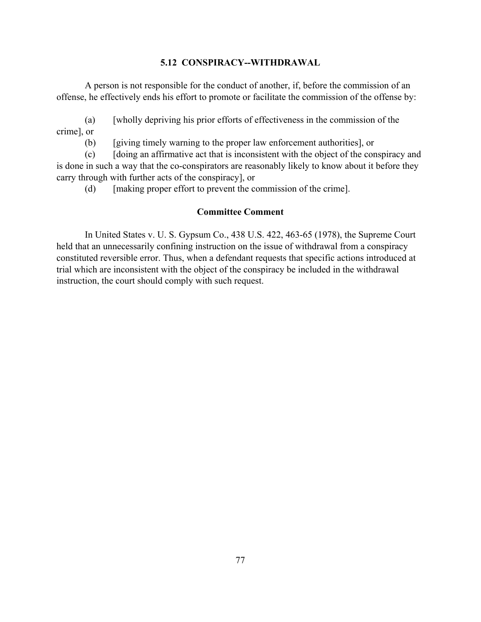## **5.12 CONSPIRACY--WITHDRAWAL**

A person is not responsible for the conduct of another, if, before the commission of an offense, he effectively ends his effort to promote or facilitate the commission of the offense by:

(a) [wholly depriving his prior efforts of effectiveness in the commission of the crime], or

(b) [giving timely warning to the proper law enforcement authorities], or

(c) [doing an affirmative act that is inconsistent with the object of the conspiracy and is done in such a way that the co-conspirators are reasonably likely to know about it before they carry through with further acts of the conspiracy], or

(d) [making proper effort to prevent the commission of the crime].

## **Committee Comment**

In United States v. U. S. Gypsum Co., 438 U.S. 422, 463-65 (1978), the Supreme Court held that an unnecessarily confining instruction on the issue of withdrawal from a conspiracy constituted reversible error. Thus, when a defendant requests that specific actions introduced at trial which are inconsistent with the object of the conspiracy be included in the withdrawal instruction, the court should comply with such request.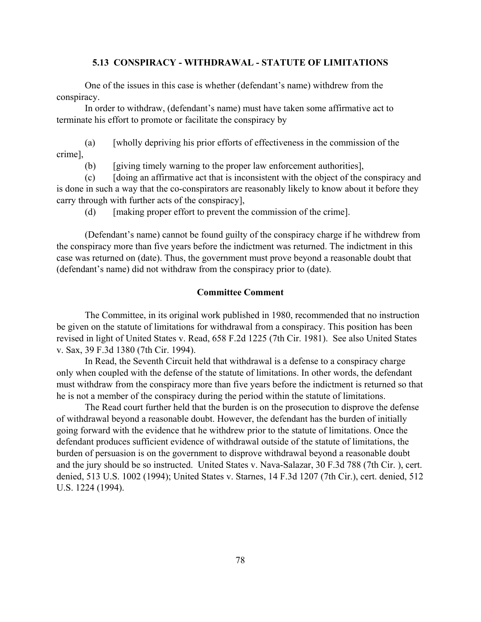## **5.13 CONSPIRACY - WITHDRAWAL - STATUTE OF LIMITATIONS**

One of the issues in this case is whether (defendant's name) withdrew from the conspiracy.

In order to withdraw, (defendant's name) must have taken some affirmative act to terminate his effort to promote or facilitate the conspiracy by

(a) [wholly depriving his prior efforts of effectiveness in the commission of the crime],

(b) [giving timely warning to the proper law enforcement authorities],

(c) [doing an affirmative act that is inconsistent with the object of the conspiracy and is done in such a way that the co-conspirators are reasonably likely to know about it before they carry through with further acts of the conspiracy],

(d) [making proper effort to prevent the commission of the crime].

(Defendant's name) cannot be found guilty of the conspiracy charge if he withdrew from the conspiracy more than five years before the indictment was returned. The indictment in this case was returned on (date). Thus, the government must prove beyond a reasonable doubt that (defendant's name) did not withdraw from the conspiracy prior to (date).

#### **Committee Comment**

The Committee, in its original work published in 1980, recommended that no instruction be given on the statute of limitations for withdrawal from a conspiracy. This position has been revised in light of United States v. Read, 658 F.2d 1225 (7th Cir. 1981). See also United States v. Sax, 39 F.3d 1380 (7th Cir. 1994).

In Read, the Seventh Circuit held that withdrawal is a defense to a conspiracy charge only when coupled with the defense of the statute of limitations. In other words, the defendant must withdraw from the conspiracy more than five years before the indictment is returned so that he is not a member of the conspiracy during the period within the statute of limitations.

The Read court further held that the burden is on the prosecution to disprove the defense of withdrawal beyond a reasonable doubt. However, the defendant has the burden of initially going forward with the evidence that he withdrew prior to the statute of limitations. Once the defendant produces sufficient evidence of withdrawal outside of the statute of limitations, the burden of persuasion is on the government to disprove withdrawal beyond a reasonable doubt and the jury should be so instructed. United States v. Nava-Salazar, 30 F.3d 788 (7th Cir. ), cert. denied, 513 U.S. 1002 (1994); United States v. Starnes, 14 F.3d 1207 (7th Cir.), cert. denied, 512 U.S. 1224 (1994).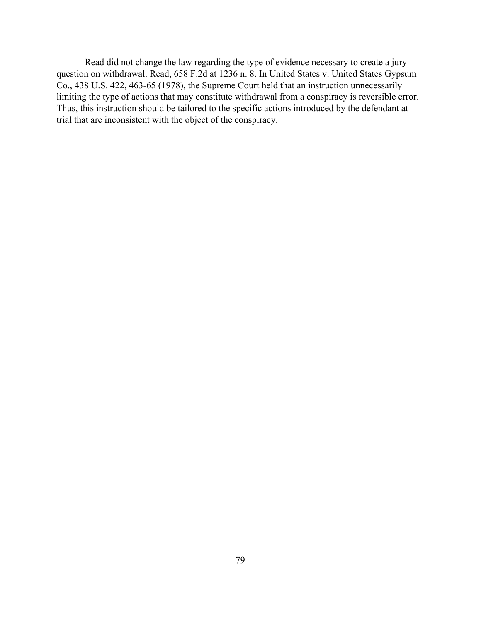Read did not change the law regarding the type of evidence necessary to create a jury question on withdrawal. Read, 658 F.2d at 1236 n. 8. In United States v. United States Gypsum Co., 438 U.S. 422, 463-65 (1978), the Supreme Court held that an instruction unnecessarily limiting the type of actions that may constitute withdrawal from a conspiracy is reversible error. Thus, this instruction should be tailored to the specific actions introduced by the defendant at trial that are inconsistent with the object of the conspiracy.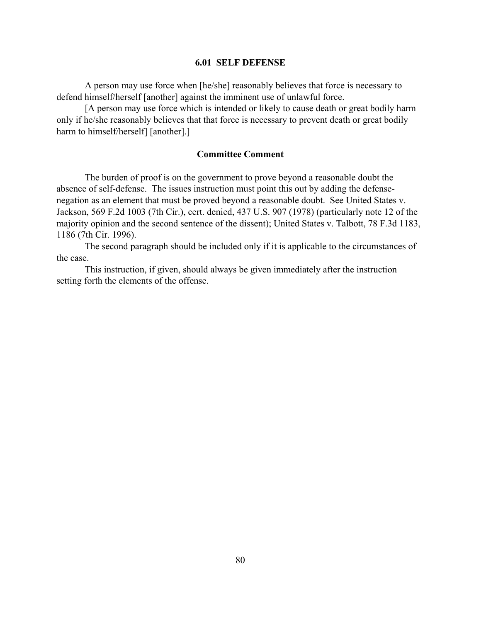#### **6.01 SELF DEFENSE**

A person may use force when [he/she] reasonably believes that force is necessary to defend himself/herself [another] against the imminent use of unlawful force.

[A person may use force which is intended or likely to cause death or great bodily harm only if he/she reasonably believes that that force is necessary to prevent death or great bodily harm to himself/herself] [another].]

#### **Committee Comment**

The burden of proof is on the government to prove beyond a reasonable doubt the absence of self-defense. The issues instruction must point this out by adding the defensenegation as an element that must be proved beyond a reasonable doubt. See United States v. Jackson, 569 F.2d 1003 (7th Cir.), cert. denied, 437 U.S. 907 (1978) (particularly note 12 of the majority opinion and the second sentence of the dissent); United States v. Talbott, 78 F.3d 1183, 1186 (7th Cir. 1996).

The second paragraph should be included only if it is applicable to the circumstances of the case.

This instruction, if given, should always be given immediately after the instruction setting forth the elements of the offense.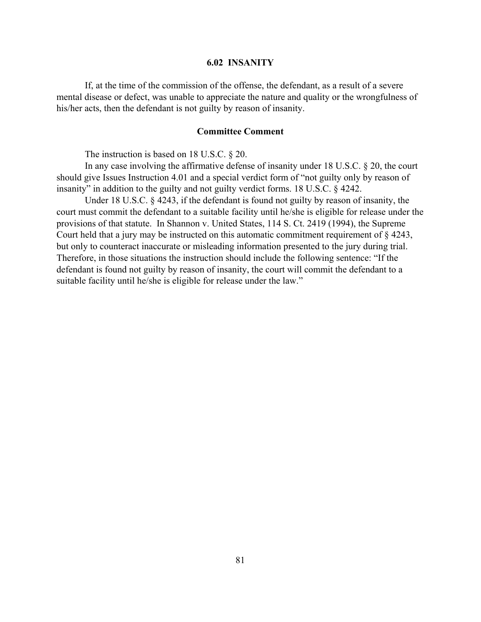#### **6.02 INSANITY**

If, at the time of the commission of the offense, the defendant, as a result of a severe mental disease or defect, was unable to appreciate the nature and quality or the wrongfulness of his/her acts, then the defendant is not guilty by reason of insanity.

#### **Committee Comment**

The instruction is based on 18 U.S.C. § 20.

In any case involving the affirmative defense of insanity under 18 U.S.C. § 20, the court should give Issues Instruction 4.01 and a special verdict form of "not guilty only by reason of insanity" in addition to the guilty and not guilty verdict forms. 18 U.S.C. § 4242.

Under 18 U.S.C. § 4243, if the defendant is found not guilty by reason of insanity, the court must commit the defendant to a suitable facility until he/she is eligible for release under the provisions of that statute. In Shannon v. United States, 114 S. Ct. 2419 (1994), the Supreme Court held that a jury may be instructed on this automatic commitment requirement of § 4243, but only to counteract inaccurate or misleading information presented to the jury during trial. Therefore, in those situations the instruction should include the following sentence: "If the defendant is found not guilty by reason of insanity, the court will commit the defendant to a suitable facility until he/she is eligible for release under the law."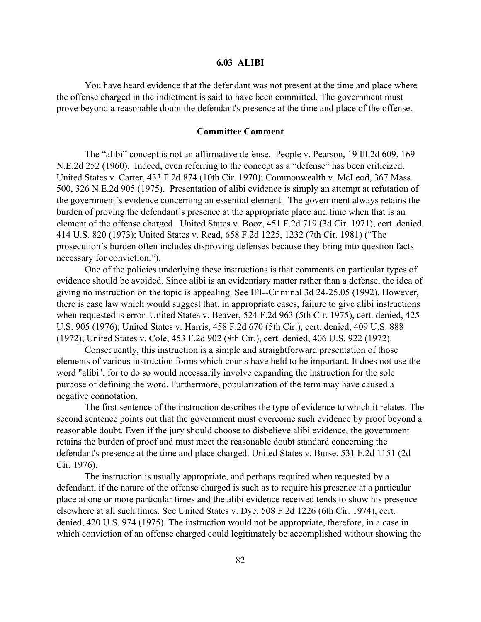#### **6.03 ALIBI**

You have heard evidence that the defendant was not present at the time and place where the offense charged in the indictment is said to have been committed. The government must prove beyond a reasonable doubt the defendant's presence at the time and place of the offense.

#### **Committee Comment**

The "alibi" concept is not an affirmative defense. People v. Pearson, 19 Ill.2d 609, 169 N.E.2d 252 (1960). Indeed, even referring to the concept as a "defense" has been criticized. United States v. Carter, 433 F.2d 874 (10th Cir. 1970); Commonwealth v. McLeod, 367 Mass. 500, 326 N.E.2d 905 (1975). Presentation of alibi evidence is simply an attempt at refutation of the government's evidence concerning an essential element. The government always retains the burden of proving the defendant's presence at the appropriate place and time when that is an element of the offense charged. United States v. Booz, 451 F.2d 719 (3d Cir. 1971), cert. denied, 414 U.S. 820 (1973); United States v. Read, 658 F.2d 1225, 1232 (7th Cir. 1981) ("The prosecution's burden often includes disproving defenses because they bring into question facts necessary for conviction.").

One of the policies underlying these instructions is that comments on particular types of evidence should be avoided. Since alibi is an evidentiary matter rather than a defense, the idea of giving no instruction on the topic is appealing. See IPI--Criminal 3d 24-25.05 (1992). However, there is case law which would suggest that, in appropriate cases, failure to give alibi instructions when requested is error. United States v. Beaver, 524 F.2d 963 (5th Cir. 1975), cert. denied, 425 U.S. 905 (1976); United States v. Harris, 458 F.2d 670 (5th Cir.), cert. denied, 409 U.S. 888 (1972); United States v. Cole, 453 F.2d 902 (8th Cir.), cert. denied, 406 U.S. 922 (1972).

Consequently, this instruction is a simple and straightforward presentation of those elements of various instruction forms which courts have held to be important. It does not use the word "alibi", for to do so would necessarily involve expanding the instruction for the sole purpose of defining the word. Furthermore, popularization of the term may have caused a negative connotation.

The first sentence of the instruction describes the type of evidence to which it relates. The second sentence points out that the government must overcome such evidence by proof beyond a reasonable doubt. Even if the jury should choose to disbelieve alibi evidence, the government retains the burden of proof and must meet the reasonable doubt standard concerning the defendant's presence at the time and place charged. United States v. Burse, 531 F.2d 1151 (2d Cir. 1976).

The instruction is usually appropriate, and perhaps required when requested by a defendant, if the nature of the offense charged is such as to require his presence at a particular place at one or more particular times and the alibi evidence received tends to show his presence elsewhere at all such times. See United States v. Dye, 508 F.2d 1226 (6th Cir. 1974), cert. denied, 420 U.S. 974 (1975). The instruction would not be appropriate, therefore, in a case in which conviction of an offense charged could legitimately be accomplished without showing the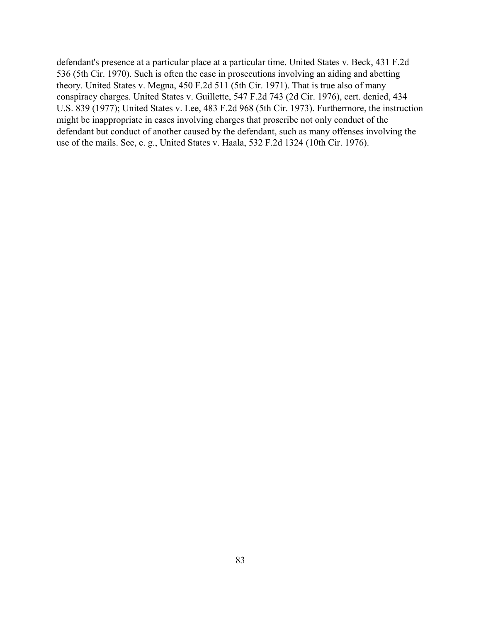defendant's presence at a particular place at a particular time. United States v. Beck, 431 F.2d 536 (5th Cir. 1970). Such is often the case in prosecutions involving an aiding and abetting theory. United States v. Megna, 450 F.2d 511 (5th Cir. 1971). That is true also of many conspiracy charges. United States v. Guillette, 547 F.2d 743 (2d Cir. 1976), cert. denied, 434 U.S. 839 (1977); United States v. Lee, 483 F.2d 968 (5th Cir. 1973). Furthermore, the instruction might be inappropriate in cases involving charges that proscribe not only conduct of the defendant but conduct of another caused by the defendant, such as many offenses involving the use of the mails. See, e. g., United States v. Haala, 532 F.2d 1324 (10th Cir. 1976).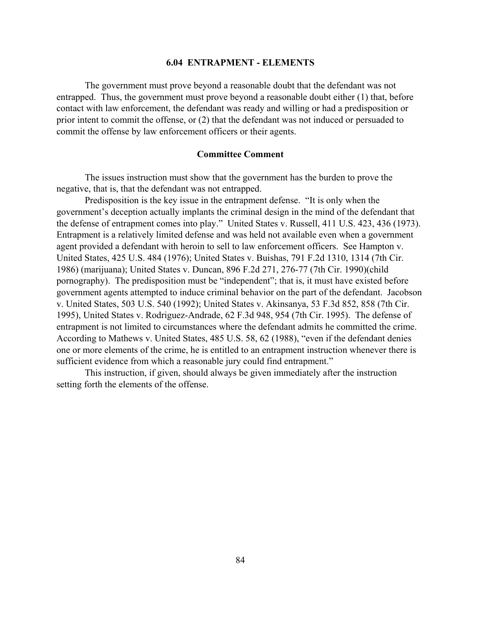#### **6.04 ENTRAPMENT - ELEMENTS**

The government must prove beyond a reasonable doubt that the defendant was not entrapped. Thus, the government must prove beyond a reasonable doubt either (1) that, before contact with law enforcement, the defendant was ready and willing or had a predisposition or prior intent to commit the offense, or (2) that the defendant was not induced or persuaded to commit the offense by law enforcement officers or their agents.

#### **Committee Comment**

The issues instruction must show that the government has the burden to prove the negative, that is, that the defendant was not entrapped.

Predisposition is the key issue in the entrapment defense. "It is only when the government's deception actually implants the criminal design in the mind of the defendant that the defense of entrapment comes into play." United States v. Russell, 411 U.S. 423, 436 (1973). Entrapment is a relatively limited defense and was held not available even when a government agent provided a defendant with heroin to sell to law enforcement officers. See Hampton v. United States, 425 U.S. 484 (1976); United States v. Buishas, 791 F.2d 1310, 1314 (7th Cir. 1986) (marijuana); United States v. Duncan, 896 F.2d 271, 276-77 (7th Cir. 1990)(child pornography). The predisposition must be "independent"; that is, it must have existed before government agents attempted to induce criminal behavior on the part of the defendant. Jacobson v. United States, 503 U.S. 540 (1992); United States v. Akinsanya, 53 F.3d 852, 858 (7th Cir. 1995), United States v. Rodriguez-Andrade, 62 F.3d 948, 954 (7th Cir. 1995). The defense of entrapment is not limited to circumstances where the defendant admits he committed the crime. According to Mathews v. United States, 485 U.S. 58, 62 (1988), "even if the defendant denies one or more elements of the crime, he is entitled to an entrapment instruction whenever there is sufficient evidence from which a reasonable jury could find entrapment."

This instruction, if given, should always be given immediately after the instruction setting forth the elements of the offense.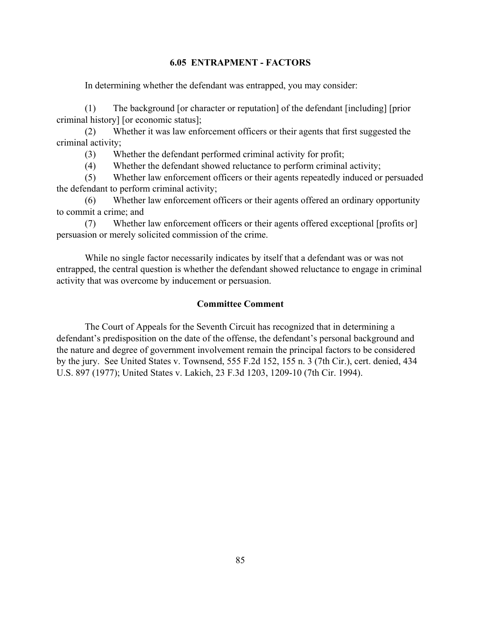#### **6.05 ENTRAPMENT - FACTORS**

In determining whether the defendant was entrapped, you may consider:

(1) The background [or character or reputation] of the defendant [including] [prior criminal history] [or economic status];

(2) Whether it was law enforcement officers or their agents that first suggested the criminal activity;

(3) Whether the defendant performed criminal activity for profit;

(4) Whether the defendant showed reluctance to perform criminal activity;

(5) Whether law enforcement officers or their agents repeatedly induced or persuaded the defendant to perform criminal activity;

(6) Whether law enforcement officers or their agents offered an ordinary opportunity to commit a crime; and

(7) Whether law enforcement officers or their agents offered exceptional [profits or] persuasion or merely solicited commission of the crime.

While no single factor necessarily indicates by itself that a defendant was or was not entrapped, the central question is whether the defendant showed reluctance to engage in criminal activity that was overcome by inducement or persuasion.

## **Committee Comment**

The Court of Appeals for the Seventh Circuit has recognized that in determining a defendant's predisposition on the date of the offense, the defendant's personal background and the nature and degree of government involvement remain the principal factors to be considered by the jury. See United States v. Townsend, 555 F.2d 152, 155 n. 3 (7th Cir.), cert. denied, 434 U.S. 897 (1977); United States v. Lakich, 23 F.3d 1203, 1209-10 (7th Cir. 1994).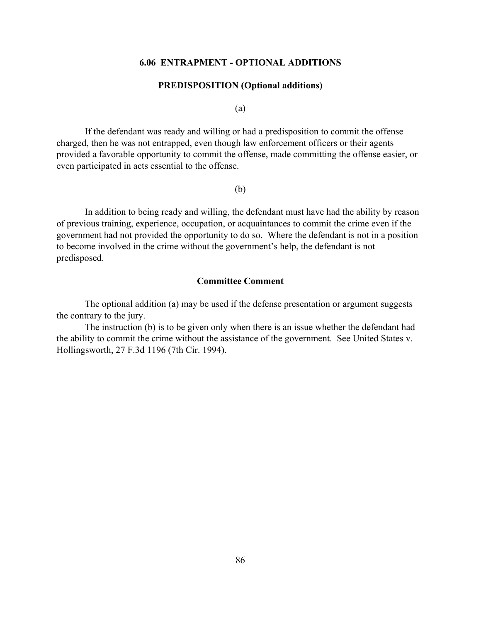#### **6.06 ENTRAPMENT - OPTIONAL ADDITIONS**

#### **PREDISPOSITION (Optional additions)**

(a)

If the defendant was ready and willing or had a predisposition to commit the offense charged, then he was not entrapped, even though law enforcement officers or their agents provided a favorable opportunity to commit the offense, made committing the offense easier, or even participated in acts essential to the offense.

(b)

In addition to being ready and willing, the defendant must have had the ability by reason of previous training, experience, occupation, or acquaintances to commit the crime even if the government had not provided the opportunity to do so. Where the defendant is not in a position to become involved in the crime without the government's help, the defendant is not predisposed.

## **Committee Comment**

The optional addition (a) may be used if the defense presentation or argument suggests the contrary to the jury.

The instruction (b) is to be given only when there is an issue whether the defendant had the ability to commit the crime without the assistance of the government. See United States v. Hollingsworth, 27 F.3d 1196 (7th Cir. 1994).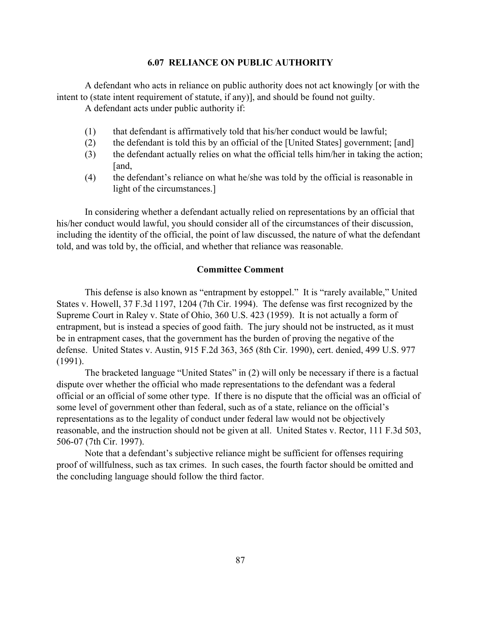#### **6.07 RELIANCE ON PUBLIC AUTHORITY**

A defendant who acts in reliance on public authority does not act knowingly [or with the intent to (state intent requirement of statute, if any)], and should be found not guilty.

A defendant acts under public authority if:

- (1) that defendant is affirmatively told that his/her conduct would be lawful;
- (2) the defendant is told this by an official of the [United States] government; [and]
- (3) the defendant actually relies on what the official tells him/her in taking the action; [and,
- (4) the defendant's reliance on what he/she was told by the official is reasonable in light of the circumstances.]

In considering whether a defendant actually relied on representations by an official that his/her conduct would lawful, you should consider all of the circumstances of their discussion, including the identity of the official, the point of law discussed, the nature of what the defendant told, and was told by, the official, and whether that reliance was reasonable.

#### **Committee Comment**

This defense is also known as "entrapment by estoppel." It is "rarely available," United States v. Howell, 37 F.3d 1197, 1204 (7th Cir. 1994). The defense was first recognized by the Supreme Court in Raley v. State of Ohio, 360 U.S. 423 (1959). It is not actually a form of entrapment, but is instead a species of good faith. The jury should not be instructed, as it must be in entrapment cases, that the government has the burden of proving the negative of the defense. United States v. Austin, 915 F.2d 363, 365 (8th Cir. 1990), cert. denied, 499 U.S. 977 (1991).

The bracketed language "United States" in (2) will only be necessary if there is a factual dispute over whether the official who made representations to the defendant was a federal official or an official of some other type. If there is no dispute that the official was an official of some level of government other than federal, such as of a state, reliance on the official's representations as to the legality of conduct under federal law would not be objectively reasonable, and the instruction should not be given at all. United States v. Rector, 111 F.3d 503, 506-07 (7th Cir. 1997).

Note that a defendant's subjective reliance might be sufficient for offenses requiring proof of willfulness, such as tax crimes. In such cases, the fourth factor should be omitted and the concluding language should follow the third factor.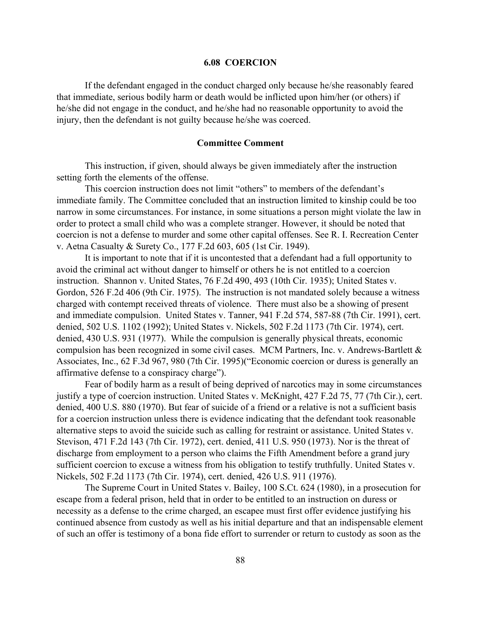#### **6.08 COERCION**

If the defendant engaged in the conduct charged only because he/she reasonably feared that immediate, serious bodily harm or death would be inflicted upon him/her (or others) if he/she did not engage in the conduct, and he/she had no reasonable opportunity to avoid the injury, then the defendant is not guilty because he/she was coerced.

#### **Committee Comment**

This instruction, if given, should always be given immediately after the instruction setting forth the elements of the offense.

This coercion instruction does not limit "others" to members of the defendant's immediate family. The Committee concluded that an instruction limited to kinship could be too narrow in some circumstances. For instance, in some situations a person might violate the law in order to protect a small child who was a complete stranger. However, it should be noted that coercion is not a defense to murder and some other capital offenses. See R. I. Recreation Center v. Aetna Casualty & Surety Co., 177 F.2d 603, 605 (1st Cir. 1949).

It is important to note that if it is uncontested that a defendant had a full opportunity to avoid the criminal act without danger to himself or others he is not entitled to a coercion instruction. Shannon v. United States, 76 F.2d 490, 493 (10th Cir. 1935); United States v. Gordon, 526 F.2d 406 (9th Cir. 1975). The instruction is not mandated solely because a witness charged with contempt received threats of violence. There must also be a showing of present and immediate compulsion. United States v. Tanner, 941 F.2d 574, 587-88 (7th Cir. 1991), cert. denied, 502 U.S. 1102 (1992); United States v. Nickels, 502 F.2d 1173 (7th Cir. 1974), cert. denied, 430 U.S. 931 (1977). While the compulsion is generally physical threats, economic compulsion has been recognized in some civil cases. MCM Partners, Inc. v. Andrews-Bartlett & Associates, Inc., 62 F.3d 967, 980 (7th Cir. 1995)("Economic coercion or duress is generally an affirmative defense to a conspiracy charge").

Fear of bodily harm as a result of being deprived of narcotics may in some circumstances justify a type of coercion instruction. United States v. McKnight, 427 F.2d 75, 77 (7th Cir.), cert. denied, 400 U.S. 880 (1970). But fear of suicide of a friend or a relative is not a sufficient basis for a coercion instruction unless there is evidence indicating that the defendant took reasonable alternative steps to avoid the suicide such as calling for restraint or assistance. United States v. Stevison, 471 F.2d 143 (7th Cir. 1972), cert. denied, 411 U.S. 950 (1973). Nor is the threat of discharge from employment to a person who claims the Fifth Amendment before a grand jury sufficient coercion to excuse a witness from his obligation to testify truthfully. United States v. Nickels, 502 F.2d 1173 (7th Cir. 1974), cert. denied, 426 U.S. 911 (1976).

The Supreme Court in United States v. Bailey, 100 S.Ct. 624 (1980), in a prosecution for escape from a federal prison, held that in order to be entitled to an instruction on duress or necessity as a defense to the crime charged, an escapee must first offer evidence justifying his continued absence from custody as well as his initial departure and that an indispensable element of such an offer is testimony of a bona fide effort to surrender or return to custody as soon as the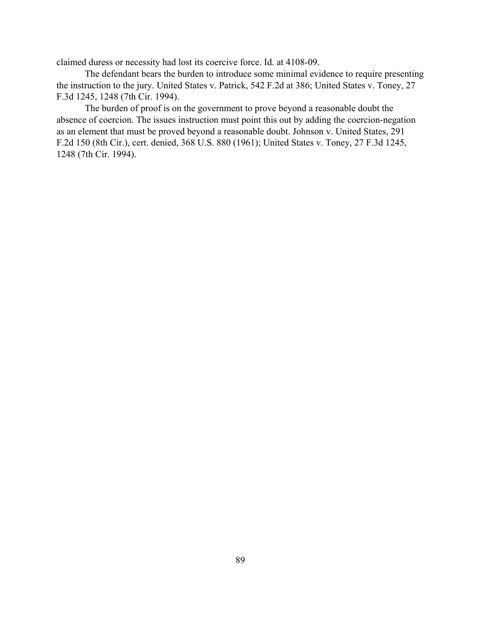claimed duress or necessity had lost its coercive force. Id. at 4108-09.

The defendant bears the burden to introduce some minimal evidence to require presenting the instruction to the jury. United States v. Patrick, 542 F.2d at 386; United States v. Toney, 27 F.3d 1245, 1248 (7th Cir. 1994).

The burden of proof is on the government to prove beyond a reasonable doubt the absence of coercion. The issues instruction must point this out by adding the coercion-negation as an element that must be proved beyond a reasonable doubt. Johnson v. United States, 291 F.2d 150 (8th Cir.), cert. denied, 368 U.S. 880 (1961); United States v. Toney, 27 F.3d 1245, 1248 (7th Cir. 1994).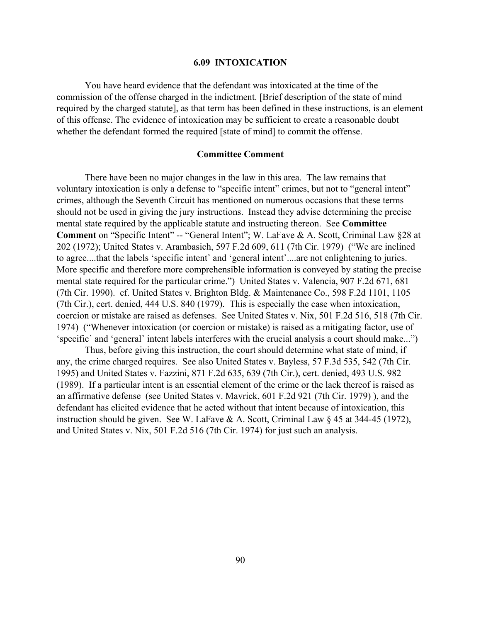#### **6.09 INTOXICATION**

You have heard evidence that the defendant was intoxicated at the time of the commission of the offense charged in the indictment. [Brief description of the state of mind required by the charged statute], as that term has been defined in these instructions, is an element of this offense. The evidence of intoxication may be sufficient to create a reasonable doubt whether the defendant formed the required [state of mind] to commit the offense.

#### **Committee Comment**

There have been no major changes in the law in this area. The law remains that voluntary intoxication is only a defense to "specific intent" crimes, but not to "general intent" crimes, although the Seventh Circuit has mentioned on numerous occasions that these terms should not be used in giving the jury instructions. Instead they advise determining the precise mental state required by the applicable statute and instructing thereon. See **Committee Comment** on "Specific Intent" -- "General Intent"; W. LaFave & A. Scott, Criminal Law §28 at 202 (1972); United States v. Arambasich, 597 F.2d 609, 611 (7th Cir. 1979) ("We are inclined to agree....that the labels 'specific intent' and 'general intent'....are not enlightening to juries. More specific and therefore more comprehensible information is conveyed by stating the precise mental state required for the particular crime.") United States v. Valencia, 907 F.2d 671, 681 (7th Cir. 1990). cf. United States v. Brighton Bldg. & Maintenance Co., 598 F.2d 1101, 1105 (7th Cir.), cert. denied, 444 U.S. 840 (1979). This is especially the case when intoxication, coercion or mistake are raised as defenses. See United States v. Nix, 501 F.2d 516, 518 (7th Cir. 1974) ("Whenever intoxication (or coercion or mistake) is raised as a mitigating factor, use of 'specific' and 'general' intent labels interferes with the crucial analysis a court should make...")

Thus, before giving this instruction, the court should determine what state of mind, if any, the crime charged requires. See also United States v. Bayless, 57 F.3d 535, 542 (7th Cir. 1995) and United States v. Fazzini, 871 F.2d 635, 639 (7th Cir.), cert. denied, 493 U.S. 982 (1989). If a particular intent is an essential element of the crime or the lack thereof is raised as an affirmative defense (see United States v. Mavrick, 601 F.2d 921 (7th Cir. 1979) ), and the defendant has elicited evidence that he acted without that intent because of intoxication, this instruction should be given. See W. LaFave & A. Scott, Criminal Law § 45 at 344-45 (1972), and United States v. Nix, 501 F.2d 516 (7th Cir. 1974) for just such an analysis.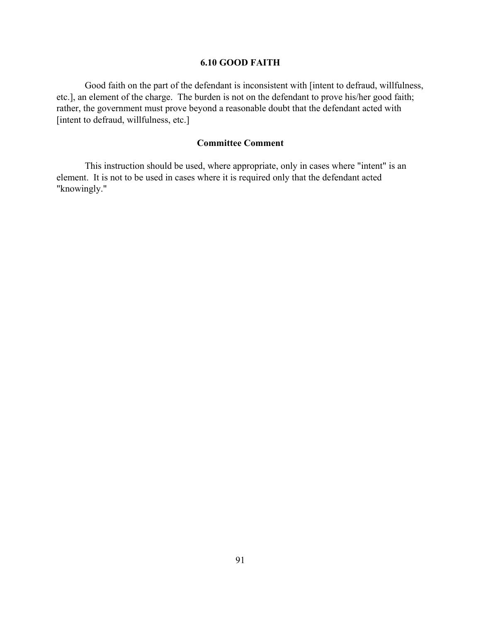## **6.10 GOOD FAITH**

 Good faith on the part of the defendant is inconsistent with [intent to defraud, willfulness, etc.], an element of the charge. The burden is not on the defendant to prove his/her good faith; rather, the government must prove beyond a reasonable doubt that the defendant acted with [intent to defraud, willfulness, etc.]

## **Committee Comment**

This instruction should be used, where appropriate, only in cases where "intent" is an element. It is not to be used in cases where it is required only that the defendant acted "knowingly."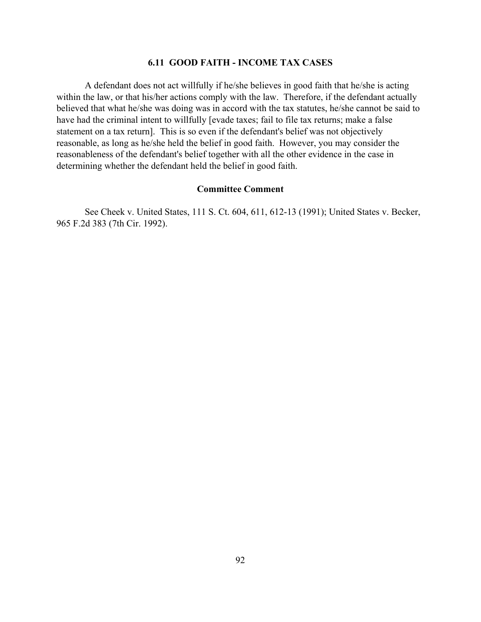## **6.11 GOOD FAITH - INCOME TAX CASES**

A defendant does not act willfully if he/she believes in good faith that he/she is acting within the law, or that his/her actions comply with the law. Therefore, if the defendant actually believed that what he/she was doing was in accord with the tax statutes, he/she cannot be said to have had the criminal intent to willfully [evade taxes; fail to file tax returns; make a false statement on a tax return]. This is so even if the defendant's belief was not objectively reasonable, as long as he/she held the belief in good faith. However, you may consider the reasonableness of the defendant's belief together with all the other evidence in the case in determining whether the defendant held the belief in good faith.

#### **Committee Comment**

 See Cheek v. United States, 111 S. Ct. 604, 611, 612-13 (1991); United States v. Becker, 965 F.2d 383 (7th Cir. 1992).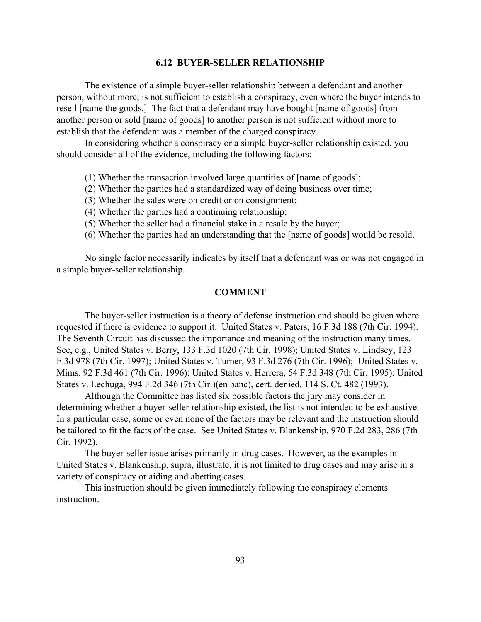#### **6.12 BUYER-SELLER RELATIONSHIP**

The existence of a simple buyer-seller relationship between a defendant and another person, without more, is not sufficient to establish a conspiracy, even where the buyer intends to resell [name the goods.] The fact that a defendant may have bought [name of goods] from another person or sold [name of goods] to another person is not sufficient without more to establish that the defendant was a member of the charged conspiracy.

In considering whether a conspiracy or a simple buyer-seller relationship existed, you should consider all of the evidence, including the following factors:

- (1) Whether the transaction involved large quantities of [name of goods];
- (2) Whether the parties had a standardized way of doing business over time;
- (3) Whether the sales were on credit or on consignment;
- (4) Whether the parties had a continuing relationship;
- (5) Whether the seller had a financial stake in a resale by the buyer;
- (6) Whether the parties had an understanding that the [name of goods] would be resold.

No single factor necessarily indicates by itself that a defendant was or was not engaged in a simple buyer-seller relationship.

#### **COMMENT**

The buyer-seller instruction is a theory of defense instruction and should be given where requested if there is evidence to support it. United States v. Paters, 16 F.3d 188 (7th Cir. 1994). The Seventh Circuit has discussed the importance and meaning of the instruction many times. See, e.g., United States v. Berry, 133 F.3d 1020 (7th Cir. 1998); United States v. Lindsey, 123 F.3d 978 (7th Cir. 1997); United States v. Turner, 93 F.3d 276 (7th Cir. 1996); United States v. Mims, 92 F.3d 461 (7th Cir. 1996); United States v. Herrera, 54 F.3d 348 (7th Cir. 1995); United States v. Lechuga, 994 F.2d 346 (7th Cir.)(en banc), cert. denied, 114 S. Ct. 482 (1993).

Although the Committee has listed six possible factors the jury may consider in determining whether a buyer-seller relationship existed, the list is not intended to be exhaustive. In a particular case, some or even none of the factors may be relevant and the instruction should be tailored to fit the facts of the case. See United States v. Blankenship, 970 F.2d 283, 286 (7th Cir. 1992).

The buyer-seller issue arises primarily in drug cases. However, as the examples in United States v. Blankenship, supra, illustrate, it is not limited to drug cases and may arise in a variety of conspiracy or aiding and abetting cases.

This instruction should be given immediately following the conspiracy elements instruction.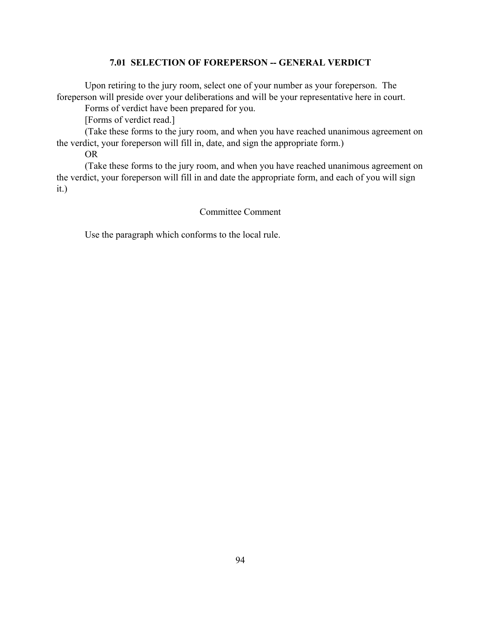## **7.01 SELECTION OF FOREPERSON -- GENERAL VERDICT**

Upon retiring to the jury room, select one of your number as your foreperson. The foreperson will preside over your deliberations and will be your representative here in court.

Forms of verdict have been prepared for you.

[Forms of verdict read.]

(Take these forms to the jury room, and when you have reached unanimous agreement on the verdict, your foreperson will fill in, date, and sign the appropriate form.)

OR

(Take these forms to the jury room, and when you have reached unanimous agreement on the verdict, your foreperson will fill in and date the appropriate form, and each of you will sign it.)

## Committee Comment

Use the paragraph which conforms to the local rule.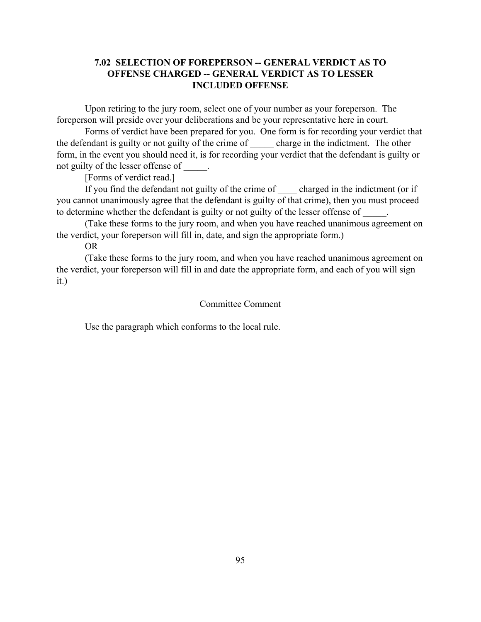## **7.02 SELECTION OF FOREPERSON -- GENERAL VERDICT AS TO OFFENSE CHARGED -- GENERAL VERDICT AS TO LESSER INCLUDED OFFENSE**

Upon retiring to the jury room, select one of your number as your foreperson. The foreperson will preside over your deliberations and be your representative here in court.

Forms of verdict have been prepared for you. One form is for recording your verdict that the defendant is guilty or not guilty of the crime of charge in the indictment. The other form, in the event you should need it, is for recording your verdict that the defendant is guilty or not guilty of the lesser of fense of

[Forms of verdict read.]

If you find the defendant not guilty of the crime of charged in the indictment (or if you cannot unanimously agree that the defendant is guilty of that crime), then you must proceed to determine whether the defendant is guilty or not guilty of the lesser offense of

(Take these forms to the jury room, and when you have reached unanimous agreement on the verdict, your foreperson will fill in, date, and sign the appropriate form.)

OR

(Take these forms to the jury room, and when you have reached unanimous agreement on the verdict, your foreperson will fill in and date the appropriate form, and each of you will sign it.)

## Committee Comment

Use the paragraph which conforms to the local rule.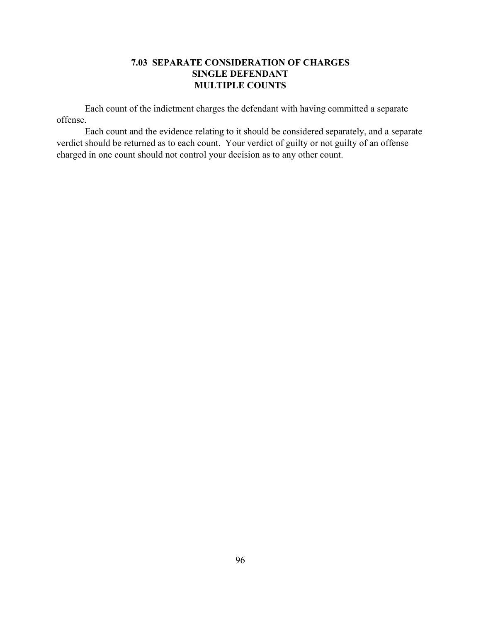## **7.03 SEPARATE CONSIDERATION OF CHARGES SINGLE DEFENDANT MULTIPLE COUNTS**

Each count of the indictment charges the defendant with having committed a separate offense.

Each count and the evidence relating to it should be considered separately, and a separate verdict should be returned as to each count. Your verdict of guilty or not guilty of an offense charged in one count should not control your decision as to any other count.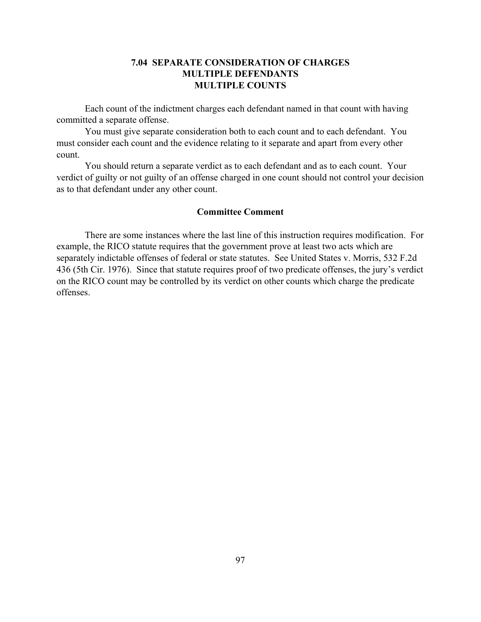## **7.04 SEPARATE CONSIDERATION OF CHARGES MULTIPLE DEFENDANTS MULTIPLE COUNTS**

Each count of the indictment charges each defendant named in that count with having committed a separate offense.

You must give separate consideration both to each count and to each defendant. You must consider each count and the evidence relating to it separate and apart from every other count.

You should return a separate verdict as to each defendant and as to each count. Your verdict of guilty or not guilty of an offense charged in one count should not control your decision as to that defendant under any other count.

## **Committee Comment**

There are some instances where the last line of this instruction requires modification. For example, the RICO statute requires that the government prove at least two acts which are separately indictable offenses of federal or state statutes. See United States v. Morris, 532 F.2d 436 (5th Cir. 1976). Since that statute requires proof of two predicate offenses, the jury's verdict on the RICO count may be controlled by its verdict on other counts which charge the predicate offenses.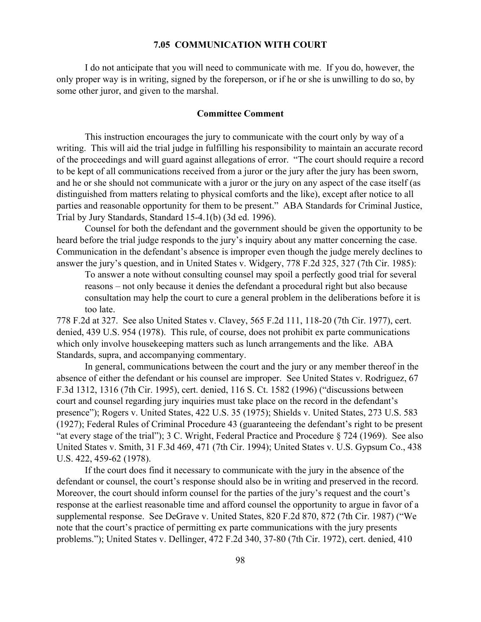#### **7.05 COMMUNICATION WITH COURT**

I do not anticipate that you will need to communicate with me. If you do, however, the only proper way is in writing, signed by the foreperson, or if he or she is unwilling to do so, by some other juror, and given to the marshal.

#### **Committee Comment**

This instruction encourages the jury to communicate with the court only by way of a writing. This will aid the trial judge in fulfilling his responsibility to maintain an accurate record of the proceedings and will guard against allegations of error. "The court should require a record to be kept of all communications received from a juror or the jury after the jury has been sworn, and he or she should not communicate with a juror or the jury on any aspect of the case itself (as distinguished from matters relating to physical comforts and the like), except after notice to all parties and reasonable opportunity for them to be present." ABA Standards for Criminal Justice, Trial by Jury Standards, Standard 15-4.1(b) (3d ed. 1996).

Counsel for both the defendant and the government should be given the opportunity to be heard before the trial judge responds to the jury's inquiry about any matter concerning the case. Communication in the defendant's absence is improper even though the judge merely declines to answer the jury's question, and in United States v. Widgery, 778 F.2d 325, 327 (7th Cir. 1985):

To answer a note without consulting counsel may spoil a perfectly good trial for several reasons – not only because it denies the defendant a procedural right but also because consultation may help the court to cure a general problem in the deliberations before it is too late.

778 F.2d at 327. See also United States v. Clavey, 565 F.2d 111, 118-20 (7th Cir. 1977), cert. denied, 439 U.S. 954 (1978). This rule, of course, does not prohibit ex parte communications which only involve housekeeping matters such as lunch arrangements and the like. ABA Standards, supra, and accompanying commentary.

In general, communications between the court and the jury or any member thereof in the absence of either the defendant or his counsel are improper. See United States v. Rodriguez, 67 F.3d 1312, 1316 (7th Cir. 1995), cert. denied, 116 S. Ct. 1582 (1996) ("discussions between court and counsel regarding jury inquiries must take place on the record in the defendant's presence"); Rogers v. United States, 422 U.S. 35 (1975); Shields v. United States, 273 U.S. 583 (1927); Federal Rules of Criminal Procedure 43 (guaranteeing the defendant's right to be present "at every stage of the trial"); 3 C. Wright, Federal Practice and Procedure § 724 (1969). See also United States v. Smith, 31 F.3d 469, 471 (7th Cir. 1994); United States v. U.S. Gypsum Co., 438 U.S. 422, 459-62 (1978).

If the court does find it necessary to communicate with the jury in the absence of the defendant or counsel, the court's response should also be in writing and preserved in the record. Moreover, the court should inform counsel for the parties of the jury's request and the court's response at the earliest reasonable time and afford counsel the opportunity to argue in favor of a supplemental response. See DeGrave v. United States, 820 F.2d 870, 872 (7th Cir. 1987) ("We note that the court's practice of permitting ex parte communications with the jury presents problems."); United States v. Dellinger, 472 F.2d 340, 37-80 (7th Cir. 1972), cert. denied, 410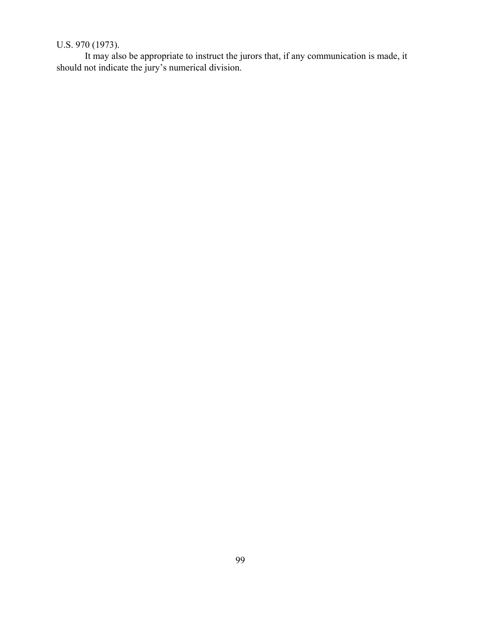# U.S. 970 (1973).

It may also be appropriate to instruct the jurors that, if any communication is made, it should not indicate the jury's numerical division.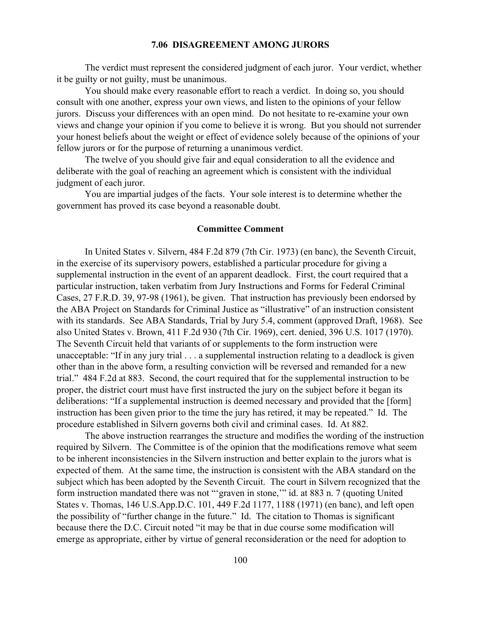#### **7.06 DISAGREEMENT AMONG JURORS**

The verdict must represent the considered judgment of each juror. Your verdict, whether it be guilty or not guilty, must be unanimous.

You should make every reasonable effort to reach a verdict. In doing so, you should consult with one another, express your own views, and listen to the opinions of your fellow jurors. Discuss your differences with an open mind. Do not hesitate to re-examine your own views and change your opinion if you come to believe it is wrong. But you should not surrender your honest beliefs about the weight or effect of evidence solely because of the opinions of your fellow jurors or for the purpose of returning a unanimous verdict.

The twelve of you should give fair and equal consideration to all the evidence and deliberate with the goal of reaching an agreement which is consistent with the individual judgment of each juror.

You are impartial judges of the facts. Your sole interest is to determine whether the government has proved its case beyond a reasonable doubt.

## **Committee Comment**

In United States v. Silvern, 484 F.2d 879 (7th Cir. 1973) (en banc), the Seventh Circuit, in the exercise of its supervisory powers, established a particular procedure for giving a supplemental instruction in the event of an apparent deadlock. First, the court required that a particular instruction, taken verbatim from Jury Instructions and Forms for Federal Criminal Cases, 27 F.R.D. 39, 97-98 (1961), be given. That instruction has previously been endorsed by the ABA Project on Standards for Criminal Justice as "illustrative" of an instruction consistent with its standards. See ABA Standards, Trial by Jury 5.4, comment (approved Draft, 1968). See also United States v. Brown, 411 F.2d 930 (7th Cir. 1969), cert. denied, 396 U.S. 1017 (1970). The Seventh Circuit held that variants of or supplements to the form instruction were unacceptable: "If in any jury trial . . . a supplemental instruction relating to a deadlock is given other than in the above form, a resulting conviction will be reversed and remanded for a new trial." 484 F.2d at 883. Second, the court required that for the supplemental instruction to be proper, the district court must have first instructed the jury on the subject before it began its deliberations: "If a supplemental instruction is deemed necessary and provided that the [form] instruction has been given prior to the time the jury has retired, it may be repeated." Id. The procedure established in Silvern governs both civil and criminal cases. Id. At 882.

The above instruction rearranges the structure and modifies the wording of the instruction required by Silvern. The Committee is of the opinion that the modifications remove what seem to be inherent inconsistencies in the Silvern instruction and better explain to the jurors what is expected of them. At the same time, the instruction is consistent with the ABA standard on the subject which has been adopted by the Seventh Circuit. The court in Silvern recognized that the form instruction mandated there was not "'graven in stone,'" id. at 883 n. 7 (quoting United States v. Thomas, 146 U.S.App.D.C. 101, 449 F.2d 1177, 1188 (1971) (en banc), and left open the possibility of "further change in the future." Id. The citation to Thomas is significant because there the D.C. Circuit noted "it may be that in due course some modification will emerge as appropriate, either by virtue of general reconsideration or the need for adoption to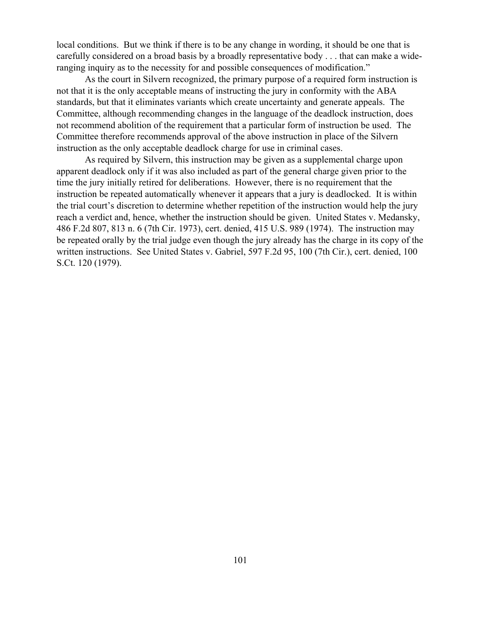local conditions. But we think if there is to be any change in wording, it should be one that is carefully considered on a broad basis by a broadly representative body . . . that can make a wideranging inquiry as to the necessity for and possible consequences of modification."

As the court in Silvern recognized, the primary purpose of a required form instruction is not that it is the only acceptable means of instructing the jury in conformity with the ABA standards, but that it eliminates variants which create uncertainty and generate appeals. The Committee, although recommending changes in the language of the deadlock instruction, does not recommend abolition of the requirement that a particular form of instruction be used. The Committee therefore recommends approval of the above instruction in place of the Silvern instruction as the only acceptable deadlock charge for use in criminal cases.

As required by Silvern, this instruction may be given as a supplemental charge upon apparent deadlock only if it was also included as part of the general charge given prior to the time the jury initially retired for deliberations. However, there is no requirement that the instruction be repeated automatically whenever it appears that a jury is deadlocked. It is within the trial court's discretion to determine whether repetition of the instruction would help the jury reach a verdict and, hence, whether the instruction should be given. United States v. Medansky, 486 F.2d 807, 813 n. 6 (7th Cir. 1973), cert. denied, 415 U.S. 989 (1974). The instruction may be repeated orally by the trial judge even though the jury already has the charge in its copy of the written instructions. See United States v. Gabriel, 597 F.2d 95, 100 (7th Cir.), cert. denied, 100 S.Ct. 120 (1979).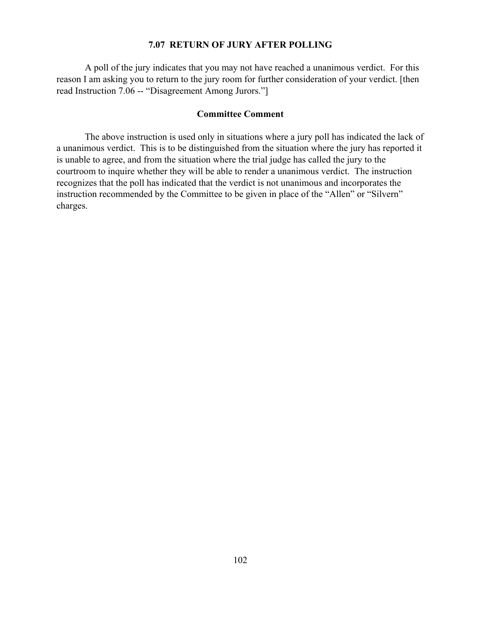## **7.07 RETURN OF JURY AFTER POLLING**

A poll of the jury indicates that you may not have reached a unanimous verdict. For this reason I am asking you to return to the jury room for further consideration of your verdict. [then read Instruction 7.06 -- "Disagreement Among Jurors."]

#### **Committee Comment**

The above instruction is used only in situations where a jury poll has indicated the lack of a unanimous verdict. This is to be distinguished from the situation where the jury has reported it is unable to agree, and from the situation where the trial judge has called the jury to the courtroom to inquire whether they will be able to render a unanimous verdict. The instruction recognizes that the poll has indicated that the verdict is not unanimous and incorporates the instruction recommended by the Committee to be given in place of the "Allen" or "Silvern" charges.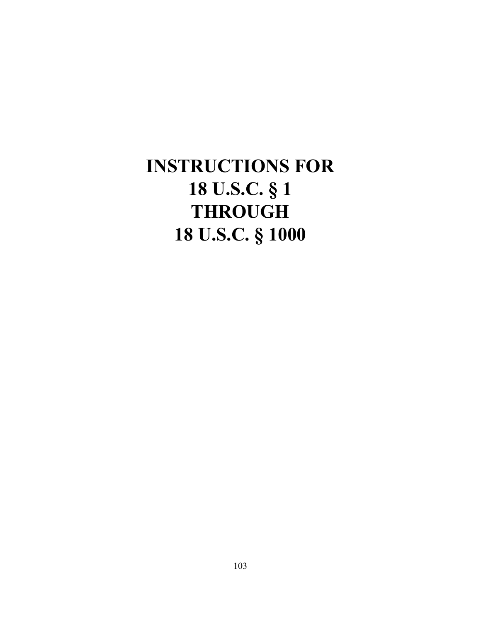# **INSTRUCTIONS FOR 18 U.S.C. § 1 THROUGH 18 U.S.C. § 1000**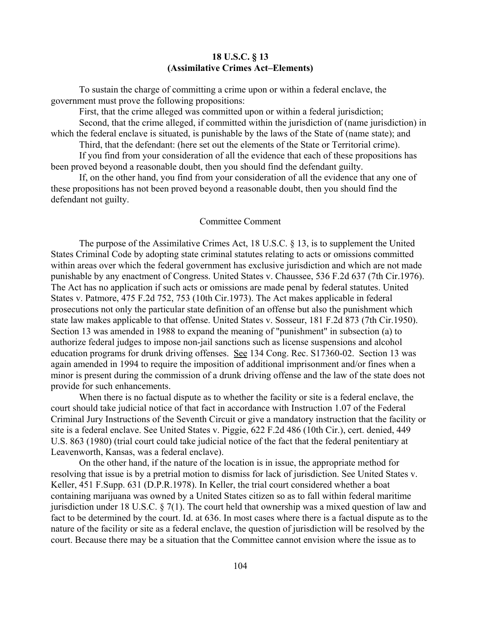## **18 U.S.C. § 13 (Assimilative Crimes Act–Elements)**

To sustain the charge of committing a crime upon or within a federal enclave, the government must prove the following propositions:

First, that the crime alleged was committed upon or within a federal jurisdiction;

Second, that the crime alleged, if committed within the jurisdiction of (name jurisdiction) in which the federal enclave is situated, is punishable by the laws of the State of (name state); and

Third, that the defendant: (here set out the elements of the State or Territorial crime).

If you find from your consideration of all the evidence that each of these propositions has been proved beyond a reasonable doubt, then you should find the defendant guilty.

If, on the other hand, you find from your consideration of all the evidence that any one of these propositions has not been proved beyond a reasonable doubt, then you should find the defendant not guilty.

#### Committee Comment

The purpose of the Assimilative Crimes Act, 18 U.S.C. § 13, is to supplement the United States Criminal Code by adopting state criminal statutes relating to acts or omissions committed within areas over which the federal government has exclusive jurisdiction and which are not made punishable by any enactment of Congress. United States v. Chaussee, 536 F.2d 637 (7th Cir.1976). The Act has no application if such acts or omissions are made penal by federal statutes. United States v. Patmore, 475 F.2d 752, 753 (10th Cir.1973). The Act makes applicable in federal prosecutions not only the particular state definition of an offense but also the punishment which state law makes applicable to that offense. United States v. Sosseur, 181 F.2d 873 (7th Cir.1950). Section 13 was amended in 1988 to expand the meaning of "punishment" in subsection (a) to authorize federal judges to impose non-jail sanctions such as license suspensions and alcohol education programs for drunk driving offenses. See 134 Cong. Rec. S17360-02. Section 13 was again amended in 1994 to require the imposition of additional imprisonment and/or fines when a minor is present during the commission of a drunk driving offense and the law of the state does not provide for such enhancements.

When there is no factual dispute as to whether the facility or site is a federal enclave, the court should take judicial notice of that fact in accordance with Instruction 1.07 of the Federal Criminal Jury Instructions of the Seventh Circuit or give a mandatory instruction that the facility or site is a federal enclave. See United States v. Piggie, 622 F.2d 486 (10th Cir.), cert. denied, 449 U.S. 863 (1980) (trial court could take judicial notice of the fact that the federal penitentiary at Leavenworth, Kansas, was a federal enclave).

On the other hand, if the nature of the location is in issue, the appropriate method for resolving that issue is by a pretrial motion to dismiss for lack of jurisdiction. See United States v. Keller, 451 F.Supp. 631 (D.P.R.1978). In Keller, the trial court considered whether a boat containing marijuana was owned by a United States citizen so as to fall within federal maritime jurisdiction under 18 U.S.C. § 7(1). The court held that ownership was a mixed question of law and fact to be determined by the court. Id. at 636. In most cases where there is a factual dispute as to the nature of the facility or site as a federal enclave, the question of jurisdiction will be resolved by the court. Because there may be a situation that the Committee cannot envision where the issue as to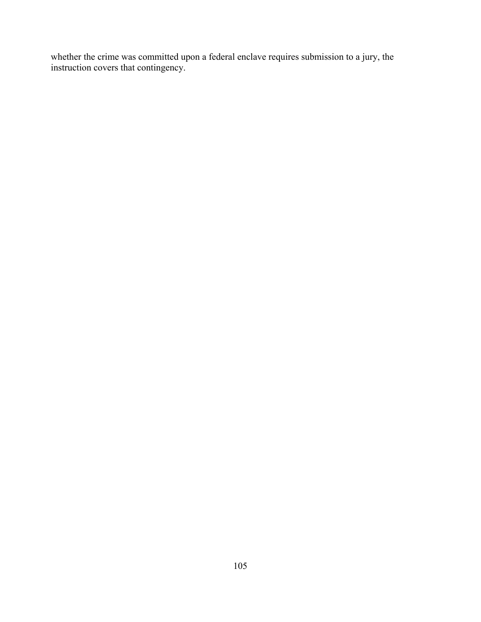whether the crime was committed upon a federal enclave requires submission to a jury, the instruction covers that contingency.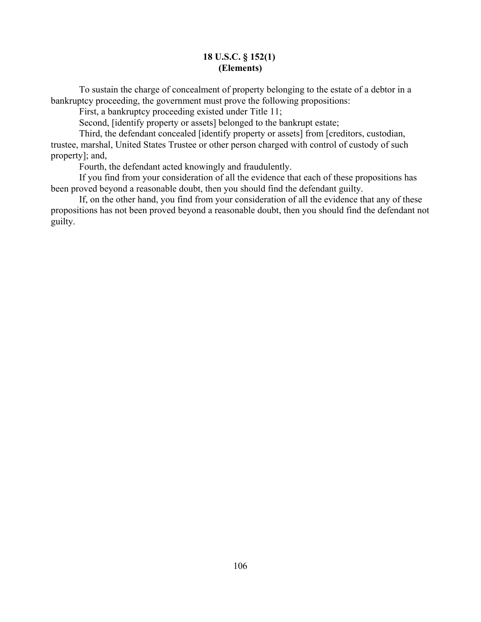### **18 U.S.C. § 152(1) (Elements)**

To sustain the charge of concealment of property belonging to the estate of a debtor in a bankruptcy proceeding, the government must prove the following propositions:

First, a bankruptcy proceeding existed under Title 11;

Second, [identify property or assets] belonged to the bankrupt estate;

Third, the defendant concealed [identify property or assets] from [creditors, custodian, trustee, marshal, United States Trustee or other person charged with control of custody of such property]; and,

Fourth, the defendant acted knowingly and fraudulently.

If you find from your consideration of all the evidence that each of these propositions has been proved beyond a reasonable doubt, then you should find the defendant guilty.

If, on the other hand, you find from your consideration of all the evidence that any of these propositions has not been proved beyond a reasonable doubt, then you should find the defendant not guilty.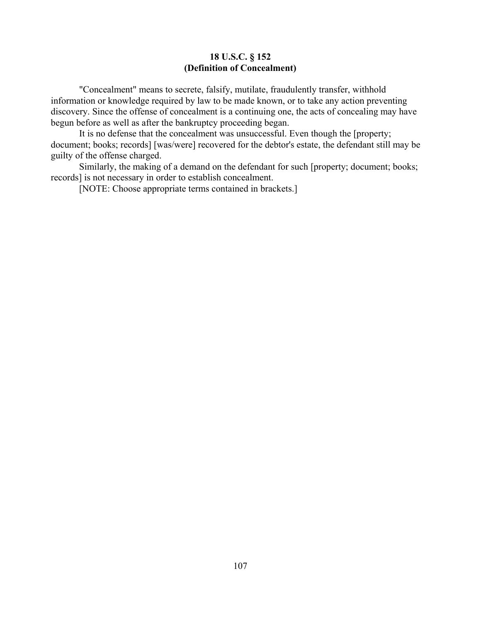## **18 U.S.C. § 152 (Definition of Concealment)**

"Concealment" means to secrete, falsify, mutilate, fraudulently transfer, withhold information or knowledge required by law to be made known, or to take any action preventing discovery. Since the offense of concealment is a continuing one, the acts of concealing may have begun before as well as after the bankruptcy proceeding began.

It is no defense that the concealment was unsuccessful. Even though the [property; document; books; records] [was/were] recovered for the debtor's estate, the defendant still may be guilty of the offense charged.

Similarly, the making of a demand on the defendant for such [property; document; books; records] is not necessary in order to establish concealment.

[NOTE: Choose appropriate terms contained in brackets.]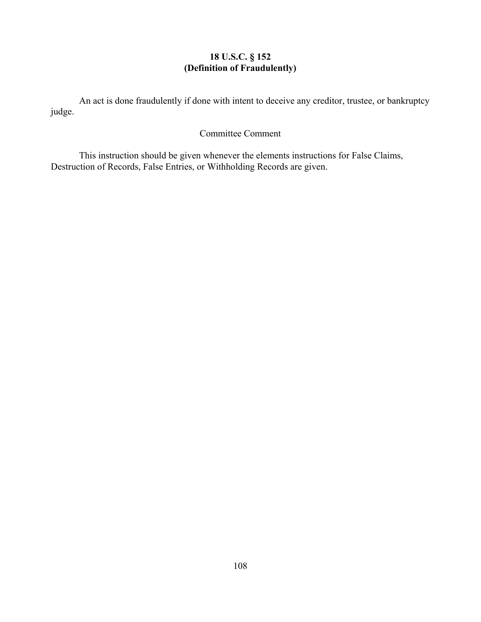# **18 U.S.C. § 152 (Definition of Fraudulently)**

An act is done fraudulently if done with intent to deceive any creditor, trustee, or bankruptcy judge.

# Committee Comment

This instruction should be given whenever the elements instructions for False Claims, Destruction of Records, False Entries, or Withholding Records are given.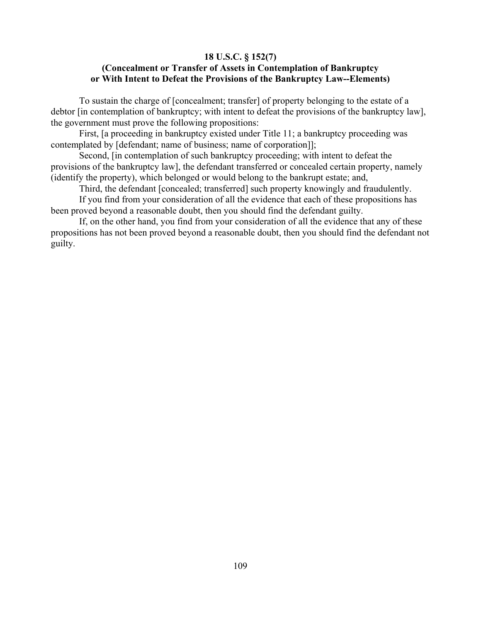### **18 U.S.C. § 152(7) (Concealment or Transfer of Assets in Contemplation of Bankruptcy or With Intent to Defeat the Provisions of the Bankruptcy Law--Elements)**

To sustain the charge of [concealment; transfer] of property belonging to the estate of a debtor [in contemplation of bankruptcy; with intent to defeat the provisions of the bankruptcy law], the government must prove the following propositions:

First, [a proceeding in bankruptcy existed under Title 11; a bankruptcy proceeding was contemplated by [defendant; name of business; name of corporation]];

Second, [in contemplation of such bankruptcy proceeding; with intent to defeat the provisions of the bankruptcy law], the defendant transferred or concealed certain property, namely (identify the property), which belonged or would belong to the bankrupt estate; and,

Third, the defendant [concealed; transferred] such property knowingly and fraudulently.

If you find from your consideration of all the evidence that each of these propositions has been proved beyond a reasonable doubt, then you should find the defendant guilty.

If, on the other hand, you find from your consideration of all the evidence that any of these propositions has not been proved beyond a reasonable doubt, then you should find the defendant not guilty.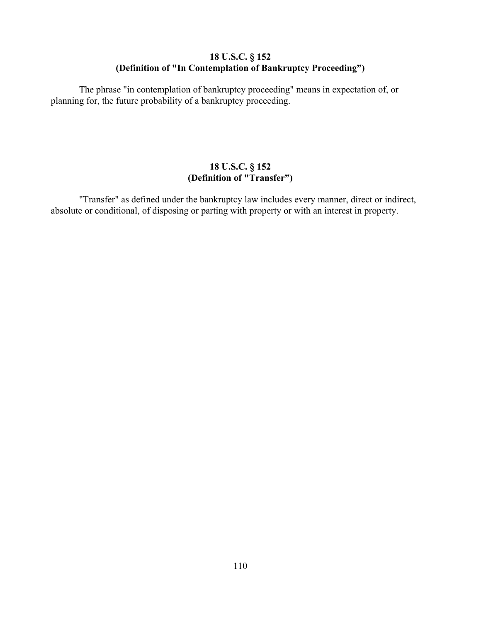# **18 U.S.C. § 152 (Definition of "In Contemplation of Bankruptcy Proceeding")**

The phrase "in contemplation of bankruptcy proceeding" means in expectation of, or planning for, the future probability of a bankruptcy proceeding.

# **18 U.S.C. § 152 (Definition of "Transfer")**

"Transfer" as defined under the bankruptcy law includes every manner, direct or indirect, absolute or conditional, of disposing or parting with property or with an interest in property.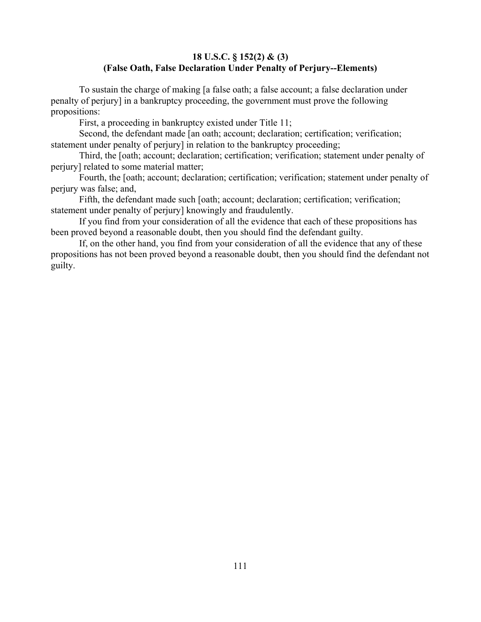## **18 U.S.C. § 152(2) & (3) (False Oath, False Declaration Under Penalty of Perjury--Elements)**

To sustain the charge of making [a false oath; a false account; a false declaration under penalty of perjury] in a bankruptcy proceeding, the government must prove the following propositions:

First, a proceeding in bankruptcy existed under Title 11;

Second, the defendant made [an oath; account; declaration; certification; verification; statement under penalty of perjury] in relation to the bankruptcy proceeding;

Third, the [oath; account; declaration; certification; verification; statement under penalty of perjury] related to some material matter;

Fourth, the [oath; account; declaration; certification; verification; statement under penalty of perjury was false; and,

Fifth, the defendant made such [oath; account; declaration; certification; verification; statement under penalty of perjury] knowingly and fraudulently.

If you find from your consideration of all the evidence that each of these propositions has been proved beyond a reasonable doubt, then you should find the defendant guilty.

If, on the other hand, you find from your consideration of all the evidence that any of these propositions has not been proved beyond a reasonable doubt, then you should find the defendant not guilty.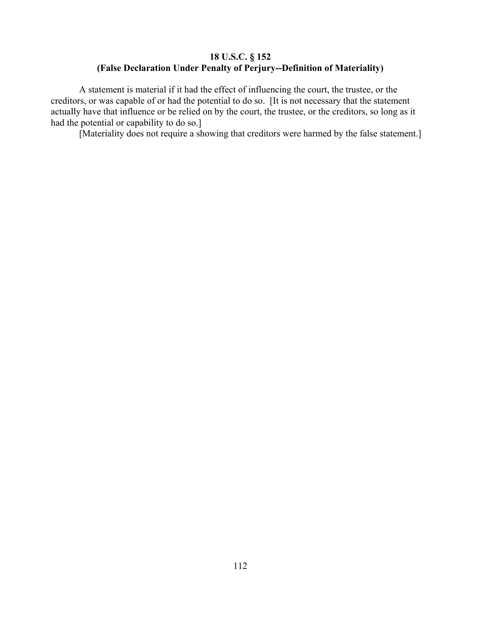# **18 U.S.C. § 152 (False Declaration Under Penalty of Perjury--Definition of Materiality)**

A statement is material if it had the effect of influencing the court, the trustee, or the creditors, or was capable of or had the potential to do so. [It is not necessary that the statement actually have that influence or be relied on by the court, the trustee, or the creditors, so long as it had the potential or capability to do so.]

[Materiality does not require a showing that creditors were harmed by the false statement.]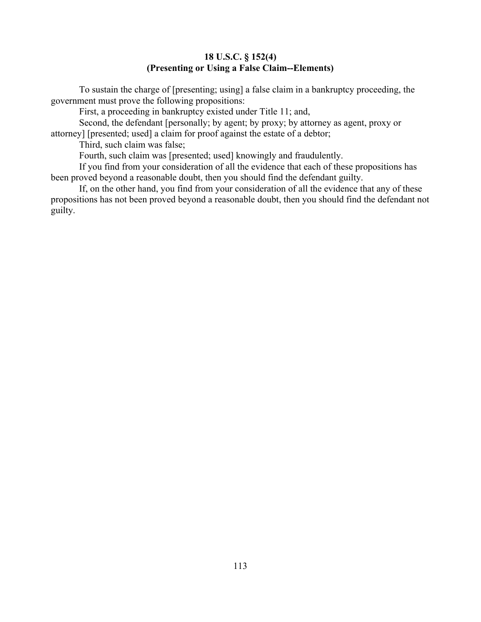## **18 U.S.C. § 152(4) (Presenting or Using a False Claim--Elements)**

To sustain the charge of [presenting; using] a false claim in a bankruptcy proceeding, the government must prove the following propositions:

First, a proceeding in bankruptcy existed under Title 11; and,

Second, the defendant [personally; by agent; by proxy; by attorney as agent, proxy or attorney] [presented; used] a claim for proof against the estate of a debtor;

Third, such claim was false;

Fourth, such claim was [presented; used] knowingly and fraudulently.

If you find from your consideration of all the evidence that each of these propositions has been proved beyond a reasonable doubt, then you should find the defendant guilty.

If, on the other hand, you find from your consideration of all the evidence that any of these propositions has not been proved beyond a reasonable doubt, then you should find the defendant not guilty.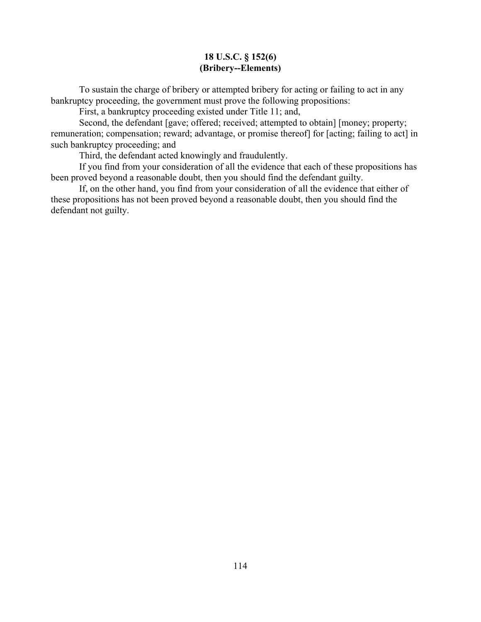## **18 U.S.C. § 152(6) (Bribery--Elements)**

To sustain the charge of bribery or attempted bribery for acting or failing to act in any bankruptcy proceeding, the government must prove the following propositions:

First, a bankruptcy proceeding existed under Title 11; and,

Second, the defendant [gave; offered; received; attempted to obtain] [money; property; remuneration; compensation; reward; advantage, or promise thereof] for [acting; failing to act] in such bankruptcy proceeding; and

Third, the defendant acted knowingly and fraudulently.

If you find from your consideration of all the evidence that each of these propositions has been proved beyond a reasonable doubt, then you should find the defendant guilty.

If, on the other hand, you find from your consideration of all the evidence that either of these propositions has not been proved beyond a reasonable doubt, then you should find the defendant not guilty.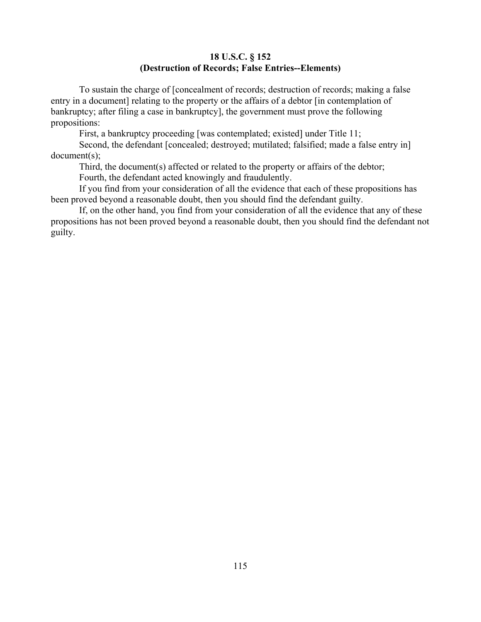### **18 U.S.C. § 152 (Destruction of Records; False Entries--Elements)**

To sustain the charge of [concealment of records; destruction of records; making a false entry in a document] relating to the property or the affairs of a debtor [in contemplation of bankruptcy; after filing a case in bankruptcy], the government must prove the following propositions:

First, a bankruptcy proceeding [was contemplated; existed] under Title 11;

Second, the defendant [concealed; destroyed; mutilated; falsified; made a false entry in] document(s);

Third, the document(s) affected or related to the property or affairs of the debtor;

Fourth, the defendant acted knowingly and fraudulently.

If you find from your consideration of all the evidence that each of these propositions has been proved beyond a reasonable doubt, then you should find the defendant guilty.

If, on the other hand, you find from your consideration of all the evidence that any of these propositions has not been proved beyond a reasonable doubt, then you should find the defendant not guilty.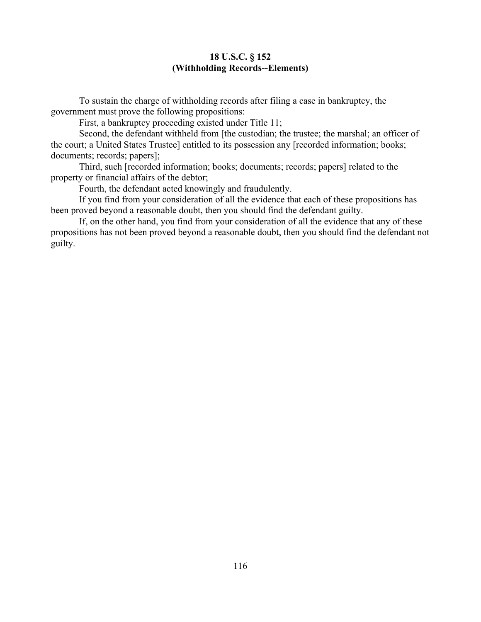#### **18 U.S.C. § 152 (Withholding Records--Elements)**

To sustain the charge of withholding records after filing a case in bankruptcy, the government must prove the following propositions:

First, a bankruptcy proceeding existed under Title 11;

Second, the defendant withheld from [the custodian; the trustee; the marshal; an officer of the court; a United States Trustee] entitled to its possession any [recorded information; books; documents; records; papers];

Third, such [recorded information; books; documents; records; papers] related to the property or financial affairs of the debtor;

Fourth, the defendant acted knowingly and fraudulently.

If you find from your consideration of all the evidence that each of these propositions has been proved beyond a reasonable doubt, then you should find the defendant guilty.

If, on the other hand, you find from your consideration of all the evidence that any of these propositions has not been proved beyond a reasonable doubt, then you should find the defendant not guilty.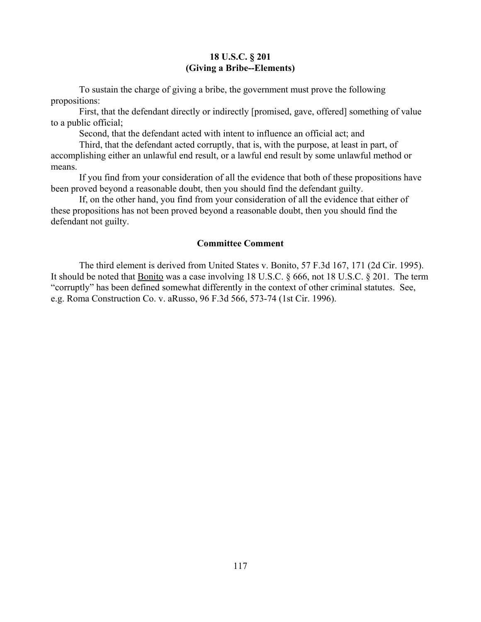#### **18 U.S.C. § 201 (Giving a Bribe--Elements)**

To sustain the charge of giving a bribe, the government must prove the following propositions:

First, that the defendant directly or indirectly [promised, gave, offered] something of value to a public official;

Second, that the defendant acted with intent to influence an official act; and

Third, that the defendant acted corruptly, that is, with the purpose, at least in part, of accomplishing either an unlawful end result, or a lawful end result by some unlawful method or means.

If you find from your consideration of all the evidence that both of these propositions have been proved beyond a reasonable doubt, then you should find the defendant guilty.

If, on the other hand, you find from your consideration of all the evidence that either of these propositions has not been proved beyond a reasonable doubt, then you should find the defendant not guilty.

#### **Committee Comment**

The third element is derived from United States v. Bonito, 57 F.3d 167, 171 (2d Cir. 1995). It should be noted that Bonito was a case involving 18 U.S.C. § 666, not 18 U.S.C. § 201. The term "corruptly" has been defined somewhat differently in the context of other criminal statutes. See, e.g. Roma Construction Co. v. aRusso, 96 F.3d 566, 573-74 (1st Cir. 1996).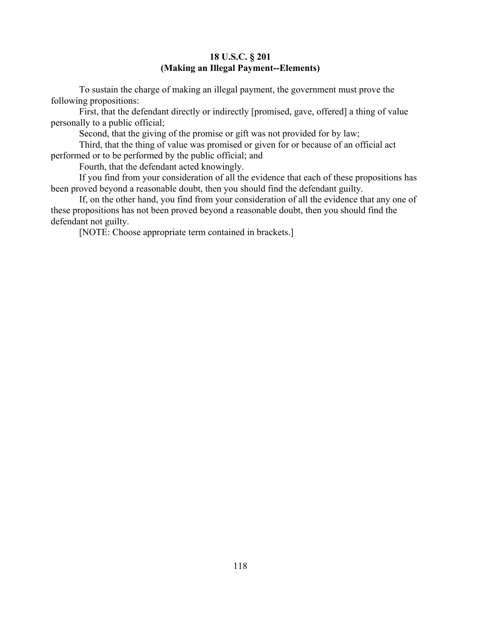## **18 U.S.C. § 201 (Making an Illegal Payment--Elements)**

To sustain the charge of making an illegal payment, the government must prove the following propositions:

First, that the defendant directly or indirectly [promised, gave, offered] a thing of value personally to a public official;

Second, that the giving of the promise or gift was not provided for by law;

Third, that the thing of value was promised or given for or because of an official act performed or to be performed by the public official; and

Fourth, that the defendant acted knowingly.

If you find from your consideration of all the evidence that each of these propositions has been proved beyond a reasonable doubt, then you should find the defendant guilty.

If, on the other hand, you find from your consideration of all the evidence that any one of these propositions has not been proved beyond a reasonable doubt, then you should find the defendant not guilty.

[NOTE: Choose appropriate term contained in brackets.]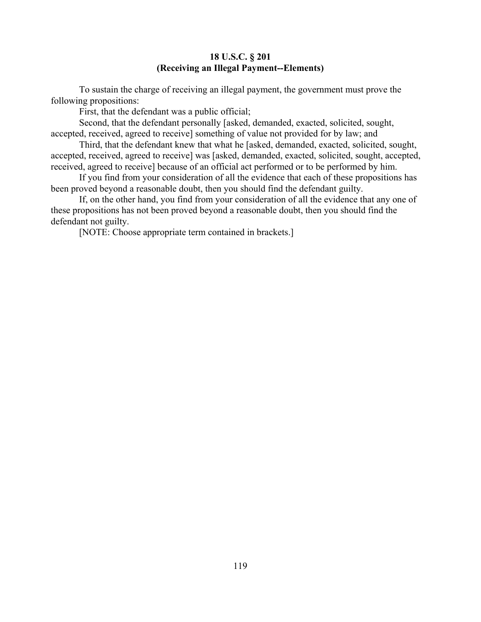## **18 U.S.C. § 201 (Receiving an Illegal Payment--Elements)**

To sustain the charge of receiving an illegal payment, the government must prove the following propositions:

First, that the defendant was a public official;

Second, that the defendant personally [asked, demanded, exacted, solicited, sought, accepted, received, agreed to receive] something of value not provided for by law; and

Third, that the defendant knew that what he [asked, demanded, exacted, solicited, sought, accepted, received, agreed to receive] was [asked, demanded, exacted, solicited, sought, accepted, received, agreed to receive] because of an official act performed or to be performed by him.

If you find from your consideration of all the evidence that each of these propositions has been proved beyond a reasonable doubt, then you should find the defendant guilty.

If, on the other hand, you find from your consideration of all the evidence that any one of these propositions has not been proved beyond a reasonable doubt, then you should find the defendant not guilty.

[NOTE: Choose appropriate term contained in brackets.]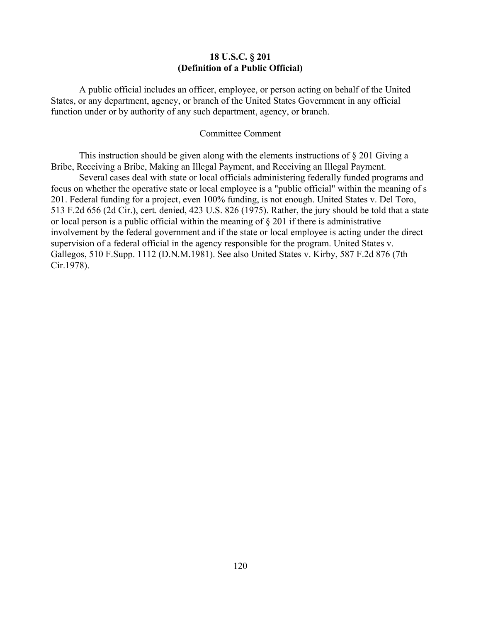#### **18 U.S.C. § 201 (Definition of a Public Official)**

A public official includes an officer, employee, or person acting on behalf of the United States, or any department, agency, or branch of the United States Government in any official function under or by authority of any such department, agency, or branch.

#### Committee Comment

This instruction should be given along with the elements instructions of  $\S 201$  Giving a Bribe, Receiving a Bribe, Making an Illegal Payment, and Receiving an Illegal Payment.

Several cases deal with state or local officials administering federally funded programs and focus on whether the operative state or local employee is a "public official" within the meaning of s 201. Federal funding for a project, even 100% funding, is not enough. United States v. Del Toro, 513 F.2d 656 (2d Cir.), cert. denied, 423 U.S. 826 (1975). Rather, the jury should be told that a state or local person is a public official within the meaning of § 201 if there is administrative involvement by the federal government and if the state or local employee is acting under the direct supervision of a federal official in the agency responsible for the program. United States v. Gallegos, 510 F.Supp. 1112 (D.N.M.1981). See also United States v. Kirby, 587 F.2d 876 (7th Cir.1978).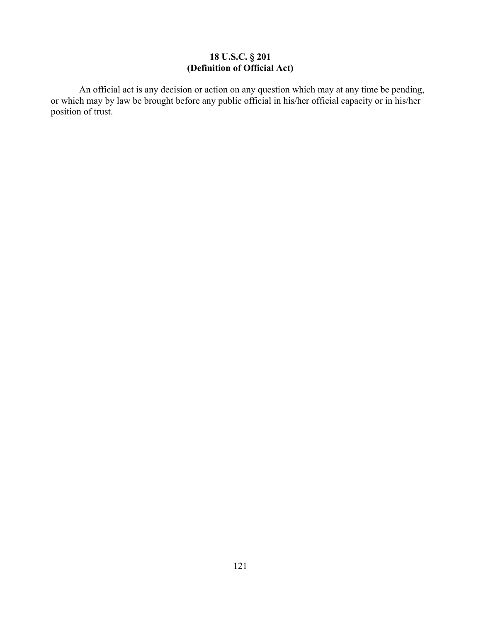### **18 U.S.C. § 201 (Definition of Official Act)**

An official act is any decision or action on any question which may at any time be pending, or which may by law be brought before any public official in his/her official capacity or in his/her position of trust.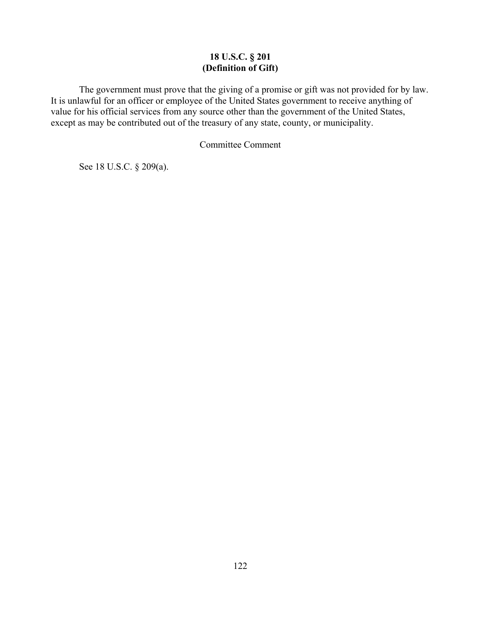## **18 U.S.C. § 201 (Definition of Gift)**

The government must prove that the giving of a promise or gift was not provided for by law. It is unlawful for an officer or employee of the United States government to receive anything of value for his official services from any source other than the government of the United States, except as may be contributed out of the treasury of any state, county, or municipality.

Committee Comment

See 18 U.S.C. § 209(a).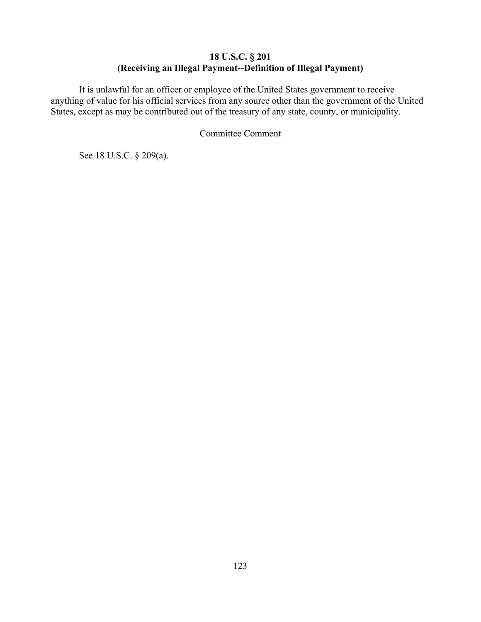# **18 U.S.C. § 201 (Receiving an Illegal Payment--Definition of Illegal Payment)**

It is unlawful for an officer or employee of the United States government to receive anything of value for his official services from any source other than the government of the United States, except as may be contributed out of the treasury of any state, county, or municipality.

Committee Comment

See 18 U.S.C. § 209(a).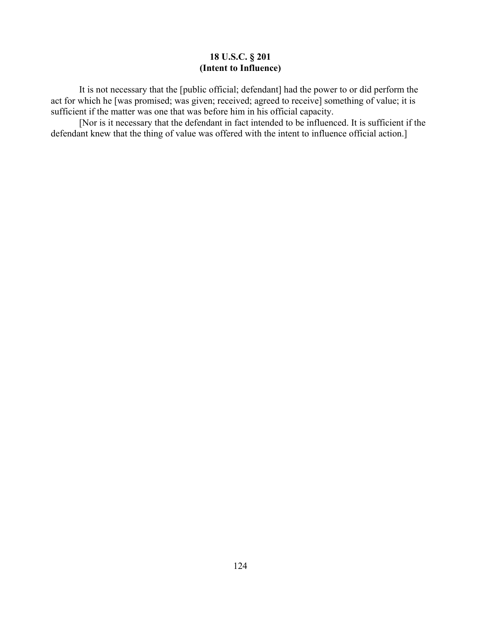## **18 U.S.C. § 201 (Intent to Influence)**

It is not necessary that the [public official; defendant] had the power to or did perform the act for which he [was promised; was given; received; agreed to receive] something of value; it is sufficient if the matter was one that was before him in his official capacity.

[Nor is it necessary that the defendant in fact intended to be influenced. It is sufficient if the defendant knew that the thing of value was offered with the intent to influence official action.]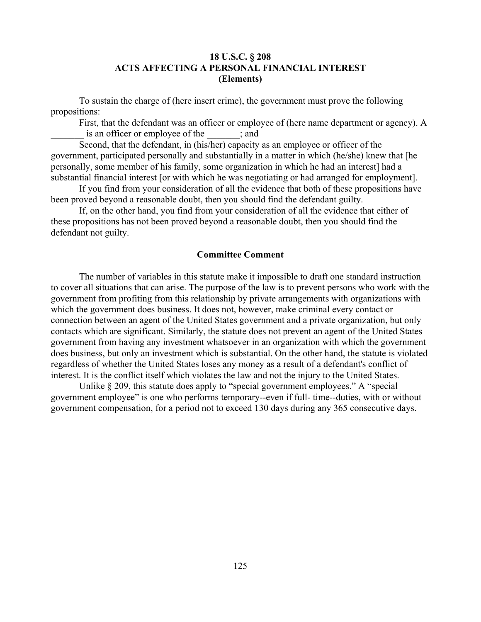## **18 U.S.C. § 208 ACTS AFFECTING A PERSONAL FINANCIAL INTEREST (Elements)**

To sustain the charge of (here insert crime), the government must prove the following propositions:

First, that the defendant was an officer or employee of (here name department or agency). A is an officer or employee of the  $\qquad$ ; and

Second, that the defendant, in (his/her) capacity as an employee or officer of the government, participated personally and substantially in a matter in which (he/she) knew that [he personally, some member of his family, some organization in which he had an interest] had a substantial financial interest [or with which he was negotiating or had arranged for employment].

If you find from your consideration of all the evidence that both of these propositions have been proved beyond a reasonable doubt, then you should find the defendant guilty.

If, on the other hand, you find from your consideration of all the evidence that either of these propositions has not been proved beyond a reasonable doubt, then you should find the defendant not guilty.

#### **Committee Comment**

The number of variables in this statute make it impossible to draft one standard instruction to cover all situations that can arise. The purpose of the law is to prevent persons who work with the government from profiting from this relationship by private arrangements with organizations with which the government does business. It does not, however, make criminal every contact or connection between an agent of the United States government and a private organization, but only contacts which are significant. Similarly, the statute does not prevent an agent of the United States government from having any investment whatsoever in an organization with which the government does business, but only an investment which is substantial. On the other hand, the statute is violated regardless of whether the United States loses any money as a result of a defendant's conflict of interest. It is the conflict itself which violates the law and not the injury to the United States.

Unlike § 209, this statute does apply to "special government employees." A "special government employee" is one who performs temporary--even if full- time--duties, with or without government compensation, for a period not to exceed 130 days during any 365 consecutive days.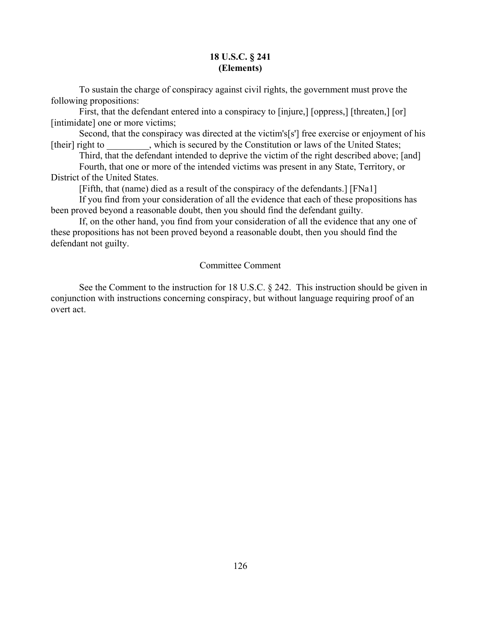## **18 U.S.C. § 241 (Elements)**

To sustain the charge of conspiracy against civil rights, the government must prove the following propositions:

First, that the defendant entered into a conspiracy to [injure,] [oppress,] [threaten,] [or] [intimidate] one or more victims;

Second, that the conspiracy was directed at the victim's[s'] free exercise or enjoyment of his [their] right to which is secured by the Constitution or laws of the United States;

Third, that the defendant intended to deprive the victim of the right described above; [and] Fourth, that one or more of the intended victims was present in any State, Territory, or

District of the United States.

[Fifth, that (name) died as a result of the conspiracy of the defendants.] [FNa1]

If you find from your consideration of all the evidence that each of these propositions has been proved beyond a reasonable doubt, then you should find the defendant guilty.

If, on the other hand, you find from your consideration of all the evidence that any one of these propositions has not been proved beyond a reasonable doubt, then you should find the defendant not guilty.

## Committee Comment

See the Comment to the instruction for 18 U.S.C. § 242. This instruction should be given in conjunction with instructions concerning conspiracy, but without language requiring proof of an overt act.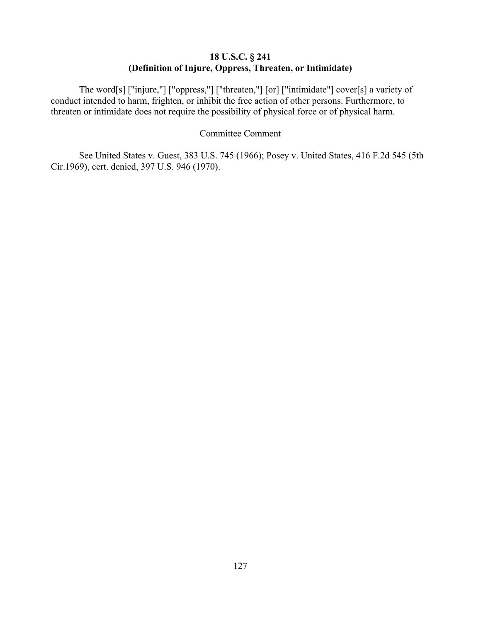# **18 U.S.C. § 241 (Definition of Injure, Oppress, Threaten, or Intimidate)**

The word[s] ["injure,"] ["oppress,"] ["threaten,"] [or] ["intimidate"] cover[s] a variety of conduct intended to harm, frighten, or inhibit the free action of other persons. Furthermore, to threaten or intimidate does not require the possibility of physical force or of physical harm.

#### Committee Comment

See United States v. Guest, 383 U.S. 745 (1966); Posey v. United States, 416 F.2d 545 (5th Cir.1969), cert. denied, 397 U.S. 946 (1970).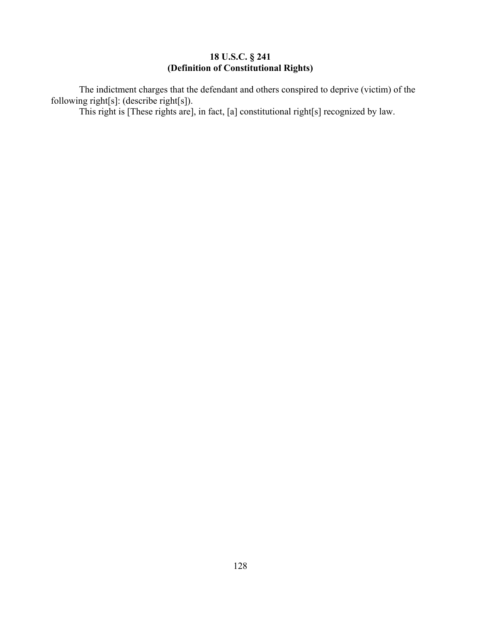### **18 U.S.C. § 241 (Definition of Constitutional Rights)**

The indictment charges that the defendant and others conspired to deprive (victim) of the following right[s]: (describe right[s]).

This right is [These rights are], in fact, [a] constitutional right[s] recognized by law.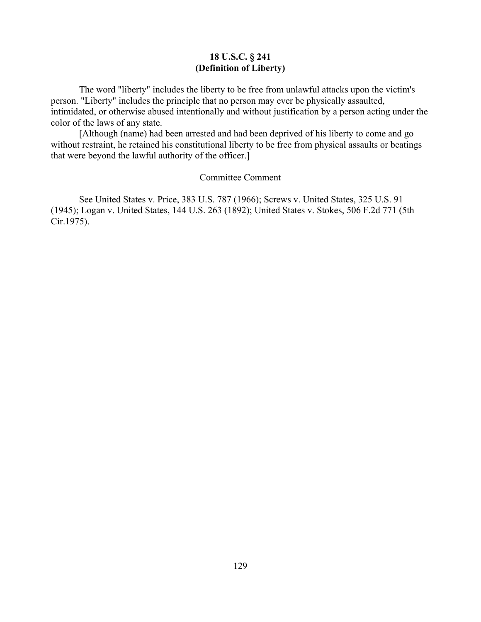## **18 U.S.C. § 241 (Definition of Liberty)**

The word "liberty" includes the liberty to be free from unlawful attacks upon the victim's person. "Liberty" includes the principle that no person may ever be physically assaulted, intimidated, or otherwise abused intentionally and without justification by a person acting under the color of the laws of any state.

[Although (name) had been arrested and had been deprived of his liberty to come and go without restraint, he retained his constitutional liberty to be free from physical assaults or beatings that were beyond the lawful authority of the officer.]

#### Committee Comment

See United States v. Price, 383 U.S. 787 (1966); Screws v. United States, 325 U.S. 91 (1945); Logan v. United States, 144 U.S. 263 (1892); United States v. Stokes, 506 F.2d 771 (5th Cir.1975).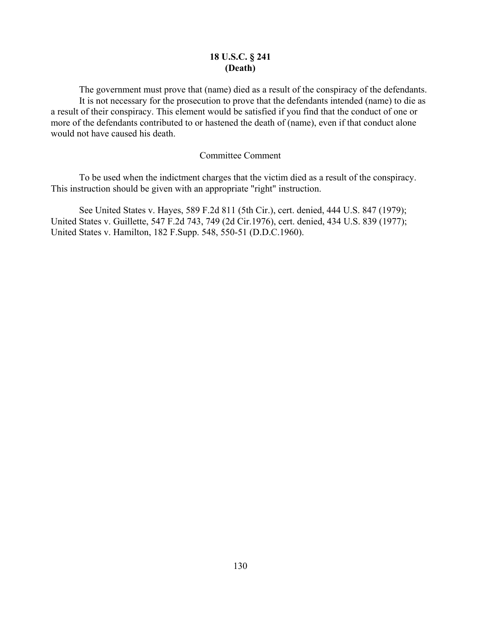## **18 U.S.C. § 241 (Death)**

The government must prove that (name) died as a result of the conspiracy of the defendants. It is not necessary for the prosecution to prove that the defendants intended (name) to die as a result of their conspiracy. This element would be satisfied if you find that the conduct of one or more of the defendants contributed to or hastened the death of (name), even if that conduct alone would not have caused his death.

#### Committee Comment

To be used when the indictment charges that the victim died as a result of the conspiracy. This instruction should be given with an appropriate "right" instruction.

See United States v. Hayes, 589 F.2d 811 (5th Cir.), cert. denied, 444 U.S. 847 (1979); United States v. Guillette, 547 F.2d 743, 749 (2d Cir.1976), cert. denied, 434 U.S. 839 (1977); United States v. Hamilton, 182 F.Supp. 548, 550-51 (D.D.C.1960).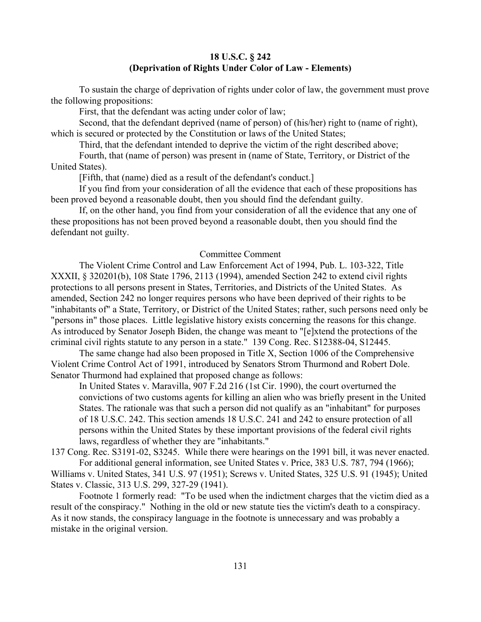### **18 U.S.C. § 242 (Deprivation of Rights Under Color of Law - Elements)**

To sustain the charge of deprivation of rights under color of law, the government must prove the following propositions:

First, that the defendant was acting under color of law;

Second, that the defendant deprived (name of person) of (his/her) right to (name of right), which is secured or protected by the Constitution or laws of the United States;

Third, that the defendant intended to deprive the victim of the right described above;

Fourth, that (name of person) was present in (name of State, Territory, or District of the United States).

[Fifth, that (name) died as a result of the defendant's conduct.]

If you find from your consideration of all the evidence that each of these propositions has been proved beyond a reasonable doubt, then you should find the defendant guilty.

If, on the other hand, you find from your consideration of all the evidence that any one of these propositions has not been proved beyond a reasonable doubt, then you should find the defendant not guilty.

#### Committee Comment

The Violent Crime Control and Law Enforcement Act of 1994, Pub. L. 103-322, Title XXXII, § 320201(b), 108 State 1796, 2113 (1994), amended Section 242 to extend civil rights protections to all persons present in States, Territories, and Districts of the United States. As amended, Section 242 no longer requires persons who have been deprived of their rights to be "inhabitants of" a State, Territory, or District of the United States; rather, such persons need only be "persons in" those places. Little legislative history exists concerning the reasons for this change. As introduced by Senator Joseph Biden, the change was meant to "[e]xtend the protections of the criminal civil rights statute to any person in a state." 139 Cong. Rec. S12388-04, S12445.

The same change had also been proposed in Title X, Section 1006 of the Comprehensive Violent Crime Control Act of 1991, introduced by Senators Strom Thurmond and Robert Dole. Senator Thurmond had explained that proposed change as follows:

In United States v. Maravilla, 907 F.2d 216 (1st Cir. 1990), the court overturned the convictions of two customs agents for killing an alien who was briefly present in the United States. The rationale was that such a person did not qualify as an "inhabitant" for purposes of 18 U.S.C. 242. This section amends 18 U.S.C. 241 and 242 to ensure protection of all persons within the United States by these important provisions of the federal civil rights laws, regardless of whether they are "inhabitants."

137 Cong. Rec. S3191-02, S3245. While there were hearings on the 1991 bill, it was never enacted. For additional general information, see United States v. Price, 383 U.S. 787, 794 (1966);

Williams v. United States, 341 U.S. 97 (1951); Screws v. United States, 325 U.S. 91 (1945); United States v. Classic, 313 U.S. 299, 327-29 (1941).

Footnote 1 formerly read: "To be used when the indictment charges that the victim died as a result of the conspiracy." Nothing in the old or new statute ties the victim's death to a conspiracy. As it now stands, the conspiracy language in the footnote is unnecessary and was probably a mistake in the original version.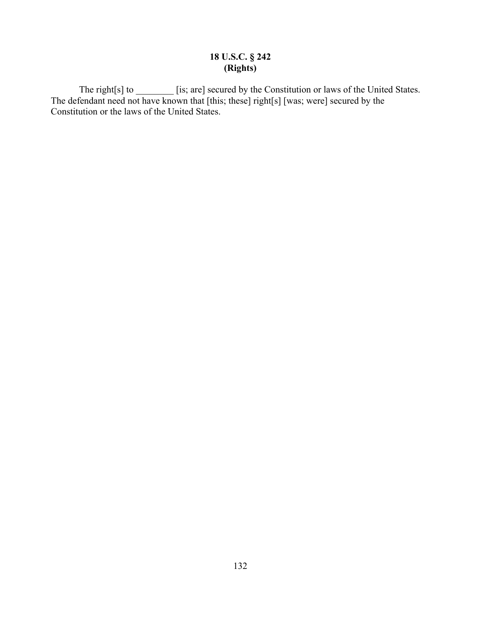# **18 U.S.C. § 242 (Rights)**

The right[s] to \_\_\_\_\_\_\_\_\_ [is; are] secured by the Constitution or laws of the United States. The defendant need not have known that [this; these] right[s] [was; were] secured by the Constitution or the laws of the United States.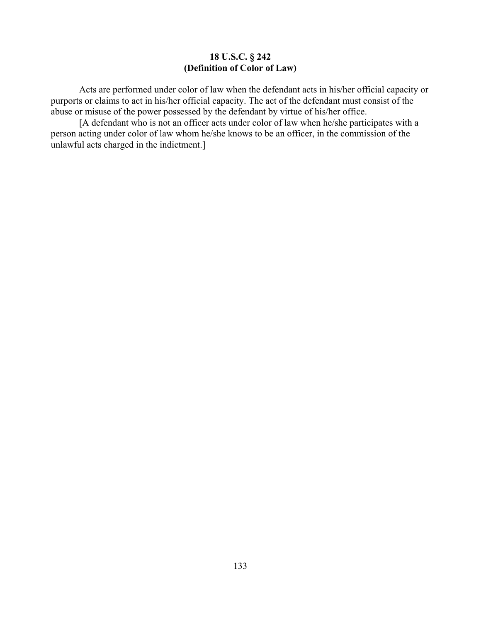## **18 U.S.C. § 242 (Definition of Color of Law)**

Acts are performed under color of law when the defendant acts in his/her official capacity or purports or claims to act in his/her official capacity. The act of the defendant must consist of the abuse or misuse of the power possessed by the defendant by virtue of his/her office.

[A defendant who is not an officer acts under color of law when he/she participates with a person acting under color of law whom he/she knows to be an officer, in the commission of the unlawful acts charged in the indictment.]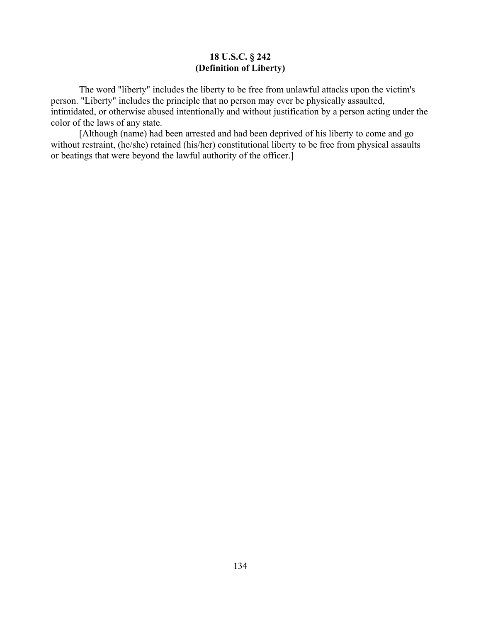## **18 U.S.C. § 242 (Definition of Liberty)**

The word "liberty" includes the liberty to be free from unlawful attacks upon the victim's person. "Liberty" includes the principle that no person may ever be physically assaulted, intimidated, or otherwise abused intentionally and without justification by a person acting under the color of the laws of any state.

[Although (name) had been arrested and had been deprived of his liberty to come and go without restraint, (he/she) retained (his/her) constitutional liberty to be free from physical assaults or beatings that were beyond the lawful authority of the officer.]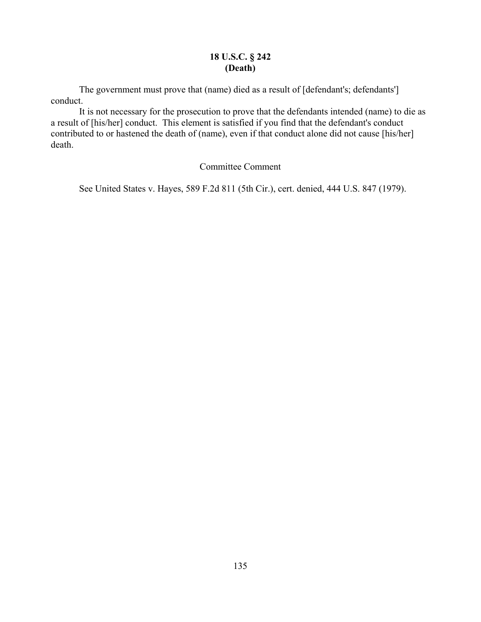## **18 U.S.C. § 242 (Death)**

The government must prove that (name) died as a result of [defendant's; defendants'] conduct.

It is not necessary for the prosecution to prove that the defendants intended (name) to die as a result of [his/her] conduct. This element is satisfied if you find that the defendant's conduct contributed to or hastened the death of (name), even if that conduct alone did not cause [his/her] death.

## Committee Comment

See United States v. Hayes, 589 F.2d 811 (5th Cir.), cert. denied, 444 U.S. 847 (1979).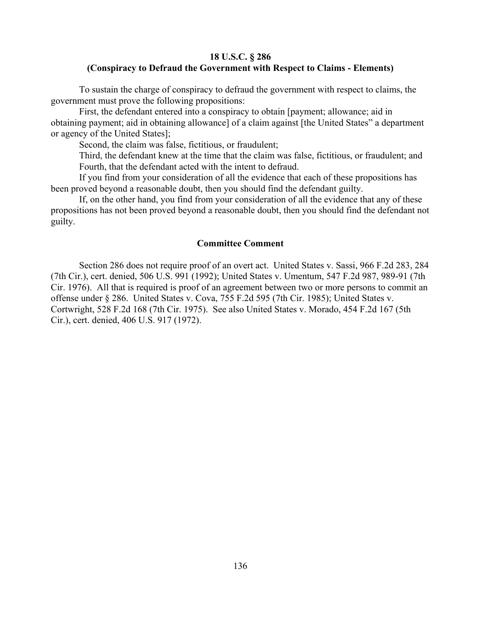## **18 U.S.C. § 286 (Conspiracy to Defraud the Government with Respect to Claims - Elements)**

To sustain the charge of conspiracy to defraud the government with respect to claims, the government must prove the following propositions:

First, the defendant entered into a conspiracy to obtain [payment; allowance; aid in obtaining payment; aid in obtaining allowance] of a claim against [the United States" a department or agency of the United States];

Second, the claim was false, fictitious, or fraudulent;

Third, the defendant knew at the time that the claim was false, fictitious, or fraudulent; and Fourth, that the defendant acted with the intent to defraud.

If you find from your consideration of all the evidence that each of these propositions has been proved beyond a reasonable doubt, then you should find the defendant guilty.

If, on the other hand, you find from your consideration of all the evidence that any of these propositions has not been proved beyond a reasonable doubt, then you should find the defendant not guilty.

#### **Committee Comment**

Section 286 does not require proof of an overt act. United States v. Sassi, 966 F.2d 283, 284 (7th Cir.), cert. denied, 506 U.S. 991 (1992); United States v. Umentum, 547 F.2d 987, 989-91 (7th Cir. 1976). All that is required is proof of an agreement between two or more persons to commit an offense under § 286. United States v. Cova, 755 F.2d 595 (7th Cir. 1985); United States v. Cortwright, 528 F.2d 168 (7th Cir. 1975). See also United States v. Morado, 454 F.2d 167 (5th Cir.), cert. denied, 406 U.S. 917 (1972).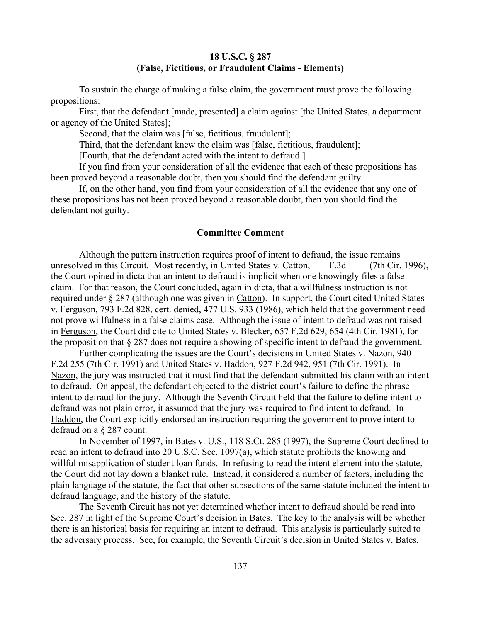## **18 U.S.C. § 287 (False, Fictitious, or Fraudulent Claims - Elements)**

To sustain the charge of making a false claim, the government must prove the following propositions:

First, that the defendant [made, presented] a claim against [the United States, a department or agency of the United States];

Second, that the claim was [false, fictitious, fraudulent];

Third, that the defendant knew the claim was [false, fictitious, fraudulent];

[Fourth, that the defendant acted with the intent to defraud.]

If you find from your consideration of all the evidence that each of these propositions has been proved beyond a reasonable doubt, then you should find the defendant guilty.

If, on the other hand, you find from your consideration of all the evidence that any one of these propositions has not been proved beyond a reasonable doubt, then you should find the defendant not guilty.

#### **Committee Comment**

Although the pattern instruction requires proof of intent to defraud, the issue remains unresolved in this Circuit. Most recently, in United States v. Catton, F.3d (7th Cir. 1996), the Court opined in dicta that an intent to defraud is implicit when one knowingly files a false claim. For that reason, the Court concluded, again in dicta, that a willfulness instruction is not required under § 287 (although one was given in Catton). In support, the Court cited United States v. Ferguson, 793 F.2d 828, cert. denied, 477 U.S. 933 (1986), which held that the government need not prove willfulness in a false claims case. Although the issue of intent to defraud was not raised in Ferguson, the Court did cite to United States v. Blecker, 657 F.2d 629, 654 (4th Cir. 1981), for the proposition that § 287 does not require a showing of specific intent to defraud the government.

Further complicating the issues are the Court's decisions in United States v. Nazon, 940 F.2d 255 (7th Cir. 1991) and United States v. Haddon, 927 F.2d 942, 951 (7th Cir. 1991). In Nazon, the jury was instructed that it must find that the defendant submitted his claim with an intent to defraud. On appeal, the defendant objected to the district court's failure to define the phrase intent to defraud for the jury. Although the Seventh Circuit held that the failure to define intent to defraud was not plain error, it assumed that the jury was required to find intent to defraud. In Haddon, the Court explicitly endorsed an instruction requiring the government to prove intent to defraud on a § 287 count.

In November of 1997, in Bates v. U.S., 118 S.Ct. 285 (1997), the Supreme Court declined to read an intent to defraud into 20 U.S.C. Sec. 1097(a), which statute prohibits the knowing and willful misapplication of student loan funds. In refusing to read the intent element into the statute, the Court did not lay down a blanket rule. Instead, it considered a number of factors, including the plain language of the statute, the fact that other subsections of the same statute included the intent to defraud language, and the history of the statute.

The Seventh Circuit has not yet determined whether intent to defraud should be read into Sec. 287 in light of the Supreme Court's decision in Bates. The key to the analysis will be whether there is an historical basis for requiring an intent to defraud. This analysis is particularly suited to the adversary process. See, for example, the Seventh Circuit's decision in United States v. Bates,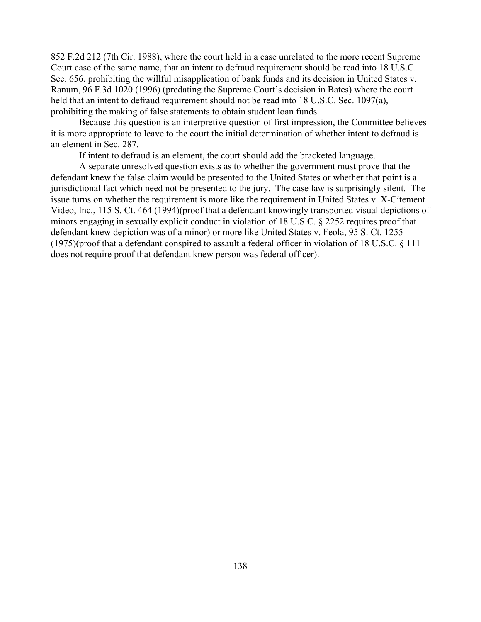852 F.2d 212 (7th Cir. 1988), where the court held in a case unrelated to the more recent Supreme Court case of the same name, that an intent to defraud requirement should be read into 18 U.S.C. Sec. 656, prohibiting the willful misapplication of bank funds and its decision in United States v. Ranum, 96 F.3d 1020 (1996) (predating the Supreme Court's decision in Bates) where the court held that an intent to defraud requirement should not be read into 18 U.S.C. Sec. 1097(a), prohibiting the making of false statements to obtain student loan funds.

Because this question is an interpretive question of first impression, the Committee believes it is more appropriate to leave to the court the initial determination of whether intent to defraud is an element in Sec. 287.

If intent to defraud is an element, the court should add the bracketed language.

A separate unresolved question exists as to whether the government must prove that the defendant knew the false claim would be presented to the United States or whether that point is a jurisdictional fact which need not be presented to the jury. The case law is surprisingly silent. The issue turns on whether the requirement is more like the requirement in United States v. X-Citement Video, Inc., 115 S. Ct. 464 (1994)(proof that a defendant knowingly transported visual depictions of minors engaging in sexually explicit conduct in violation of 18 U.S.C. § 2252 requires proof that defendant knew depiction was of a minor) or more like United States v. Feola, 95 S. Ct. 1255 (1975)(proof that a defendant conspired to assault a federal officer in violation of 18 U.S.C. § 111 does not require proof that defendant knew person was federal officer).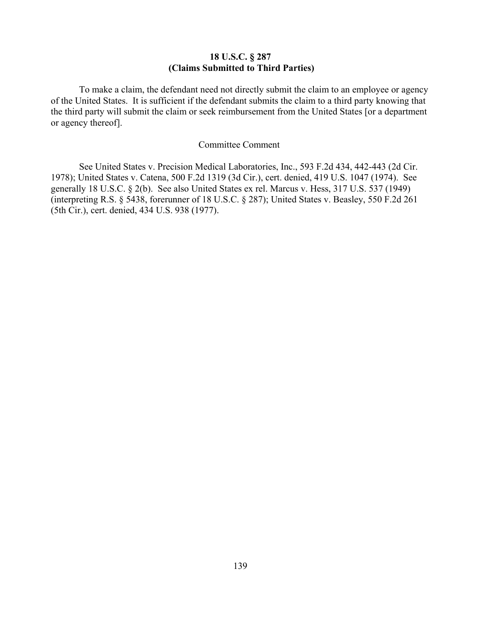## **18 U.S.C. § 287 (Claims Submitted to Third Parties)**

To make a claim, the defendant need not directly submit the claim to an employee or agency of the United States. It is sufficient if the defendant submits the claim to a third party knowing that the third party will submit the claim or seek reimbursement from the United States [or a department or agency thereof].

#### Committee Comment

See United States v. Precision Medical Laboratories, Inc., 593 F.2d 434, 442-443 (2d Cir. 1978); United States v. Catena, 500 F.2d 1319 (3d Cir.), cert. denied, 419 U.S. 1047 (1974). See generally 18 U.S.C. § 2(b). See also United States ex rel. Marcus v. Hess, 317 U.S. 537 (1949) (interpreting R.S. § 5438, forerunner of 18 U.S.C. § 287); United States v. Beasley, 550 F.2d 261 (5th Cir.), cert. denied, 434 U.S. 938 (1977).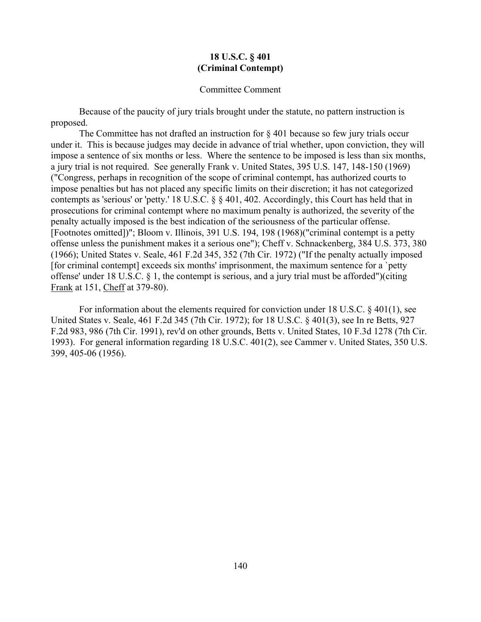### **18 U.S.C. § 401 (Criminal Contempt)**

#### Committee Comment

Because of the paucity of jury trials brought under the statute, no pattern instruction is proposed.

The Committee has not drafted an instruction for  $\S$  401 because so few jury trials occur under it. This is because judges may decide in advance of trial whether, upon conviction, they will impose a sentence of six months or less. Where the sentence to be imposed is less than six months, a jury trial is not required. See generally Frank v. United States, 395 U.S. 147, 148-150 (1969) ("Congress, perhaps in recognition of the scope of criminal contempt, has authorized courts to impose penalties but has not placed any specific limits on their discretion; it has not categorized contempts as 'serious' or 'petty.' 18 U.S.C. § § 401, 402. Accordingly, this Court has held that in prosecutions for criminal contempt where no maximum penalty is authorized, the severity of the penalty actually imposed is the best indication of the seriousness of the particular offense. [Footnotes omitted])"; Bloom v. Illinois, 391 U.S. 194, 198 (1968)("criminal contempt is a petty offense unless the punishment makes it a serious one"); Cheff v. Schnackenberg, 384 U.S. 373, 380 (1966); United States v. Seale, 461 F.2d 345, 352 (7th Cir. 1972) ("If the penalty actually imposed [for criminal contempt] exceeds six months' imprisonment, the maximum sentence for a `petty offense' under 18 U.S.C. § 1, the contempt is serious, and a jury trial must be afforded")(citing Frank at 151, Cheff at 379-80).

For information about the elements required for conviction under 18 U.S.C. § 401(1), see United States v. Seale, 461 F.2d 345 (7th Cir. 1972); for 18 U.S.C. § 401(3), see In re Betts, 927 F.2d 983, 986 (7th Cir. 1991), rev'd on other grounds, Betts v. United States, 10 F.3d 1278 (7th Cir. 1993). For general information regarding 18 U.S.C. 401(2), see Cammer v. United States, 350 U.S. 399, 405-06 (1956).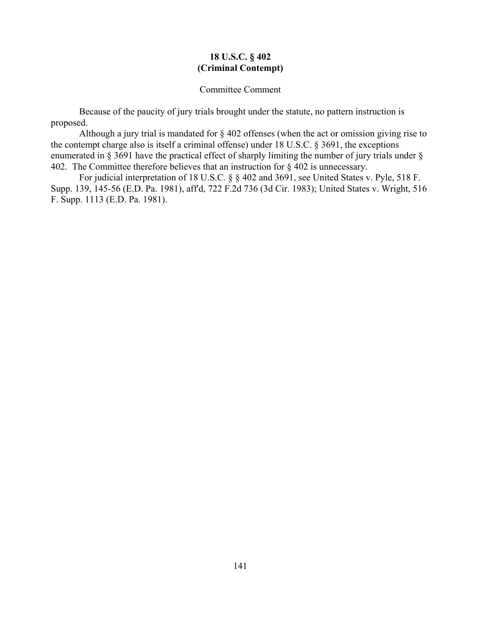## **18 U.S.C. § 402 (Criminal Contempt)**

#### Committee Comment

Because of the paucity of jury trials brought under the statute, no pattern instruction is proposed.

Although a jury trial is mandated for § 402 offenses (when the act or omission giving rise to the contempt charge also is itself a criminal offense) under 18 U.S.C. § 3691, the exceptions enumerated in § 3691 have the practical effect of sharply limiting the number of jury trials under § 402. The Committee therefore believes that an instruction for § 402 is unnecessary.

For judicial interpretation of 18 U.S.C. § § 402 and 3691, see United States v. Pyle, 518 F. Supp. 139, 145-56 (E.D. Pa. 1981), aff'd, 722 F.2d 736 (3d Cir. 1983); United States v. Wright, 516 F. Supp. 1113 (E.D. Pa. 1981).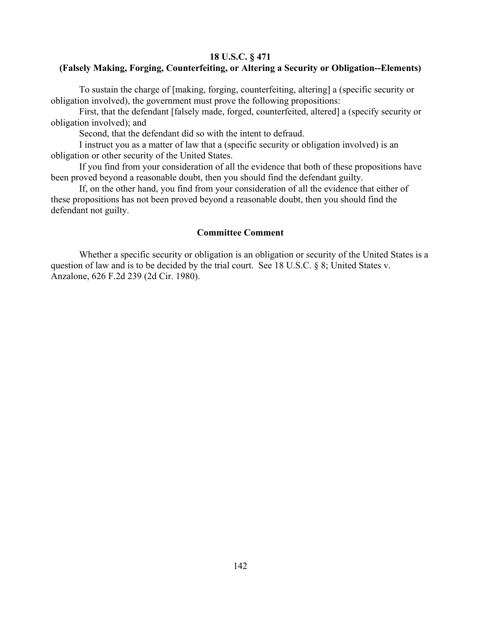#### **18 U.S.C. § 471**

## **(Falsely Making, Forging, Counterfeiting, or Altering a Security or Obligation--Elements)**

To sustain the charge of [making, forging, counterfeiting, altering] a (specific security or obligation involved), the government must prove the following propositions:

First, that the defendant [falsely made, forged, counterfeited, altered] a (specify security or obligation involved); and

Second, that the defendant did so with the intent to defraud.

I instruct you as a matter of law that a (specific security or obligation involved) is an obligation or other security of the United States.

If you find from your consideration of all the evidence that both of these propositions have been proved beyond a reasonable doubt, then you should find the defendant guilty.

If, on the other hand, you find from your consideration of all the evidence that either of these propositions has not been proved beyond a reasonable doubt, then you should find the defendant not guilty.

#### **Committee Comment**

Whether a specific security or obligation is an obligation or security of the United States is a question of law and is to be decided by the trial court. See 18 U.S.C. § 8; United States v. Anzalone, 626 F.2d 239 (2d Cir. 1980).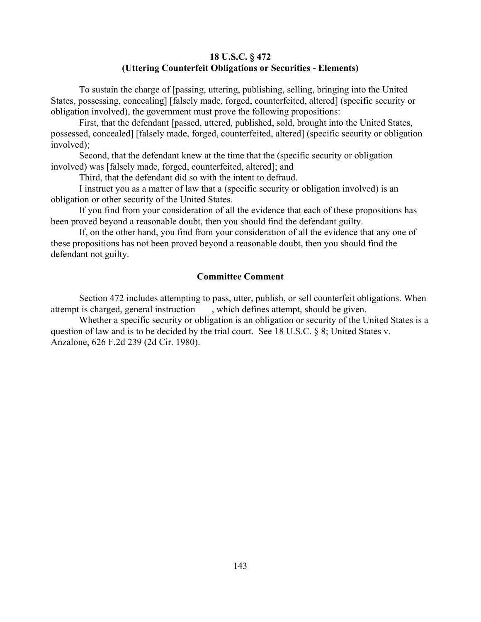## **18 U.S.C. § 472 (Uttering Counterfeit Obligations or Securities - Elements)**

To sustain the charge of [passing, uttering, publishing, selling, bringing into the United States, possessing, concealing] [falsely made, forged, counterfeited, altered] (specific security or obligation involved), the government must prove the following propositions:

First, that the defendant [passed, uttered, published, sold, brought into the United States, possessed, concealed] [falsely made, forged, counterfeited, altered] (specific security or obligation involved);

Second, that the defendant knew at the time that the (specific security or obligation involved) was [falsely made, forged, counterfeited, altered]; and

Third, that the defendant did so with the intent to defraud.

I instruct you as a matter of law that a (specific security or obligation involved) is an obligation or other security of the United States.

If you find from your consideration of all the evidence that each of these propositions has been proved beyond a reasonable doubt, then you should find the defendant guilty.

If, on the other hand, you find from your consideration of all the evidence that any one of these propositions has not been proved beyond a reasonable doubt, then you should find the defendant not guilty.

### **Committee Comment**

Section 472 includes attempting to pass, utter, publish, or sell counterfeit obligations. When attempt is charged, general instruction \_\_\_, which defines attempt, should be given.

Whether a specific security or obligation is an obligation or security of the United States is a question of law and is to be decided by the trial court. See 18 U.S.C. § 8; United States v. Anzalone, 626 F.2d 239 (2d Cir. 1980).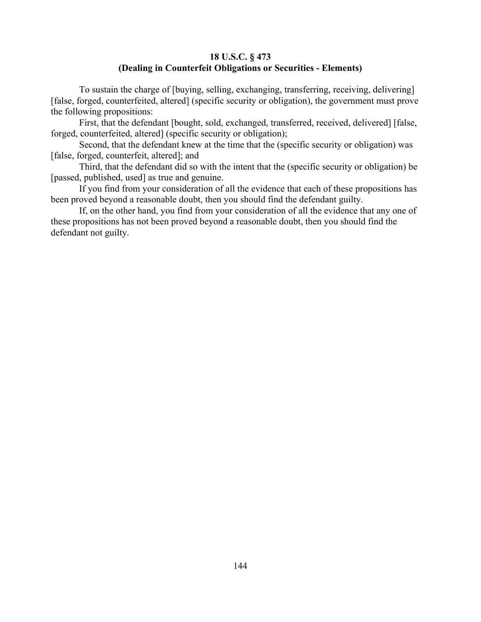## **18 U.S.C. § 473 (Dealing in Counterfeit Obligations or Securities - Elements)**

To sustain the charge of [buying, selling, exchanging, transferring, receiving, delivering] [false, forged, counterfeited, altered] (specific security or obligation), the government must prove the following propositions:

First, that the defendant [bought, sold, exchanged, transferred, received, delivered] [false, forged, counterfeited, altered] (specific security or obligation);

Second, that the defendant knew at the time that the (specific security or obligation) was [false, forged, counterfeit, altered]; and

Third, that the defendant did so with the intent that the (specific security or obligation) be [passed, published, used] as true and genuine.

If you find from your consideration of all the evidence that each of these propositions has been proved beyond a reasonable doubt, then you should find the defendant guilty.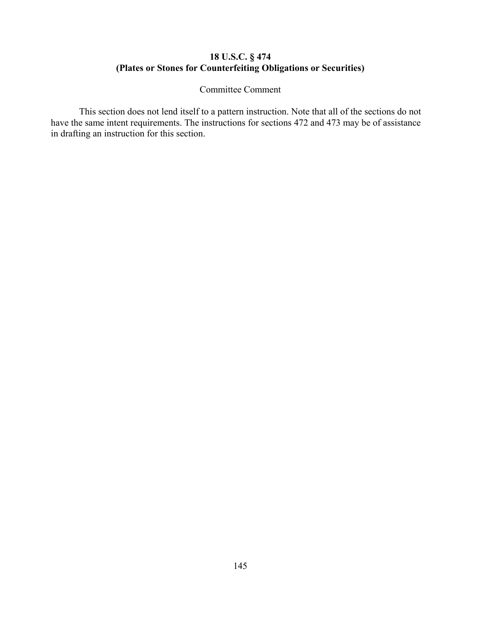### **18 U.S.C. § 474 (Plates or Stones for Counterfeiting Obligations or Securities)**

Committee Comment

This section does not lend itself to a pattern instruction. Note that all of the sections do not have the same intent requirements. The instructions for sections 472 and 473 may be of assistance in drafting an instruction for this section.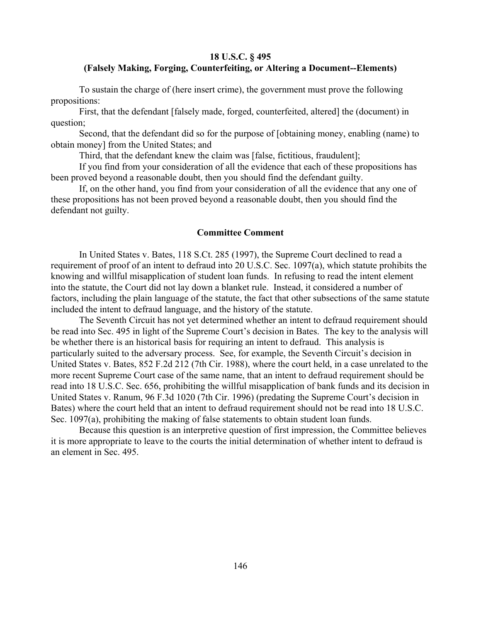#### **18 U.S.C. § 495**

# **(Falsely Making, Forging, Counterfeiting, or Altering a Document--Elements)**

To sustain the charge of (here insert crime), the government must prove the following propositions:

First, that the defendant [falsely made, forged, counterfeited, altered] the (document) in question;

Second, that the defendant did so for the purpose of [obtaining money, enabling (name) to obtain money] from the United States; and

Third, that the defendant knew the claim was [false, fictitious, fraudulent];

If you find from your consideration of all the evidence that each of these propositions has been proved beyond a reasonable doubt, then you should find the defendant guilty.

If, on the other hand, you find from your consideration of all the evidence that any one of these propositions has not been proved beyond a reasonable doubt, then you should find the defendant not guilty.

#### **Committee Comment**

In United States v. Bates, 118 S.Ct. 285 (1997), the Supreme Court declined to read a requirement of proof of an intent to defraud into 20 U.S.C. Sec. 1097(a), which statute prohibits the knowing and willful misapplication of student loan funds. In refusing to read the intent element into the statute, the Court did not lay down a blanket rule. Instead, it considered a number of factors, including the plain language of the statute, the fact that other subsections of the same statute included the intent to defraud language, and the history of the statute.

The Seventh Circuit has not yet determined whether an intent to defraud requirement should be read into Sec. 495 in light of the Supreme Court's decision in Bates. The key to the analysis will be whether there is an historical basis for requiring an intent to defraud. This analysis is particularly suited to the adversary process. See, for example, the Seventh Circuit's decision in United States v. Bates, 852 F.2d 212 (7th Cir. 1988), where the court held, in a case unrelated to the more recent Supreme Court case of the same name, that an intent to defraud requirement should be read into 18 U.S.C. Sec. 656, prohibiting the willful misapplication of bank funds and its decision in United States v. Ranum, 96 F.3d 1020 (7th Cir. 1996) (predating the Supreme Court's decision in Bates) where the court held that an intent to defraud requirement should not be read into 18 U.S.C. Sec. 1097(a), prohibiting the making of false statements to obtain student loan funds.

Because this question is an interpretive question of first impression, the Committee believes it is more appropriate to leave to the courts the initial determination of whether intent to defraud is an element in Sec. 495.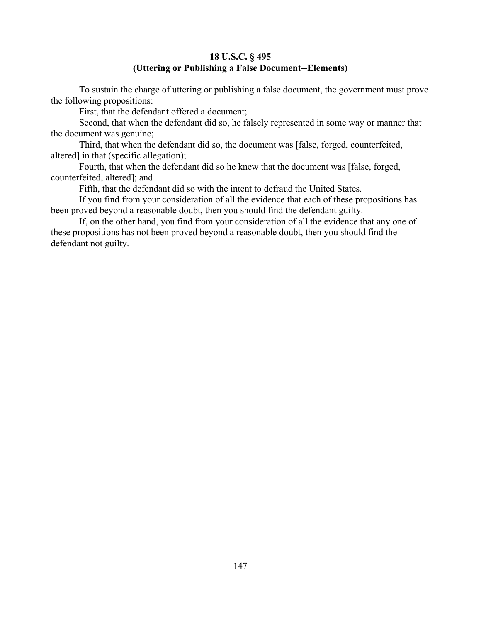# **18 U.S.C. § 495 (Uttering or Publishing a False Document--Elements)**

To sustain the charge of uttering or publishing a false document, the government must prove the following propositions:

First, that the defendant offered a document;

Second, that when the defendant did so, he falsely represented in some way or manner that the document was genuine;

Third, that when the defendant did so, the document was [false, forged, counterfeited, altered] in that (specific allegation);

Fourth, that when the defendant did so he knew that the document was [false, forged, counterfeited, altered]; and

Fifth, that the defendant did so with the intent to defraud the United States.

If you find from your consideration of all the evidence that each of these propositions has been proved beyond a reasonable doubt, then you should find the defendant guilty.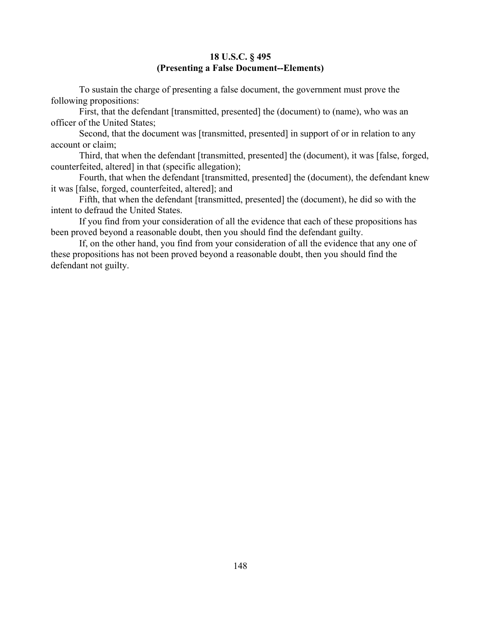## **18 U.S.C. § 495 (Presenting a False Document--Elements)**

To sustain the charge of presenting a false document, the government must prove the following propositions:

First, that the defendant [transmitted, presented] the (document) to (name), who was an officer of the United States;

Second, that the document was [transmitted, presented] in support of or in relation to any account or claim;

Third, that when the defendant [transmitted, presented] the (document), it was [false, forged, counterfeited, altered] in that (specific allegation);

Fourth, that when the defendant [transmitted, presented] the (document), the defendant knew it was [false, forged, counterfeited, altered]; and

Fifth, that when the defendant [transmitted, presented] the (document), he did so with the intent to defraud the United States.

If you find from your consideration of all the evidence that each of these propositions has been proved beyond a reasonable doubt, then you should find the defendant guilty.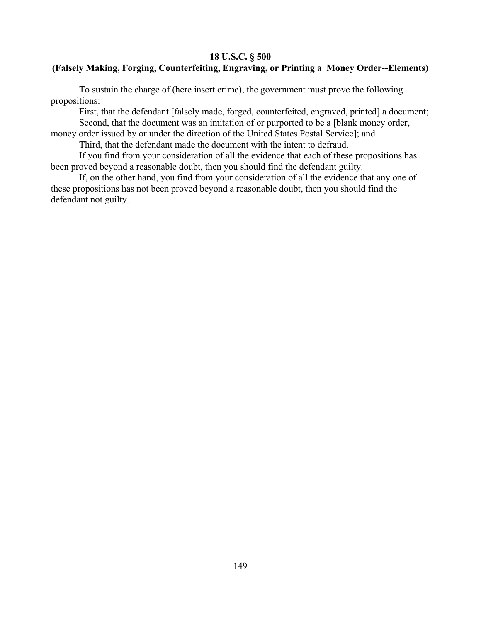# **18 U.S.C. § 500**

# **(Falsely Making, Forging, Counterfeiting, Engraving, or Printing a Money Order--Elements)**

To sustain the charge of (here insert crime), the government must prove the following propositions:

First, that the defendant [falsely made, forged, counterfeited, engraved, printed] a document; Second, that the document was an imitation of or purported to be a [blank money order,

money order issued by or under the direction of the United States Postal Service]; and

Third, that the defendant made the document with the intent to defraud.

If you find from your consideration of all the evidence that each of these propositions has been proved beyond a reasonable doubt, then you should find the defendant guilty.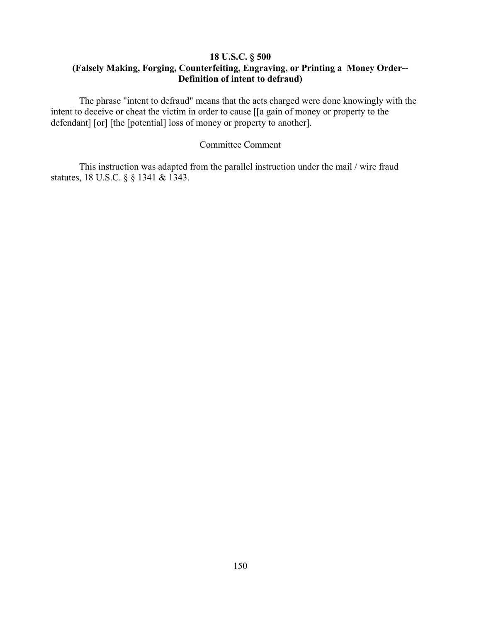# **18 U.S.C. § 500 (Falsely Making, Forging, Counterfeiting, Engraving, or Printing a Money Order-- Definition of intent to defraud)**

The phrase "intent to defraud" means that the acts charged were done knowingly with the intent to deceive or cheat the victim in order to cause [[a gain of money or property to the defendant] [or] [the [potential] loss of money or property to another].

### Committee Comment

This instruction was adapted from the parallel instruction under the mail / wire fraud statutes, 18 U.S.C. § § 1341 & 1343.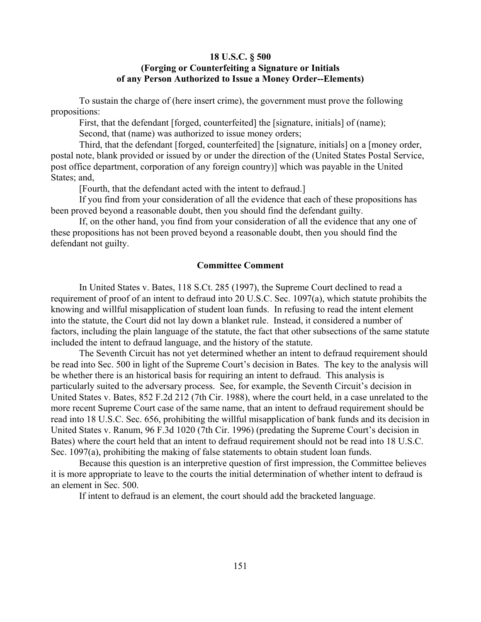### **18 U.S.C. § 500 (Forging or Counterfeiting a Signature or Initials of any Person Authorized to Issue a Money Order--Elements)**

To sustain the charge of (here insert crime), the government must prove the following propositions:

First, that the defendant [forged, counterfeited] the [signature, initials] of (name); Second, that (name) was authorized to issue money orders;

Third, that the defendant [forged, counterfeited] the [signature, initials] on a [money order, postal note, blank provided or issued by or under the direction of the (United States Postal Service, post office department, corporation of any foreign country)] which was payable in the United States; and,

[Fourth, that the defendant acted with the intent to defraud.]

If you find from your consideration of all the evidence that each of these propositions has been proved beyond a reasonable doubt, then you should find the defendant guilty.

If, on the other hand, you find from your consideration of all the evidence that any one of these propositions has not been proved beyond a reasonable doubt, then you should find the defendant not guilty.

#### **Committee Comment**

In United States v. Bates, 118 S.Ct. 285 (1997), the Supreme Court declined to read a requirement of proof of an intent to defraud into 20 U.S.C. Sec. 1097(a), which statute prohibits the knowing and willful misapplication of student loan funds. In refusing to read the intent element into the statute, the Court did not lay down a blanket rule. Instead, it considered a number of factors, including the plain language of the statute, the fact that other subsections of the same statute included the intent to defraud language, and the history of the statute.

The Seventh Circuit has not yet determined whether an intent to defraud requirement should be read into Sec. 500 in light of the Supreme Court's decision in Bates. The key to the analysis will be whether there is an historical basis for requiring an intent to defraud. This analysis is particularly suited to the adversary process. See, for example, the Seventh Circuit's decision in United States v. Bates, 852 F.2d 212 (7th Cir. 1988), where the court held, in a case unrelated to the more recent Supreme Court case of the same name, that an intent to defraud requirement should be read into 18 U.S.C. Sec. 656, prohibiting the willful misapplication of bank funds and its decision in United States v. Ranum, 96 F.3d 1020 (7th Cir. 1996) (predating the Supreme Court's decision in Bates) where the court held that an intent to defraud requirement should not be read into 18 U.S.C. Sec. 1097(a), prohibiting the making of false statements to obtain student loan funds.

Because this question is an interpretive question of first impression, the Committee believes it is more appropriate to leave to the courts the initial determination of whether intent to defraud is an element in Sec. 500.

If intent to defraud is an element, the court should add the bracketed language.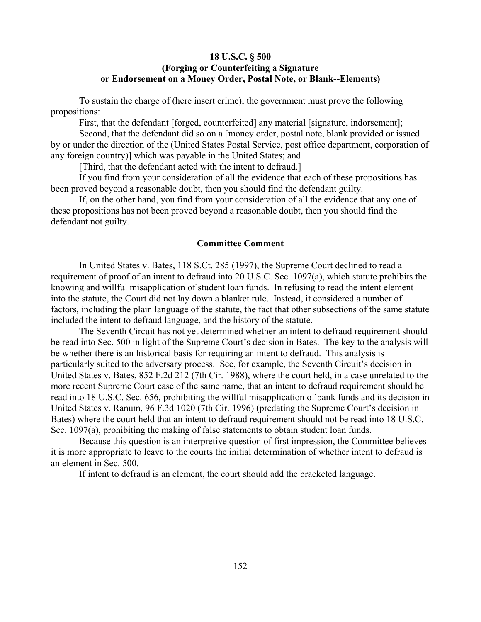## **18 U.S.C. § 500 (Forging or Counterfeiting a Signature or Endorsement on a Money Order, Postal Note, or Blank--Elements)**

To sustain the charge of (here insert crime), the government must prove the following propositions:

First, that the defendant [forged, counterfeited] any material [signature, indorsement];

Second, that the defendant did so on a [money order, postal note, blank provided or issued by or under the direction of the (United States Postal Service, post office department, corporation of any foreign country)] which was payable in the United States; and

[Third, that the defendant acted with the intent to defraud.]

If you find from your consideration of all the evidence that each of these propositions has been proved beyond a reasonable doubt, then you should find the defendant guilty.

If, on the other hand, you find from your consideration of all the evidence that any one of these propositions has not been proved beyond a reasonable doubt, then you should find the defendant not guilty.

#### **Committee Comment**

In United States v. Bates, 118 S.Ct. 285 (1997), the Supreme Court declined to read a requirement of proof of an intent to defraud into 20 U.S.C. Sec. 1097(a), which statute prohibits the knowing and willful misapplication of student loan funds. In refusing to read the intent element into the statute, the Court did not lay down a blanket rule. Instead, it considered a number of factors, including the plain language of the statute, the fact that other subsections of the same statute included the intent to defraud language, and the history of the statute.

The Seventh Circuit has not yet determined whether an intent to defraud requirement should be read into Sec. 500 in light of the Supreme Court's decision in Bates. The key to the analysis will be whether there is an historical basis for requiring an intent to defraud. This analysis is particularly suited to the adversary process. See, for example, the Seventh Circuit's decision in United States v. Bates, 852 F.2d 212 (7th Cir. 1988), where the court held, in a case unrelated to the more recent Supreme Court case of the same name, that an intent to defraud requirement should be read into 18 U.S.C. Sec. 656, prohibiting the willful misapplication of bank funds and its decision in United States v. Ranum, 96 F.3d 1020 (7th Cir. 1996) (predating the Supreme Court's decision in Bates) where the court held that an intent to defraud requirement should not be read into 18 U.S.C. Sec. 1097(a), prohibiting the making of false statements to obtain student loan funds.

Because this question is an interpretive question of first impression, the Committee believes it is more appropriate to leave to the courts the initial determination of whether intent to defraud is an element in Sec. 500.

If intent to defraud is an element, the court should add the bracketed language.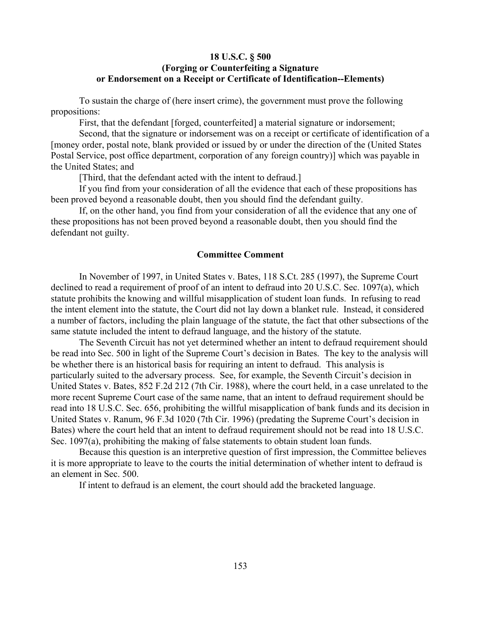## **18 U.S.C. § 500 (Forging or Counterfeiting a Signature or Endorsement on a Receipt or Certificate of Identification--Elements)**

To sustain the charge of (here insert crime), the government must prove the following propositions:

First, that the defendant [forged, counterfeited] a material signature or indorsement;

Second, that the signature or indorsement was on a receipt or certificate of identification of a [money order, postal note, blank provided or issued by or under the direction of the (United States Postal Service, post office department, corporation of any foreign country)] which was payable in the United States; and

[Third, that the defendant acted with the intent to defraud.]

If you find from your consideration of all the evidence that each of these propositions has been proved beyond a reasonable doubt, then you should find the defendant guilty.

If, on the other hand, you find from your consideration of all the evidence that any one of these propositions has not been proved beyond a reasonable doubt, then you should find the defendant not guilty.

#### **Committee Comment**

In November of 1997, in United States v. Bates, 118 S.Ct. 285 (1997), the Supreme Court declined to read a requirement of proof of an intent to defraud into 20 U.S.C. Sec. 1097(a), which statute prohibits the knowing and willful misapplication of student loan funds. In refusing to read the intent element into the statute, the Court did not lay down a blanket rule. Instead, it considered a number of factors, including the plain language of the statute, the fact that other subsections of the same statute included the intent to defraud language, and the history of the statute.

The Seventh Circuit has not yet determined whether an intent to defraud requirement should be read into Sec. 500 in light of the Supreme Court's decision in Bates. The key to the analysis will be whether there is an historical basis for requiring an intent to defraud. This analysis is particularly suited to the adversary process. See, for example, the Seventh Circuit's decision in United States v. Bates, 852 F.2d 212 (7th Cir. 1988), where the court held, in a case unrelated to the more recent Supreme Court case of the same name, that an intent to defraud requirement should be read into 18 U.S.C. Sec. 656, prohibiting the willful misapplication of bank funds and its decision in United States v. Ranum, 96 F.3d 1020 (7th Cir. 1996) (predating the Supreme Court's decision in Bates) where the court held that an intent to defraud requirement should not be read into 18 U.S.C. Sec. 1097(a), prohibiting the making of false statements to obtain student loan funds.

Because this question is an interpretive question of first impression, the Committee believes it is more appropriate to leave to the courts the initial determination of whether intent to defraud is an element in Sec. 500.

If intent to defraud is an element, the court should add the bracketed language.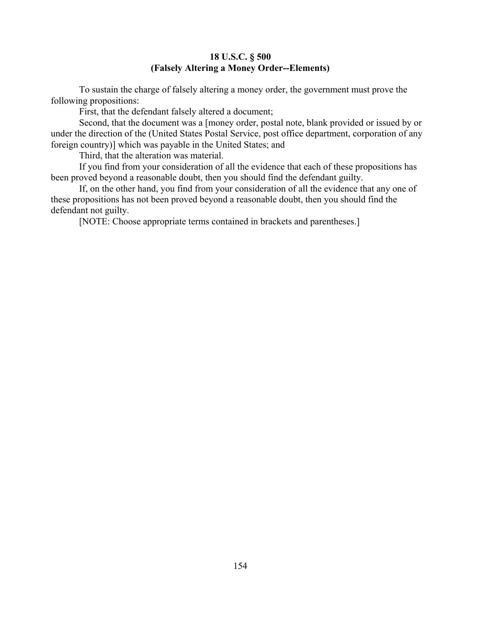## **18 U.S.C. § 500 (Falsely Altering a Money Order--Elements)**

To sustain the charge of falsely altering a money order, the government must prove the following propositions:

First, that the defendant falsely altered a document;

Second, that the document was a [money order, postal note, blank provided or issued by or under the direction of the (United States Postal Service, post office department, corporation of any foreign country)] which was payable in the United States; and

Third, that the alteration was material.

If you find from your consideration of all the evidence that each of these propositions has been proved beyond a reasonable doubt, then you should find the defendant guilty.

If, on the other hand, you find from your consideration of all the evidence that any one of these propositions has not been proved beyond a reasonable doubt, then you should find the defendant not guilty.

[NOTE: Choose appropriate terms contained in brackets and parentheses.]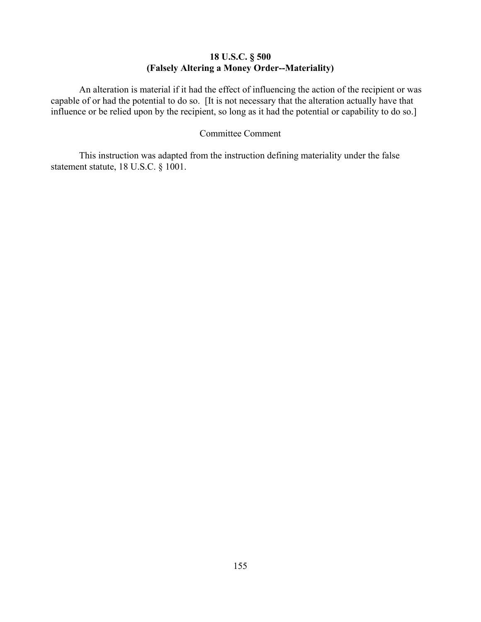## **18 U.S.C. § 500 (Falsely Altering a Money Order--Materiality)**

An alteration is material if it had the effect of influencing the action of the recipient or was capable of or had the potential to do so. [It is not necessary that the alteration actually have that influence or be relied upon by the recipient, so long as it had the potential or capability to do so.]

### Committee Comment

This instruction was adapted from the instruction defining materiality under the false statement statute, 18 U.S.C. § 1001.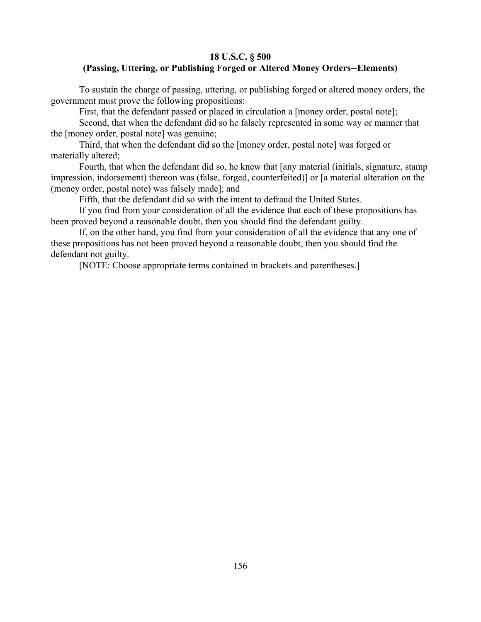## **18 U.S.C. § 500 (Passing, Uttering, or Publishing Forged or Altered Money Orders--Elements)**

To sustain the charge of passing, uttering, or publishing forged or altered money orders, the government must prove the following propositions:

First, that the defendant passed or placed in circulation a [money order, postal note];

Second, that when the defendant did so he falsely represented in some way or manner that the [money order, postal note] was genuine;

Third, that when the defendant did so the [money order, postal note] was forged or materially altered;

Fourth, that when the defendant did so, he knew that [any material (initials, signature, stamp impression, indorsement) thereon was (false, forged, counterfeited)] or [a material alteration on the (money order, postal note) was falsely made]; and

Fifth, that the defendant did so with the intent to defraud the United States.

If you find from your consideration of all the evidence that each of these propositions has been proved beyond a reasonable doubt, then you should find the defendant guilty.

If, on the other hand, you find from your consideration of all the evidence that any one of these propositions has not been proved beyond a reasonable doubt, then you should find the defendant not guilty.

[NOTE: Choose appropriate terms contained in brackets and parentheses.]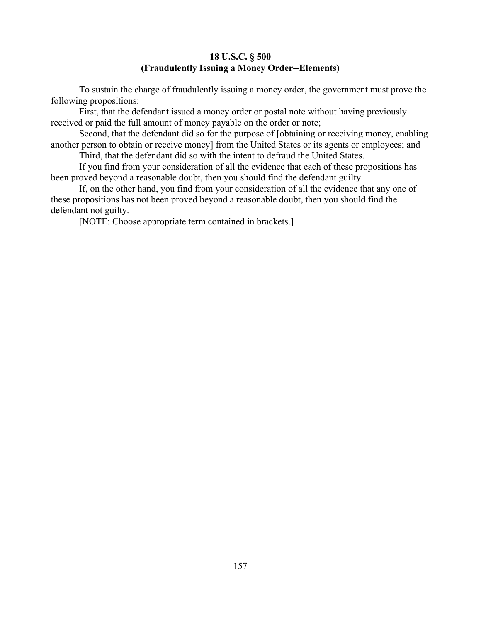## **18 U.S.C. § 500 (Fraudulently Issuing a Money Order--Elements)**

To sustain the charge of fraudulently issuing a money order, the government must prove the following propositions:

First, that the defendant issued a money order or postal note without having previously received or paid the full amount of money payable on the order or note;

Second, that the defendant did so for the purpose of [obtaining or receiving money, enabling another person to obtain or receive money] from the United States or its agents or employees; and

Third, that the defendant did so with the intent to defraud the United States.

If you find from your consideration of all the evidence that each of these propositions has been proved beyond a reasonable doubt, then you should find the defendant guilty.

If, on the other hand, you find from your consideration of all the evidence that any one of these propositions has not been proved beyond a reasonable doubt, then you should find the defendant not guilty.

[NOTE: Choose appropriate term contained in brackets.]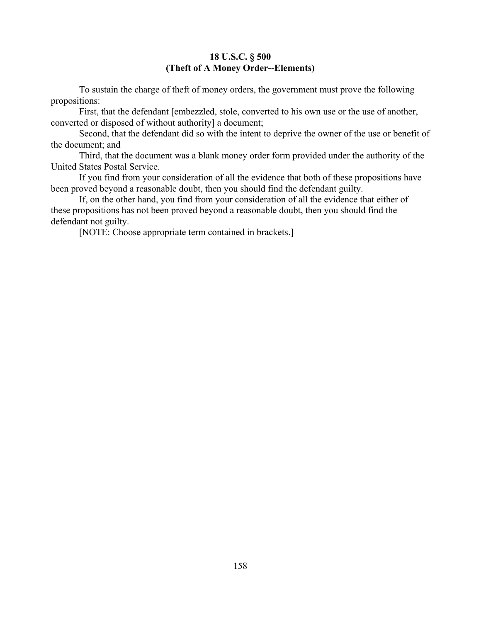# **18 U.S.C. § 500 (Theft of A Money Order--Elements)**

To sustain the charge of theft of money orders, the government must prove the following propositions:

First, that the defendant [embezzled, stole, converted to his own use or the use of another, converted or disposed of without authority] a document;

Second, that the defendant did so with the intent to deprive the owner of the use or benefit of the document; and

Third, that the document was a blank money order form provided under the authority of the United States Postal Service.

If you find from your consideration of all the evidence that both of these propositions have been proved beyond a reasonable doubt, then you should find the defendant guilty.

If, on the other hand, you find from your consideration of all the evidence that either of these propositions has not been proved beyond a reasonable doubt, then you should find the defendant not guilty.

[NOTE: Choose appropriate term contained in brackets.]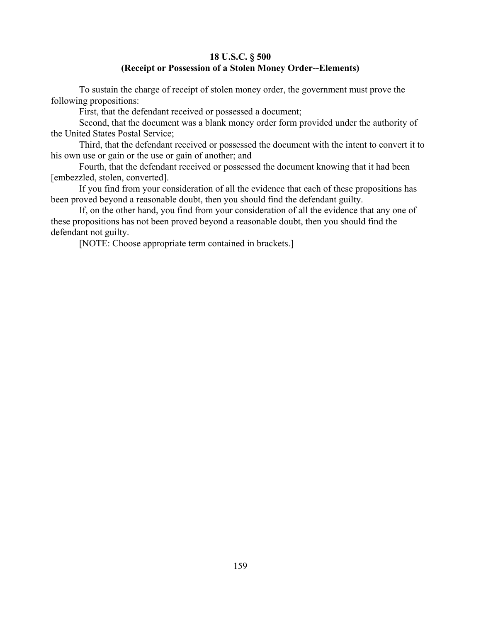## **18 U.S.C. § 500 (Receipt or Possession of a Stolen Money Order--Elements)**

To sustain the charge of receipt of stolen money order, the government must prove the following propositions:

First, that the defendant received or possessed a document;

Second, that the document was a blank money order form provided under the authority of the United States Postal Service;

Third, that the defendant received or possessed the document with the intent to convert it to his own use or gain or the use or gain of another; and

Fourth, that the defendant received or possessed the document knowing that it had been [embezzled, stolen, converted].

If you find from your consideration of all the evidence that each of these propositions has been proved beyond a reasonable doubt, then you should find the defendant guilty.

If, on the other hand, you find from your consideration of all the evidence that any one of these propositions has not been proved beyond a reasonable doubt, then you should find the defendant not guilty.

[NOTE: Choose appropriate term contained in brackets.]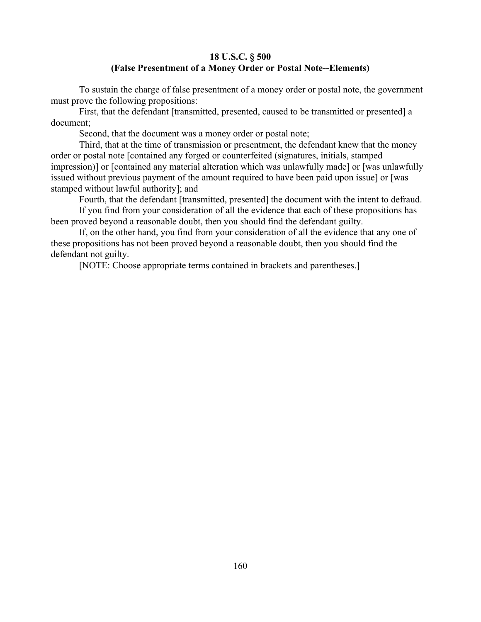## **18 U.S.C. § 500 (False Presentment of a Money Order or Postal Note--Elements)**

To sustain the charge of false presentment of a money order or postal note, the government must prove the following propositions:

First, that the defendant [transmitted, presented, caused to be transmitted or presented] a document;

Second, that the document was a money order or postal note;

Third, that at the time of transmission or presentment, the defendant knew that the money order or postal note [contained any forged or counterfeited (signatures, initials, stamped impression)] or [contained any material alteration which was unlawfully made] or [was unlawfully issued without previous payment of the amount required to have been paid upon issue] or [was stamped without lawful authority]; and

Fourth, that the defendant [transmitted, presented] the document with the intent to defraud.

If you find from your consideration of all the evidence that each of these propositions has been proved beyond a reasonable doubt, then you should find the defendant guilty.

If, on the other hand, you find from your consideration of all the evidence that any one of these propositions has not been proved beyond a reasonable doubt, then you should find the defendant not guilty.

[NOTE: Choose appropriate terms contained in brackets and parentheses.]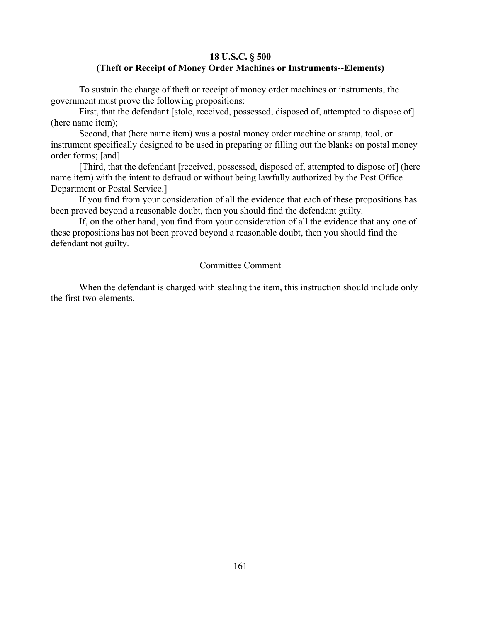## **18 U.S.C. § 500 (Theft or Receipt of Money Order Machines or Instruments--Elements)**

To sustain the charge of theft or receipt of money order machines or instruments, the government must prove the following propositions:

First, that the defendant [stole, received, possessed, disposed of, attempted to dispose of] (here name item);

Second, that (here name item) was a postal money order machine or stamp, tool, or instrument specifically designed to be used in preparing or filling out the blanks on postal money order forms; [and]

[Third, that the defendant [received, possessed, disposed of, attempted to dispose of] (here name item) with the intent to defraud or without being lawfully authorized by the Post Office Department or Postal Service.]

If you find from your consideration of all the evidence that each of these propositions has been proved beyond a reasonable doubt, then you should find the defendant guilty.

If, on the other hand, you find from your consideration of all the evidence that any one of these propositions has not been proved beyond a reasonable doubt, then you should find the defendant not guilty.

### Committee Comment

When the defendant is charged with stealing the item, this instruction should include only the first two elements.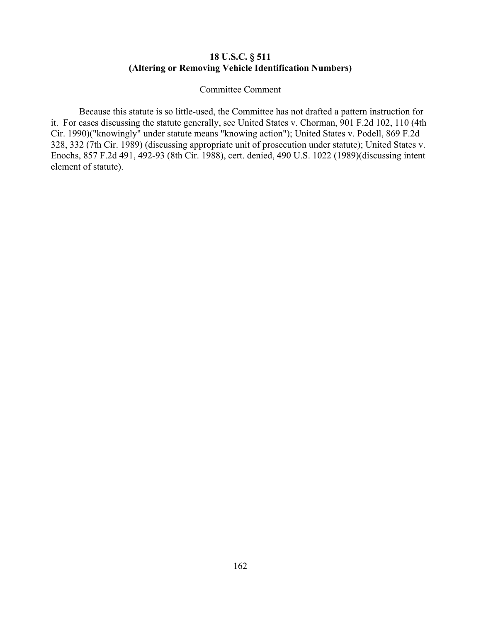## **18 U.S.C. § 511 (Altering or Removing Vehicle Identification Numbers)**

#### Committee Comment

Because this statute is so little-used, the Committee has not drafted a pattern instruction for it. For cases discussing the statute generally, see United States v. Chorman, 901 F.2d 102, 110 (4th Cir. 1990)("knowingly" under statute means "knowing action"); United States v. Podell, 869 F.2d 328, 332 (7th Cir. 1989) (discussing appropriate unit of prosecution under statute); United States v. Enochs, 857 F.2d 491, 492-93 (8th Cir. 1988), cert. denied, 490 U.S. 1022 (1989)(discussing intent element of statute).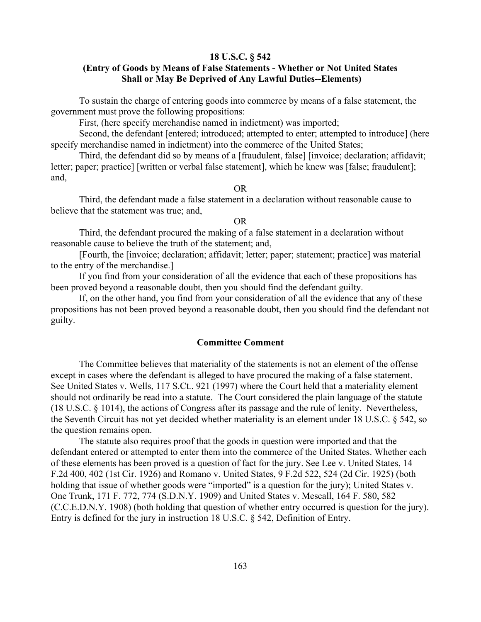#### **18 U.S.C. § 542**

## **(Entry of Goods by Means of False Statements - Whether or Not United States Shall or May Be Deprived of Any Lawful Duties--Elements)**

To sustain the charge of entering goods into commerce by means of a false statement, the government must prove the following propositions:

First, (here specify merchandise named in indictment) was imported;

Second, the defendant [entered; introduced; attempted to enter; attempted to introduce] (here specify merchandise named in indictment) into the commerce of the United States;

Third, the defendant did so by means of a [fraudulent, false] [invoice; declaration; affidavit; letter; paper; practice] [written or verbal false statement], which he knew was [false; fraudulent]; and,

OR

Third, the defendant made a false statement in a declaration without reasonable cause to believe that the statement was true; and,

### OR

Third, the defendant procured the making of a false statement in a declaration without reasonable cause to believe the truth of the statement; and,

[Fourth, the [invoice; declaration; affidavit; letter; paper; statement; practice] was material to the entry of the merchandise.]

If you find from your consideration of all the evidence that each of these propositions has been proved beyond a reasonable doubt, then you should find the defendant guilty.

If, on the other hand, you find from your consideration of all the evidence that any of these propositions has not been proved beyond a reasonable doubt, then you should find the defendant not guilty.

### **Committee Comment**

The Committee believes that materiality of the statements is not an element of the offense except in cases where the defendant is alleged to have procured the making of a false statement. See United States v. Wells, 117 S.Ct.. 921 (1997) where the Court held that a materiality element should not ordinarily be read into a statute. The Court considered the plain language of the statute (18 U.S.C. § 1014), the actions of Congress after its passage and the rule of lenity. Nevertheless, the Seventh Circuit has not yet decided whether materiality is an element under 18 U.S.C. § 542, so the question remains open.

The statute also requires proof that the goods in question were imported and that the defendant entered or attempted to enter them into the commerce of the United States. Whether each of these elements has been proved is a question of fact for the jury. See Lee v. United States, 14 F.2d 400, 402 (1st Cir. 1926) and Romano v. United States, 9 F.2d 522, 524 (2d Cir. 1925) (both holding that issue of whether goods were "imported" is a question for the jury); United States v. One Trunk, 171 F. 772, 774 (S.D.N.Y. 1909) and United States v. Mescall, 164 F. 580, 582 (C.C.E.D.N.Y. 1908) (both holding that question of whether entry occurred is question for the jury). Entry is defined for the jury in instruction 18 U.S.C. § 542, Definition of Entry.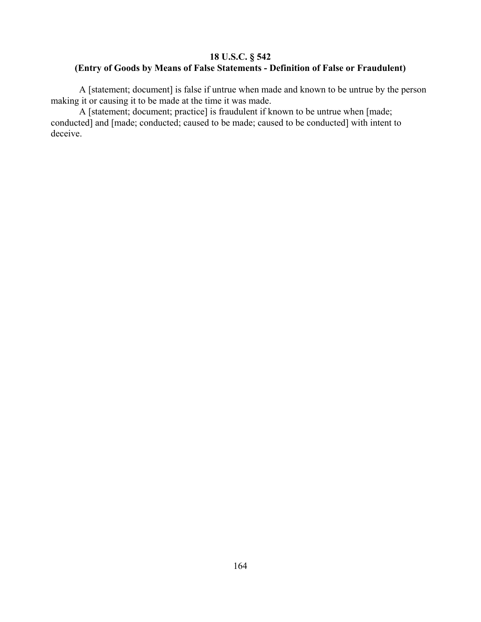# **18 U.S.C. § 542 (Entry of Goods by Means of False Statements - Definition of False or Fraudulent)**

A [statement; document] is false if untrue when made and known to be untrue by the person making it or causing it to be made at the time it was made.

A [statement; document; practice] is fraudulent if known to be untrue when [made; conducted] and [made; conducted; caused to be made; caused to be conducted] with intent to deceive.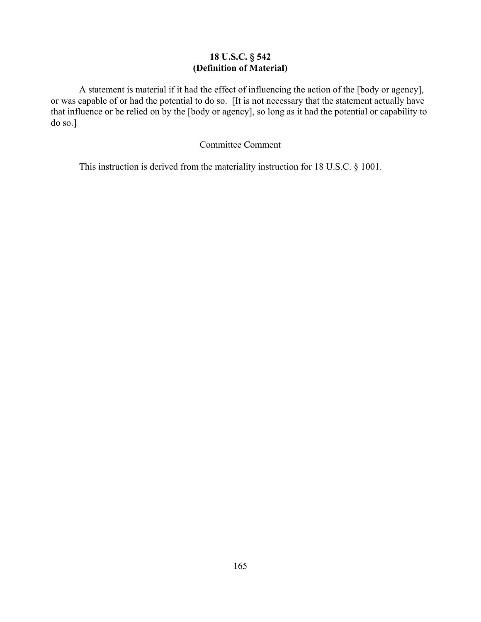# **18 U.S.C. § 542 (Definition of Material)**

A statement is material if it had the effect of influencing the action of the [body or agency], or was capable of or had the potential to do so. [It is not necessary that the statement actually have that influence or be relied on by the [body or agency], so long as it had the potential or capability to do so.]

## Committee Comment

This instruction is derived from the materiality instruction for 18 U.S.C. § 1001.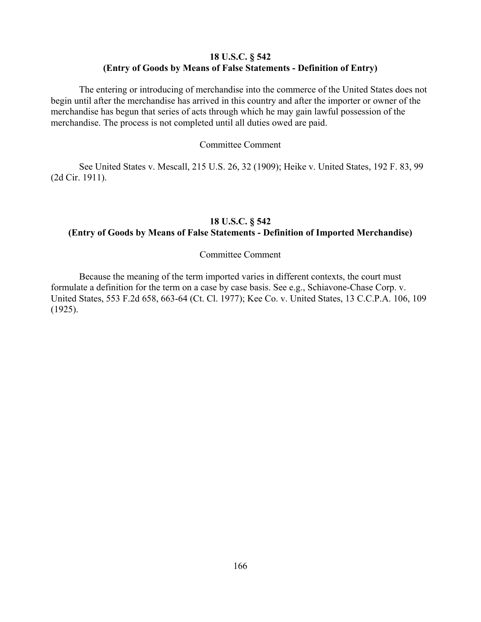## **18 U.S.C. § 542 (Entry of Goods by Means of False Statements - Definition of Entry)**

The entering or introducing of merchandise into the commerce of the United States does not begin until after the merchandise has arrived in this country and after the importer or owner of the merchandise has begun that series of acts through which he may gain lawful possession of the merchandise. The process is not completed until all duties owed are paid.

#### Committee Comment

See United States v. Mescall, 215 U.S. 26, 32 (1909); Heike v. United States, 192 F. 83, 99 (2d Cir. 1911).

## **18 U.S.C. § 542 (Entry of Goods by Means of False Statements - Definition of Imported Merchandise)**

#### Committee Comment

Because the meaning of the term imported varies in different contexts, the court must formulate a definition for the term on a case by case basis. See e.g., Schiavone-Chase Corp. v. United States, 553 F.2d 658, 663-64 (Ct. Cl. 1977); Kee Co. v. United States, 13 C.C.P.A. 106, 109 (1925).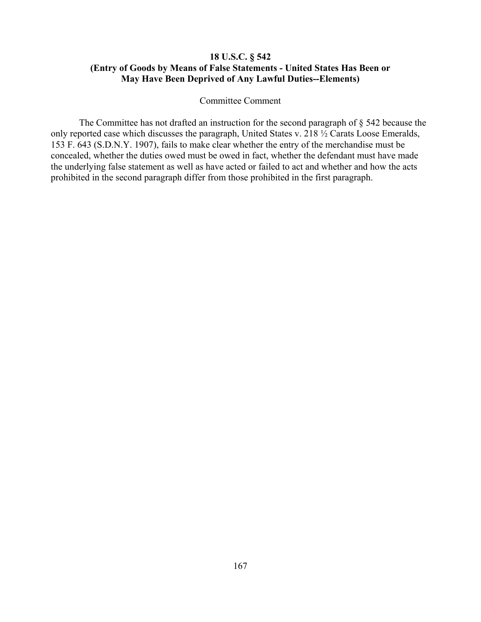# **18 U.S.C. § 542 (Entry of Goods by Means of False Statements - United States Has Been or May Have Been Deprived of Any Lawful Duties--Elements)**

#### Committee Comment

The Committee has not drafted an instruction for the second paragraph of § 542 because the only reported case which discusses the paragraph, United States v. 218 ½ Carats Loose Emeralds, 153 F. 643 (S.D.N.Y. 1907), fails to make clear whether the entry of the merchandise must be concealed, whether the duties owed must be owed in fact, whether the defendant must have made the underlying false statement as well as have acted or failed to act and whether and how the acts prohibited in the second paragraph differ from those prohibited in the first paragraph.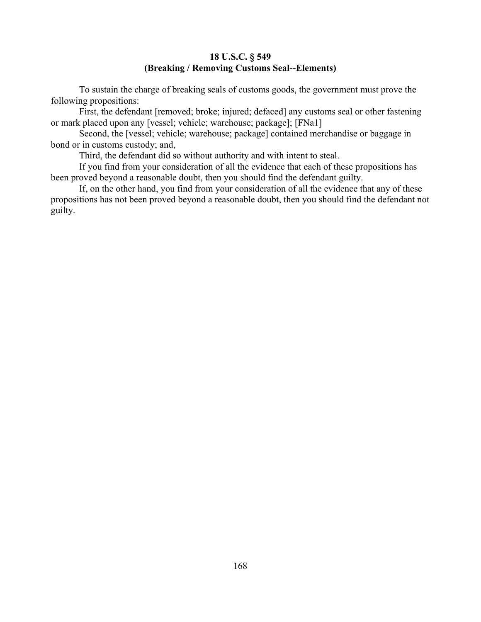# **18 U.S.C. § 549 (Breaking / Removing Customs Seal--Elements)**

To sustain the charge of breaking seals of customs goods, the government must prove the following propositions:

First, the defendant [removed; broke; injured; defaced] any customs seal or other fastening or mark placed upon any [vessel; vehicle; warehouse; package]; [FNa1]

Second, the [vessel; vehicle; warehouse; package] contained merchandise or baggage in bond or in customs custody; and,

Third, the defendant did so without authority and with intent to steal.

If you find from your consideration of all the evidence that each of these propositions has been proved beyond a reasonable doubt, then you should find the defendant guilty.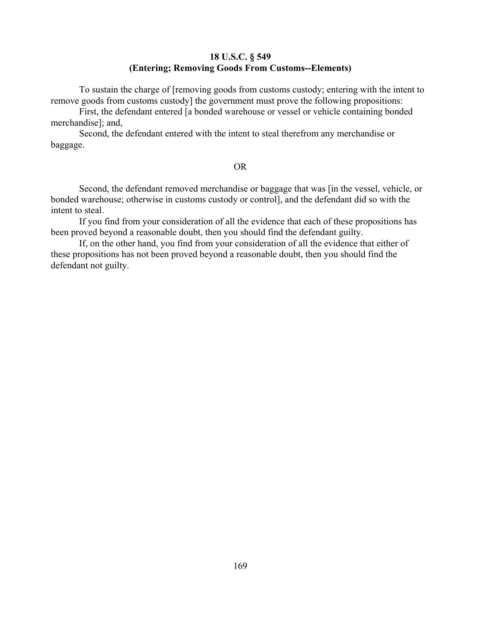# **18 U.S.C. § 549 (Entering; Removing Goods From Customs--Elements)**

To sustain the charge of [removing goods from customs custody; entering with the intent to remove goods from customs custody] the government must prove the following propositions:

First, the defendant entered [a bonded warehouse or vessel or vehicle containing bonded merchandise]; and,

Second, the defendant entered with the intent to steal therefrom any merchandise or baggage.

#### OR

Second, the defendant removed merchandise or baggage that was [in the vessel, vehicle, or bonded warehouse; otherwise in customs custody or control], and the defendant did so with the intent to steal.

If you find from your consideration of all the evidence that each of these propositions has been proved beyond a reasonable doubt, then you should find the defendant guilty.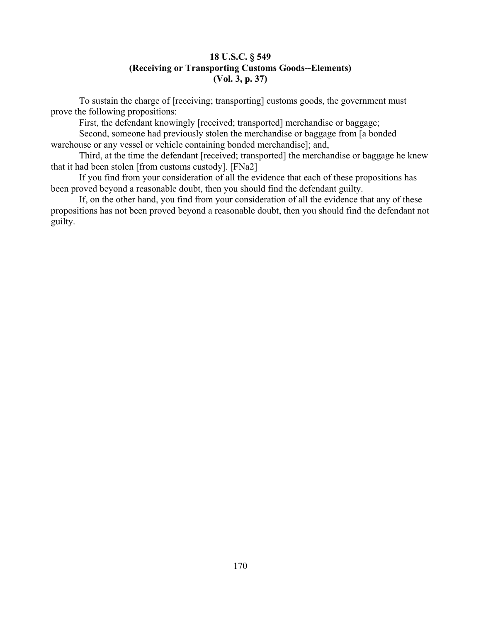# **18 U.S.C. § 549 (Receiving or Transporting Customs Goods--Elements) (Vol. 3, p. 37)**

To sustain the charge of [receiving; transporting] customs goods, the government must prove the following propositions:

First, the defendant knowingly [received; transported] merchandise or baggage;

Second, someone had previously stolen the merchandise or baggage from [a bonded warehouse or any vessel or vehicle containing bonded merchandise]; and,

Third, at the time the defendant [received; transported] the merchandise or baggage he knew that it had been stolen [from customs custody]. [FNa2]

If you find from your consideration of all the evidence that each of these propositions has been proved beyond a reasonable doubt, then you should find the defendant guilty.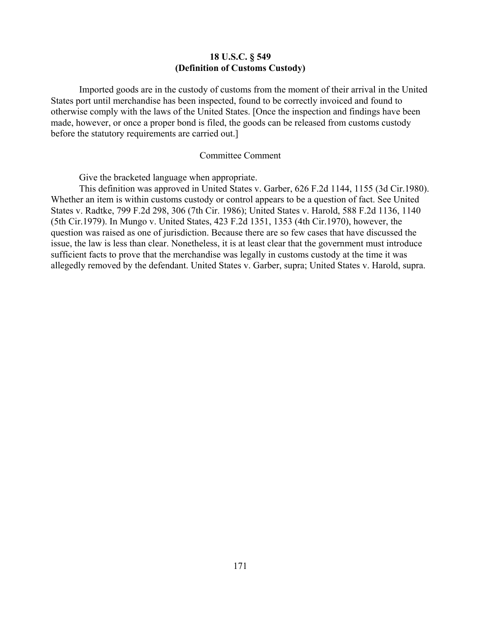### **18 U.S.C. § 549 (Definition of Customs Custody)**

Imported goods are in the custody of customs from the moment of their arrival in the United States port until merchandise has been inspected, found to be correctly invoiced and found to otherwise comply with the laws of the United States. [Once the inspection and findings have been made, however, or once a proper bond is filed, the goods can be released from customs custody before the statutory requirements are carried out.]

#### Committee Comment

Give the bracketed language when appropriate.

This definition was approved in United States v. Garber, 626 F.2d 1144, 1155 (3d Cir.1980). Whether an item is within customs custody or control appears to be a question of fact. See United States v. Radtke, 799 F.2d 298, 306 (7th Cir. 1986); United States v. Harold, 588 F.2d 1136, 1140 (5th Cir.1979). In Mungo v. United States, 423 F.2d 1351, 1353 (4th Cir.1970), however, the question was raised as one of jurisdiction. Because there are so few cases that have discussed the issue, the law is less than clear. Nonetheless, it is at least clear that the government must introduce sufficient facts to prove that the merchandise was legally in customs custody at the time it was allegedly removed by the defendant. United States v. Garber, supra; United States v. Harold, supra.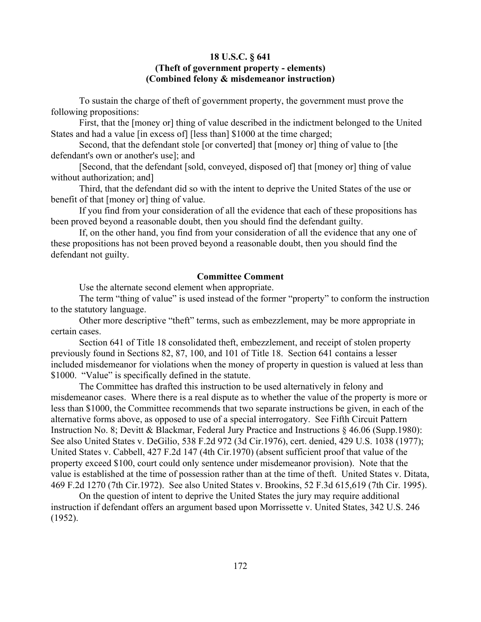## **18 U.S.C. § 641**

## **(Theft of government property - elements) (Combined felony & misdemeanor instruction)**

To sustain the charge of theft of government property, the government must prove the following propositions:

First, that the [money or] thing of value described in the indictment belonged to the United States and had a value [in excess of] [less than] \$1000 at the time charged;

Second, that the defendant stole [or converted] that [money or] thing of value to [the defendant's own or another's use]; and

[Second, that the defendant [sold, conveyed, disposed of] that [money or] thing of value without authorization; and]

Third, that the defendant did so with the intent to deprive the United States of the use or benefit of that [money or] thing of value.

If you find from your consideration of all the evidence that each of these propositions has been proved beyond a reasonable doubt, then you should find the defendant guilty.

If, on the other hand, you find from your consideration of all the evidence that any one of these propositions has not been proved beyond a reasonable doubt, then you should find the defendant not guilty.

### **Committee Comment**

Use the alternate second element when appropriate.

The term "thing of value" is used instead of the former "property" to conform the instruction to the statutory language.

Other more descriptive "theft" terms, such as embezzlement, may be more appropriate in certain cases.

Section 641 of Title 18 consolidated theft, embezzlement, and receipt of stolen property previously found in Sections 82, 87, 100, and 101 of Title 18. Section 641 contains a lesser included misdemeanor for violations when the money of property in question is valued at less than \$1000. "Value" is specifically defined in the statute.

The Committee has drafted this instruction to be used alternatively in felony and misdemeanor cases. Where there is a real dispute as to whether the value of the property is more or less than \$1000, the Committee recommends that two separate instructions be given, in each of the alternative forms above, as opposed to use of a special interrogatory. See Fifth Circuit Pattern Instruction No. 8; Devitt & Blackmar, Federal Jury Practice and Instructions § 46.06 (Supp.1980): See also United States v. DeGilio, 538 F.2d 972 (3d Cir.1976), cert. denied, 429 U.S. 1038 (1977); United States v. Cabbell, 427 F.2d 147 (4th Cir.1970) (absent sufficient proof that value of the property exceed \$100, court could only sentence under misdemeanor provision). Note that the value is established at the time of possession rather than at the time of theft. United States v. Ditata, 469 F.2d 1270 (7th Cir.1972). See also United States v. Brookins, 52 F.3d 615,619 (7th Cir. 1995).

On the question of intent to deprive the United States the jury may require additional instruction if defendant offers an argument based upon Morrissette v. United States, 342 U.S. 246 (1952).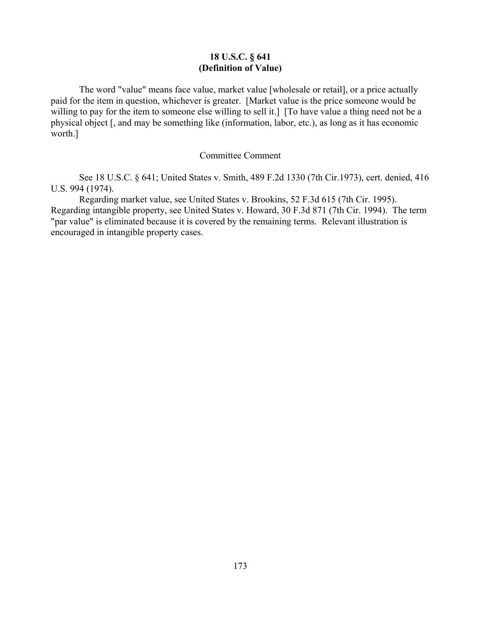# **18 U.S.C. § 641 (Definition of Value)**

The word "value" means face value, market value [wholesale or retail], or a price actually paid for the item in question, whichever is greater. [Market value is the price someone would be willing to pay for the item to someone else willing to sell it.] [To have value a thing need not be a physical object [, and may be something like (information, labor, etc.), as long as it has economic worth.]

### Committee Comment

See 18 U.S.C. § 641; United States v. Smith, 489 F.2d 1330 (7th Cir.1973), cert. denied, 416 U.S. 994 (1974).

Regarding market value, see United States v. Brookins, 52 F.3d 615 (7th Cir. 1995). Regarding intangible property, see United States v. Howard, 30 F.3d 871 (7th Cir. 1994). The term "par value" is eliminated because it is covered by the remaining terms. Relevant illustration is encouraged in intangible property cases.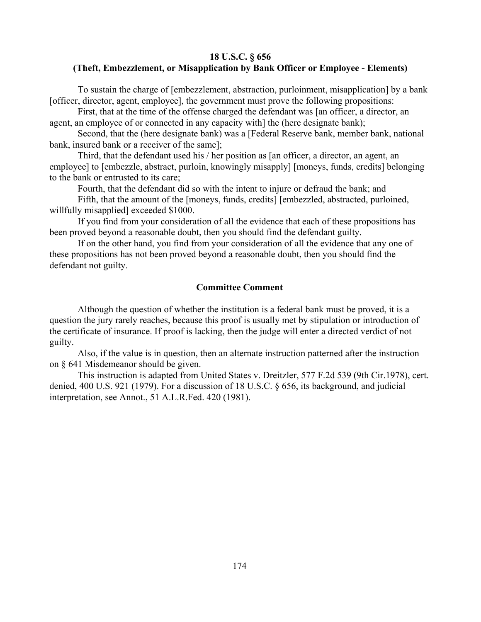## **18 U.S.C. § 656 (Theft, Embezzlement, or Misapplication by Bank Officer or Employee - Elements)**

To sustain the charge of [embezzlement, abstraction, purloinment, misapplication] by a bank [officer, director, agent, employee], the government must prove the following propositions:

First, that at the time of the offense charged the defendant was [an officer, a director, an agent, an employee of or connected in any capacity with] the (here designate bank);

Second, that the (here designate bank) was a [Federal Reserve bank, member bank, national bank, insured bank or a receiver of the same];

Third, that the defendant used his / her position as [an officer, a director, an agent, an employee] to [embezzle, abstract, purloin, knowingly misapply] [moneys, funds, credits] belonging to the bank or entrusted to its care;

Fourth, that the defendant did so with the intent to injure or defraud the bank; and

Fifth, that the amount of the [moneys, funds, credits] [embezzled, abstracted, purloined, willfully misapplied] exceeded \$1000.

If you find from your consideration of all the evidence that each of these propositions has been proved beyond a reasonable doubt, then you should find the defendant guilty.

If on the other hand, you find from your consideration of all the evidence that any one of these propositions has not been proved beyond a reasonable doubt, then you should find the defendant not guilty.

#### **Committee Comment**

Although the question of whether the institution is a federal bank must be proved, it is a question the jury rarely reaches, because this proof is usually met by stipulation or introduction of the certificate of insurance. If proof is lacking, then the judge will enter a directed verdict of not guilty.

Also, if the value is in question, then an alternate instruction patterned after the instruction on § 641 Misdemeanor should be given.

This instruction is adapted from United States v. Dreitzler, 577 F.2d 539 (9th Cir.1978), cert. denied, 400 U.S. 921 (1979). For a discussion of 18 U.S.C. § 656, its background, and judicial interpretation, see Annot., 51 A.L.R.Fed. 420 (1981).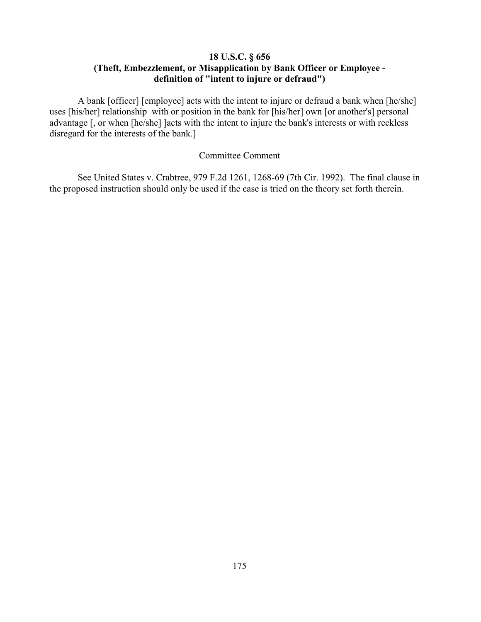# **18 U.S.C. § 656 (Theft, Embezzlement, or Misapplication by Bank Officer or Employee definition of "intent to injure or defraud")**

A bank [officer] [employee] acts with the intent to injure or defraud a bank when [he/she] uses [his/her] relationship with or position in the bank for [his/her] own [or another's] personal advantage [, or when [he/she] ]acts with the intent to injure the bank's interests or with reckless disregard for the interests of the bank.]

## Committee Comment

See United States v. Crabtree, 979 F.2d 1261, 1268-69 (7th Cir. 1992). The final clause in the proposed instruction should only be used if the case is tried on the theory set forth therein.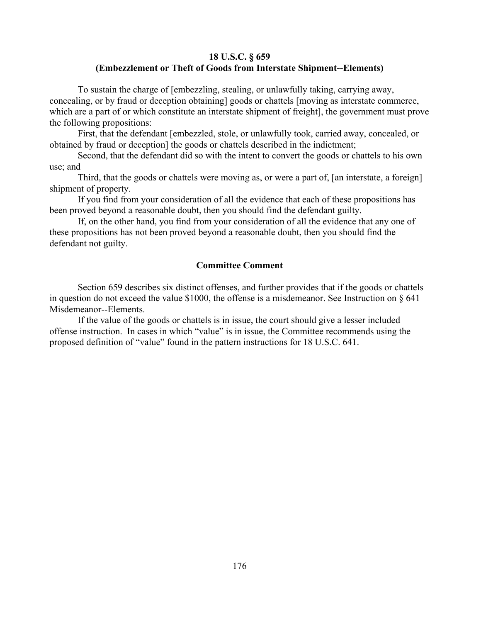## **18 U.S.C. § 659 (Embezzlement or Theft of Goods from Interstate Shipment--Elements)**

To sustain the charge of [embezzling, stealing, or unlawfully taking, carrying away, concealing, or by fraud or deception obtaining] goods or chattels [moving as interstate commerce, which are a part of or which constitute an interstate shipment of freight], the government must prove the following propositions:

First, that the defendant [embezzled, stole, or unlawfully took, carried away, concealed, or obtained by fraud or deception] the goods or chattels described in the indictment;

Second, that the defendant did so with the intent to convert the goods or chattels to his own use; and

Third, that the goods or chattels were moving as, or were a part of, [an interstate, a foreign] shipment of property.

If you find from your consideration of all the evidence that each of these propositions has been proved beyond a reasonable doubt, then you should find the defendant guilty.

If, on the other hand, you find from your consideration of all the evidence that any one of these propositions has not been proved beyond a reasonable doubt, then you should find the defendant not guilty.

### **Committee Comment**

Section 659 describes six distinct offenses, and further provides that if the goods or chattels in question do not exceed the value \$1000, the offense is a misdemeanor. See Instruction on § 641 Misdemeanor--Elements.

If the value of the goods or chattels is in issue, the court should give a lesser included offense instruction. In cases in which "value" is in issue, the Committee recommends using the proposed definition of "value" found in the pattern instructions for 18 U.S.C. 641.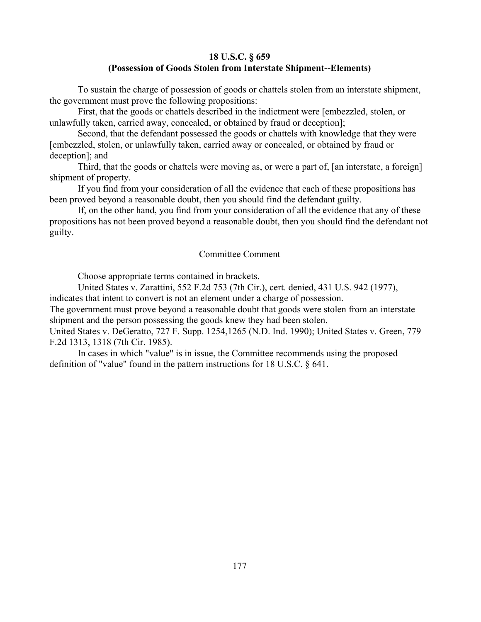## **18 U.S.C. § 659 (Possession of Goods Stolen from Interstate Shipment--Elements)**

To sustain the charge of possession of goods or chattels stolen from an interstate shipment, the government must prove the following propositions:

First, that the goods or chattels described in the indictment were [embezzled, stolen, or unlawfully taken, carried away, concealed, or obtained by fraud or deception];

Second, that the defendant possessed the goods or chattels with knowledge that they were [embezzled, stolen, or unlawfully taken, carried away or concealed, or obtained by fraud or deception]; and

Third, that the goods or chattels were moving as, or were a part of, [an interstate, a foreign] shipment of property.

If you find from your consideration of all the evidence that each of these propositions has been proved beyond a reasonable doubt, then you should find the defendant guilty.

If, on the other hand, you find from your consideration of all the evidence that any of these propositions has not been proved beyond a reasonable doubt, then you should find the defendant not guilty.

#### Committee Comment

Choose appropriate terms contained in brackets.

United States v. Zarattini, 552 F.2d 753 (7th Cir.), cert. denied, 431 U.S. 942 (1977), indicates that intent to convert is not an element under a charge of possession.

The government must prove beyond a reasonable doubt that goods were stolen from an interstate shipment and the person possessing the goods knew they had been stolen.

United States v. DeGeratto, 727 F. Supp. 1254,1265 (N.D. Ind. 1990); United States v. Green, 779 F.2d 1313, 1318 (7th Cir. 1985).

In cases in which "value" is in issue, the Committee recommends using the proposed definition of "value" found in the pattern instructions for 18 U.S.C. § 641.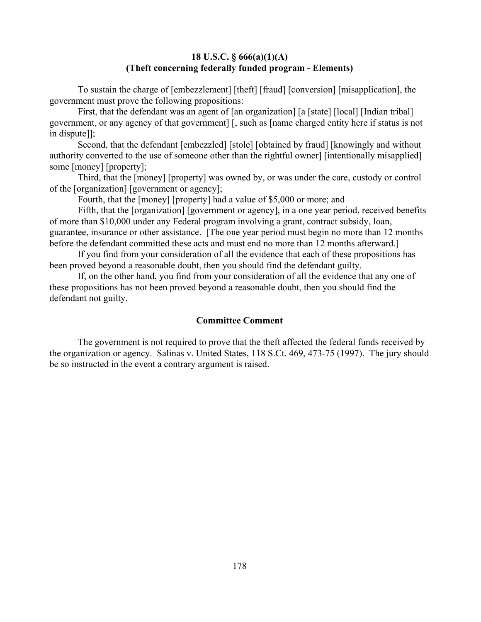## **18 U.S.C. § 666(a)(1)(A) (Theft concerning federally funded program - Elements)**

To sustain the charge of [embezzlement] [theft] [fraud] [conversion] [misapplication], the government must prove the following propositions:

First, that the defendant was an agent of [an organization] [a [state] [local] [Indian tribal] government, or any agency of that government] [, such as [name charged entity here if status is not in dispute]];

Second, that the defendant [embezzled] [stole] [obtained by fraud] [knowingly and without authority converted to the use of someone other than the rightful owner] [intentionally misapplied] some [money] [property];

Third, that the [money] [property] was owned by, or was under the care, custody or control of the [organization] [government or agency];

Fourth, that the [money] [property] had a value of \$5,000 or more; and

Fifth, that the [organization] [government or agency], in a one year period, received benefits of more than \$10,000 under any Federal program involving a grant, contract subsidy, loan, guarantee, insurance or other assistance. [The one year period must begin no more than 12 months before the defendant committed these acts and must end no more than 12 months afterward.]

If you find from your consideration of all the evidence that each of these propositions has been proved beyond a reasonable doubt, then you should find the defendant guilty.

If, on the other hand, you find from your consideration of all the evidence that any one of these propositions has not been proved beyond a reasonable doubt, then you should find the defendant not guilty.

#### **Committee Comment**

The government is not required to prove that the theft affected the federal funds received by the organization or agency. Salinas v. United States, 118 S.Ct. 469, 473-75 (1997). The jury should be so instructed in the event a contrary argument is raised.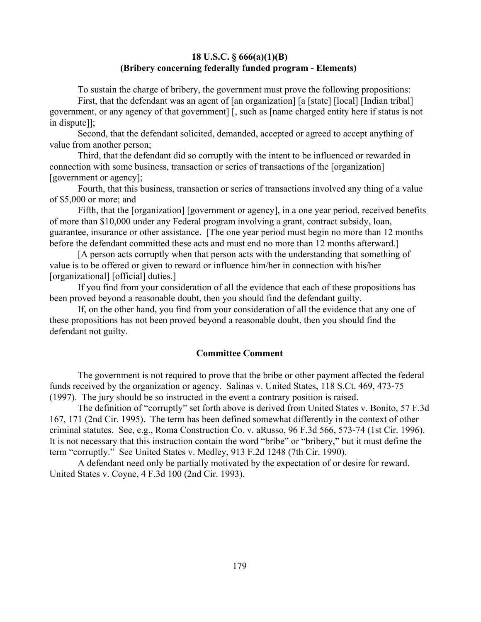#### **18 U.S.C. § 666(a)(1)(B) (Bribery concerning federally funded program - Elements)**

To sustain the charge of bribery, the government must prove the following propositions:

First, that the defendant was an agent of [an organization] [a [state] [local] [Indian tribal] government, or any agency of that government] [, such as [name charged entity here if status is not in dispute]];

Second, that the defendant solicited, demanded, accepted or agreed to accept anything of value from another person;

Third, that the defendant did so corruptly with the intent to be influenced or rewarded in connection with some business, transaction or series of transactions of the [organization] [government or agency];

Fourth, that this business, transaction or series of transactions involved any thing of a value of \$5,000 or more; and

Fifth, that the [organization] [government or agency], in a one year period, received benefits of more than \$10,000 under any Federal program involving a grant, contract subsidy, loan, guarantee, insurance or other assistance. [The one year period must begin no more than 12 months before the defendant committed these acts and must end no more than 12 months afterward.]

[A person acts corruptly when that person acts with the understanding that something of value is to be offered or given to reward or influence him/her in connection with his/her [organizational] [official] duties.]

If you find from your consideration of all the evidence that each of these propositions has been proved beyond a reasonable doubt, then you should find the defendant guilty.

If, on the other hand, you find from your consideration of all the evidence that any one of these propositions has not been proved beyond a reasonable doubt, then you should find the defendant not guilty.

#### **Committee Comment**

The government is not required to prove that the bribe or other payment affected the federal funds received by the organization or agency. Salinas v. United States, 118 S.Ct. 469, 473-75 (1997). The jury should be so instructed in the event a contrary position is raised.

The definition of "corruptly" set forth above is derived from United States v. Bonito, 57 F.3d 167, 171 (2nd Cir. 1995). The term has been defined somewhat differently in the context of other criminal statutes. See, e.g., Roma Construction Co. v. aRusso, 96 F.3d 566, 573-74 (1st Cir. 1996). It is not necessary that this instruction contain the word "bribe" or "bribery," but it must define the term "corruptly." See United States v. Medley, 913 F.2d 1248 (7th Cir. 1990).

A defendant need only be partially motivated by the expectation of or desire for reward. United States v. Coyne, 4 F.3d 100 (2nd Cir. 1993).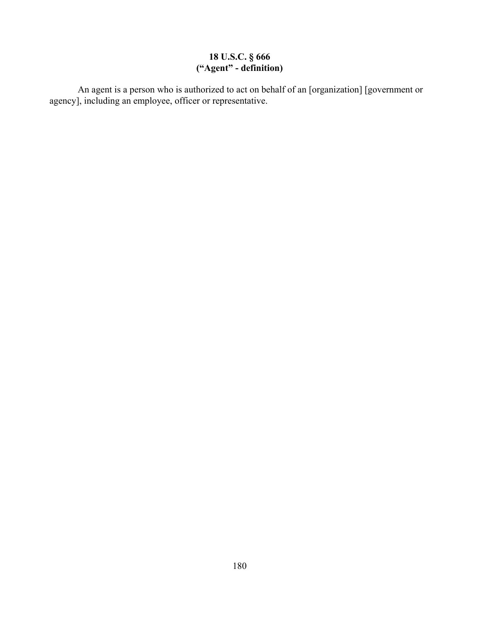## **18 U.S.C. § 666 ("Agent" - definition)**

An agent is a person who is authorized to act on behalf of an [organization] [government or agency], including an employee, officer or representative.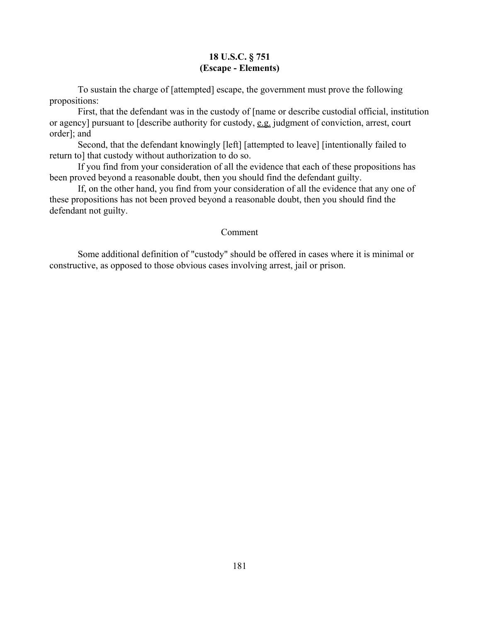## **18 U.S.C. § 751 (Escape - Elements)**

To sustain the charge of [attempted] escape, the government must prove the following propositions:

First, that the defendant was in the custody of [name or describe custodial official, institution or agency] pursuant to [describe authority for custody, e.g. judgment of conviction, arrest, court order]; and

Second, that the defendant knowingly [left] [attempted to leave] [intentionally failed to return to] that custody without authorization to do so.

If you find from your consideration of all the evidence that each of these propositions has been proved beyond a reasonable doubt, then you should find the defendant guilty.

If, on the other hand, you find from your consideration of all the evidence that any one of these propositions has not been proved beyond a reasonable doubt, then you should find the defendant not guilty.

#### Comment

Some additional definition of "custody" should be offered in cases where it is minimal or constructive, as opposed to those obvious cases involving arrest, jail or prison.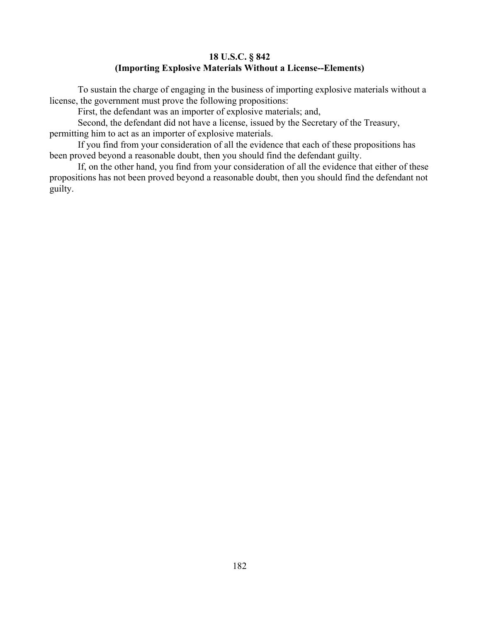## **18 U.S.C. § 842 (Importing Explosive Materials Without a License--Elements)**

To sustain the charge of engaging in the business of importing explosive materials without a license, the government must prove the following propositions:

First, the defendant was an importer of explosive materials; and,

Second, the defendant did not have a license, issued by the Secretary of the Treasury, permitting him to act as an importer of explosive materials.

If you find from your consideration of all the evidence that each of these propositions has been proved beyond a reasonable doubt, then you should find the defendant guilty.

If, on the other hand, you find from your consideration of all the evidence that either of these propositions has not been proved beyond a reasonable doubt, then you should find the defendant not guilty.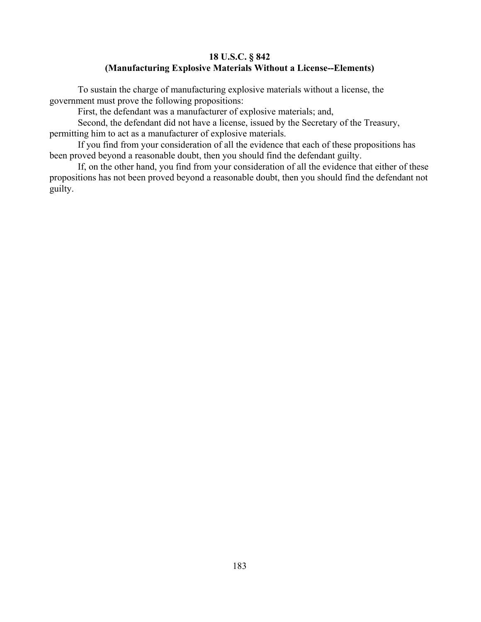#### **18 U.S.C. § 842 (Manufacturing Explosive Materials Without a License--Elements)**

To sustain the charge of manufacturing explosive materials without a license, the government must prove the following propositions:

First, the defendant was a manufacturer of explosive materials; and,

Second, the defendant did not have a license, issued by the Secretary of the Treasury, permitting him to act as a manufacturer of explosive materials.

If you find from your consideration of all the evidence that each of these propositions has been proved beyond a reasonable doubt, then you should find the defendant guilty.

If, on the other hand, you find from your consideration of all the evidence that either of these propositions has not been proved beyond a reasonable doubt, then you should find the defendant not guilty.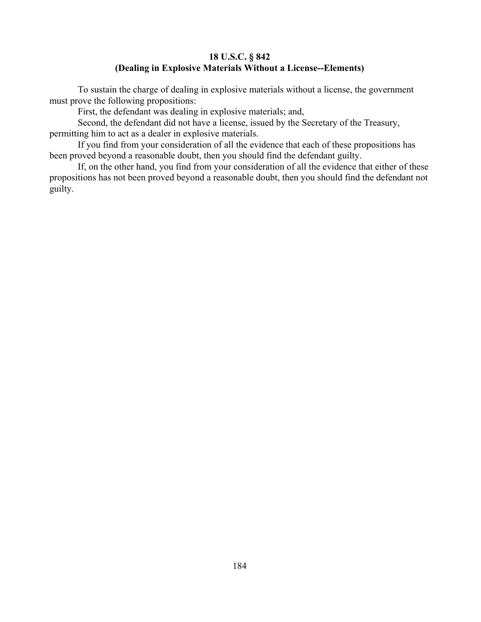### **18 U.S.C. § 842 (Dealing in Explosive Materials Without a License--Elements)**

To sustain the charge of dealing in explosive materials without a license, the government must prove the following propositions:

First, the defendant was dealing in explosive materials; and,

Second, the defendant did not have a license, issued by the Secretary of the Treasury, permitting him to act as a dealer in explosive materials.

If you find from your consideration of all the evidence that each of these propositions has been proved beyond a reasonable doubt, then you should find the defendant guilty.

If, on the other hand, you find from your consideration of all the evidence that either of these propositions has not been proved beyond a reasonable doubt, then you should find the defendant not guilty.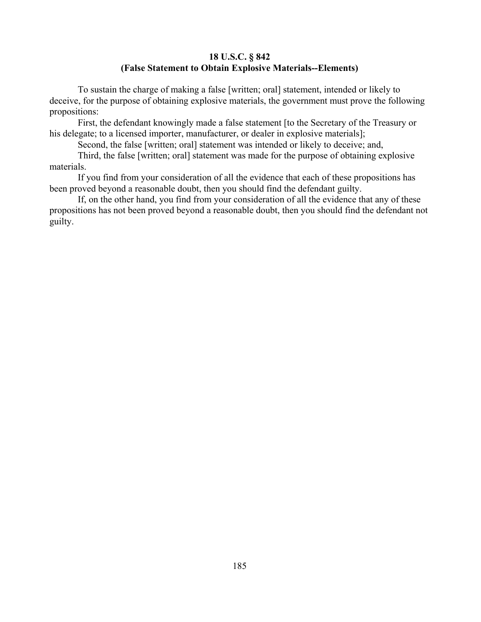## **18 U.S.C. § 842 (False Statement to Obtain Explosive Materials--Elements)**

To sustain the charge of making a false [written; oral] statement, intended or likely to deceive, for the purpose of obtaining explosive materials, the government must prove the following propositions:

First, the defendant knowingly made a false statement [to the Secretary of the Treasury or his delegate; to a licensed importer, manufacturer, or dealer in explosive materials];

Second, the false [written; oral] statement was intended or likely to deceive; and,

Third, the false [written; oral] statement was made for the purpose of obtaining explosive materials.

If you find from your consideration of all the evidence that each of these propositions has been proved beyond a reasonable doubt, then you should find the defendant guilty.

If, on the other hand, you find from your consideration of all the evidence that any of these propositions has not been proved beyond a reasonable doubt, then you should find the defendant not guilty.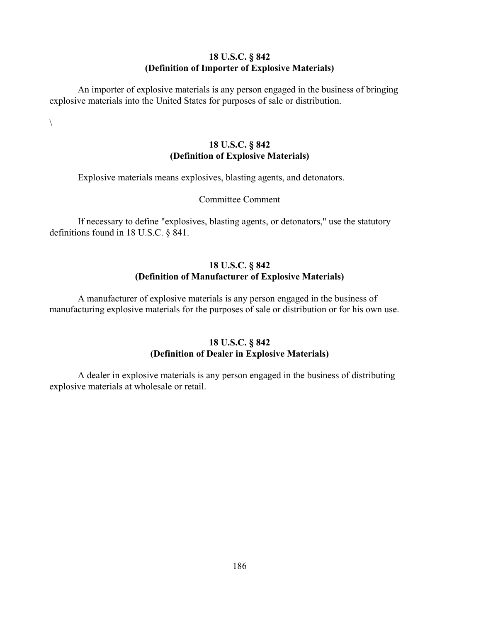## **18 U.S.C. § 842 (Definition of Importer of Explosive Materials)**

An importer of explosive materials is any person engaged in the business of bringing explosive materials into the United States for purposes of sale or distribution.

 $\setminus$ 

# **18 U.S.C. § 842 (Definition of Explosive Materials)**

Explosive materials means explosives, blasting agents, and detonators.

## Committee Comment

If necessary to define "explosives, blasting agents, or detonators," use the statutory definitions found in 18 U.S.C. § 841.

# **18 U.S.C. § 842 (Definition of Manufacturer of Explosive Materials)**

A manufacturer of explosive materials is any person engaged in the business of manufacturing explosive materials for the purposes of sale or distribution or for his own use.

# **18 U.S.C. § 842 (Definition of Dealer in Explosive Materials)**

A dealer in explosive materials is any person engaged in the business of distributing explosive materials at wholesale or retail.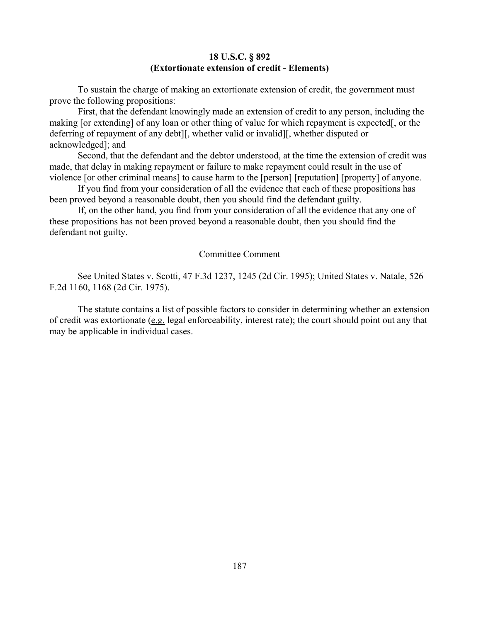#### **18 U.S.C. § 892 (Extortionate extension of credit - Elements)**

To sustain the charge of making an extortionate extension of credit, the government must prove the following propositions:

First, that the defendant knowingly made an extension of credit to any person, including the making [or extending] of any loan or other thing of value for which repayment is expected[, or the deferring of repayment of any debt][, whether valid or invalid][, whether disputed or acknowledged]; and

Second, that the defendant and the debtor understood, at the time the extension of credit was made, that delay in making repayment or failure to make repayment could result in the use of violence [or other criminal means] to cause harm to the [person] [reputation] [property] of anyone.

If you find from your consideration of all the evidence that each of these propositions has been proved beyond a reasonable doubt, then you should find the defendant guilty.

If, on the other hand, you find from your consideration of all the evidence that any one of these propositions has not been proved beyond a reasonable doubt, then you should find the defendant not guilty.

#### Committee Comment

See United States v. Scotti, 47 F.3d 1237, 1245 (2d Cir. 1995); United States v. Natale, 526 F.2d 1160, 1168 (2d Cir. 1975).

The statute contains a list of possible factors to consider in determining whether an extension of credit was extortionate (e.g. legal enforceability, interest rate); the court should point out any that may be applicable in individual cases.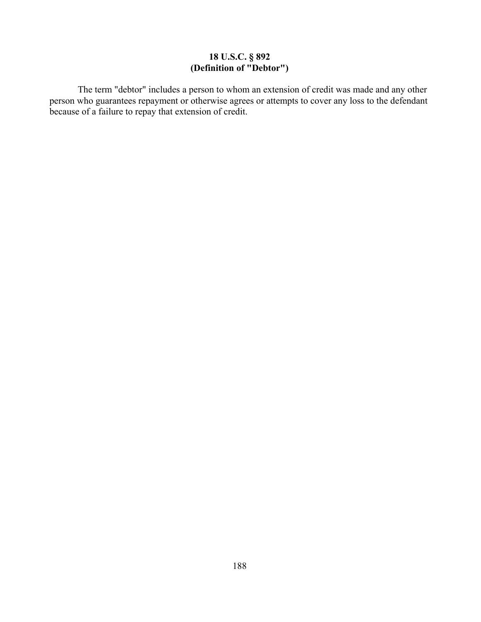## **18 U.S.C. § 892 (Definition of "Debtor")**

The term "debtor" includes a person to whom an extension of credit was made and any other person who guarantees repayment or otherwise agrees or attempts to cover any loss to the defendant because of a failure to repay that extension of credit.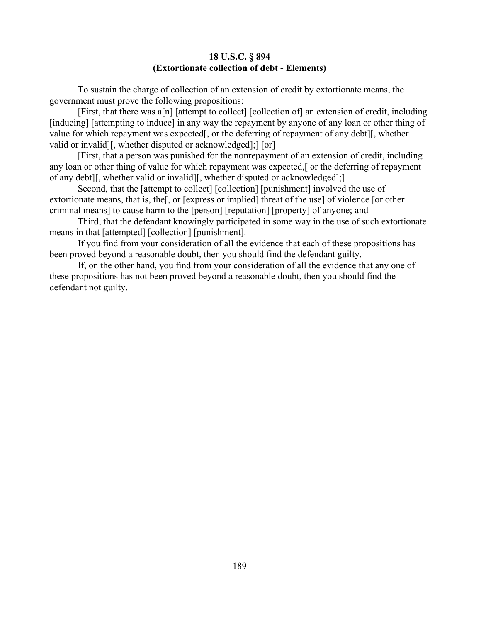#### **18 U.S.C. § 894 (Extortionate collection of debt - Elements)**

To sustain the charge of collection of an extension of credit by extortionate means, the government must prove the following propositions:

[First, that there was a[n] [attempt to collect] [collection of] an extension of credit, including [inducing] [attempting to induce] in any way the repayment by anyone of any loan or other thing of value for which repayment was expected[, or the deferring of repayment of any debt][, whether valid or invalid][, whether disputed or acknowledged];] [or]

[First, that a person was punished for the nonrepayment of an extension of credit, including any loan or other thing of value for which repayment was expected,[ or the deferring of repayment of any debt][, whether valid or invalid][, whether disputed or acknowledged];]

Second, that the [attempt to collect] [collection] [punishment] involved the use of extortionate means, that is, the[, or [express or implied] threat of the use] of violence [or other criminal means] to cause harm to the [person] [reputation] [property] of anyone; and

Third, that the defendant knowingly participated in some way in the use of such extortionate means in that [attempted] [collection] [punishment].

If you find from your consideration of all the evidence that each of these propositions has been proved beyond a reasonable doubt, then you should find the defendant guilty.

If, on the other hand, you find from your consideration of all the evidence that any one of these propositions has not been proved beyond a reasonable doubt, then you should find the defendant not guilty.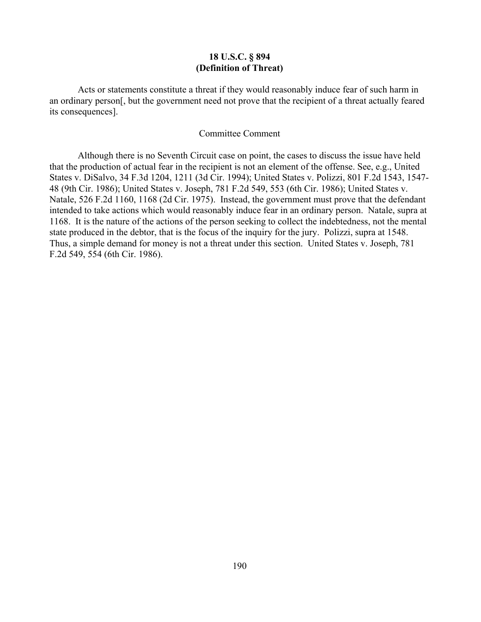#### **18 U.S.C. § 894 (Definition of Threat)**

 Acts or statements constitute a threat if they would reasonably induce fear of such harm in an ordinary person[, but the government need not prove that the recipient of a threat actually feared its consequences].

#### Committee Comment

Although there is no Seventh Circuit case on point, the cases to discuss the issue have held that the production of actual fear in the recipient is not an element of the offense. See, e.g., United States v. DiSalvo, 34 F.3d 1204, 1211 (3d Cir. 1994); United States v. Polizzi, 801 F.2d 1543, 1547- 48 (9th Cir. 1986); United States v. Joseph, 781 F.2d 549, 553 (6th Cir. 1986); United States v. Natale, 526 F.2d 1160, 1168 (2d Cir. 1975). Instead, the government must prove that the defendant intended to take actions which would reasonably induce fear in an ordinary person. Natale, supra at 1168. It is the nature of the actions of the person seeking to collect the indebtedness, not the mental state produced in the debtor, that is the focus of the inquiry for the jury. Polizzi, supra at 1548. Thus, a simple demand for money is not a threat under this section. United States v. Joseph, 781 F.2d 549, 554 (6th Cir. 1986).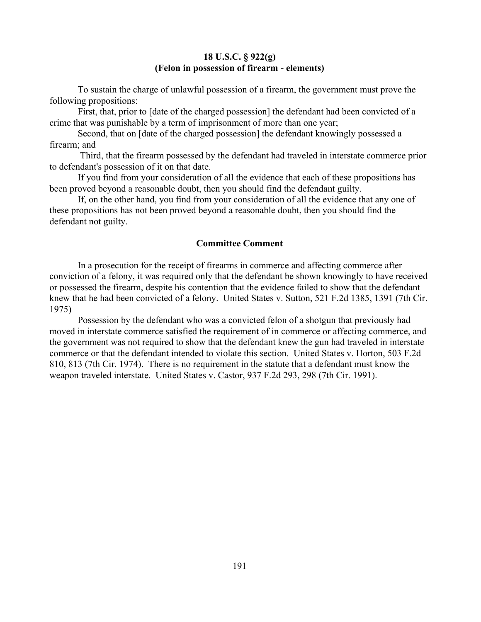#### **18 U.S.C. § 922(g) (Felon in possession of firearm - elements)**

To sustain the charge of unlawful possession of a firearm, the government must prove the following propositions:

First, that, prior to [date of the charged possession] the defendant had been convicted of a crime that was punishable by a term of imprisonment of more than one year;

Second, that on [date of the charged possession] the defendant knowingly possessed a firearm; and

 Third, that the firearm possessed by the defendant had traveled in interstate commerce prior to defendant's possession of it on that date.

If you find from your consideration of all the evidence that each of these propositions has been proved beyond a reasonable doubt, then you should find the defendant guilty.

If, on the other hand, you find from your consideration of all the evidence that any one of these propositions has not been proved beyond a reasonable doubt, then you should find the defendant not guilty.

#### **Committee Comment**

In a prosecution for the receipt of firearms in commerce and affecting commerce after conviction of a felony, it was required only that the defendant be shown knowingly to have received or possessed the firearm, despite his contention that the evidence failed to show that the defendant knew that he had been convicted of a felony. United States v. Sutton, 521 F.2d 1385, 1391 (7th Cir. 1975)

Possession by the defendant who was a convicted felon of a shotgun that previously had moved in interstate commerce satisfied the requirement of in commerce or affecting commerce, and the government was not required to show that the defendant knew the gun had traveled in interstate commerce or that the defendant intended to violate this section. United States v. Horton, 503 F.2d 810, 813 (7th Cir. 1974). There is no requirement in the statute that a defendant must know the weapon traveled interstate. United States v. Castor, 937 F.2d 293, 298 (7th Cir. 1991).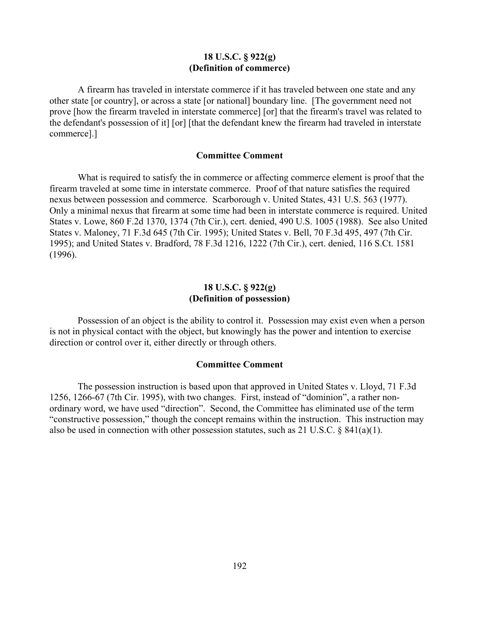#### **18 U.S.C. § 922(g) (Definition of commerce)**

A firearm has traveled in interstate commerce if it has traveled between one state and any other state [or country], or across a state [or national] boundary line. [The government need not prove [how the firearm traveled in interstate commerce] [or] that the firearm's travel was related to the defendant's possession of it] [or] [that the defendant knew the firearm had traveled in interstate commerce].]

#### **Committee Comment**

What is required to satisfy the in commerce or affecting commerce element is proof that the firearm traveled at some time in interstate commerce. Proof of that nature satisfies the required nexus between possession and commerce. Scarborough v. United States, 431 U.S. 563 (1977). Only a minimal nexus that firearm at some time had been in interstate commerce is required. United States v. Lowe, 860 F.2d 1370, 1374 (7th Cir.), cert. denied, 490 U.S. 1005 (1988). See also United States v. Maloney, 71 F.3d 645 (7th Cir. 1995); United States v. Bell, 70 F.3d 495, 497 (7th Cir. 1995); and United States v. Bradford, 78 F.3d 1216, 1222 (7th Cir.), cert. denied, 116 S.Ct. 1581 (1996).

#### **18 U.S.C. § 922(g) (Definition of possession)**

Possession of an object is the ability to control it. Possession may exist even when a person is not in physical contact with the object, but knowingly has the power and intention to exercise direction or control over it, either directly or through others.

#### **Committee Comment**

The possession instruction is based upon that approved in United States v. Lloyd, 71 F.3d 1256, 1266-67 (7th Cir. 1995), with two changes. First, instead of "dominion", a rather nonordinary word, we have used "direction". Second, the Committee has eliminated use of the term "constructive possession," though the concept remains within the instruction. This instruction may also be used in connection with other possession statutes, such as 21 U.S.C. § 841(a)(1).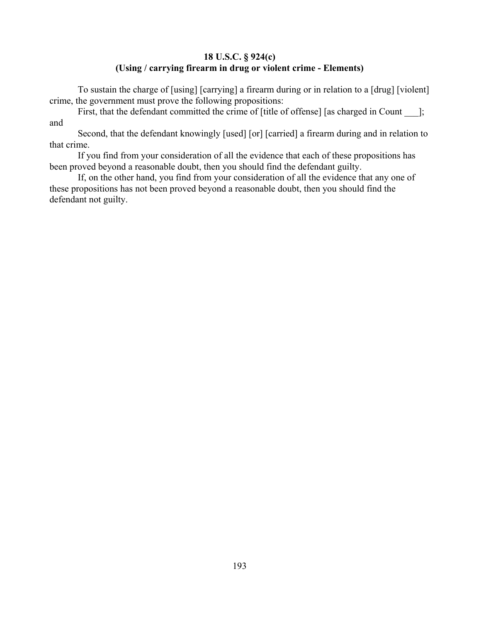# **18 U.S.C. § 924(c) (Using / carrying firearm in drug or violent crime - Elements)**

To sustain the charge of [using] [carrying] a firearm during or in relation to a [drug] [violent] crime, the government must prove the following propositions:

First, that the defendant committed the crime of [title of offense] [as charged in Count \_\_\_]; and

Second, that the defendant knowingly [used] [or] [carried] a firearm during and in relation to that crime.

If you find from your consideration of all the evidence that each of these propositions has been proved beyond a reasonable doubt, then you should find the defendant guilty.

If, on the other hand, you find from your consideration of all the evidence that any one of these propositions has not been proved beyond a reasonable doubt, then you should find the defendant not guilty.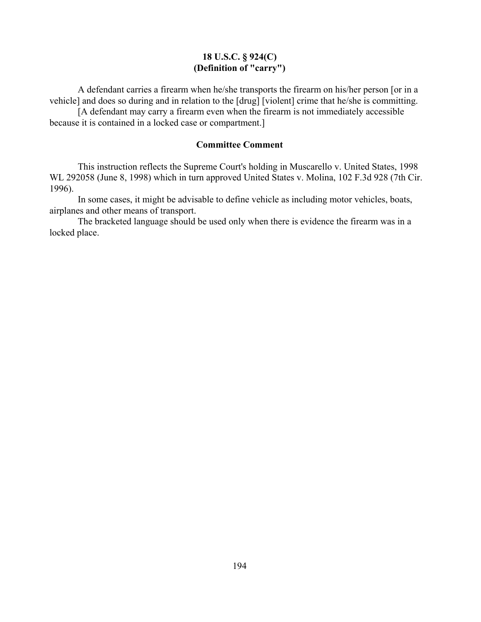## **18 U.S.C. § 924(C) (Definition of "carry")**

A defendant carries a firearm when he/she transports the firearm on his/her person [or in a vehicle] and does so during and in relation to the [drug] [violent] crime that he/she is committing.

[A defendant may carry a firearm even when the firearm is not immediately accessible because it is contained in a locked case or compartment.]

### **Committee Comment**

This instruction reflects the Supreme Court's holding in Muscarello v. United States, 1998 WL 292058 (June 8, 1998) which in turn approved United States v. Molina, 102 F.3d 928 (7th Cir. 1996).

In some cases, it might be advisable to define vehicle as including motor vehicles, boats, airplanes and other means of transport.

The bracketed language should be used only when there is evidence the firearm was in a locked place.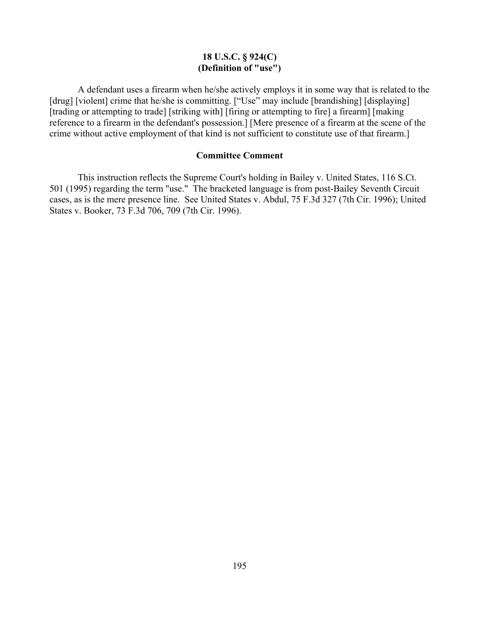## **18 U.S.C. § 924(C) (Definition of "use")**

A defendant uses a firearm when he/she actively employs it in some way that is related to the [drug] [violent] crime that he/she is committing. ["Use" may include [brandishing] [displaying] [trading or attempting to trade] [striking with] [firing or attempting to fire] a firearm] [making] reference to a firearm in the defendant's possession.] [Mere presence of a firearm at the scene of the crime without active employment of that kind is not sufficient to constitute use of that firearm.]

#### **Committee Comment**

This instruction reflects the Supreme Court's holding in Bailey v. United States, 116 S.Ct. 501 (1995) regarding the term "use." The bracketed language is from post-Bailey Seventh Circuit cases, as is the mere presence line. See United States v. Abdul, 75 F.3d 327 (7th Cir. 1996); United States v. Booker, 73 F.3d 706, 709 (7th Cir. 1996).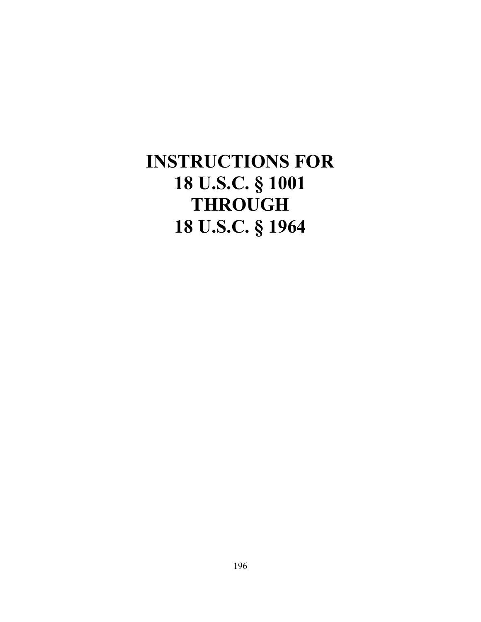# **INSTRUCTIONS FOR 18 U.S.C. § 1001 THROUGH 18 U.S.C. § 1964**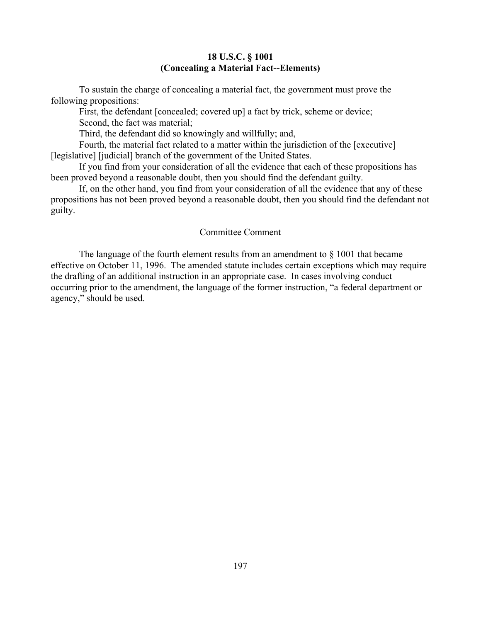#### **18 U.S.C. § 1001 (Concealing a Material Fact--Elements)**

To sustain the charge of concealing a material fact, the government must prove the following propositions:

First, the defendant [concealed; covered up] a fact by trick, scheme or device; Second, the fact was material;

Third, the defendant did so knowingly and willfully; and,

Fourth, the material fact related to a matter within the jurisdiction of the [executive] [legislative] [judicial] branch of the government of the United States.

If you find from your consideration of all the evidence that each of these propositions has been proved beyond a reasonable doubt, then you should find the defendant guilty.

If, on the other hand, you find from your consideration of all the evidence that any of these propositions has not been proved beyond a reasonable doubt, then you should find the defendant not guilty.

#### Committee Comment

The language of the fourth element results from an amendment to  $\S$  1001 that became effective on October 11, 1996. The amended statute includes certain exceptions which may require the drafting of an additional instruction in an appropriate case. In cases involving conduct occurring prior to the amendment, the language of the former instruction, "a federal department or agency," should be used.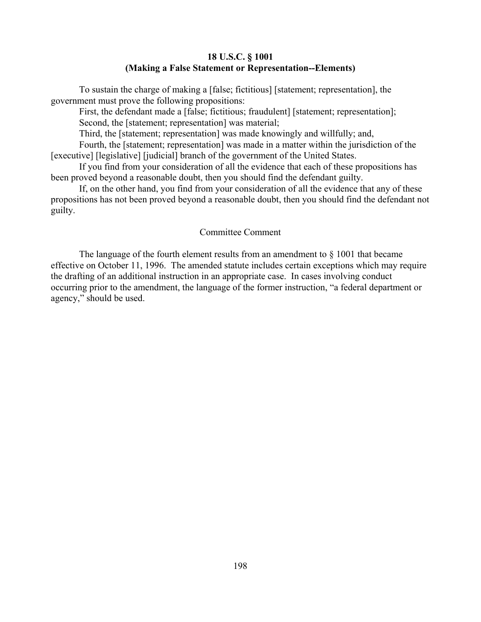#### **18 U.S.C. § 1001 (Making a False Statement or Representation--Elements)**

To sustain the charge of making a [false; fictitious] [statement; representation], the government must prove the following propositions:

First, the defendant made a [false; fictitious; fraudulent] [statement; representation]; Second, the [statement; representation] was material;

Third, the [statement; representation] was made knowingly and willfully; and,

Fourth, the [statement; representation] was made in a matter within the jurisdiction of the [executive] [legislative] [judicial] branch of the government of the United States.

If you find from your consideration of all the evidence that each of these propositions has been proved beyond a reasonable doubt, then you should find the defendant guilty.

If, on the other hand, you find from your consideration of all the evidence that any of these propositions has not been proved beyond a reasonable doubt, then you should find the defendant not guilty.

#### Committee Comment

The language of the fourth element results from an amendment to  $\S$  1001 that became effective on October 11, 1996. The amended statute includes certain exceptions which may require the drafting of an additional instruction in an appropriate case. In cases involving conduct occurring prior to the amendment, the language of the former instruction, "a federal department or agency," should be used.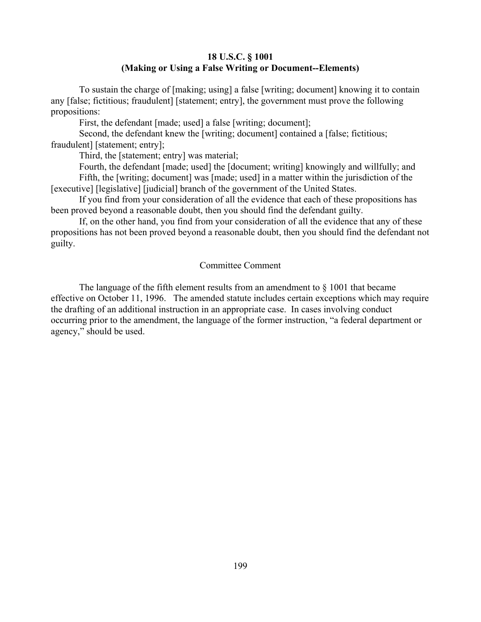## **18 U.S.C. § 1001 (Making or Using a False Writing or Document--Elements)**

To sustain the charge of [making; using] a false [writing; document] knowing it to contain any [false; fictitious; fraudulent] [statement; entry], the government must prove the following propositions:

First, the defendant [made; used] a false [writing; document];

Second, the defendant knew the [writing; document] contained a [false; fictitious; fraudulent] [statement; entry];

Third, the [statement; entry] was material;

Fourth, the defendant [made; used] the [document; writing] knowingly and willfully; and Fifth, the [writing; document] was [made; used] in a matter within the jurisdiction of the [executive] [legislative] [judicial] branch of the government of the United States.

If you find from your consideration of all the evidence that each of these propositions has been proved beyond a reasonable doubt, then you should find the defendant guilty.

If, on the other hand, you find from your consideration of all the evidence that any of these propositions has not been proved beyond a reasonable doubt, then you should find the defendant not guilty.

#### Committee Comment

The language of the fifth element results from an amendment to  $\S$  1001 that became effective on October 11, 1996. The amended statute includes certain exceptions which may require the drafting of an additional instruction in an appropriate case. In cases involving conduct occurring prior to the amendment, the language of the former instruction, "a federal department or agency," should be used.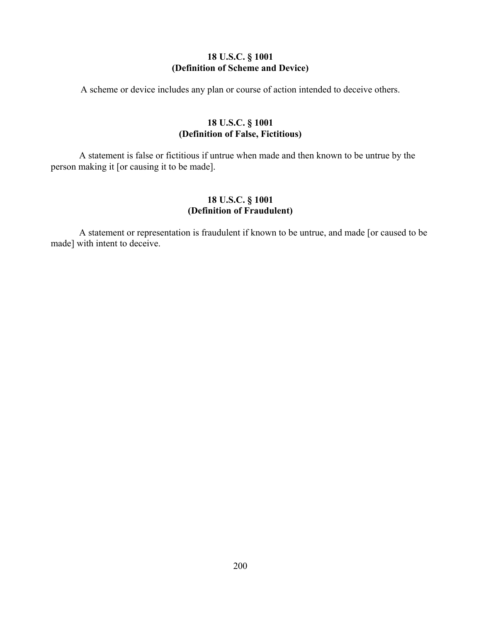# **18 U.S.C. § 1001 (Definition of Scheme and Device)**

A scheme or device includes any plan or course of action intended to deceive others.

# **18 U.S.C. § 1001 (Definition of False, Fictitious)**

A statement is false or fictitious if untrue when made and then known to be untrue by the person making it [or causing it to be made].

# **18 U.S.C. § 1001 (Definition of Fraudulent)**

A statement or representation is fraudulent if known to be untrue, and made [or caused to be made] with intent to deceive.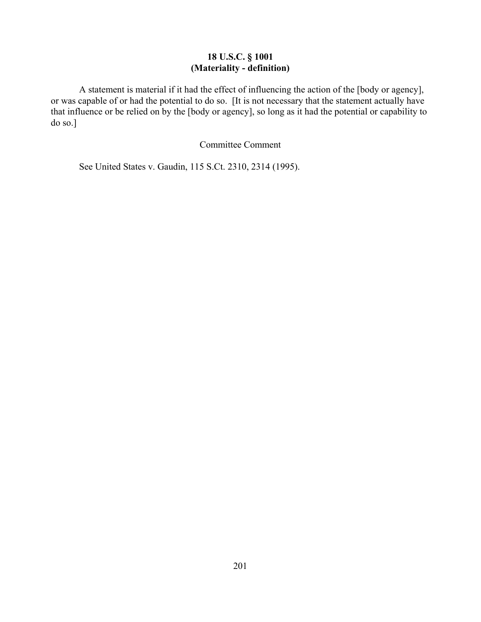# **18 U.S.C. § 1001 (Materiality - definition)**

A statement is material if it had the effect of influencing the action of the [body or agency], or was capable of or had the potential to do so. [It is not necessary that the statement actually have that influence or be relied on by the [body or agency], so long as it had the potential or capability to do so.]

Committee Comment

See United States v. Gaudin, 115 S.Ct. 2310, 2314 (1995).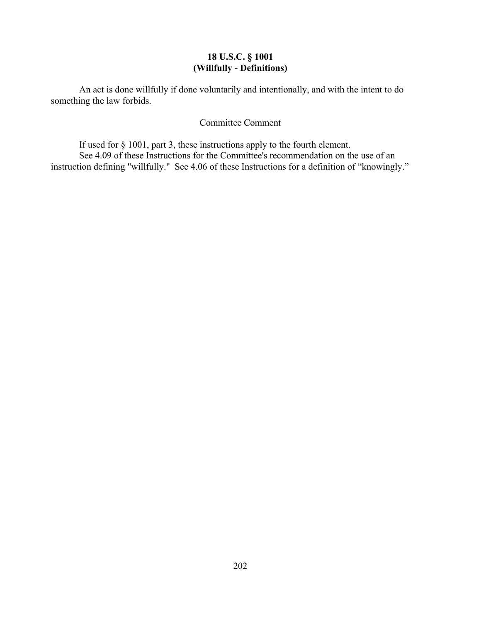# **18 U.S.C. § 1001 (Willfully - Definitions)**

An act is done willfully if done voluntarily and intentionally, and with the intent to do something the law forbids.

# Committee Comment

If used for § 1001, part 3, these instructions apply to the fourth element. See 4.09 of these Instructions for the Committee's recommendation on the use of an instruction defining "willfully." See 4.06 of these Instructions for a definition of "knowingly."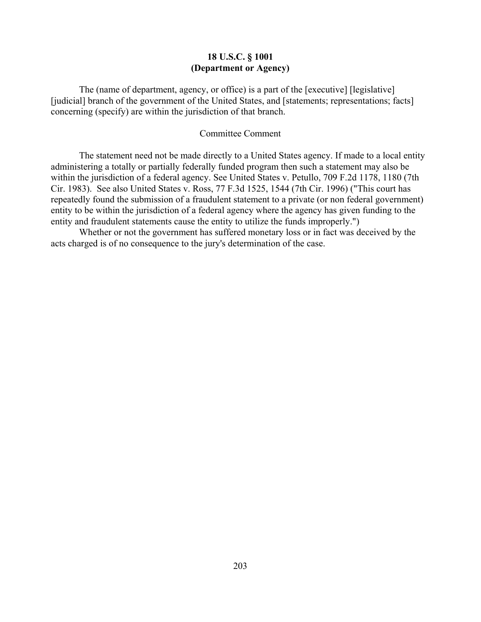## **18 U.S.C. § 1001 (Department or Agency)**

The (name of department, agency, or office) is a part of the [executive] [legislative] [judicial] branch of the government of the United States, and [statements; representations; facts] concerning (specify) are within the jurisdiction of that branch.

#### Committee Comment

The statement need not be made directly to a United States agency. If made to a local entity administering a totally or partially federally funded program then such a statement may also be within the jurisdiction of a federal agency. See United States v. Petullo, 709 F.2d 1178, 1180 (7th Cir. 1983). See also United States v. Ross, 77 F.3d 1525, 1544 (7th Cir. 1996) ("This court has repeatedly found the submission of a fraudulent statement to a private (or non federal government) entity to be within the jurisdiction of a federal agency where the agency has given funding to the entity and fraudulent statements cause the entity to utilize the funds improperly.")

Whether or not the government has suffered monetary loss or in fact was deceived by the acts charged is of no consequence to the jury's determination of the case.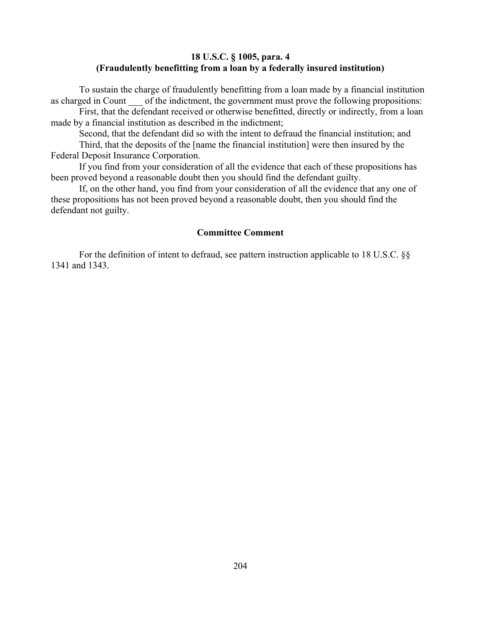## **18 U.S.C. § 1005, para. 4 (Fraudulently benefitting from a loan by a federally insured institution)**

To sustain the charge of fraudulently benefitting from a loan made by a financial institution as charged in Count of the indictment, the government must prove the following propositions:

First, that the defendant received or otherwise benefitted, directly or indirectly, from a loan made by a financial institution as described in the indictment;

Second, that the defendant did so with the intent to defraud the financial institution; and

Third, that the deposits of the [name the financial institution] were then insured by the Federal Deposit Insurance Corporation.

If you find from your consideration of all the evidence that each of these propositions has been proved beyond a reasonable doubt then you should find the defendant guilty.

If, on the other hand, you find from your consideration of all the evidence that any one of these propositions has not been proved beyond a reasonable doubt, then you should find the defendant not guilty.

## **Committee Comment**

For the definition of intent to defraud, see pattern instruction applicable to 18 U.S.C. §§ 1341 and 1343.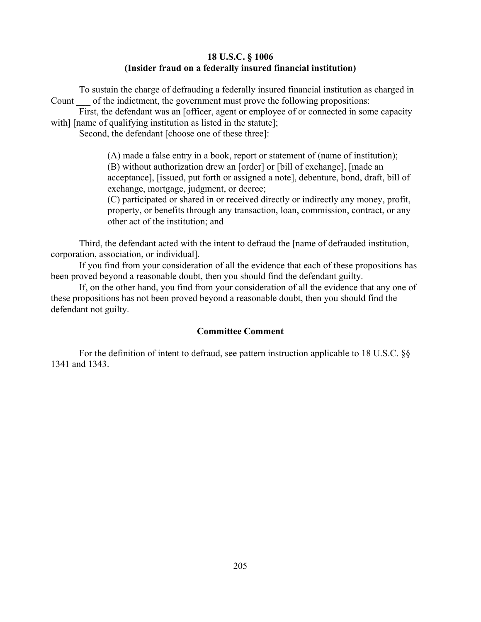## **18 U.S.C. § 1006 (Insider fraud on a federally insured financial institution)**

To sustain the charge of defrauding a federally insured financial institution as charged in Count of the indictment, the government must prove the following propositions:

First, the defendant was an [officer, agent or employee of or connected in some capacity with] [name of qualifying institution as listed in the statute];

Second, the defendant [choose one of these three]:

(A) made a false entry in a book, report or statement of (name of institution); (B) without authorization drew an [order] or [bill of exchange], [made an acceptance], [issued, put forth or assigned a note], debenture, bond, draft, bill of exchange, mortgage, judgment, or decree;

(C) participated or shared in or received directly or indirectly any money, profit, property, or benefits through any transaction, loan, commission, contract, or any other act of the institution; and

Third, the defendant acted with the intent to defraud the [name of defrauded institution, corporation, association, or individual].

If you find from your consideration of all the evidence that each of these propositions has been proved beyond a reasonable doubt, then you should find the defendant guilty.

If, on the other hand, you find from your consideration of all the evidence that any one of these propositions has not been proved beyond a reasonable doubt, then you should find the defendant not guilty.

#### **Committee Comment**

For the definition of intent to defraud, see pattern instruction applicable to 18 U.S.C. §§ 1341 and 1343.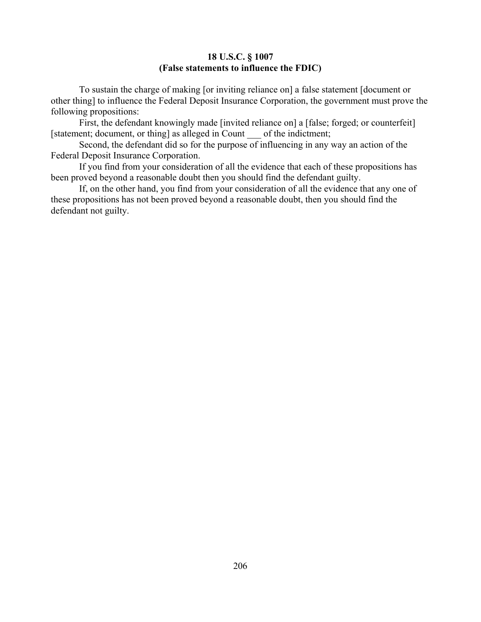#### **18 U.S.C. § 1007 (False statements to influence the FDIC)**

To sustain the charge of making [or inviting reliance on] a false statement [document or other thing] to influence the Federal Deposit Insurance Corporation, the government must prove the following propositions:

First, the defendant knowingly made [invited reliance on] a [false; forged; or counterfeit] [statement; document, or thing] as alleged in Count of the indictment;

Second, the defendant did so for the purpose of influencing in any way an action of the Federal Deposit Insurance Corporation.

If you find from your consideration of all the evidence that each of these propositions has been proved beyond a reasonable doubt then you should find the defendant guilty.

If, on the other hand, you find from your consideration of all the evidence that any one of these propositions has not been proved beyond a reasonable doubt, then you should find the defendant not guilty.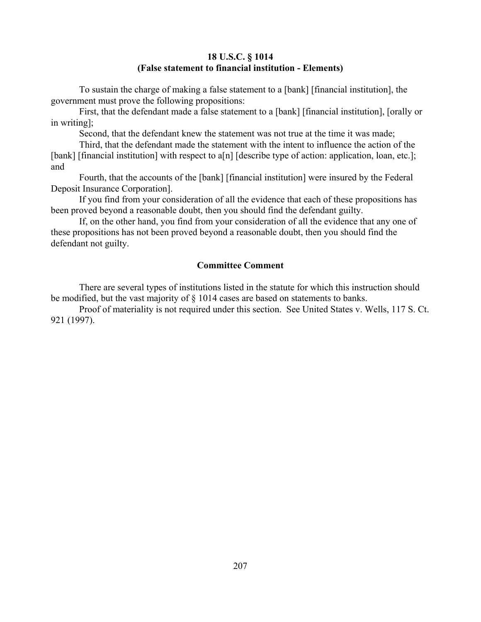## **18 U.S.C. § 1014 (False statement to financial institution - Elements)**

To sustain the charge of making a false statement to a [bank] [financial institution], the government must prove the following propositions:

First, that the defendant made a false statement to a [bank] [financial institution], [orally or in writing];

Second, that the defendant knew the statement was not true at the time it was made;

Third, that the defendant made the statement with the intent to influence the action of the [bank] [financial institution] with respect to a[n] [describe type of action: application, loan, etc.]; and

Fourth, that the accounts of the [bank] [financial institution] were insured by the Federal Deposit Insurance Corporation].

If you find from your consideration of all the evidence that each of these propositions has been proved beyond a reasonable doubt, then you should find the defendant guilty.

If, on the other hand, you find from your consideration of all the evidence that any one of these propositions has not been proved beyond a reasonable doubt, then you should find the defendant not guilty.

# **Committee Comment**

There are several types of institutions listed in the statute for which this instruction should be modified, but the vast majority of § 1014 cases are based on statements to banks.

Proof of materiality is not required under this section. See United States v. Wells, 117 S. Ct. 921 (1997).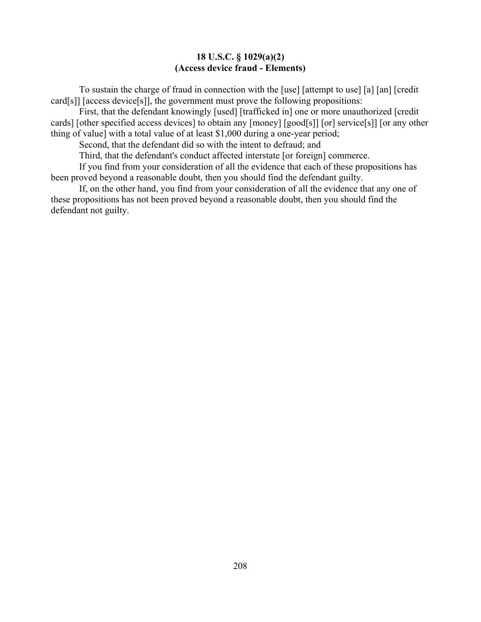#### **18 U.S.C. § 1029(a)(2) (Access device fraud - Elements)**

To sustain the charge of fraud in connection with the [use] [attempt to use] [a] [an] [credit card[s]] [access device[s]], the government must prove the following propositions:

First, that the defendant knowingly [used] [trafficked in] one or more unauthorized [credit cards] [other specified access devices] to obtain any [money] [good[s]] [or] service[s]] [or any other thing of value] with a total value of at least \$1,000 during a one-year period;

Second, that the defendant did so with the intent to defraud; and

Third, that the defendant's conduct affected interstate [or foreign] commerce.

If you find from your consideration of all the evidence that each of these propositions has been proved beyond a reasonable doubt, then you should find the defendant guilty.

If, on the other hand, you find from your consideration of all the evidence that any one of these propositions has not been proved beyond a reasonable doubt, then you should find the defendant not guilty.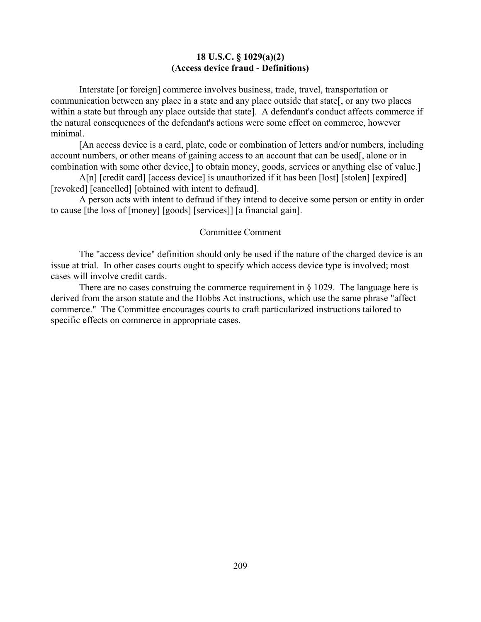#### **18 U.S.C. § 1029(a)(2) (Access device fraud - Definitions)**

Interstate [or foreign] commerce involves business, trade, travel, transportation or communication between any place in a state and any place outside that state[, or any two places within a state but through any place outside that state]. A defendant's conduct affects commerce if the natural consequences of the defendant's actions were some effect on commerce, however minimal.

[An access device is a card, plate, code or combination of letters and/or numbers, including account numbers, or other means of gaining access to an account that can be used[, alone or in combination with some other device,] to obtain money, goods, services or anything else of value.]

A[n] [credit card] [access device] is unauthorized if it has been [lost] [stolen] [expired] [revoked] [cancelled] [obtained with intent to defraud].

A person acts with intent to defraud if they intend to deceive some person or entity in order to cause [the loss of [money] [goods] [services]] [a financial gain].

#### Committee Comment

The "access device" definition should only be used if the nature of the charged device is an issue at trial. In other cases courts ought to specify which access device type is involved; most cases will involve credit cards.

There are no cases construing the commerce requirement in  $\S 1029$ . The language here is derived from the arson statute and the Hobbs Act instructions, which use the same phrase "affect commerce." The Committee encourages courts to craft particularized instructions tailored to specific effects on commerce in appropriate cases.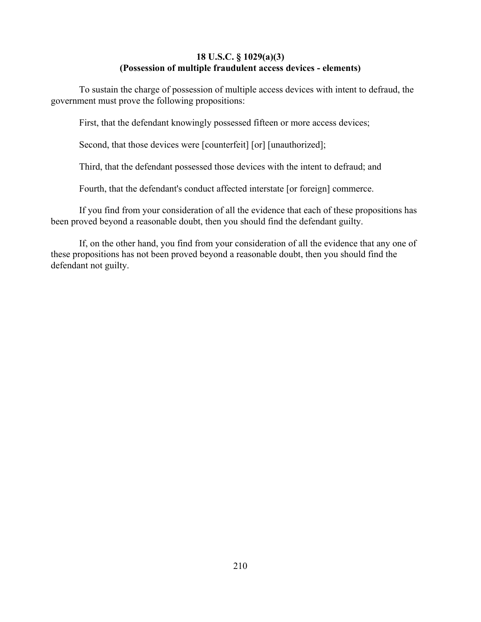## **18 U.S.C. § 1029(a)(3) (Possession of multiple fraudulent access devices - elements)**

To sustain the charge of possession of multiple access devices with intent to defraud, the government must prove the following propositions:

First, that the defendant knowingly possessed fifteen or more access devices;

Second, that those devices were [counterfeit] [or] [unauthorized];

Third, that the defendant possessed those devices with the intent to defraud; and

Fourth, that the defendant's conduct affected interstate [or foreign] commerce.

If you find from your consideration of all the evidence that each of these propositions has been proved beyond a reasonable doubt, then you should find the defendant guilty.

If, on the other hand, you find from your consideration of all the evidence that any one of these propositions has not been proved beyond a reasonable doubt, then you should find the defendant not guilty.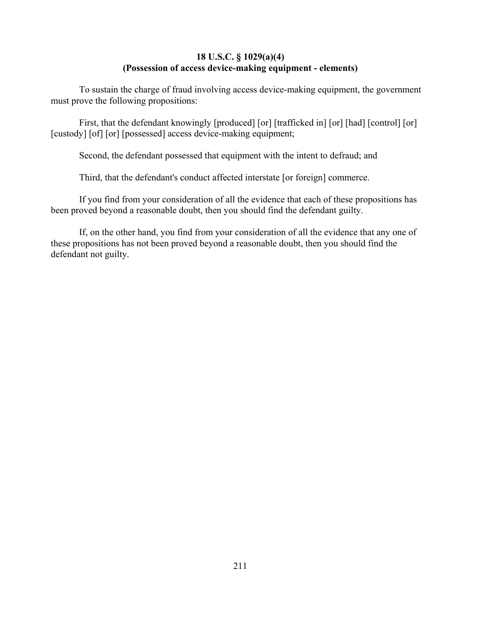# **18 U.S.C. § 1029(a)(4) (Possession of access device-making equipment - elements)**

To sustain the charge of fraud involving access device-making equipment, the government must prove the following propositions:

First, that the defendant knowingly [produced] [or] [trafficked in] [or] [had] [control] [or] [custody] [of] [or] [possessed] access device-making equipment;

Second, the defendant possessed that equipment with the intent to defraud; and

Third, that the defendant's conduct affected interstate [or foreign] commerce.

If you find from your consideration of all the evidence that each of these propositions has been proved beyond a reasonable doubt, then you should find the defendant guilty.

If, on the other hand, you find from your consideration of all the evidence that any one of these propositions has not been proved beyond a reasonable doubt, then you should find the defendant not guilty.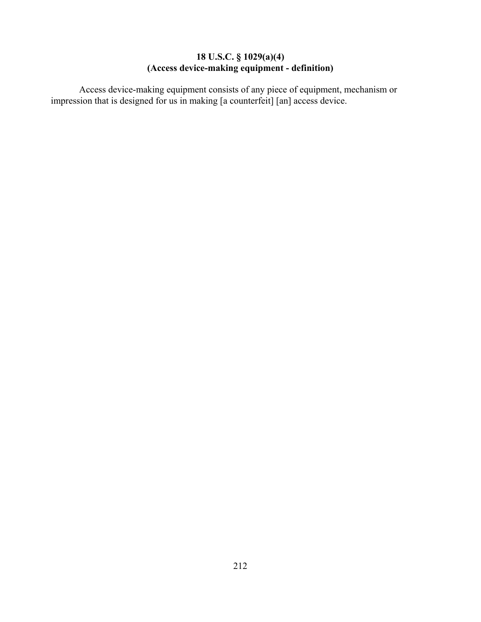## **18 U.S.C. § 1029(a)(4) (Access device-making equipment - definition)**

Access device-making equipment consists of any piece of equipment, mechanism or impression that is designed for us in making [a counterfeit] [an] access device.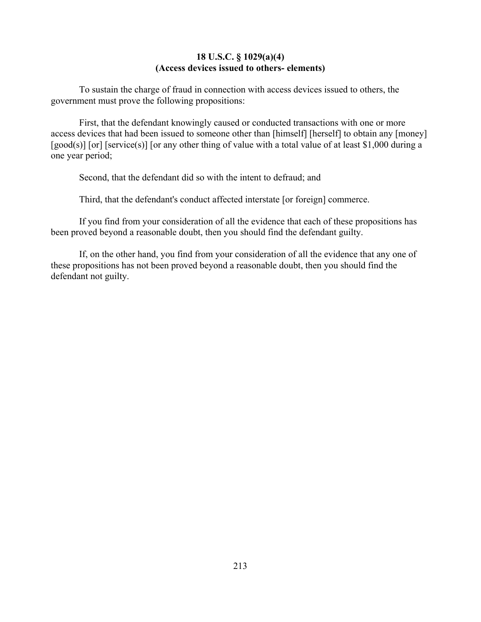### **18 U.S.C. § 1029(a)(4) (Access devices issued to others- elements)**

To sustain the charge of fraud in connection with access devices issued to others, the government must prove the following propositions:

First, that the defendant knowingly caused or conducted transactions with one or more access devices that had been issued to someone other than [himself] [herself] to obtain any [money] [good(s)] [or] [service(s)] [or any other thing of value with a total value of at least \$1,000 during a one year period;

Second, that the defendant did so with the intent to defraud; and

Third, that the defendant's conduct affected interstate [or foreign] commerce.

If you find from your consideration of all the evidence that each of these propositions has been proved beyond a reasonable doubt, then you should find the defendant guilty.

If, on the other hand, you find from your consideration of all the evidence that any one of these propositions has not been proved beyond a reasonable doubt, then you should find the defendant not guilty.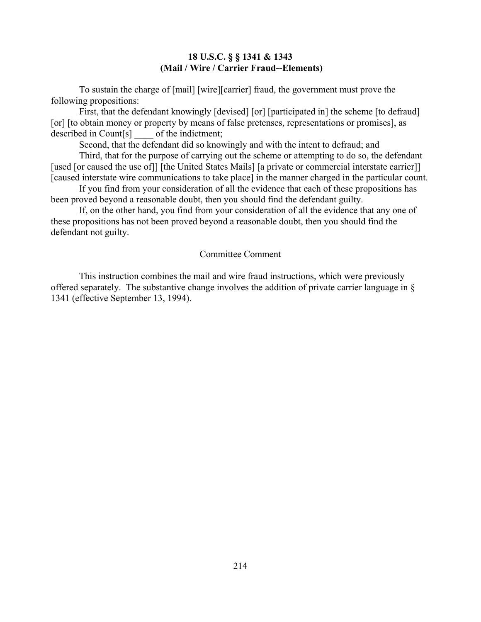## **18 U.S.C. § § 1341 & 1343 (Mail / Wire / Carrier Fraud--Elements)**

To sustain the charge of [mail] [wire][carrier] fraud, the government must prove the following propositions:

First, that the defendant knowingly [devised] [or] [participated in] the scheme [to defraud] [or] [to obtain money or property by means of false pretenses, representations or promises], as described in Count[s] of the indictment;

Second, that the defendant did so knowingly and with the intent to defraud; and

Third, that for the purpose of carrying out the scheme or attempting to do so, the defendant [used [or caused the use of]] [the United States Mails] [a private or commercial interstate carrier]] [caused interstate wire communications to take place] in the manner charged in the particular count.

If you find from your consideration of all the evidence that each of these propositions has been proved beyond a reasonable doubt, then you should find the defendant guilty.

If, on the other hand, you find from your consideration of all the evidence that any one of these propositions has not been proved beyond a reasonable doubt, then you should find the defendant not guilty.

#### Committee Comment

This instruction combines the mail and wire fraud instructions, which were previously offered separately. The substantive change involves the addition of private carrier language in § 1341 (effective September 13, 1994).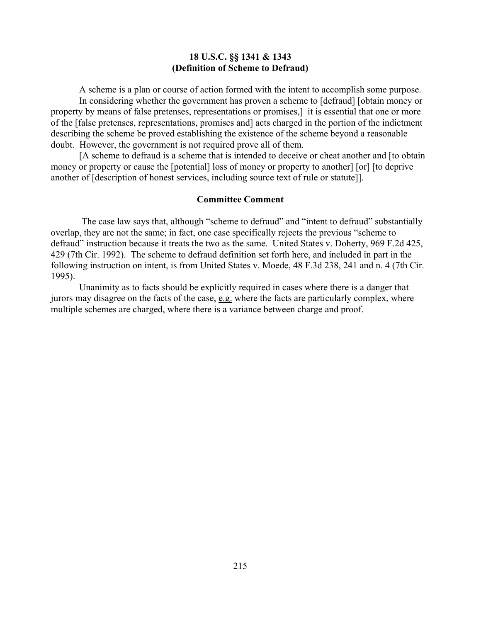#### **18 U.S.C. §§ 1341 & 1343 (Definition of Scheme to Defraud)**

A scheme is a plan or course of action formed with the intent to accomplish some purpose. In considering whether the government has proven a scheme to [defraud] [obtain money or property by means of false pretenses, representations or promises,] it is essential that one or more of the [false pretenses, representations, promises and] acts charged in the portion of the indictment describing the scheme be proved establishing the existence of the scheme beyond a reasonable doubt. However, the government is not required prove all of them.

[A scheme to defraud is a scheme that is intended to deceive or cheat another and [to obtain money or property or cause the [potential] loss of money or property to another] [or] [to deprive another of [description of honest services, including source text of rule or statute]].

#### **Committee Comment**

 The case law says that, although "scheme to defraud" and "intent to defraud" substantially overlap, they are not the same; in fact, one case specifically rejects the previous "scheme to defraud" instruction because it treats the two as the same. United States v. Doherty, 969 F.2d 425, 429 (7th Cir. 1992). The scheme to defraud definition set forth here, and included in part in the following instruction on intent, is from United States v. Moede, 48 F.3d 238, 241 and n. 4 (7th Cir. 1995).

Unanimity as to facts should be explicitly required in cases where there is a danger that jurors may disagree on the facts of the case, e.g. where the facts are particularly complex, where multiple schemes are charged, where there is a variance between charge and proof.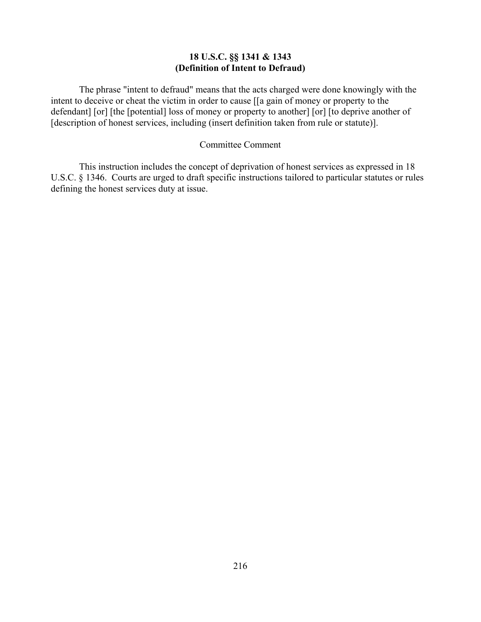# **18 U.S.C. §§ 1341 & 1343 (Definition of Intent to Defraud)**

The phrase "intent to defraud" means that the acts charged were done knowingly with the intent to deceive or cheat the victim in order to cause [[a gain of money or property to the defendant] [or] [the [potential] loss of money or property to another] [or] [to deprive another of [description of honest services, including (insert definition taken from rule or statute)].

### Committee Comment

This instruction includes the concept of deprivation of honest services as expressed in 18 U.S.C. § 1346. Courts are urged to draft specific instructions tailored to particular statutes or rules defining the honest services duty at issue.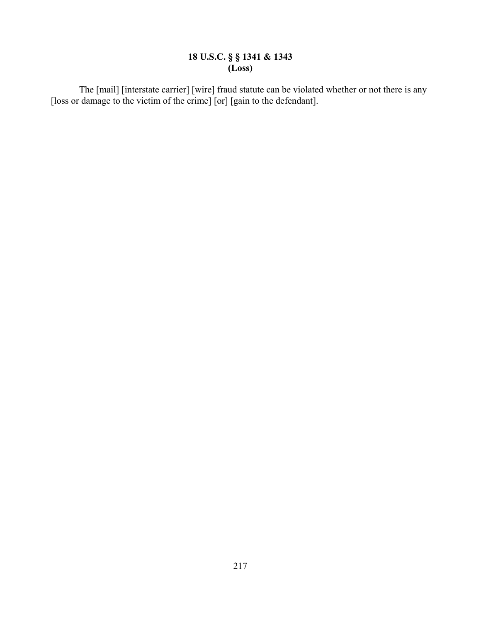## **18 U.S.C. § § 1341 & 1343 (Loss)**

The [mail] [interstate carrier] [wire] fraud statute can be violated whether or not there is any [loss or damage to the victim of the crime] [or] [gain to the defendant].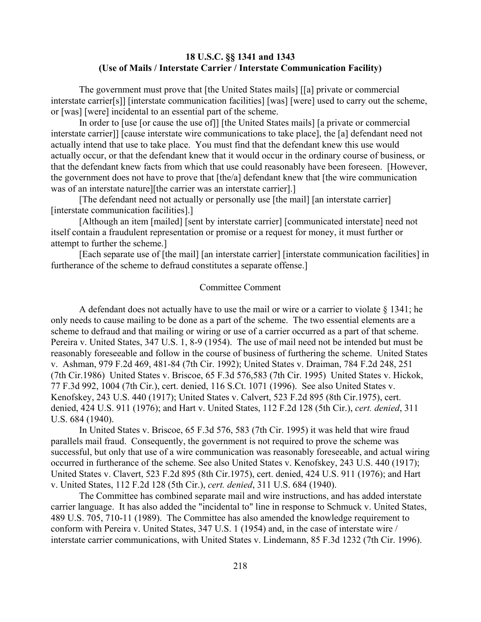## **18 U.S.C. §§ 1341 and 1343 (Use of Mails / Interstate Carrier / Interstate Communication Facility)**

The government must prove that [the United States mails] [[a] private or commercial interstate carrier[s]] [interstate communication facilities] [was] [were] used to carry out the scheme, or [was] [were] incidental to an essential part of the scheme.

In order to [use [or cause the use of]] [the United States mails] [a private or commercial interstate carrier]] [cause interstate wire communications to take place], the [a] defendant need not actually intend that use to take place. You must find that the defendant knew this use would actually occur, or that the defendant knew that it would occur in the ordinary course of business, or that the defendant knew facts from which that use could reasonably have been foreseen. [However, the government does not have to prove that [the/a] defendant knew that [the wire communication was of an interstate nature][the carrier was an interstate carrier].]

[The defendant need not actually or personally use [the mail] [an interstate carrier] [interstate communication facilities].]

[Although an item [mailed] [sent by interstate carrier] [communicated interstate] need not itself contain a fraudulent representation or promise or a request for money, it must further or attempt to further the scheme.]

[Each separate use of [the mail] [an interstate carrier] [interstate communication facilities] in furtherance of the scheme to defraud constitutes a separate offense.]

#### Committee Comment

A defendant does not actually have to use the mail or wire or a carrier to violate  $\S$  1341; he only needs to cause mailing to be done as a part of the scheme. The two essential elements are a scheme to defraud and that mailing or wiring or use of a carrier occurred as a part of that scheme. Pereira v. United States, 347 U.S. 1, 8-9 (1954). The use of mail need not be intended but must be reasonably foreseeable and follow in the course of business of furthering the scheme. United States v. Ashman, 979 F.2d 469, 481-84 (7th Cir. 1992); United States v. Draiman, 784 F.2d 248, 251 (7th Cir.1986) United States v. Briscoe, 65 F.3d 576,583 (7th Cir. 1995) United States v. Hickok, 77 F.3d 992, 1004 (7th Cir.), cert. denied, 116 S.Ct. 1071 (1996). See also United States v. Kenofskey, 243 U.S. 440 (1917); United States v. Calvert, 523 F.2d 895 (8th Cir.1975), cert. denied, 424 U.S. 911 (1976); and Hart v. United States, 112 F.2d 128 (5th Cir.), *cert. denied*, 311 U.S. 684 (1940).

In United States v. Briscoe, 65 F.3d 576, 583 (7th Cir. 1995) it was held that wire fraud parallels mail fraud. Consequently, the government is not required to prove the scheme was successful, but only that use of a wire communication was reasonably foreseeable, and actual wiring occurred in furtherance of the scheme. See also United States v. Kenofskey, 243 U.S. 440 (1917); United States v. Clavert, 523 F.2d 895 (8th Cir.1975), cert. denied, 424 U.S. 911 (1976); and Hart v. United States, 112 F.2d 128 (5th Cir.), *cert. denied*, 311 U.S. 684 (1940).

The Committee has combined separate mail and wire instructions, and has added interstate carrier language. It has also added the "incidental to" line in response to Schmuck v. United States, 489 U.S. 705, 710-11 (1989). The Committee has also amended the knowledge requirement to conform with Pereira v. United States, 347 U.S. 1 (1954) and, in the case of interstate wire / interstate carrier communications, with United States v. Lindemann, 85 F.3d 1232 (7th Cir. 1996).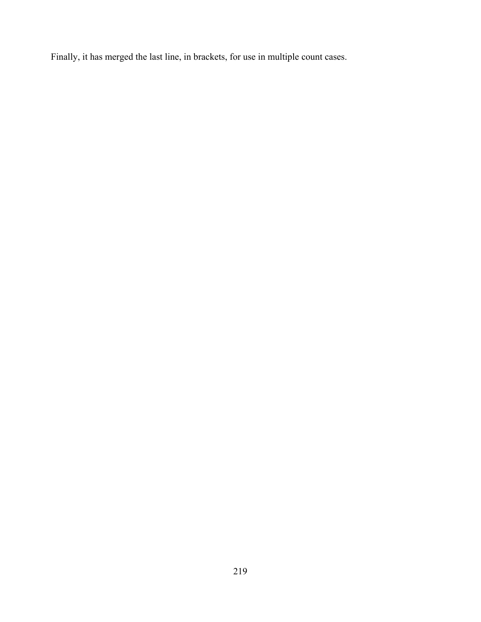Finally, it has merged the last line, in brackets, for use in multiple count cases.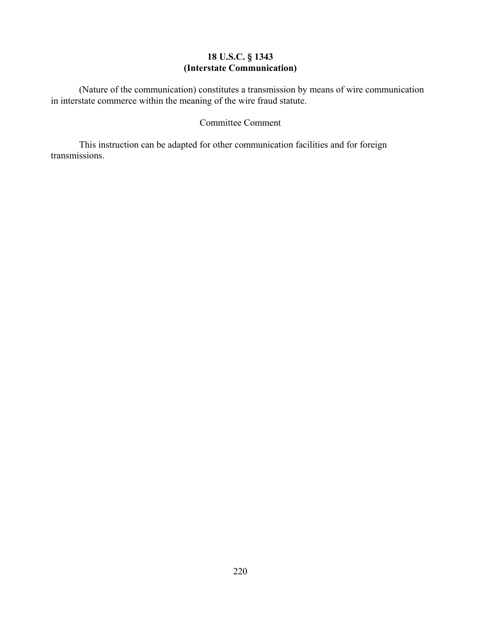## **18 U.S.C. § 1343 (Interstate Communication)**

(Nature of the communication) constitutes a transmission by means of wire communication in interstate commerce within the meaning of the wire fraud statute.

# Committee Comment

This instruction can be adapted for other communication facilities and for foreign transmissions.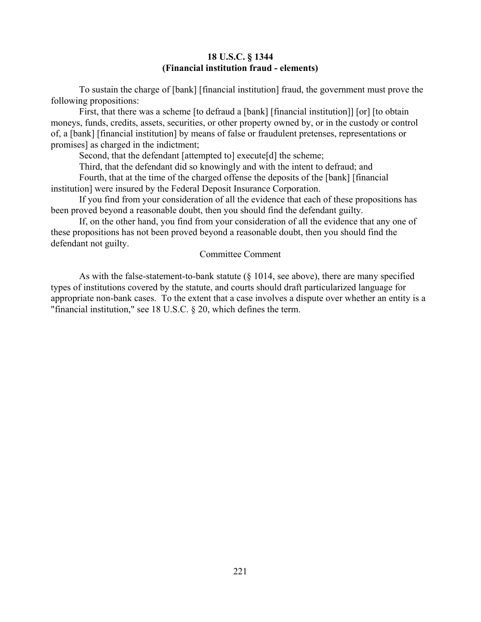### **18 U.S.C. § 1344 (Financial institution fraud - elements)**

To sustain the charge of [bank] [financial institution] fraud, the government must prove the following propositions:

First, that there was a scheme [to defraud a [bank] [financial institution]] [or] [to obtain moneys, funds, credits, assets, securities, or other property owned by, or in the custody or control of, a [bank] [financial institution] by means of false or fraudulent pretenses, representations or promises] as charged in the indictment;

Second, that the defendant [attempted to] execute[d] the scheme;

Third, that the defendant did so knowingly and with the intent to defraud; and

Fourth, that at the time of the charged offense the deposits of the [bank] [financial institution] were insured by the Federal Deposit Insurance Corporation.

If you find from your consideration of all the evidence that each of these propositions has been proved beyond a reasonable doubt, then you should find the defendant guilty.

If, on the other hand, you find from your consideration of all the evidence that any one of these propositions has not been proved beyond a reasonable doubt, then you should find the defendant not guilty.

#### Committee Comment

As with the false-statement-to-bank statute (§ 1014, see above), there are many specified types of institutions covered by the statute, and courts should draft particularized language for appropriate non-bank cases. To the extent that a case involves a dispute over whether an entity is a "financial institution," see 18 U.S.C. § 20, which defines the term.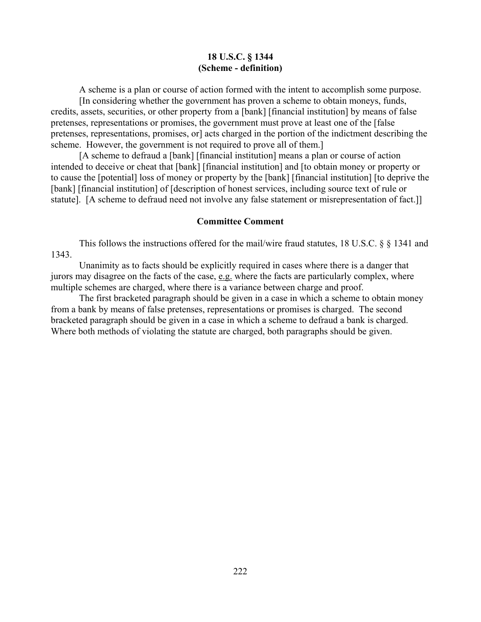#### **18 U.S.C. § 1344 (Scheme - definition)**

A scheme is a plan or course of action formed with the intent to accomplish some purpose.

[In considering whether the government has proven a scheme to obtain moneys, funds, credits, assets, securities, or other property from a [bank] [financial institution] by means of false pretenses, representations or promises, the government must prove at least one of the [false pretenses, representations, promises, or] acts charged in the portion of the indictment describing the scheme. However, the government is not required to prove all of them.]

[A scheme to defraud a [bank] [financial institution] means a plan or course of action intended to deceive or cheat that [bank] [financial institution] and [to obtain money or property or to cause the [potential] loss of money or property by the [bank] [financial institution] [to deprive the [bank] [financial institution] of [description of honest services, including source text of rule or statute]. [A scheme to defraud need not involve any false statement or misrepresentation of fact.]]

## **Committee Comment**

This follows the instructions offered for the mail/wire fraud statutes, 18 U.S.C. § § 1341 and 1343.

Unanimity as to facts should be explicitly required in cases where there is a danger that jurors may disagree on the facts of the case, e.g. where the facts are particularly complex, where multiple schemes are charged, where there is a variance between charge and proof.

The first bracketed paragraph should be given in a case in which a scheme to obtain money from a bank by means of false pretenses, representations or promises is charged. The second bracketed paragraph should be given in a case in which a scheme to defraud a bank is charged. Where both methods of violating the statute are charged, both paragraphs should be given.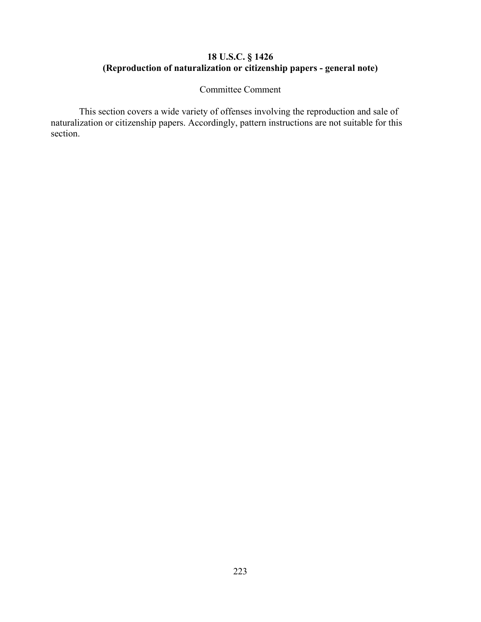# **18 U.S.C. § 1426 (Reproduction of naturalization or citizenship papers - general note)**

Committee Comment

This section covers a wide variety of offenses involving the reproduction and sale of naturalization or citizenship papers. Accordingly, pattern instructions are not suitable for this section.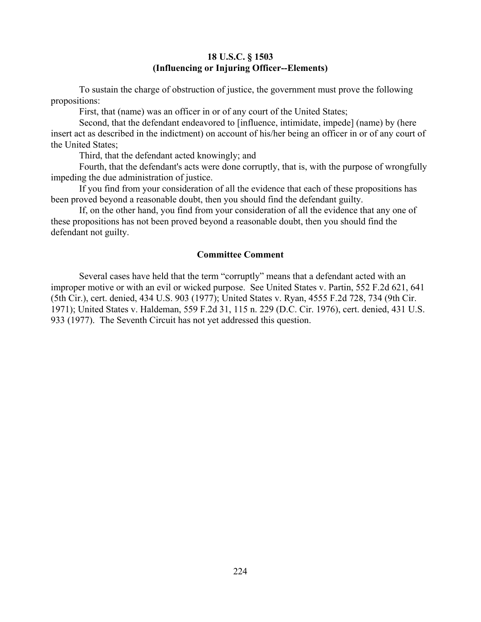## **18 U.S.C. § 1503 (Influencing or Injuring Officer--Elements)**

To sustain the charge of obstruction of justice, the government must prove the following propositions:

First, that (name) was an officer in or of any court of the United States;

Second, that the defendant endeavored to [influence, intimidate, impede] (name) by (here insert act as described in the indictment) on account of his/her being an officer in or of any court of the United States;

Third, that the defendant acted knowingly; and

Fourth, that the defendant's acts were done corruptly, that is, with the purpose of wrongfully impeding the due administration of justice.

If you find from your consideration of all the evidence that each of these propositions has been proved beyond a reasonable doubt, then you should find the defendant guilty.

If, on the other hand, you find from your consideration of all the evidence that any one of these propositions has not been proved beyond a reasonable doubt, then you should find the defendant not guilty.

### **Committee Comment**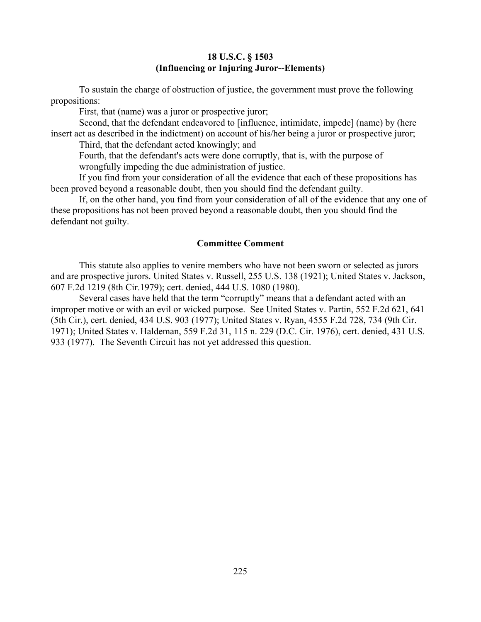## **18 U.S.C. § 1503 (Influencing or Injuring Juror--Elements)**

To sustain the charge of obstruction of justice, the government must prove the following propositions:

First, that (name) was a juror or prospective juror;

Second, that the defendant endeavored to [influence, intimidate, impede] (name) by (here insert act as described in the indictment) on account of his/her being a juror or prospective juror;

Third, that the defendant acted knowingly; and

Fourth, that the defendant's acts were done corruptly, that is, with the purpose of wrongfully impeding the due administration of justice.

If you find from your consideration of all the evidence that each of these propositions has been proved beyond a reasonable doubt, then you should find the defendant guilty.

If, on the other hand, you find from your consideration of all of the evidence that any one of these propositions has not been proved beyond a reasonable doubt, then you should find the defendant not guilty.

#### **Committee Comment**

This statute also applies to venire members who have not been sworn or selected as jurors and are prospective jurors. United States v. Russell, 255 U.S. 138 (1921); United States v. Jackson, 607 F.2d 1219 (8th Cir.1979); cert. denied, 444 U.S. 1080 (1980).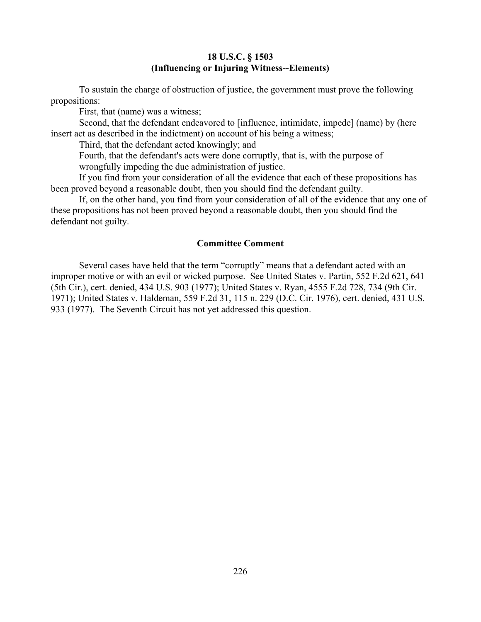## **18 U.S.C. § 1503 (Influencing or Injuring Witness--Elements)**

To sustain the charge of obstruction of justice, the government must prove the following propositions:

First, that (name) was a witness;

Second, that the defendant endeavored to [influence, intimidate, impede] (name) by (here insert act as described in the indictment) on account of his being a witness;

Third, that the defendant acted knowingly; and

Fourth, that the defendant's acts were done corruptly, that is, with the purpose of wrongfully impeding the due administration of justice.

If you find from your consideration of all the evidence that each of these propositions has been proved beyond a reasonable doubt, then you should find the defendant guilty.

If, on the other hand, you find from your consideration of all of the evidence that any one of these propositions has not been proved beyond a reasonable doubt, then you should find the defendant not guilty.

#### **Committee Comment**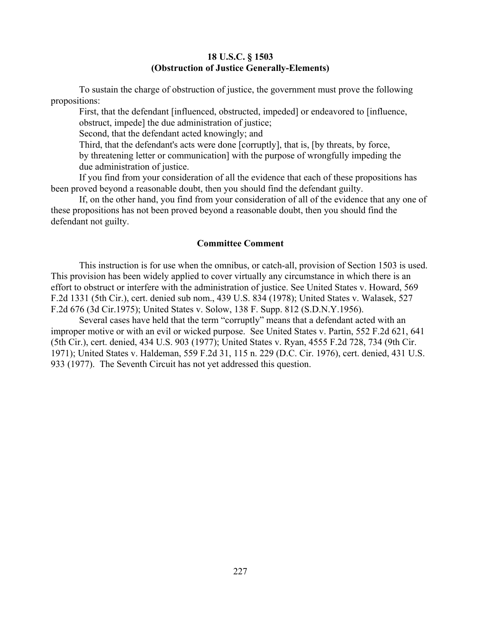## **18 U.S.C. § 1503 (Obstruction of Justice Generally-Elements)**

To sustain the charge of obstruction of justice, the government must prove the following propositions:

First, that the defendant [influenced, obstructed, impeded] or endeavored to [influence, obstruct, impede] the due administration of justice;

Second, that the defendant acted knowingly; and

Third, that the defendant's acts were done [corruptly], that is, [by threats, by force, by threatening letter or communication] with the purpose of wrongfully impeding the due administration of justice.

If you find from your consideration of all the evidence that each of these propositions has been proved beyond a reasonable doubt, then you should find the defendant guilty.

If, on the other hand, you find from your consideration of all of the evidence that any one of these propositions has not been proved beyond a reasonable doubt, then you should find the defendant not guilty.

### **Committee Comment**

This instruction is for use when the omnibus, or catch-all, provision of Section 1503 is used. This provision has been widely applied to cover virtually any circumstance in which there is an effort to obstruct or interfere with the administration of justice. See United States v. Howard, 569 F.2d 1331 (5th Cir.), cert. denied sub nom., 439 U.S. 834 (1978); United States v. Walasek, 527 F.2d 676 (3d Cir.1975); United States v. Solow, 138 F. Supp. 812 (S.D.N.Y.1956).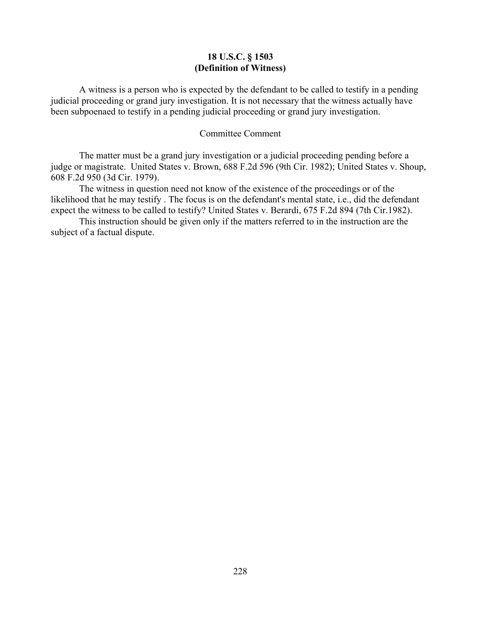## **18 U.S.C. § 1503 (Definition of Witness)**

A witness is a person who is expected by the defendant to be called to testify in a pending judicial proceeding or grand jury investigation. It is not necessary that the witness actually have been subpoenaed to testify in a pending judicial proceeding or grand jury investigation.

#### Committee Comment

The matter must be a grand jury investigation or a judicial proceeding pending before a judge or magistrate. United States v. Brown, 688 F.2d 596 (9th Cir. 1982); United States v. Shoup, 608 F.2d 950 (3d Cir. 1979).

The witness in question need not know of the existence of the proceedings or of the likelihood that he may testify . The focus is on the defendant's mental state, i.e., did the defendant expect the witness to be called to testify? United States v. Berardi, 675 F.2d 894 (7th Cir.1982).

This instruction should be given only if the matters referred to in the instruction are the subject of a factual dispute.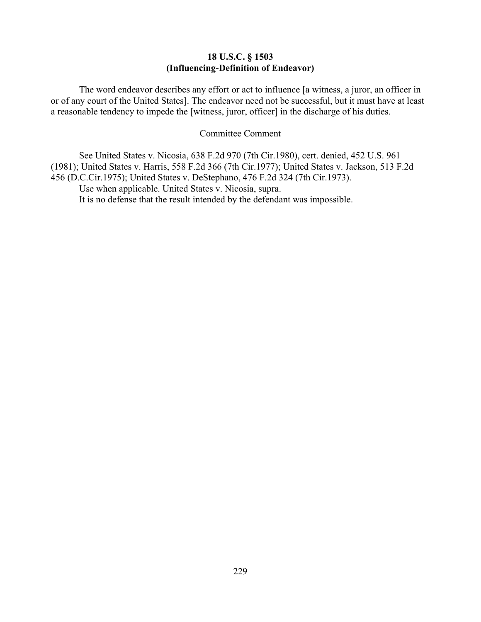# **18 U.S.C. § 1503 (Influencing-Definition of Endeavor)**

The word endeavor describes any effort or act to influence [a witness, a juror, an officer in or of any court of the United States]. The endeavor need not be successful, but it must have at least a reasonable tendency to impede the [witness, juror, officer] in the discharge of his duties.

#### Committee Comment

See United States v. Nicosia, 638 F.2d 970 (7th Cir.1980), cert. denied, 452 U.S. 961 (1981); United States v. Harris, 558 F.2d 366 (7th Cir.1977); United States v. Jackson, 513 F.2d 456 (D.C.Cir.1975); United States v. DeStephano, 476 F.2d 324 (7th Cir.1973).

Use when applicable. United States v. Nicosia, supra.

It is no defense that the result intended by the defendant was impossible.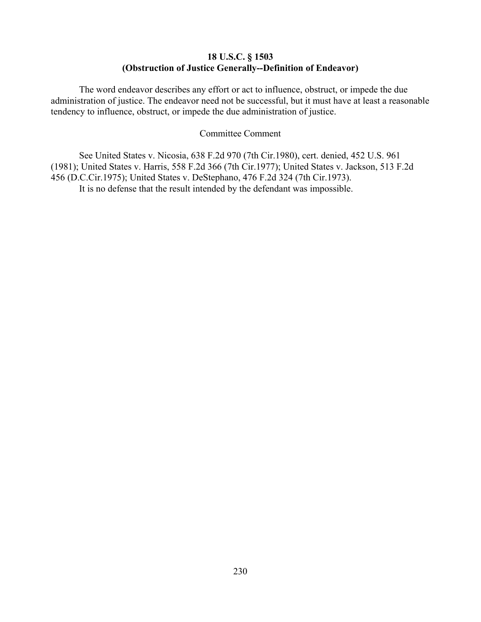# **18 U.S.C. § 1503 (Obstruction of Justice Generally--Definition of Endeavor)**

The word endeavor describes any effort or act to influence, obstruct, or impede the due administration of justice. The endeavor need not be successful, but it must have at least a reasonable tendency to influence, obstruct, or impede the due administration of justice.

#### Committee Comment

See United States v. Nicosia, 638 F.2d 970 (7th Cir.1980), cert. denied, 452 U.S. 961 (1981); United States v. Harris, 558 F.2d 366 (7th Cir.1977); United States v. Jackson, 513 F.2d 456 (D.C.Cir.1975); United States v. DeStephano, 476 F.2d 324 (7th Cir.1973). It is no defense that the result intended by the defendant was impossible.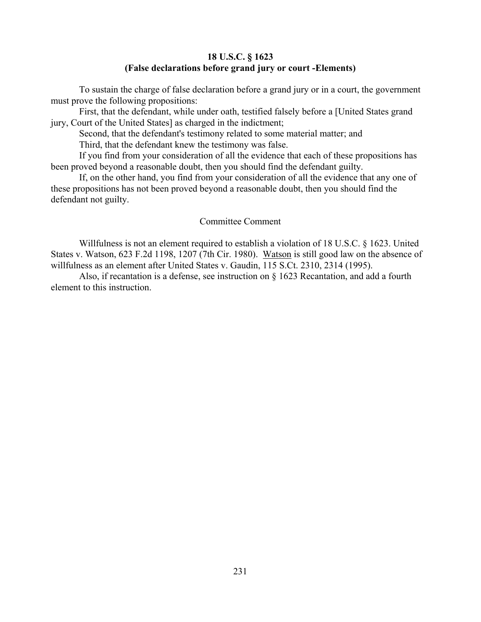## **18 U.S.C. § 1623 (False declarations before grand jury or court -Elements)**

To sustain the charge of false declaration before a grand jury or in a court, the government must prove the following propositions:

First, that the defendant, while under oath, testified falsely before a [United States grand jury, Court of the United States] as charged in the indictment;

Second, that the defendant's testimony related to some material matter; and Third, that the defendant knew the testimony was false.

If you find from your consideration of all the evidence that each of these propositions has been proved beyond a reasonable doubt, then you should find the defendant guilty.

If, on the other hand, you find from your consideration of all the evidence that any one of these propositions has not been proved beyond a reasonable doubt, then you should find the defendant not guilty.

## Committee Comment

Willfulness is not an element required to establish a violation of 18 U.S.C. § 1623. United States v. Watson, 623 F.2d 1198, 1207 (7th Cir. 1980). Watson is still good law on the absence of willfulness as an element after United States v. Gaudin, 115 S.Ct. 2310, 2314 (1995).

Also, if recantation is a defense, see instruction on § 1623 Recantation, and add a fourth element to this instruction.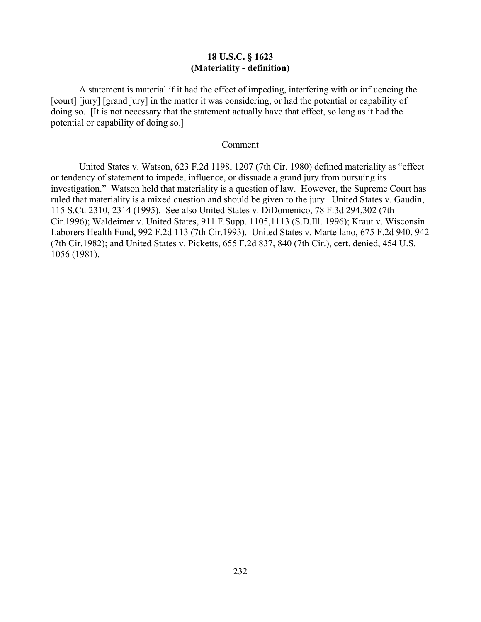# **18 U.S.C. § 1623 (Materiality - definition)**

A statement is material if it had the effect of impeding, interfering with or influencing the [court] [jury] [grand jury] in the matter it was considering, or had the potential or capability of doing so. [It is not necessary that the statement actually have that effect, so long as it had the potential or capability of doing so.]

#### Comment

United States v. Watson, 623 F.2d 1198, 1207 (7th Cir. 1980) defined materiality as "effect or tendency of statement to impede, influence, or dissuade a grand jury from pursuing its investigation." Watson held that materiality is a question of law. However, the Supreme Court has ruled that materiality is a mixed question and should be given to the jury. United States v. Gaudin, 115 S.Ct. 2310, 2314 (1995). See also United States v. DiDomenico, 78 F.3d 294,302 (7th Cir.1996); Waldeimer v. United States, 911 F.Supp. 1105,1113 (S.D.Ill. 1996); Kraut v. Wisconsin Laborers Health Fund, 992 F.2d 113 (7th Cir.1993). United States v. Martellano, 675 F.2d 940, 942 (7th Cir.1982); and United States v. Picketts, 655 F.2d 837, 840 (7th Cir.), cert. denied, 454 U.S. 1056 (1981).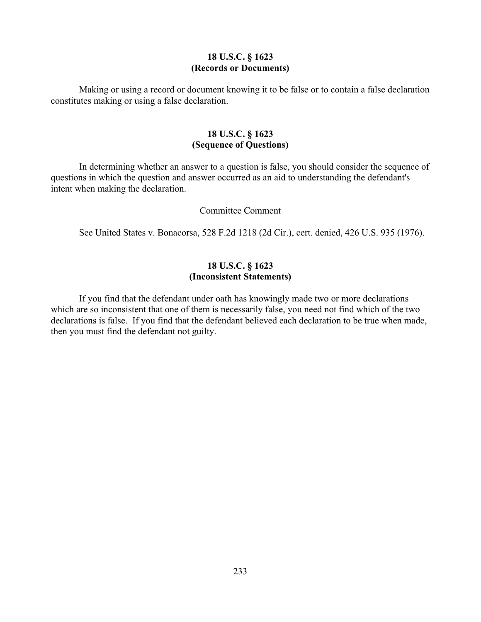#### **18 U.S.C. § 1623 (Records or Documents)**

Making or using a record or document knowing it to be false or to contain a false declaration constitutes making or using a false declaration.

# **18 U.S.C. § 1623 (Sequence of Questions)**

In determining whether an answer to a question is false, you should consider the sequence of questions in which the question and answer occurred as an aid to understanding the defendant's intent when making the declaration.

### Committee Comment

See United States v. Bonacorsa, 528 F.2d 1218 (2d Cir.), cert. denied, 426 U.S. 935 (1976).

# **18 U.S.C. § 1623 (Inconsistent Statements)**

If you find that the defendant under oath has knowingly made two or more declarations which are so inconsistent that one of them is necessarily false, you need not find which of the two declarations is false. If you find that the defendant believed each declaration to be true when made, then you must find the defendant not guilty.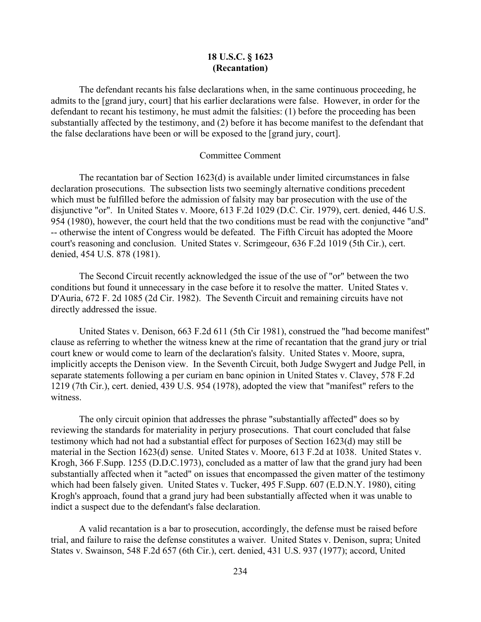## **18 U.S.C. § 1623 (Recantation)**

The defendant recants his false declarations when, in the same continuous proceeding, he admits to the [grand jury, court] that his earlier declarations were false. However, in order for the defendant to recant his testimony, he must admit the falsities: (1) before the proceeding has been substantially affected by the testimony, and (2) before it has become manifest to the defendant that the false declarations have been or will be exposed to the [grand jury, court].

#### Committee Comment

The recantation bar of Section 1623(d) is available under limited circumstances in false declaration prosecutions. The subsection lists two seemingly alternative conditions precedent which must be fulfilled before the admission of falsity may bar prosecution with the use of the disjunctive "or". In United States v. Moore, 613 F.2d 1029 (D.C. Cir. 1979), cert. denied, 446 U.S. 954 (1980), however, the court held that the two conditions must be read with the conjunctive "and" -- otherwise the intent of Congress would be defeated. The Fifth Circuit has adopted the Moore court's reasoning and conclusion. United States v. Scrimgeour, 636 F.2d 1019 (5th Cir.), cert. denied, 454 U.S. 878 (1981).

The Second Circuit recently acknowledged the issue of the use of "or" between the two conditions but found it unnecessary in the case before it to resolve the matter. United States v. D'Auria, 672 F. 2d 1085 (2d Cir. 1982). The Seventh Circuit and remaining circuits have not directly addressed the issue.

United States v. Denison, 663 F.2d 611 (5th Cir 1981), construed the "had become manifest" clause as referring to whether the witness knew at the rime of recantation that the grand jury or trial court knew or would come to learn of the declaration's falsity. United States v. Moore, supra, implicitly accepts the Denison view. In the Seventh Circuit, both Judge Swygert and Judge Pell, in separate statements following a per curiam en banc opinion in United States v. Clavey, 578 F.2d 1219 (7th Cir.), cert. denied, 439 U.S. 954 (1978), adopted the view that "manifest" refers to the witness.

The only circuit opinion that addresses the phrase "substantially affected" does so by reviewing the standards for materiality in perjury prosecutions. That court concluded that false testimony which had not had a substantial effect for purposes of Section 1623(d) may still be material in the Section 1623(d) sense. United States v. Moore, 613 F.2d at 1038. United States v. Krogh, 366 F.Supp. 1255 (D.D.C.1973), concluded as a matter of law that the grand jury had been substantially affected when it "acted" on issues that encompassed the given matter of the testimony which had been falsely given. United States v. Tucker, 495 F.Supp. 607 (E.D.N.Y. 1980), citing Krogh's approach, found that a grand jury had been substantially affected when it was unable to indict a suspect due to the defendant's false declaration.

A valid recantation is a bar to prosecution, accordingly, the defense must be raised before trial, and failure to raise the defense constitutes a waiver. United States v. Denison, supra; United States v. Swainson, 548 F.2d 657 (6th Cir.), cert. denied, 431 U.S. 937 (1977); accord, United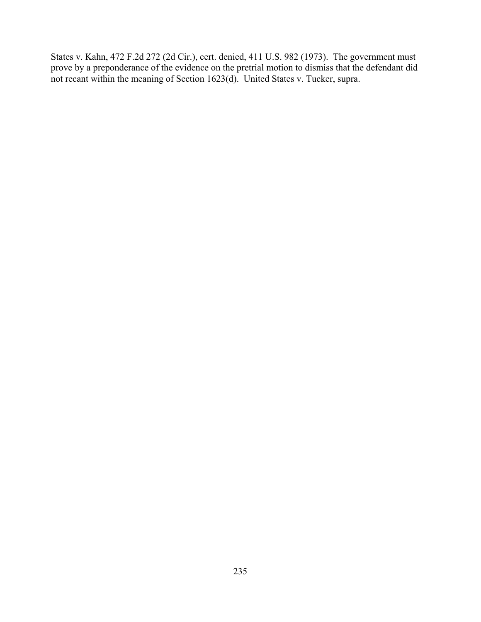States v. Kahn, 472 F.2d 272 (2d Cir.), cert. denied, 411 U.S. 982 (1973). The government must prove by a preponderance of the evidence on the pretrial motion to dismiss that the defendant did not recant within the meaning of Section 1623(d). United States v. Tucker, supra.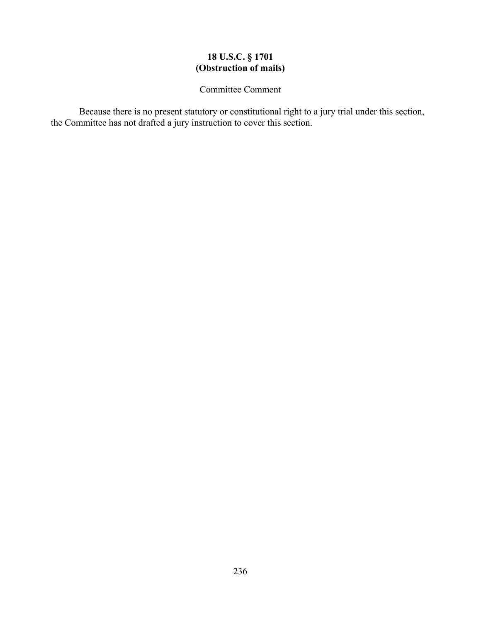# **18 U.S.C. § 1701 (Obstruction of mails)**

Committee Comment

Because there is no present statutory or constitutional right to a jury trial under this section, the Committee has not drafted a jury instruction to cover this section.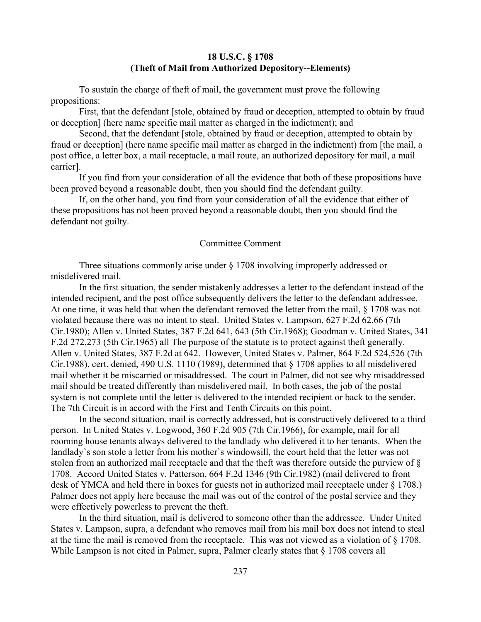## **18 U.S.C. § 1708 (Theft of Mail from Authorized Depository--Elements)**

To sustain the charge of theft of mail, the government must prove the following propositions:

First, that the defendant [stole, obtained by fraud or deception, attempted to obtain by fraud or deception] (here name specific mail matter as charged in the indictment); and

Second, that the defendant [stole, obtained by fraud or deception, attempted to obtain by fraud or deception] (here name specific mail matter as charged in the indictment) from [the mail, a post office, a letter box, a mail receptacle, a mail route, an authorized depository for mail, a mail carrier].

If you find from your consideration of all the evidence that both of these propositions have been proved beyond a reasonable doubt, then you should find the defendant guilty.

If, on the other hand, you find from your consideration of all the evidence that either of these propositions has not been proved beyond a reasonable doubt, then you should find the defendant not guilty.

#### Committee Comment

Three situations commonly arise under § 1708 involving improperly addressed or misdelivered mail.

In the first situation, the sender mistakenly addresses a letter to the defendant instead of the intended recipient, and the post office subsequently delivers the letter to the defendant addressee. At one time, it was held that when the defendant removed the letter from the mail, § 1708 was not violated because there was no intent to steal. United States v. Lampson, 627 F.2d 62,66 (7th Cir.1980); Allen v. United States, 387 F.2d 641, 643 (5th Cir.1968); Goodman v. United States, 341 F.2d 272,273 (5th Cir.1965) all The purpose of the statute is to protect against theft generally. Allen v. United States, 387 F.2d at 642. However, United States v. Palmer, 864 F.2d 524,526 (7th Cir.1988), cert. denied, 490 U.S. 1110 (1989), determined that § 1708 applies to all misdelivered mail whether it be miscarried or misaddressed. The court in Palmer, did not see why misaddressed mail should be treated differently than misdelivered mail. In both cases, the job of the postal system is not complete until the letter is delivered to the intended recipient or back to the sender. The 7th Circuit is in accord with the First and Tenth Circuits on this point.

In the second situation, mail is correctly addressed, but is constructively delivered to a third person. In United States v. Logwood, 360 F.2d 905 (7th Cir.1966), for example, mail for all rooming house tenants always delivered to the landlady who delivered it to her tenants. When the landlady's son stole a letter from his mother's windowsill, the court held that the letter was not stolen from an authorized mail receptacle and that the theft was therefore outside the purview of § 1708. Accord United States v. Patterson, 664 F.2d 1346 (9th Cir.1982) (mail delivered to front desk of YMCA and held there in boxes for guests not in authorized mail receptacle under § 1708.) Palmer does not apply here because the mail was out of the control of the postal service and they were effectively powerless to prevent the theft.

In the third situation, mail is delivered to someone other than the addressee. Under United States v. Lampson, supra, a defendant who removes mail from his mail box does not intend to steal at the time the mail is removed from the receptacle. This was not viewed as a violation of § 1708. While Lampson is not cited in Palmer, supra, Palmer clearly states that § 1708 covers all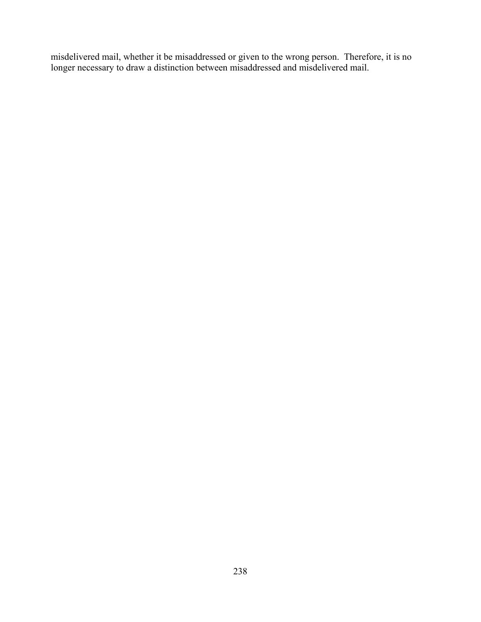misdelivered mail, whether it be misaddressed or given to the wrong person. Therefore, it is no longer necessary to draw a distinction between misaddressed and misdelivered mail.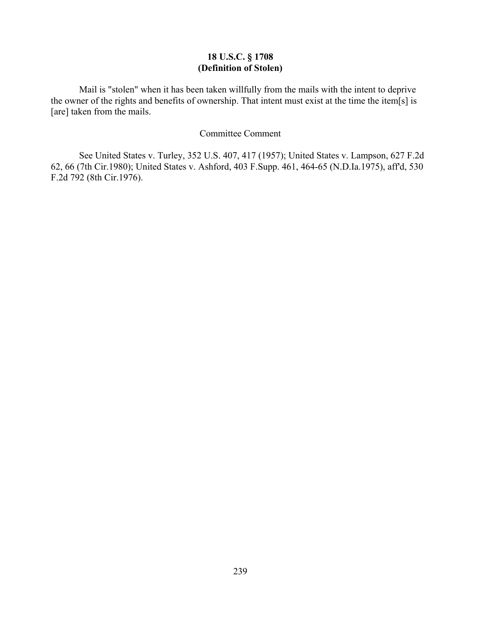# **18 U.S.C. § 1708 (Definition of Stolen)**

Mail is "stolen" when it has been taken willfully from the mails with the intent to deprive the owner of the rights and benefits of ownership. That intent must exist at the time the item[s] is [are] taken from the mails.

## Committee Comment

See United States v. Turley, 352 U.S. 407, 417 (1957); United States v. Lampson, 627 F.2d 62, 66 (7th Cir.1980); United States v. Ashford, 403 F.Supp. 461, 464-65 (N.D.Ia.1975), aff'd, 530 F.2d 792 (8th Cir.1976).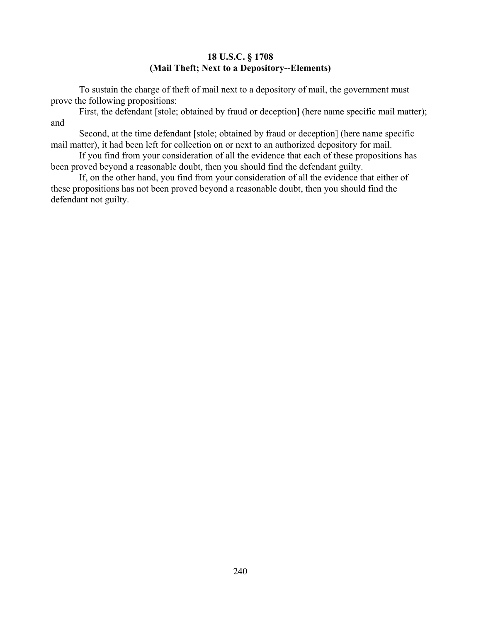# **18 U.S.C. § 1708 (Mail Theft; Next to a Depository--Elements)**

To sustain the charge of theft of mail next to a depository of mail, the government must prove the following propositions:

First, the defendant [stole; obtained by fraud or deception] (here name specific mail matter); and

Second, at the time defendant [stole; obtained by fraud or deception] (here name specific mail matter), it had been left for collection on or next to an authorized depository for mail.

If you find from your consideration of all the evidence that each of these propositions has been proved beyond a reasonable doubt, then you should find the defendant guilty.

If, on the other hand, you find from your consideration of all the evidence that either of these propositions has not been proved beyond a reasonable doubt, then you should find the defendant not guilty.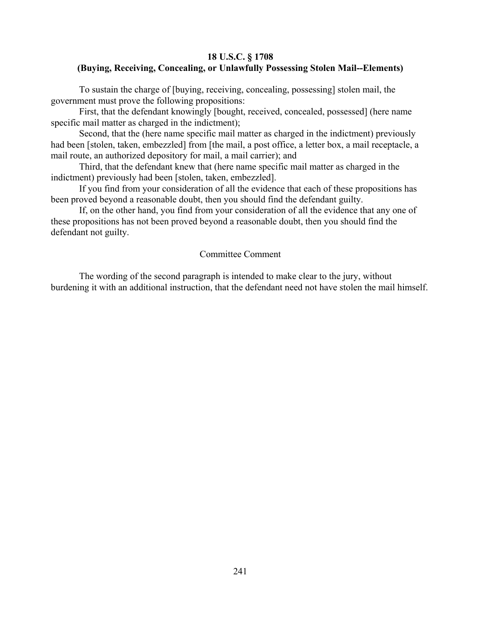## **18 U.S.C. § 1708 (Buying, Receiving, Concealing, or Unlawfully Possessing Stolen Mail--Elements)**

To sustain the charge of [buying, receiving, concealing, possessing] stolen mail, the government must prove the following propositions:

First, that the defendant knowingly [bought, received, concealed, possessed] (here name specific mail matter as charged in the indictment);

Second, that the (here name specific mail matter as charged in the indictment) previously had been [stolen, taken, embezzled] from [the mail, a post office, a letter box, a mail receptacle, a mail route, an authorized depository for mail, a mail carrier); and

Third, that the defendant knew that (here name specific mail matter as charged in the indictment) previously had been [stolen, taken, embezzled].

If you find from your consideration of all the evidence that each of these propositions has been proved beyond a reasonable doubt, then you should find the defendant guilty.

If, on the other hand, you find from your consideration of all the evidence that any one of these propositions has not been proved beyond a reasonable doubt, then you should find the defendant not guilty.

### Committee Comment

The wording of the second paragraph is intended to make clear to the jury, without burdening it with an additional instruction, that the defendant need not have stolen the mail himself.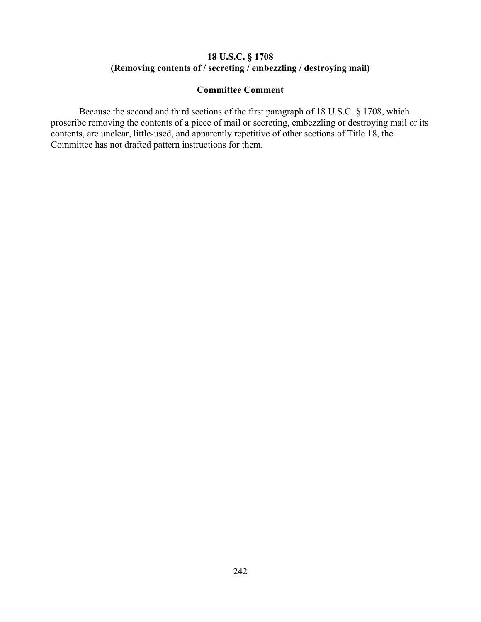# **18 U.S.C. § 1708 (Removing contents of / secreting / embezzling / destroying mail)**

# **Committee Comment**

Because the second and third sections of the first paragraph of 18 U.S.C. § 1708, which proscribe removing the contents of a piece of mail or secreting, embezzling or destroying mail or its contents, are unclear, little-used, and apparently repetitive of other sections of Title 18, the Committee has not drafted pattern instructions for them.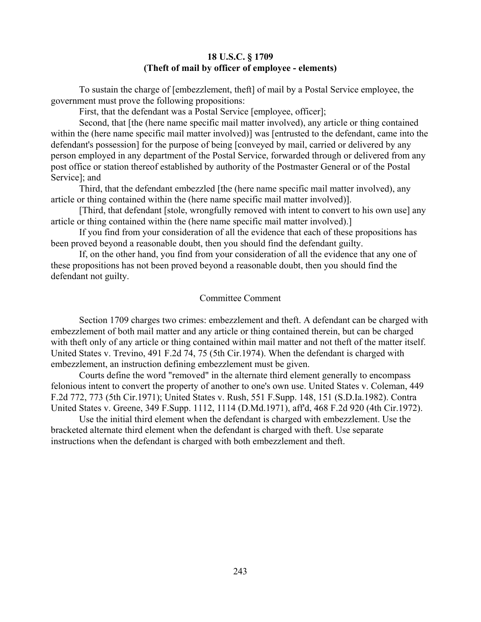#### **18 U.S.C. § 1709 (Theft of mail by officer of employee - elements)**

To sustain the charge of [embezzlement, theft] of mail by a Postal Service employee, the government must prove the following propositions:

First, that the defendant was a Postal Service [employee, officer];

Second, that [the (here name specific mail matter involved), any article or thing contained within the (here name specific mail matter involved)] was [entrusted to the defendant, came into the defendant's possession] for the purpose of being [conveyed by mail, carried or delivered by any person employed in any department of the Postal Service, forwarded through or delivered from any post office or station thereof established by authority of the Postmaster General or of the Postal Service]; and

Third, that the defendant embezzled [the (here name specific mail matter involved), any article or thing contained within the (here name specific mail matter involved)].

[Third, that defendant [stole, wrongfully removed with intent to convert to his own use] any article or thing contained within the (here name specific mail matter involved).]

If you find from your consideration of all the evidence that each of these propositions has been proved beyond a reasonable doubt, then you should find the defendant guilty.

If, on the other hand, you find from your consideration of all the evidence that any one of these propositions has not been proved beyond a reasonable doubt, then you should find the defendant not guilty.

#### Committee Comment

Section 1709 charges two crimes: embezzlement and theft. A defendant can be charged with embezzlement of both mail matter and any article or thing contained therein, but can be charged with theft only of any article or thing contained within mail matter and not theft of the matter itself. United States v. Trevino, 491 F.2d 74, 75 (5th Cir.1974). When the defendant is charged with embezzlement, an instruction defining embezzlement must be given.

Courts define the word "removed" in the alternate third element generally to encompass felonious intent to convert the property of another to one's own use. United States v. Coleman, 449 F.2d 772, 773 (5th Cir.1971); United States v. Rush, 551 F.Supp. 148, 151 (S.D.Ia.1982). Contra United States v. Greene, 349 F.Supp. 1112, 1114 (D.Md.1971), aff'd, 468 F.2d 920 (4th Cir.1972).

Use the initial third element when the defendant is charged with embezzlement. Use the bracketed alternate third element when the defendant is charged with theft. Use separate instructions when the defendant is charged with both embezzlement and theft.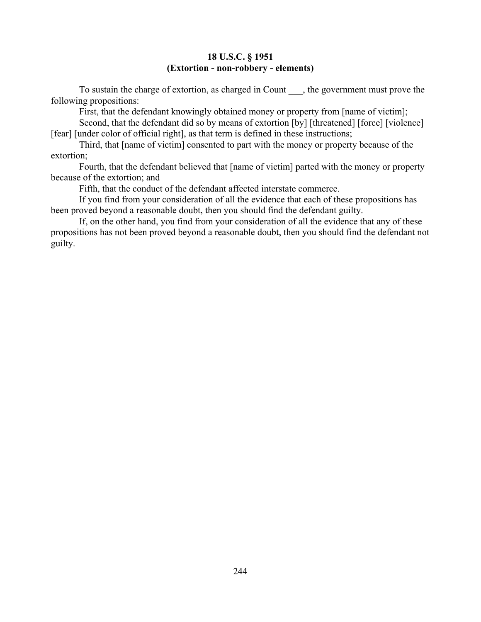## **18 U.S.C. § 1951 (Extortion - non-robbery - elements)**

To sustain the charge of extortion, as charged in Count \_\_\_, the government must prove the following propositions:

First, that the defendant knowingly obtained money or property from [name of victim];

Second, that the defendant did so by means of extortion [by] [threatened] [force] [violence] [fear] [under color of official right], as that term is defined in these instructions;

Third, that [name of victim] consented to part with the money or property because of the extortion;

Fourth, that the defendant believed that [name of victim] parted with the money or property because of the extortion; and

Fifth, that the conduct of the defendant affected interstate commerce.

If you find from your consideration of all the evidence that each of these propositions has been proved beyond a reasonable doubt, then you should find the defendant guilty.

If, on the other hand, you find from your consideration of all the evidence that any of these propositions has not been proved beyond a reasonable doubt, then you should find the defendant not guilty.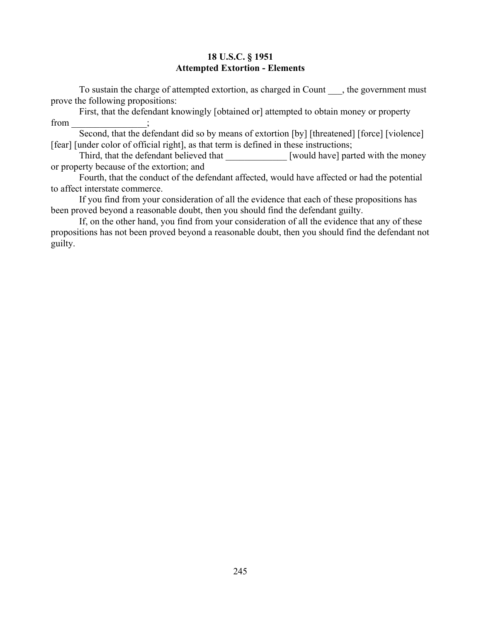## **18 U.S.C. § 1951 Attempted Extortion - Elements**

To sustain the charge of attempted extortion, as charged in Count , the government must prove the following propositions:

First, that the defendant knowingly [obtained or] attempted to obtain money or property from

Second, that the defendant did so by means of extortion [by] [threatened] [force] [violence] [fear] [under color of official right], as that term is defined in these instructions;

Third, that the defendant believed that [would have] parted with the money or property because of the extortion; and

Fourth, that the conduct of the defendant affected, would have affected or had the potential to affect interstate commerce.

If you find from your consideration of all the evidence that each of these propositions has been proved beyond a reasonable doubt, then you should find the defendant guilty.

If, on the other hand, you find from your consideration of all the evidence that any of these propositions has not been proved beyond a reasonable doubt, then you should find the defendant not guilty.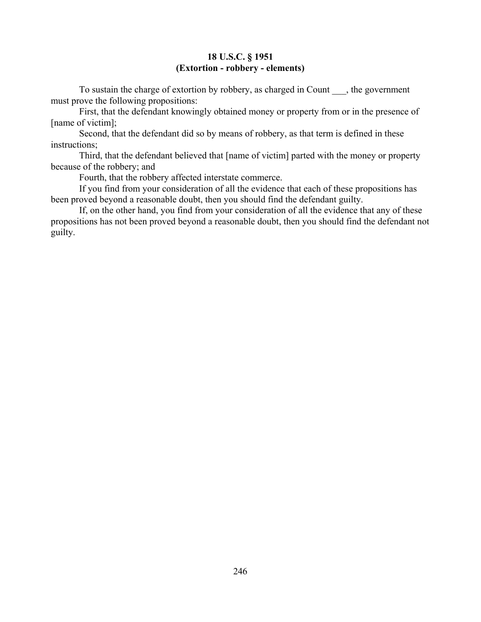## **18 U.S.C. § 1951 (Extortion - robbery - elements)**

To sustain the charge of extortion by robbery, as charged in Count \_\_\_, the government must prove the following propositions:

First, that the defendant knowingly obtained money or property from or in the presence of [name of victim];

Second, that the defendant did so by means of robbery, as that term is defined in these instructions;

Third, that the defendant believed that [name of victim] parted with the money or property because of the robbery; and

Fourth, that the robbery affected interstate commerce.

If you find from your consideration of all the evidence that each of these propositions has been proved beyond a reasonable doubt, then you should find the defendant guilty.

If, on the other hand, you find from your consideration of all the evidence that any of these propositions has not been proved beyond a reasonable doubt, then you should find the defendant not guilty.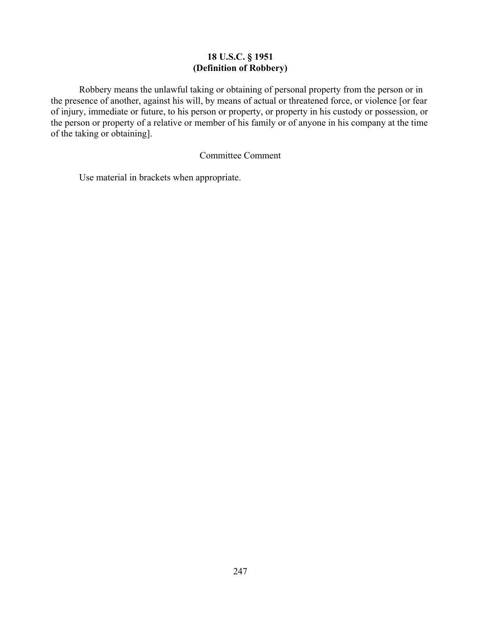# **18 U.S.C. § 1951 (Definition of Robbery)**

Robbery means the unlawful taking or obtaining of personal property from the person or in the presence of another, against his will, by means of actual or threatened force, or violence [or fear of injury, immediate or future, to his person or property, or property in his custody or possession, or the person or property of a relative or member of his family or of anyone in his company at the time of the taking or obtaining].

## Committee Comment

Use material in brackets when appropriate.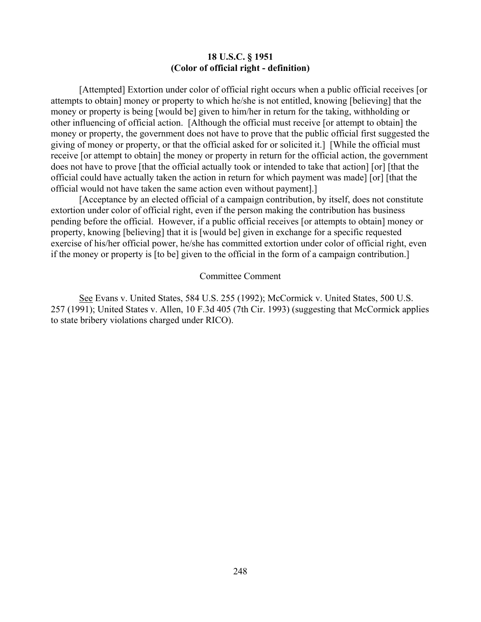#### **18 U.S.C. § 1951 (Color of official right - definition)**

[Attempted] Extortion under color of official right occurs when a public official receives [or attempts to obtain] money or property to which he/she is not entitled, knowing [believing] that the money or property is being [would be] given to him/her in return for the taking, withholding or other influencing of official action. [Although the official must receive [or attempt to obtain] the money or property, the government does not have to prove that the public official first suggested the giving of money or property, or that the official asked for or solicited it.] [While the official must receive [or attempt to obtain] the money or property in return for the official action, the government does not have to prove [that the official actually took or intended to take that action] [or] [that the official could have actually taken the action in return for which payment was made] [or] [that the official would not have taken the same action even without payment].]

[Acceptance by an elected official of a campaign contribution, by itself, does not constitute extortion under color of official right, even if the person making the contribution has business pending before the official. However, if a public official receives [or attempts to obtain] money or property, knowing [believing] that it is [would be] given in exchange for a specific requested exercise of his/her official power, he/she has committed extortion under color of official right, even if the money or property is [to be] given to the official in the form of a campaign contribution.]

#### Committee Comment

See Evans v. United States, 584 U.S. 255 (1992); McCormick v. United States, 500 U.S. 257 (1991); United States v. Allen, 10 F.3d 405 (7th Cir. 1993) (suggesting that McCormick applies to state bribery violations charged under RICO).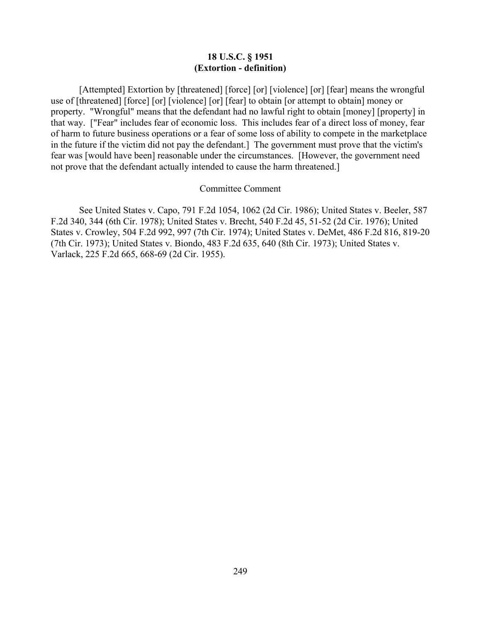#### **18 U.S.C. § 1951 (Extortion - definition)**

[Attempted] Extortion by [threatened] [force] [or] [violence] [or] [fear] means the wrongful use of [threatened] [force] [or] [violence] [or] [fear] to obtain [or attempt to obtain] money or property. "Wrongful" means that the defendant had no lawful right to obtain [money] [property] in that way. ["Fear" includes fear of economic loss. This includes fear of a direct loss of money, fear of harm to future business operations or a fear of some loss of ability to compete in the marketplace in the future if the victim did not pay the defendant.] The government must prove that the victim's fear was [would have been] reasonable under the circumstances. [However, the government need not prove that the defendant actually intended to cause the harm threatened.]

#### Committee Comment

See United States v. Capo, 791 F.2d 1054, 1062 (2d Cir. 1986); United States v. Beeler, 587 F.2d 340, 344 (6th Cir. 1978); United States v. Brecht, 540 F.2d 45, 51-52 (2d Cir. 1976); United States v. Crowley, 504 F.2d 992, 997 (7th Cir. 1974); United States v. DeMet, 486 F.2d 816, 819-20 (7th Cir. 1973); United States v. Biondo, 483 F.2d 635, 640 (8th Cir. 1973); United States v. Varlack, 225 F.2d 665, 668-69 (2d Cir. 1955).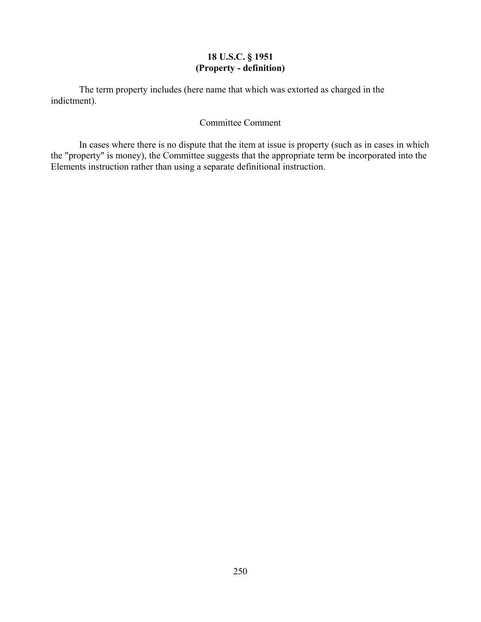# **18 U.S.C. § 1951 (Property - definition)**

The term property includes (here name that which was extorted as charged in the indictment).

# Committee Comment

In cases where there is no dispute that the item at issue is property (such as in cases in which the "property" is money), the Committee suggests that the appropriate term be incorporated into the Elements instruction rather than using a separate definitional instruction.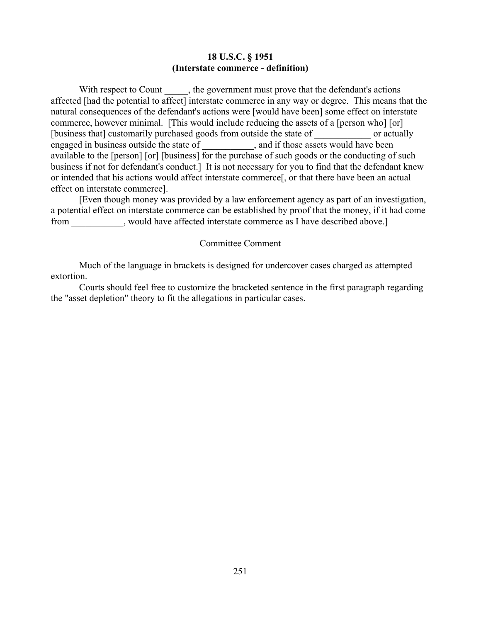#### **18 U.S.C. § 1951 (Interstate commerce - definition)**

With respect to Count , the government must prove that the defendant's actions affected [had the potential to affect] interstate commerce in any way or degree. This means that the natural consequences of the defendant's actions were [would have been] some effect on interstate commerce, however minimal. [This would include reducing the assets of a [person who] [or] [business that] customarily purchased goods from outside the state of or actually engaged in business outside the state of \_\_\_\_\_\_\_\_\_\_\_, and if those assets would have been available to the [person] [or] [business] for the purchase of such goods or the conducting of such business if not for defendant's conduct.] It is not necessary for you to find that the defendant knew or intended that his actions would affect interstate commerce[, or that there have been an actual effect on interstate commerce].

[Even though money was provided by a law enforcement agency as part of an investigation, a potential effect on interstate commerce can be established by proof that the money, if it had come from \_\_\_\_\_\_\_\_\_\_\_, would have affected interstate commerce as I have described above.]

#### Committee Comment

Much of the language in brackets is designed for undercover cases charged as attempted extortion.

Courts should feel free to customize the bracketed sentence in the first paragraph regarding the "asset depletion" theory to fit the allegations in particular cases.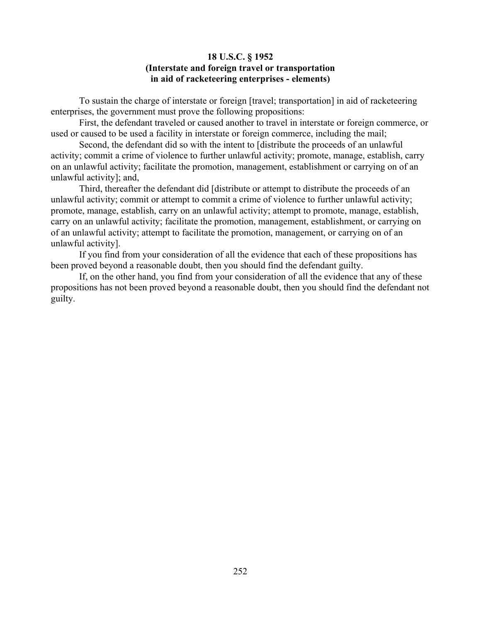## **18 U.S.C. § 1952 (Interstate and foreign travel or transportation in aid of racketeering enterprises - elements)**

To sustain the charge of interstate or foreign [travel; transportation] in aid of racketeering enterprises, the government must prove the following propositions:

First, the defendant traveled or caused another to travel in interstate or foreign commerce, or used or caused to be used a facility in interstate or foreign commerce, including the mail;

Second, the defendant did so with the intent to [distribute the proceeds of an unlawful activity; commit a crime of violence to further unlawful activity; promote, manage, establish, carry on an unlawful activity; facilitate the promotion, management, establishment or carrying on of an unlawful activity]; and,

Third, thereafter the defendant did [distribute or attempt to distribute the proceeds of an unlawful activity; commit or attempt to commit a crime of violence to further unlawful activity; promote, manage, establish, carry on an unlawful activity; attempt to promote, manage, establish, carry on an unlawful activity; facilitate the promotion, management, establishment, or carrying on of an unlawful activity; attempt to facilitate the promotion, management, or carrying on of an unlawful activity].

If you find from your consideration of all the evidence that each of these propositions has been proved beyond a reasonable doubt, then you should find the defendant guilty.

If, on the other hand, you find from your consideration of all the evidence that any of these propositions has not been proved beyond a reasonable doubt, then you should find the defendant not guilty.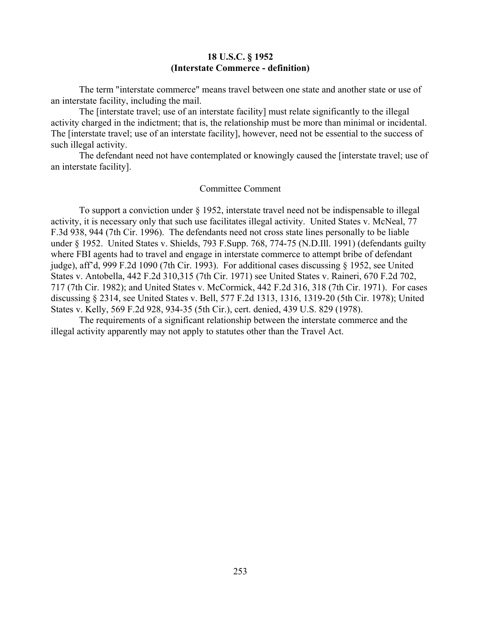#### **18 U.S.C. § 1952 (Interstate Commerce - definition)**

The term "interstate commerce" means travel between one state and another state or use of an interstate facility, including the mail.

The [interstate travel; use of an interstate facility] must relate significantly to the illegal activity charged in the indictment; that is, the relationship must be more than minimal or incidental. The [interstate travel; use of an interstate facility], however, need not be essential to the success of such illegal activity.

The defendant need not have contemplated or knowingly caused the [interstate travel; use of an interstate facility].

#### Committee Comment

To support a conviction under § 1952, interstate travel need not be indispensable to illegal activity, it is necessary only that such use facilitates illegal activity. United States v. McNeal, 77 F.3d 938, 944 (7th Cir. 1996). The defendants need not cross state lines personally to be liable under § 1952. United States v. Shields, 793 F.Supp. 768, 774-75 (N.D.Ill. 1991) (defendants guilty where FBI agents had to travel and engage in interstate commerce to attempt bribe of defendant judge), aff'd, 999 F.2d 1090 (7th Cir. 1993). For additional cases discussing § 1952, see United States v. Antobella, 442 F.2d 310,315 (7th Cir. 1971) see United States v. Raineri, 670 F.2d 702, 717 (7th Cir. 1982); and United States v. McCormick, 442 F.2d 316, 318 (7th Cir. 1971). For cases discussing § 2314, see United States v. Bell, 577 F.2d 1313, 1316, 1319-20 (5th Cir. 1978); United States v. Kelly, 569 F.2d 928, 934-35 (5th Cir.), cert. denied, 439 U.S. 829 (1978).

The requirements of a significant relationship between the interstate commerce and the illegal activity apparently may not apply to statutes other than the Travel Act.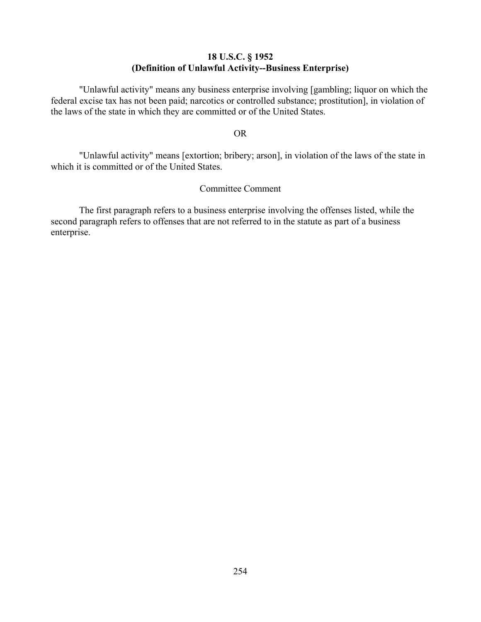## **18 U.S.C. § 1952 (Definition of Unlawful Activity--Business Enterprise)**

"Unlawful activity" means any business enterprise involving [gambling; liquor on which the federal excise tax has not been paid; narcotics or controlled substance; prostitution], in violation of the laws of the state in which they are committed or of the United States.

#### OR

"Unlawful activity" means [extortion; bribery; arson], in violation of the laws of the state in which it is committed or of the United States.

## Committee Comment

The first paragraph refers to a business enterprise involving the offenses listed, while the second paragraph refers to offenses that are not referred to in the statute as part of a business enterprise.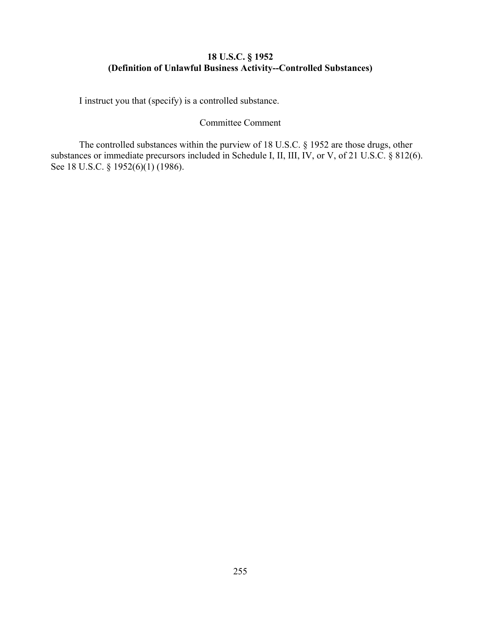# **18 U.S.C. § 1952 (Definition of Unlawful Business Activity--Controlled Substances)**

I instruct you that (specify) is a controlled substance.

#### Committee Comment

The controlled substances within the purview of 18 U.S.C. § 1952 are those drugs, other substances or immediate precursors included in Schedule I, II, III, IV, or V, of 21 U.S.C. § 812(6). See 18 U.S.C. § 1952(6)(1) (1986).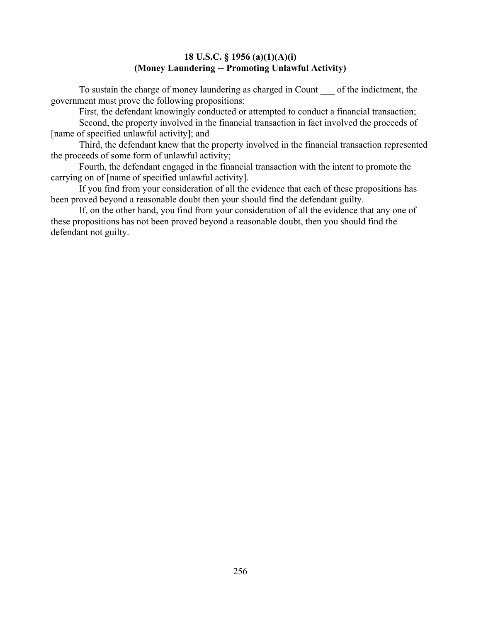## **18 U.S.C. § 1956 (a)(1)(A)(i) (Money Laundering -- Promoting Unlawful Activity)**

To sustain the charge of money laundering as charged in Count of the indictment, the government must prove the following propositions:

First, the defendant knowingly conducted or attempted to conduct a financial transaction;

Second, the property involved in the financial transaction in fact involved the proceeds of [name of specified unlawful activity]; and

Third, the defendant knew that the property involved in the financial transaction represented the proceeds of some form of unlawful activity;

Fourth, the defendant engaged in the financial transaction with the intent to promote the carrying on of [name of specified unlawful activity].

If you find from your consideration of all the evidence that each of these propositions has been proved beyond a reasonable doubt then your should find the defendant guilty.

If, on the other hand, you find from your consideration of all the evidence that any one of these propositions has not been proved beyond a reasonable doubt, then you should find the defendant not guilty.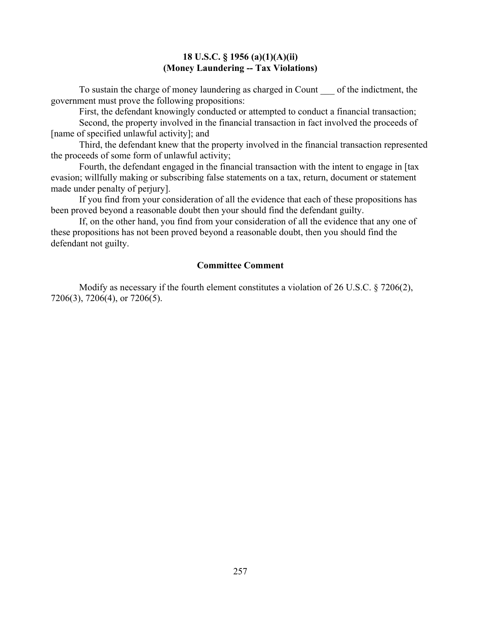#### **18 U.S.C. § 1956 (a)(1)(A)(ii) (Money Laundering -- Tax Violations)**

To sustain the charge of money laundering as charged in Count of the indictment, the government must prove the following propositions:

First, the defendant knowingly conducted or attempted to conduct a financial transaction;

Second, the property involved in the financial transaction in fact involved the proceeds of [name of specified unlawful activity]; and

Third, the defendant knew that the property involved in the financial transaction represented the proceeds of some form of unlawful activity;

Fourth, the defendant engaged in the financial transaction with the intent to engage in [tax evasion; willfully making or subscribing false statements on a tax, return, document or statement made under penalty of perjury].

If you find from your consideration of all the evidence that each of these propositions has been proved beyond a reasonable doubt then your should find the defendant guilty.

If, on the other hand, you find from your consideration of all the evidence that any one of these propositions has not been proved beyond a reasonable doubt, then you should find the defendant not guilty.

#### **Committee Comment**

Modify as necessary if the fourth element constitutes a violation of 26 U.S.C. § 7206(2), 7206(3), 7206(4), or 7206(5).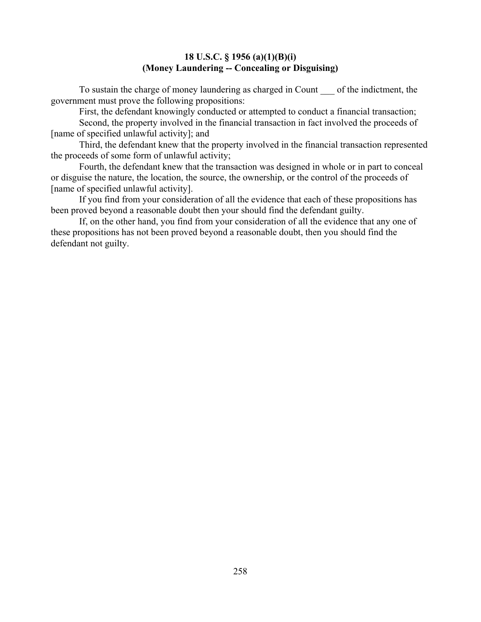#### **18 U.S.C. § 1956 (a)(1)(B)(i) (Money Laundering -- Concealing or Disguising)**

To sustain the charge of money laundering as charged in Count of the indictment, the government must prove the following propositions:

First, the defendant knowingly conducted or attempted to conduct a financial transaction;

Second, the property involved in the financial transaction in fact involved the proceeds of [name of specified unlawful activity]; and

Third, the defendant knew that the property involved in the financial transaction represented the proceeds of some form of unlawful activity;

Fourth, the defendant knew that the transaction was designed in whole or in part to conceal or disguise the nature, the location, the source, the ownership, or the control of the proceeds of [name of specified unlawful activity].

If you find from your consideration of all the evidence that each of these propositions has been proved beyond a reasonable doubt then your should find the defendant guilty.

If, on the other hand, you find from your consideration of all the evidence that any one of these propositions has not been proved beyond a reasonable doubt, then you should find the defendant not guilty.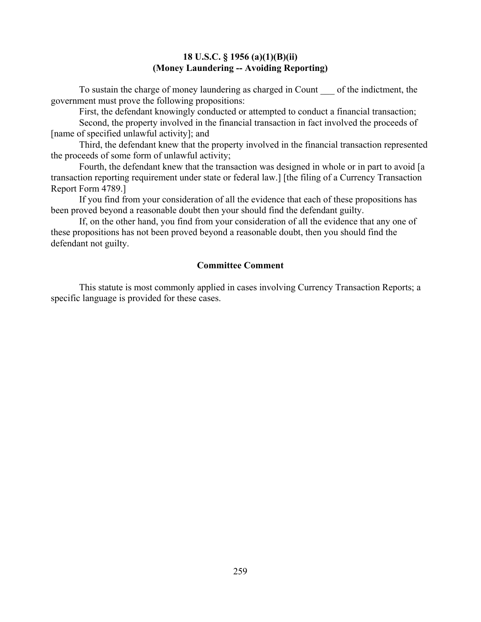#### **18 U.S.C. § 1956 (a)(1)(B)(ii) (Money Laundering -- Avoiding Reporting)**

To sustain the charge of money laundering as charged in Count of the indictment, the government must prove the following propositions:

First, the defendant knowingly conducted or attempted to conduct a financial transaction;

Second, the property involved in the financial transaction in fact involved the proceeds of [name of specified unlawful activity]; and

Third, the defendant knew that the property involved in the financial transaction represented the proceeds of some form of unlawful activity;

Fourth, the defendant knew that the transaction was designed in whole or in part to avoid [a transaction reporting requirement under state or federal law.] [the filing of a Currency Transaction Report Form 4789.]

If you find from your consideration of all the evidence that each of these propositions has been proved beyond a reasonable doubt then your should find the defendant guilty.

If, on the other hand, you find from your consideration of all the evidence that any one of these propositions has not been proved beyond a reasonable doubt, then you should find the defendant not guilty.

#### **Committee Comment**

This statute is most commonly applied in cases involving Currency Transaction Reports; a specific language is provided for these cases.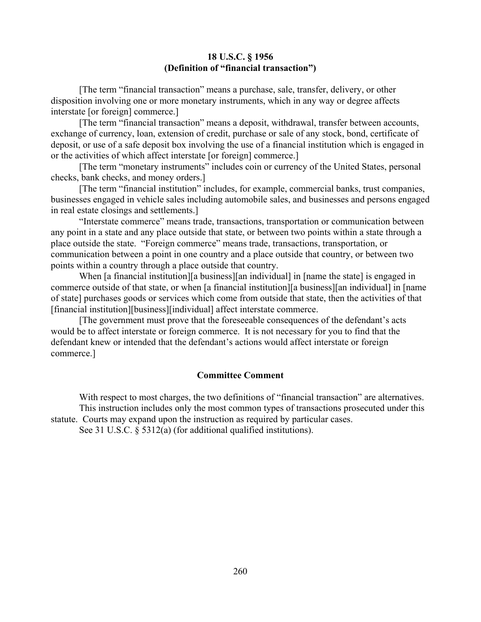#### **18 U.S.C. § 1956 (Definition of "financial transaction")**

[The term "financial transaction" means a purchase, sale, transfer, delivery, or other disposition involving one or more monetary instruments, which in any way or degree affects interstate [or foreign] commerce.]

[The term "financial transaction" means a deposit, withdrawal, transfer between accounts, exchange of currency, loan, extension of credit, purchase or sale of any stock, bond, certificate of deposit, or use of a safe deposit box involving the use of a financial institution which is engaged in or the activities of which affect interstate [or foreign] commerce.]

[The term "monetary instruments" includes coin or currency of the United States, personal checks, bank checks, and money orders.]

[The term "financial institution" includes, for example, commercial banks, trust companies, businesses engaged in vehicle sales including automobile sales, and businesses and persons engaged in real estate closings and settlements.]

"Interstate commerce" means trade, transactions, transportation or communication between any point in a state and any place outside that state, or between two points within a state through a place outside the state. "Foreign commerce" means trade, transactions, transportation, or communication between a point in one country and a place outside that country, or between two points within a country through a place outside that country.

When [a financial institution][a business][an individual] in [name the state] is engaged in commerce outside of that state, or when [a financial institution][a business][an individual] in [name of state] purchases goods or services which come from outside that state, then the activities of that [financial institution][business][individual] affect interstate commerce.

[The government must prove that the foreseeable consequences of the defendant's acts would be to affect interstate or foreign commerce. It is not necessary for you to find that the defendant knew or intended that the defendant's actions would affect interstate or foreign commerce.]

#### **Committee Comment**

With respect to most charges, the two definitions of "financial transaction" are alternatives. This instruction includes only the most common types of transactions prosecuted under this statute. Courts may expand upon the instruction as required by particular cases.

See 31 U.S.C. § 5312(a) (for additional qualified institutions).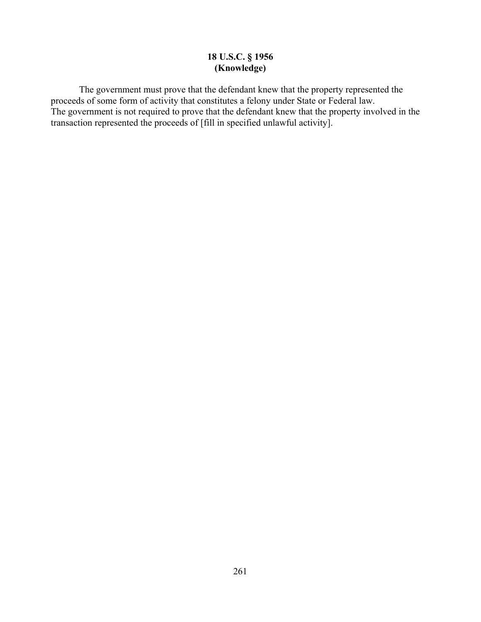# **18 U.S.C. § 1956 (Knowledge)**

The government must prove that the defendant knew that the property represented the proceeds of some form of activity that constitutes a felony under State or Federal law. The government is not required to prove that the defendant knew that the property involved in the transaction represented the proceeds of [fill in specified unlawful activity].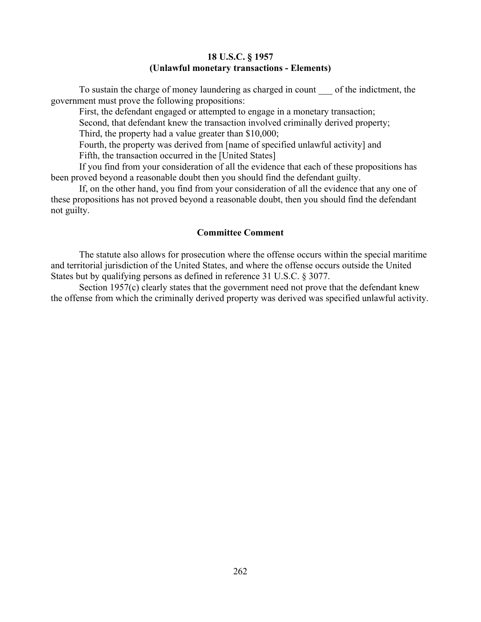#### **18 U.S.C. § 1957 (Unlawful monetary transactions - Elements)**

To sustain the charge of money laundering as charged in count of the indictment, the government must prove the following propositions:

First, the defendant engaged or attempted to engage in a monetary transaction; Second, that defendant knew the transaction involved criminally derived property; Third, the property had a value greater than \$10,000; Fourth, the property was derived from [name of specified unlawful activity] and

Fifth, the transaction occurred in the [United States]

If you find from your consideration of all the evidence that each of these propositions has been proved beyond a reasonable doubt then you should find the defendant guilty.

If, on the other hand, you find from your consideration of all the evidence that any one of these propositions has not proved beyond a reasonable doubt, then you should find the defendant not guilty.

## **Committee Comment**

The statute also allows for prosecution where the offense occurs within the special maritime and territorial jurisdiction of the United States, and where the offense occurs outside the United States but by qualifying persons as defined in reference 31 U.S.C. § 3077.

Section 1957(c) clearly states that the government need not prove that the defendant knew the offense from which the criminally derived property was derived was specified unlawful activity.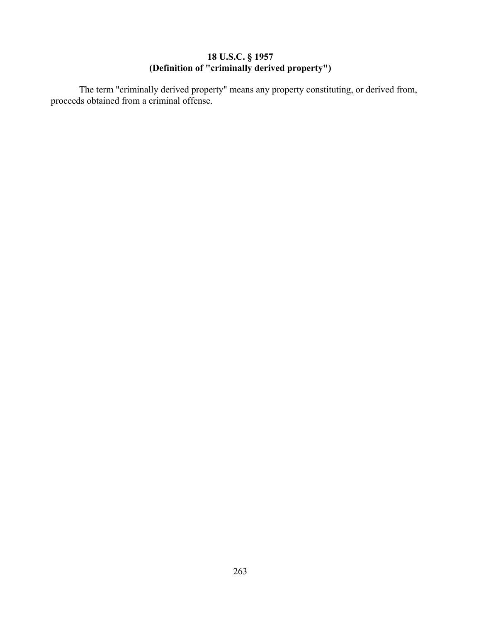## **18 U.S.C. § 1957 (Definition of "criminally derived property")**

The term "criminally derived property" means any property constituting, or derived from, proceeds obtained from a criminal offense.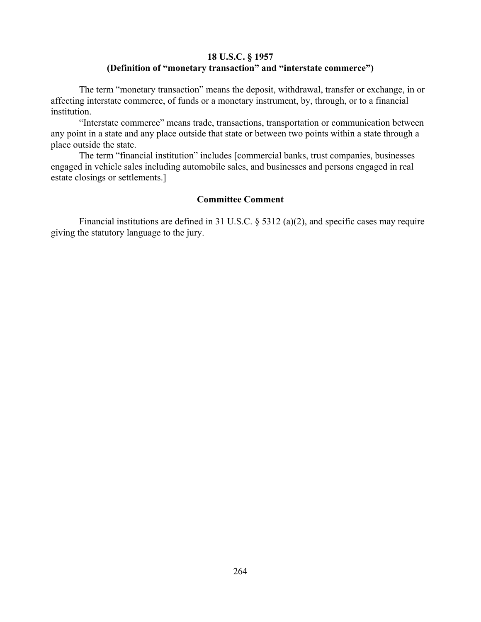# **18 U.S.C. § 1957 (Definition of "monetary transaction" and "interstate commerce")**

The term "monetary transaction" means the deposit, withdrawal, transfer or exchange, in or affecting interstate commerce, of funds or a monetary instrument, by, through, or to a financial institution.

"Interstate commerce" means trade, transactions, transportation or communication between any point in a state and any place outside that state or between two points within a state through a place outside the state.

The term "financial institution" includes [commercial banks, trust companies, businesses engaged in vehicle sales including automobile sales, and businesses and persons engaged in real estate closings or settlements.]

## **Committee Comment**

Financial institutions are defined in 31 U.S.C. § 5312 (a)(2), and specific cases may require giving the statutory language to the jury.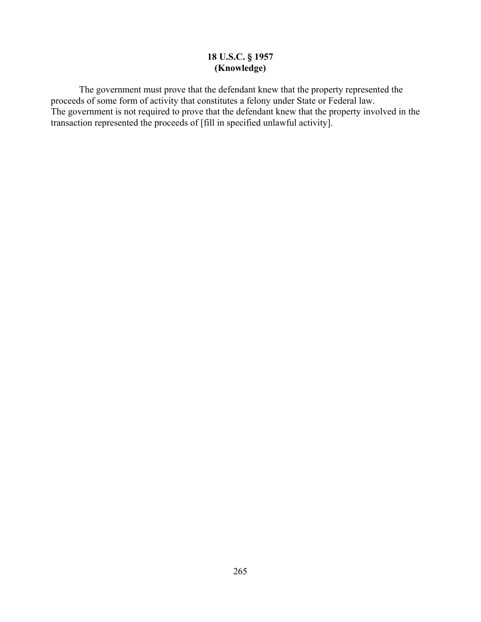# **18 U.S.C. § 1957 (Knowledge)**

The government must prove that the defendant knew that the property represented the proceeds of some form of activity that constitutes a felony under State or Federal law. The government is not required to prove that the defendant knew that the property involved in the transaction represented the proceeds of [fill in specified unlawful activity].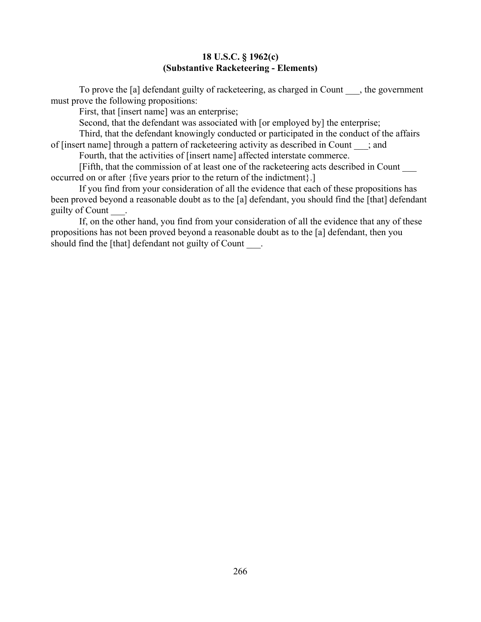#### **18 U.S.C. § 1962(c) (Substantive Racketeering - Elements)**

To prove the [a] defendant guilty of racketeering, as charged in Count \_\_\_, the government must prove the following propositions:

First, that [insert name] was an enterprise;

Second, that the defendant was associated with [or employed by] the enterprise;

Third, that the defendant knowingly conducted or participated in the conduct of the affairs of [insert name] through a pattern of racketeering activity as described in Count ; and

Fourth, that the activities of [insert name] affected interstate commerce.

[Fifth, that the commission of at least one of the racketeering acts described in Count \_\_\_ occurred on or after {five years prior to the return of the indictment}.]

If you find from your consideration of all the evidence that each of these propositions has been proved beyond a reasonable doubt as to the [a] defendant, you should find the [that] defendant guilty of Count \_\_\_.

If, on the other hand, you find from your consideration of all the evidence that any of these propositions has not been proved beyond a reasonable doubt as to the [a] defendant, then you should find the [that] defendant not guilty of Count .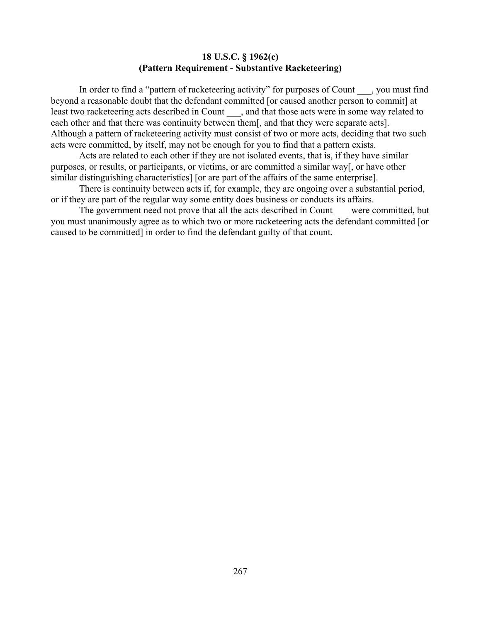#### **18 U.S.C. § 1962(c) (Pattern Requirement - Substantive Racketeering)**

In order to find a "pattern of racketeering activity" for purposes of Count \_\_\_, you must find beyond a reasonable doubt that the defendant committed [or caused another person to commit] at least two racketeering acts described in Count \_\_\_, and that those acts were in some way related to each other and that there was continuity between them[, and that they were separate acts]. Although a pattern of racketeering activity must consist of two or more acts, deciding that two such acts were committed, by itself, may not be enough for you to find that a pattern exists.

Acts are related to each other if they are not isolated events, that is, if they have similar purposes, or results, or participants, or victims, or are committed a similar way[, or have other similar distinguishing characteristics] [or are part of the affairs of the same enterprise].

There is continuity between acts if, for example, they are ongoing over a substantial period, or if they are part of the regular way some entity does business or conducts its affairs.

The government need not prove that all the acts described in Count were committed, but you must unanimously agree as to which two or more racketeering acts the defendant committed [or caused to be committed] in order to find the defendant guilty of that count.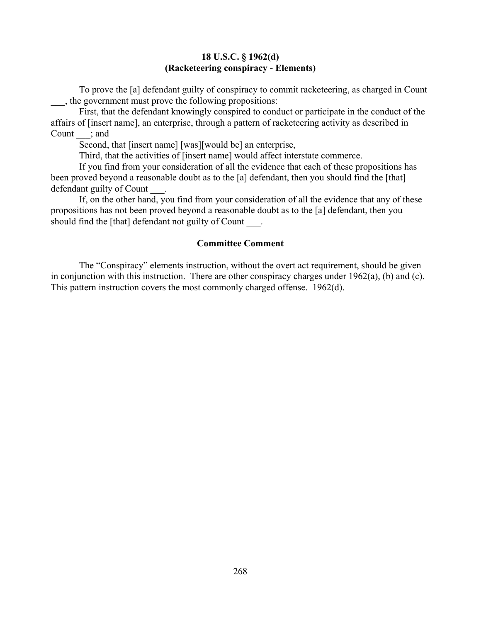## **18 U.S.C. § 1962(d) (Racketeering conspiracy - Elements)**

To prove the [a] defendant guilty of conspiracy to commit racketeering, as charged in Count \_\_\_, the government must prove the following propositions:

First, that the defendant knowingly conspired to conduct or participate in the conduct of the affairs of [insert name], an enterprise, through a pattern of racketeering activity as described in Count ; and

Second, that [insert name] [was][would be] an enterprise,

Third, that the activities of [insert name] would affect interstate commerce.

If you find from your consideration of all the evidence that each of these propositions has been proved beyond a reasonable doubt as to the [a] defendant, then you should find the [that] defendant guilty of Count

If, on the other hand, you find from your consideration of all the evidence that any of these propositions has not been proved beyond a reasonable doubt as to the [a] defendant, then you should find the [that] defendant not guilty of Count .

#### **Committee Comment**

The "Conspiracy" elements instruction, without the overt act requirement, should be given in conjunction with this instruction. There are other conspiracy charges under 1962(a), (b) and (c). This pattern instruction covers the most commonly charged offense. 1962(d).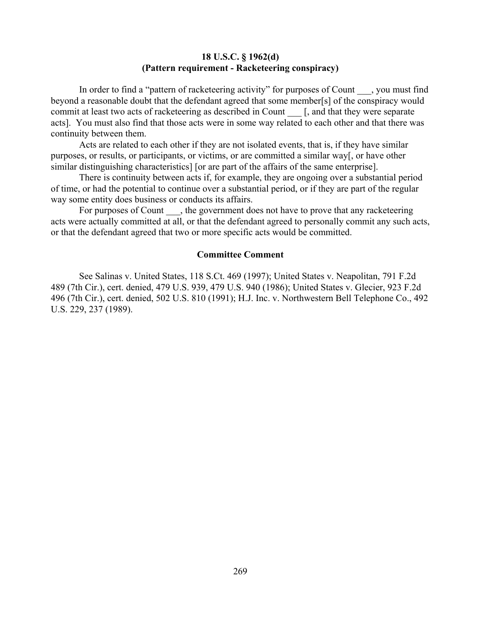#### **18 U.S.C. § 1962(d) (Pattern requirement - Racketeering conspiracy)**

In order to find a "pattern of racketeering activity" for purposes of Count , you must find beyond a reasonable doubt that the defendant agreed that some member[s] of the conspiracy would commit at least two acts of racketeering as described in Count [, and that they were separate acts]. You must also find that those acts were in some way related to each other and that there was continuity between them.

Acts are related to each other if they are not isolated events, that is, if they have similar purposes, or results, or participants, or victims, or are committed a similar way[, or have other similar distinguishing characteristics] [or are part of the affairs of the same enterprise].

There is continuity between acts if, for example, they are ongoing over a substantial period of time, or had the potential to continue over a substantial period, or if they are part of the regular way some entity does business or conducts its affairs.

For purposes of Count , the government does not have to prove that any racketeering acts were actually committed at all, or that the defendant agreed to personally commit any such acts, or that the defendant agreed that two or more specific acts would be committed.

#### **Committee Comment**

See Salinas v. United States, 118 S.Ct. 469 (1997); United States v. Neapolitan, 791 F.2d 489 (7th Cir.), cert. denied, 479 U.S. 939, 479 U.S. 940 (1986); United States v. Glecier, 923 F.2d 496 (7th Cir.), cert. denied, 502 U.S. 810 (1991); H.J. Inc. v. Northwestern Bell Telephone Co., 492 U.S. 229, 237 (1989).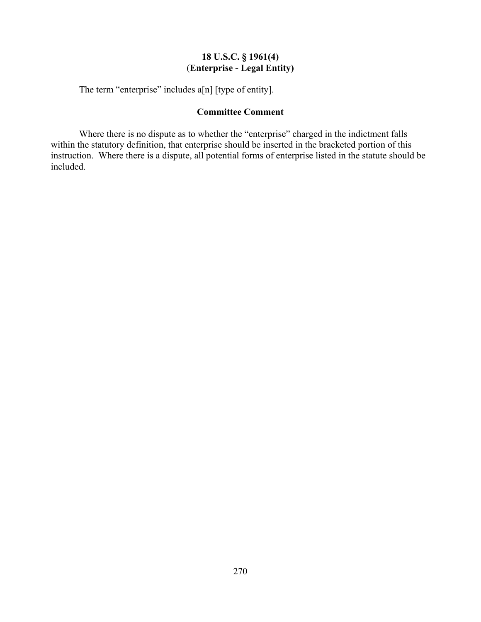# **18 U.S.C. § 1961(4)** (**Enterprise - Legal Entity)**

The term "enterprise" includes a[n] [type of entity].

# **Committee Comment**

Where there is no dispute as to whether the "enterprise" charged in the indictment falls within the statutory definition, that enterprise should be inserted in the bracketed portion of this instruction. Where there is a dispute, all potential forms of enterprise listed in the statute should be included.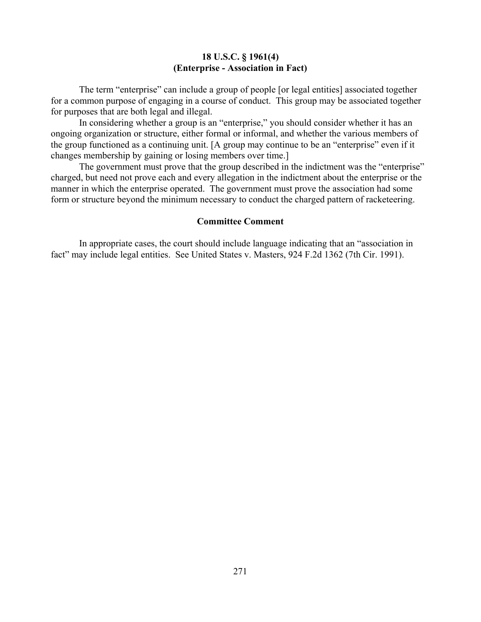#### **18 U.S.C. § 1961(4) (Enterprise - Association in Fact)**

The term "enterprise" can include a group of people [or legal entities] associated together for a common purpose of engaging in a course of conduct. This group may be associated together for purposes that are both legal and illegal.

In considering whether a group is an "enterprise," you should consider whether it has an ongoing organization or structure, either formal or informal, and whether the various members of the group functioned as a continuing unit. [A group may continue to be an "enterprise" even if it changes membership by gaining or losing members over time.]

The government must prove that the group described in the indictment was the "enterprise" charged, but need not prove each and every allegation in the indictment about the enterprise or the manner in which the enterprise operated. The government must prove the association had some form or structure beyond the minimum necessary to conduct the charged pattern of racketeering.

#### **Committee Comment**

In appropriate cases, the court should include language indicating that an "association in fact" may include legal entities. See United States v. Masters, 924 F.2d 1362 (7th Cir. 1991).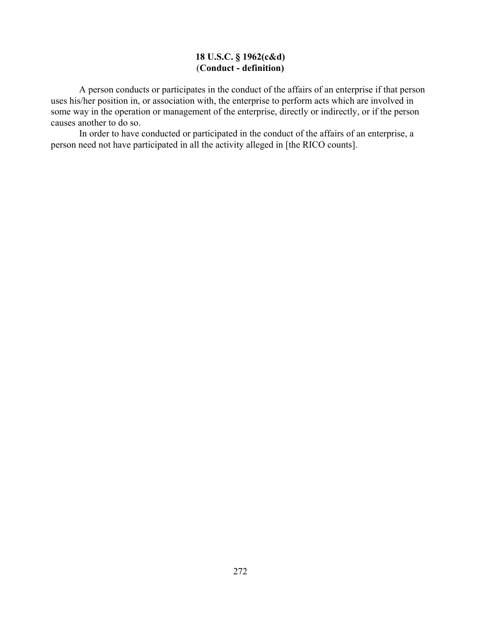# **18 U.S.C. § 1962(c&d)** (**Conduct - definition)**

A person conducts or participates in the conduct of the affairs of an enterprise if that person uses his/her position in, or association with, the enterprise to perform acts which are involved in some way in the operation or management of the enterprise, directly or indirectly, or if the person causes another to do so.

In order to have conducted or participated in the conduct of the affairs of an enterprise, a person need not have participated in all the activity alleged in [the RICO counts].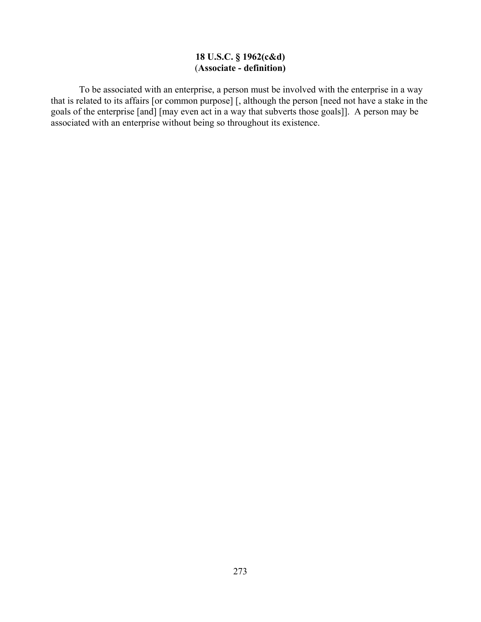# **18 U.S.C. § 1962(c&d)** (**Associate - definition)**

To be associated with an enterprise, a person must be involved with the enterprise in a way that is related to its affairs [or common purpose] [, although the person [need not have a stake in the goals of the enterprise [and] [may even act in a way that subverts those goals]]. A person may be associated with an enterprise without being so throughout its existence.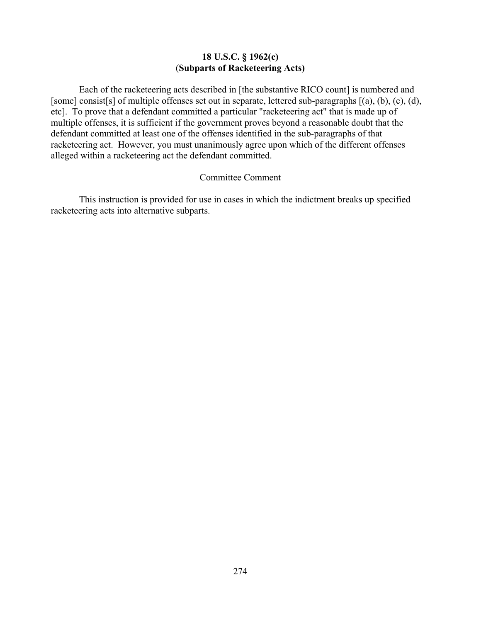## **18 U.S.C. § 1962(c)** (**Subparts of Racketeering Acts)**

Each of the racketeering acts described in [the substantive RICO count] is numbered and [some] consist[s] of multiple offenses set out in separate, lettered sub-paragraphs [(a), (b), (c), (d), etc]. To prove that a defendant committed a particular "racketeering act" that is made up of multiple offenses, it is sufficient if the government proves beyond a reasonable doubt that the defendant committed at least one of the offenses identified in the sub-paragraphs of that racketeering act. However, you must unanimously agree upon which of the different offenses alleged within a racketeering act the defendant committed.

#### Committee Comment

This instruction is provided for use in cases in which the indictment breaks up specified racketeering acts into alternative subparts.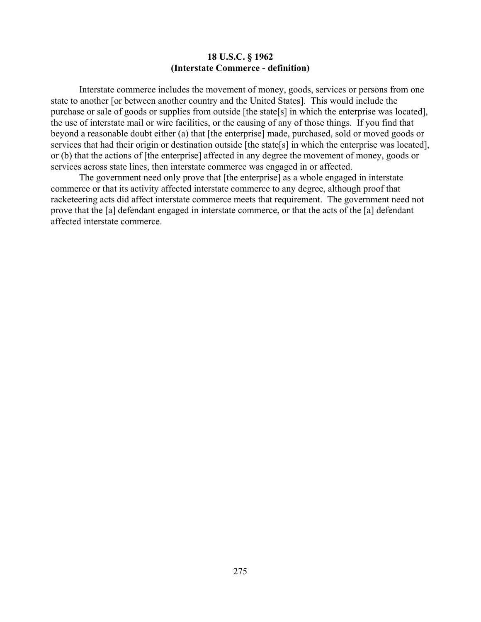#### **18 U.S.C. § 1962 (Interstate Commerce - definition)**

Interstate commerce includes the movement of money, goods, services or persons from one state to another [or between another country and the United States]. This would include the purchase or sale of goods or supplies from outside [the state[s] in which the enterprise was located], the use of interstate mail or wire facilities, or the causing of any of those things. If you find that beyond a reasonable doubt either (a) that [the enterprise] made, purchased, sold or moved goods or services that had their origin or destination outside [the state[s] in which the enterprise was located], or (b) that the actions of [the enterprise] affected in any degree the movement of money, goods or services across state lines, then interstate commerce was engaged in or affected.

The government need only prove that [the enterprise] as a whole engaged in interstate commerce or that its activity affected interstate commerce to any degree, although proof that racketeering acts did affect interstate commerce meets that requirement. The government need not prove that the [a] defendant engaged in interstate commerce, or that the acts of the [a] defendant affected interstate commerce.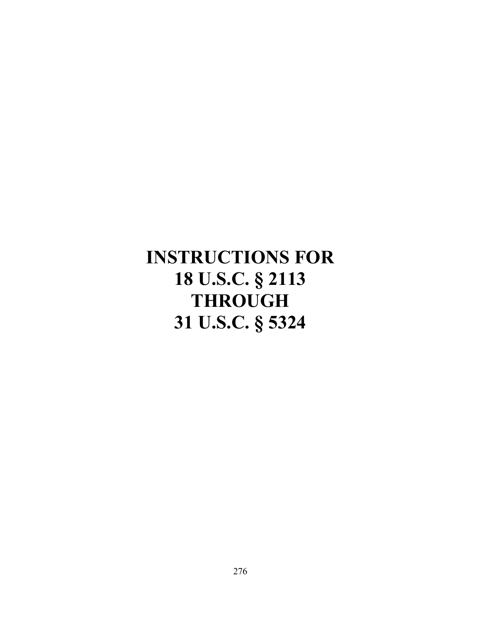# **INSTRUCTIONS FOR 18 U.S.C. § 2113 THROUGH 31 U.S.C. § 5324**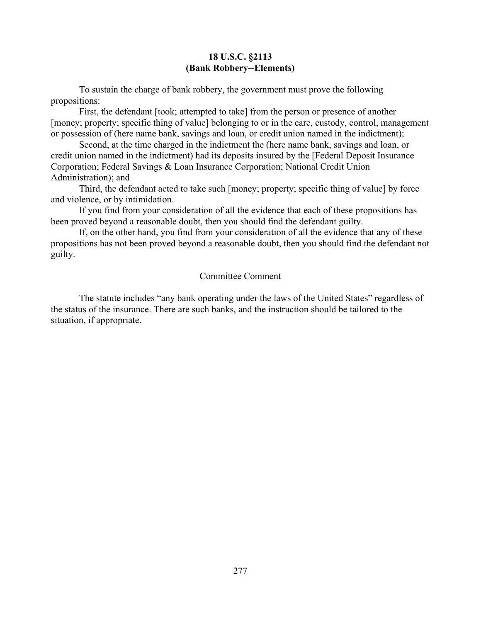#### **18 U.S.C. §2113 (Bank Robbery--Elements)**

To sustain the charge of bank robbery, the government must prove the following propositions:

First, the defendant [took; attempted to take] from the person or presence of another [money; property; specific thing of value] belonging to or in the care, custody, control, management or possession of (here name bank, savings and loan, or credit union named in the indictment);

Second, at the time charged in the indictment the (here name bank, savings and loan, or credit union named in the indictment) had its deposits insured by the [Federal Deposit Insurance Corporation; Federal Savings & Loan Insurance Corporation; National Credit Union Administration); and

Third, the defendant acted to take such [money; property; specific thing of value] by force and violence, or by intimidation.

If you find from your consideration of all the evidence that each of these propositions has been proved beyond a reasonable doubt, then you should find the defendant guilty.

If, on the other hand, you find from your consideration of all the evidence that any of these propositions has not been proved beyond a reasonable doubt, then you should find the defendant not guilty.

#### Committee Comment

The statute includes "any bank operating under the laws of the United States" regardless of the status of the insurance. There are such banks, and the instruction should be tailored to the situation, if appropriate.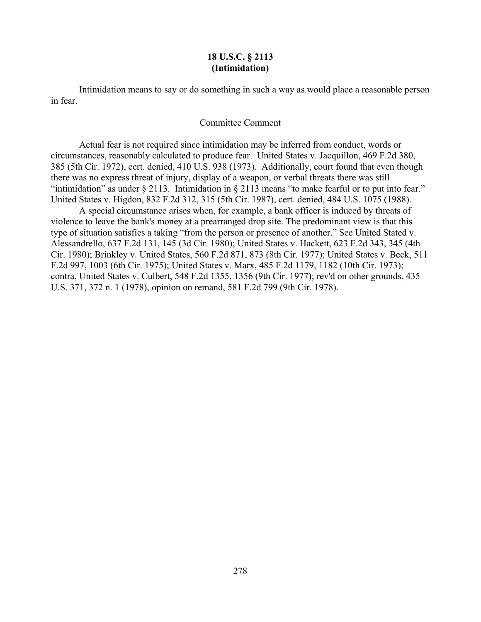#### **18 U.S.C. § 2113 (Intimidation)**

Intimidation means to say or do something in such a way as would place a reasonable person in fear.

#### Committee Comment

Actual fear is not required since intimidation may be inferred from conduct, words or circumstances, reasonably calculated to produce fear. United States v. Jacquillon, 469 F.2d 380, 385 (5th Cir. 1972), cert. denied, 410 U.S. 938 (1973). Additionally, court found that even though there was no express threat of injury, display of a weapon, or verbal threats there was still "intimidation" as under § 2113. Intimidation in § 2113 means "to make fearful or to put into fear." United States v. Higdon, 832 F.2d 312, 315 (5th Cir. 1987), cert. denied, 484 U.S. 1075 (1988).

A special circumstance arises when, for example, a bank officer is induced by threats of violence to leave the bank's money at a prearranged drop site. The predominant view is that this type of situation satisfies a taking "from the person or presence of another." See United Stated v. Alessandrello, 637 F.2d 131, 145 (3d Cir. 1980); United States v. Hackett, 623 F.2d 343, 345 (4th Cir. 1980); Brinkley v. United States, 560 F.2d 871, 873 (8th Cir. 1977); United States v. Beck, 511 F.2d 997, 1003 (6th Cir. 1975); United States v. Marx, 485 F.2d 1179, 1182 (10th Cir. 1973); contra, United States v. Culbert, 548 F.2d 1355, 1356 (9th Cir. 1977); rev'd on other grounds, 435 U.S. 371, 372 n. 1 (1978), opinion on remand, 581 F.2d 799 (9th Cir. 1978).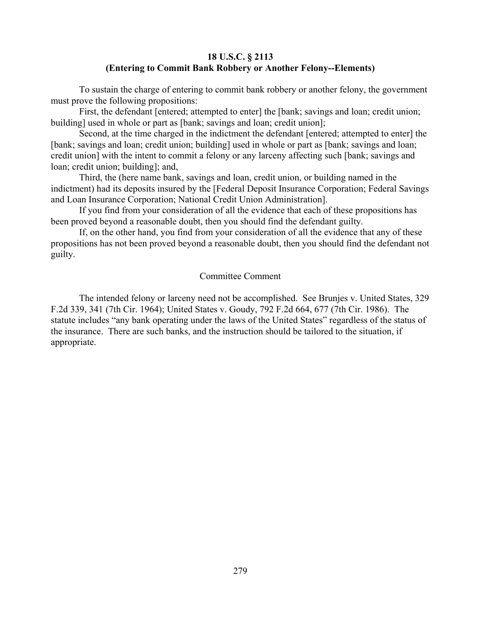## **18 U.S.C. § 2113 (Entering to Commit Bank Robbery or Another Felony--Elements)**

To sustain the charge of entering to commit bank robbery or another felony, the government must prove the following propositions:

First, the defendant [entered; attempted to enter] the [bank; savings and loan; credit union; building] used in whole or part as [bank; savings and loan; credit union];

Second, at the time charged in the indictment the defendant [entered; attempted to enter] the [bank; savings and loan; credit union; building] used in whole or part as [bank; savings and loan; credit union] with the intent to commit a felony or any larceny affecting such [bank; savings and loan; credit union; building]; and,

Third, the (here name bank, savings and loan, credit union, or building named in the indictment) had its deposits insured by the [Federal Deposit Insurance Corporation; Federal Savings and Loan Insurance Corporation; National Credit Union Administration].

If you find from your consideration of all the evidence that each of these propositions has been proved beyond a reasonable doubt, then you should find the defendant guilty.

If, on the other hand, you find from your consideration of all the evidence that any of these propositions has not been proved beyond a reasonable doubt, then you should find the defendant not guilty.

#### Committee Comment

The intended felony or larceny need not be accomplished. See Brunjes v. United States, 329 F.2d 339, 341 (7th Cir. 1964); United States v. Goudy, 792 F.2d 664, 677 (7th Cir. 1986). The statute includes "any bank operating under the laws of the United States" regardless of the status of the insurance. There are such banks, and the instruction should be tailored to the situation, if appropriate.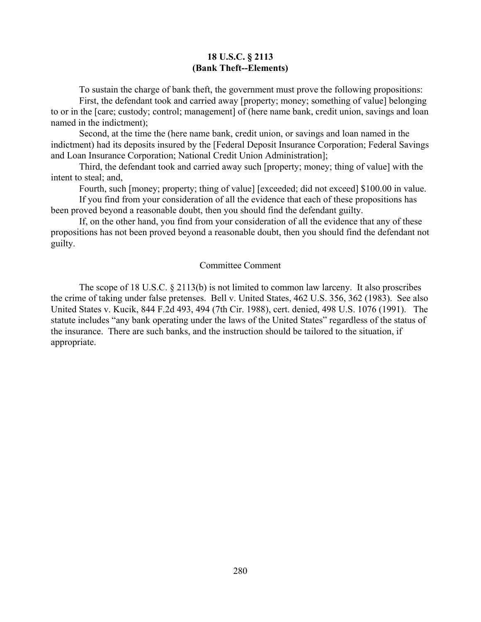#### **18 U.S.C. § 2113 (Bank Theft--Elements)**

To sustain the charge of bank theft, the government must prove the following propositions:

First, the defendant took and carried away [property; money; something of value] belonging to or in the [care; custody; control; management] of (here name bank, credit union, savings and loan named in the indictment);

Second, at the time the (here name bank, credit union, or savings and loan named in the indictment) had its deposits insured by the [Federal Deposit Insurance Corporation; Federal Savings and Loan Insurance Corporation; National Credit Union Administration];

Third, the defendant took and carried away such [property; money; thing of value] with the intent to steal; and,

Fourth, such [money; property; thing of value] [exceeded; did not exceed] \$100.00 in value.

If you find from your consideration of all the evidence that each of these propositions has been proved beyond a reasonable doubt, then you should find the defendant guilty.

If, on the other hand, you find from your consideration of all the evidence that any of these propositions has not been proved beyond a reasonable doubt, then you should find the defendant not guilty.

#### Committee Comment

The scope of 18 U.S.C. § 2113(b) is not limited to common law larceny. It also proscribes the crime of taking under false pretenses. Bell v. United States, 462 U.S. 356, 362 (1983). See also United States v. Kucik, 844 F.2d 493, 494 (7th Cir. 1988), cert. denied, 498 U.S. 1076 (1991). The statute includes "any bank operating under the laws of the United States" regardless of the status of the insurance. There are such banks, and the instruction should be tailored to the situation, if appropriate.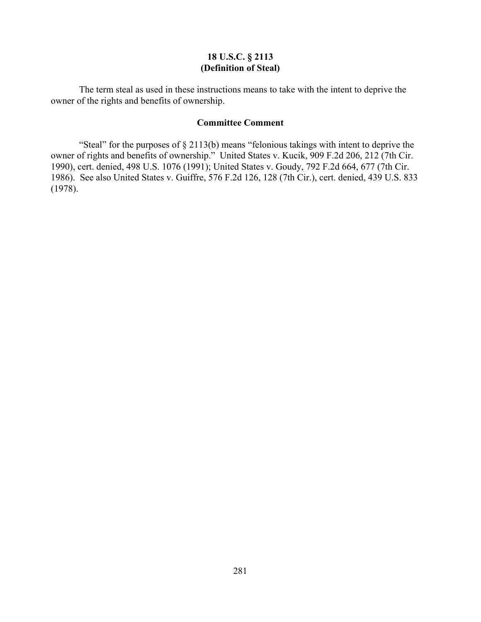## **18 U.S.C. § 2113 (Definition of Steal)**

The term steal as used in these instructions means to take with the intent to deprive the owner of the rights and benefits of ownership.

#### **Committee Comment**

"Steal" for the purposes of § 2113(b) means "felonious takings with intent to deprive the owner of rights and benefits of ownership." United States v. Kucik, 909 F.2d 206, 212 (7th Cir. 1990), cert. denied, 498 U.S. 1076 (1991); United States v. Goudy, 792 F.2d 664, 677 (7th Cir. 1986). See also United States v. Guiffre, 576 F.2d 126, 128 (7th Cir.), cert. denied, 439 U.S. 833 (1978).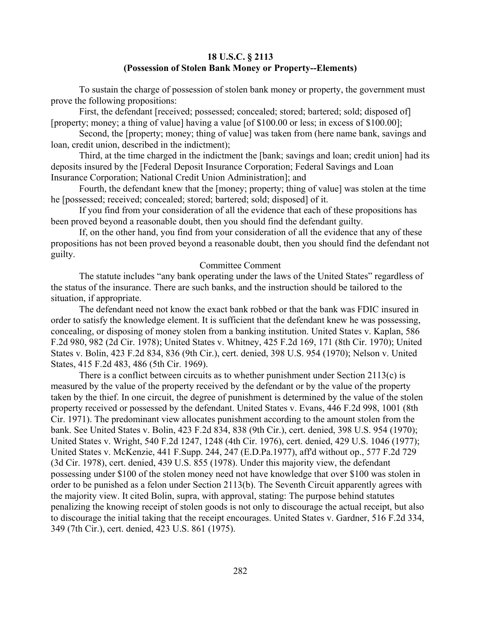## **18 U.S.C. § 2113 (Possession of Stolen Bank Money or Property--Elements)**

To sustain the charge of possession of stolen bank money or property, the government must prove the following propositions:

First, the defendant [received; possessed; concealed; stored; bartered; sold; disposed of] [property; money; a thing of value] having a value [of \$100.00 or less; in excess of \$100.00];

Second, the [property; money; thing of value] was taken from (here name bank, savings and loan, credit union, described in the indictment);

Third, at the time charged in the indictment the [bank; savings and loan; credit union] had its deposits insured by the [Federal Deposit Insurance Corporation; Federal Savings and Loan Insurance Corporation; National Credit Union Administration]; and

Fourth, the defendant knew that the [money; property; thing of value] was stolen at the time he [possessed; received; concealed; stored; bartered; sold; disposed] of it.

If you find from your consideration of all the evidence that each of these propositions has been proved beyond a reasonable doubt, then you should find the defendant guilty.

If, on the other hand, you find from your consideration of all the evidence that any of these propositions has not been proved beyond a reasonable doubt, then you should find the defendant not guilty.

#### Committee Comment

The statute includes "any bank operating under the laws of the United States" regardless of the status of the insurance. There are such banks, and the instruction should be tailored to the situation, if appropriate.

The defendant need not know the exact bank robbed or that the bank was FDIC insured in order to satisfy the knowledge element. It is sufficient that the defendant knew he was possessing, concealing, or disposing of money stolen from a banking institution. United States v. Kaplan, 586 F.2d 980, 982 (2d Cir. 1978); United States v. Whitney, 425 F.2d 169, 171 (8th Cir. 1970); United States v. Bolin, 423 F.2d 834, 836 (9th Cir.), cert. denied, 398 U.S. 954 (1970); Nelson v. United States, 415 F.2d 483, 486 (5th Cir. 1969).

There is a conflict between circuits as to whether punishment under Section 2113(c) is measured by the value of the property received by the defendant or by the value of the property taken by the thief. In one circuit, the degree of punishment is determined by the value of the stolen property received or possessed by the defendant. United States v. Evans, 446 F.2d 998, 1001 (8th Cir. 1971). The predominant view allocates punishment according to the amount stolen from the bank. See United States v. Bolin, 423 F.2d 834, 838 (9th Cir.), cert. denied, 398 U.S. 954 (1970); United States v. Wright, 540 F.2d 1247, 1248 (4th Cir. 1976), cert. denied, 429 U.S. 1046 (1977); United States v. McKenzie, 441 F.Supp. 244, 247 (E.D.Pa.1977), aff'd without op., 577 F.2d 729 (3d Cir. 1978), cert. denied, 439 U.S. 855 (1978). Under this majority view, the defendant possessing under \$100 of the stolen money need not have knowledge that over \$100 was stolen in order to be punished as a felon under Section 2113(b). The Seventh Circuit apparently agrees with the majority view. It cited Bolin, supra, with approval, stating: The purpose behind statutes penalizing the knowing receipt of stolen goods is not only to discourage the actual receipt, but also to discourage the initial taking that the receipt encourages. United States v. Gardner, 516 F.2d 334, 349 (7th Cir.), cert. denied, 423 U.S. 861 (1975).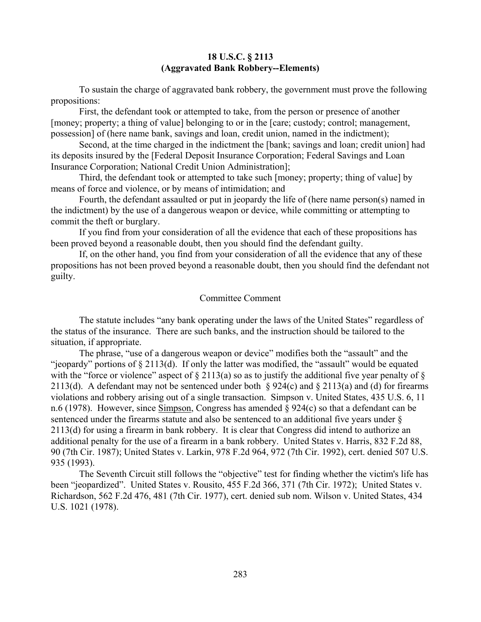#### **18 U.S.C. § 2113 (Aggravated Bank Robbery--Elements)**

To sustain the charge of aggravated bank robbery, the government must prove the following propositions:

First, the defendant took or attempted to take, from the person or presence of another [money; property; a thing of value] belonging to or in the [care; custody; control; management, possession] of (here name bank, savings and loan, credit union, named in the indictment);

Second, at the time charged in the indictment the [bank; savings and loan; credit union] had its deposits insured by the [Federal Deposit Insurance Corporation; Federal Savings and Loan Insurance Corporation; National Credit Union Administration];

Third, the defendant took or attempted to take such [money; property; thing of value] by means of force and violence, or by means of intimidation; and

Fourth, the defendant assaulted or put in jeopardy the life of (here name person(s) named in the indictment) by the use of a dangerous weapon or device, while committing or attempting to commit the theft or burglary.

If you find from your consideration of all the evidence that each of these propositions has been proved beyond a reasonable doubt, then you should find the defendant guilty.

If, on the other hand, you find from your consideration of all the evidence that any of these propositions has not been proved beyond a reasonable doubt, then you should find the defendant not guilty.

### Committee Comment

The statute includes "any bank operating under the laws of the United States" regardless of the status of the insurance. There are such banks, and the instruction should be tailored to the situation, if appropriate.

The phrase, "use of a dangerous weapon or device" modifies both the "assault" and the "jeopardy" portions of  $\S 2113(d)$ . If only the latter was modified, the "assault" would be equated with the "force or violence" aspect of  $\S 2113(a)$  so as to justify the additional five year penalty of  $\S$ 2113(d). A defendant may not be sentenced under both § 924(c) and § 2113(a) and (d) for firearms violations and robbery arising out of a single transaction. Simpson v. United States, 435 U.S. 6, 11 n.6 (1978). However, since Simpson, Congress has amended § 924(c) so that a defendant can be sentenced under the firearms statute and also be sentenced to an additional five years under § 2113(d) for using a firearm in bank robbery. It is clear that Congress did intend to authorize an additional penalty for the use of a firearm in a bank robbery. United States v. Harris, 832 F.2d 88, 90 (7th Cir. 1987); United States v. Larkin, 978 F.2d 964, 972 (7th Cir. 1992), cert. denied 507 U.S. 935 (1993).

The Seventh Circuit still follows the "objective" test for finding whether the victim's life has been "jeopardized". United States v. Rousito, 455 F.2d 366, 371 (7th Cir. 1972); United States v. Richardson, 562 F.2d 476, 481 (7th Cir. 1977), cert. denied sub nom. Wilson v. United States, 434 U.S. 1021 (1978).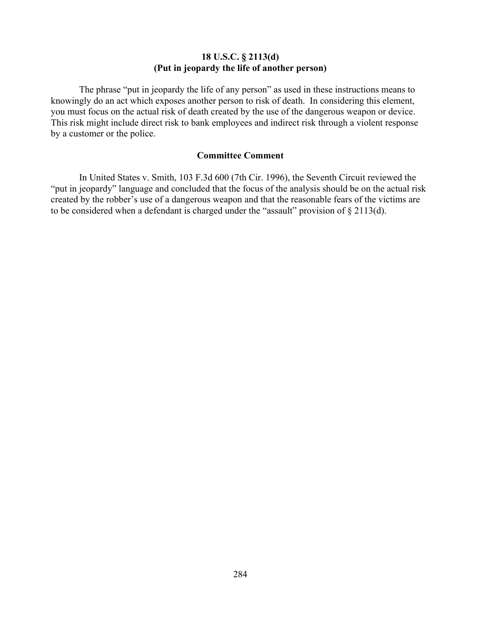## **18 U.S.C. § 2113(d) (Put in jeopardy the life of another person)**

The phrase "put in jeopardy the life of any person" as used in these instructions means to knowingly do an act which exposes another person to risk of death. In considering this element, you must focus on the actual risk of death created by the use of the dangerous weapon or device. This risk might include direct risk to bank employees and indirect risk through a violent response by a customer or the police.

## **Committee Comment**

In United States v. Smith, 103 F.3d 600 (7th Cir. 1996), the Seventh Circuit reviewed the "put in jeopardy" language and concluded that the focus of the analysis should be on the actual risk created by the robber's use of a dangerous weapon and that the reasonable fears of the victims are to be considered when a defendant is charged under the "assault" provision of § 2113(d).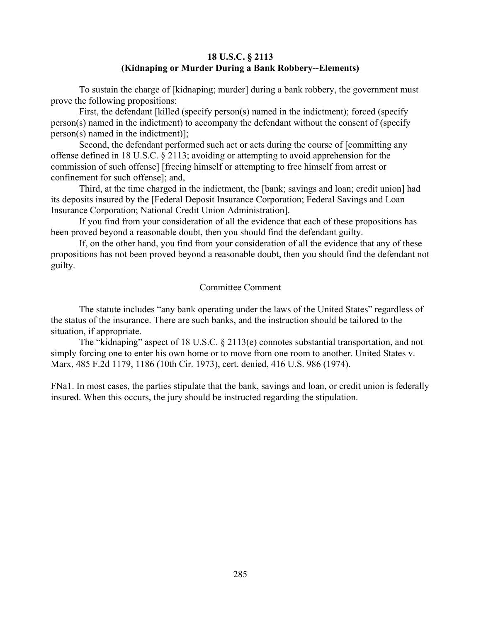### **18 U.S.C. § 2113 (Kidnaping or Murder During a Bank Robbery--Elements)**

To sustain the charge of [kidnaping; murder] during a bank robbery, the government must prove the following propositions:

First, the defendant [killed (specify person(s) named in the indictment); forced (specify person(s) named in the indictment) to accompany the defendant without the consent of (specify person(s) named in the indictment)];

Second, the defendant performed such act or acts during the course of [committing any offense defined in 18 U.S.C. § 2113; avoiding or attempting to avoid apprehension for the commission of such offense] [freeing himself or attempting to free himself from arrest or confinement for such offense]; and,

Third, at the time charged in the indictment, the [bank; savings and loan; credit union] had its deposits insured by the [Federal Deposit Insurance Corporation; Federal Savings and Loan Insurance Corporation; National Credit Union Administration].

If you find from your consideration of all the evidence that each of these propositions has been proved beyond a reasonable doubt, then you should find the defendant guilty.

If, on the other hand, you find from your consideration of all the evidence that any of these propositions has not been proved beyond a reasonable doubt, then you should find the defendant not guilty.

### Committee Comment

The statute includes "any bank operating under the laws of the United States" regardless of the status of the insurance. There are such banks, and the instruction should be tailored to the situation, if appropriate.

The "kidnaping" aspect of 18 U.S.C. § 2113(e) connotes substantial transportation, and not simply forcing one to enter his own home or to move from one room to another. United States v. Marx, 485 F.2d 1179, 1186 (10th Cir. 1973), cert. denied, 416 U.S. 986 (1974).

FNa1. In most cases, the parties stipulate that the bank, savings and loan, or credit union is federally insured. When this occurs, the jury should be instructed regarding the stipulation.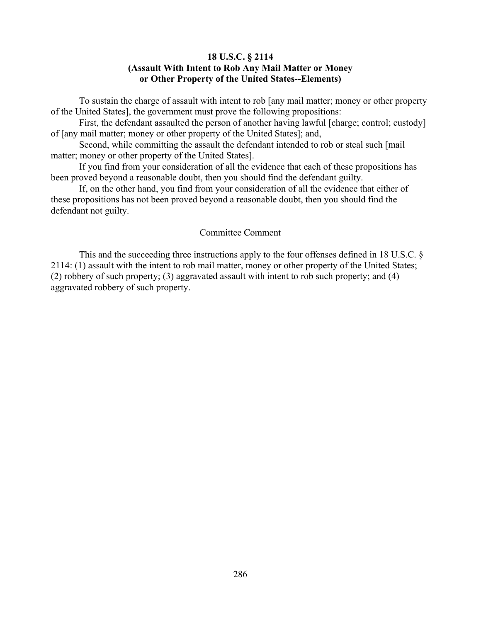### **18 U.S.C. § 2114 (Assault With Intent to Rob Any Mail Matter or Money or Other Property of the United States--Elements)**

To sustain the charge of assault with intent to rob [any mail matter; money or other property of the United States], the government must prove the following propositions:

First, the defendant assaulted the person of another having lawful [charge; control; custody] of [any mail matter; money or other property of the United States]; and,

Second, while committing the assault the defendant intended to rob or steal such [mail matter; money or other property of the United States].

If you find from your consideration of all the evidence that each of these propositions has been proved beyond a reasonable doubt, then you should find the defendant guilty.

If, on the other hand, you find from your consideration of all the evidence that either of these propositions has not been proved beyond a reasonable doubt, then you should find the defendant not guilty.

#### Committee Comment

This and the succeeding three instructions apply to the four offenses defined in 18 U.S.C. § 2114: (1) assault with the intent to rob mail matter, money or other property of the United States; (2) robbery of such property; (3) aggravated assault with intent to rob such property; and (4) aggravated robbery of such property.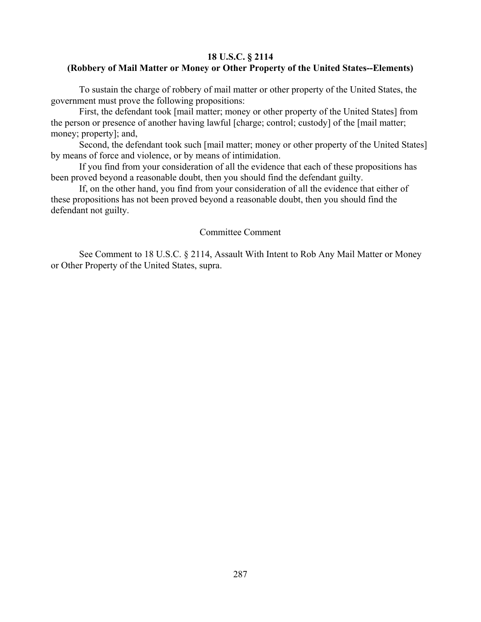### **18 U.S.C. § 2114**

# **(Robbery of Mail Matter or Money or Other Property of the United States--Elements)**

To sustain the charge of robbery of mail matter or other property of the United States, the government must prove the following propositions:

First, the defendant took [mail matter; money or other property of the United States] from the person or presence of another having lawful [charge; control; custody] of the [mail matter; money; property]; and,

Second, the defendant took such [mail matter; money or other property of the United States] by means of force and violence, or by means of intimidation.

If you find from your consideration of all the evidence that each of these propositions has been proved beyond a reasonable doubt, then you should find the defendant guilty.

If, on the other hand, you find from your consideration of all the evidence that either of these propositions has not been proved beyond a reasonable doubt, then you should find the defendant not guilty.

#### Committee Comment

See Comment to 18 U.S.C. § 2114, Assault With Intent to Rob Any Mail Matter or Money or Other Property of the United States, supra.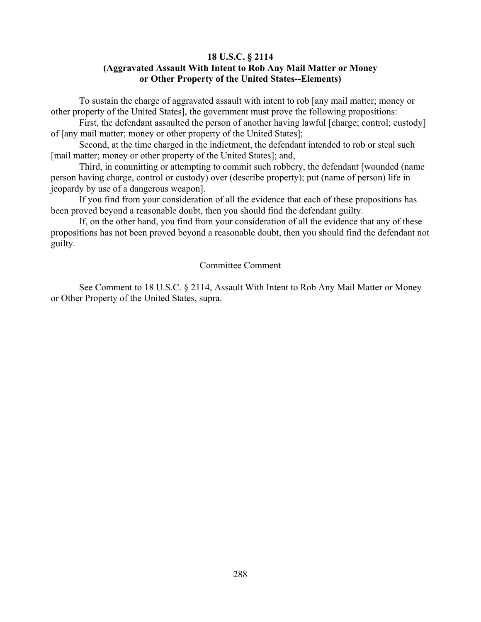# **18 U.S.C. § 2114**

# **(Aggravated Assault With Intent to Rob Any Mail Matter or Money or Other Property of the United States--Elements)**

To sustain the charge of aggravated assault with intent to rob [any mail matter; money or other property of the United States], the government must prove the following propositions:

First, the defendant assaulted the person of another having lawful [charge; control; custody] of [any mail matter; money or other property of the United States];

Second, at the time charged in the indictment, the defendant intended to rob or steal such [mail matter; money or other property of the United States]; and,

Third, in committing or attempting to commit such robbery, the defendant [wounded (name person having charge, control or custody) over (describe property); put (name of person) life in jeopardy by use of a dangerous weapon].

If you find from your consideration of all the evidence that each of these propositions has been proved beyond a reasonable doubt, then you should find the defendant guilty.

If, on the other hand, you find from your consideration of all the evidence that any of these propositions has not been proved beyond a reasonable doubt, then you should find the defendant not guilty.

# Committee Comment

See Comment to 18 U.S.C. § 2114, Assault With Intent to Rob Any Mail Matter or Money or Other Property of the United States, supra.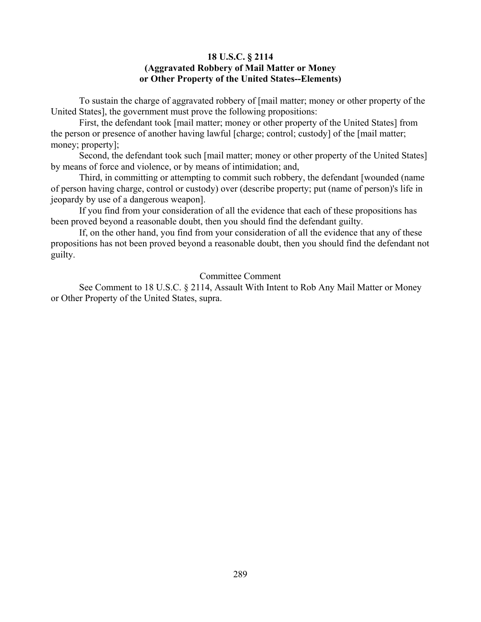# **18 U.S.C. § 2114 (Aggravated Robbery of Mail Matter or Money or Other Property of the United States--Elements)**

To sustain the charge of aggravated robbery of [mail matter; money or other property of the United States], the government must prove the following propositions:

First, the defendant took [mail matter; money or other property of the United States] from the person or presence of another having lawful [charge; control; custody] of the [mail matter; money; property];

Second, the defendant took such [mail matter; money or other property of the United States] by means of force and violence, or by means of intimidation; and,

Third, in committing or attempting to commit such robbery, the defendant [wounded (name of person having charge, control or custody) over (describe property; put (name of person)'s life in jeopardy by use of a dangerous weapon].

If you find from your consideration of all the evidence that each of these propositions has been proved beyond a reasonable doubt, then you should find the defendant guilty.

If, on the other hand, you find from your consideration of all the evidence that any of these propositions has not been proved beyond a reasonable doubt, then you should find the defendant not guilty.

# Committee Comment

See Comment to 18 U.S.C. § 2114, Assault With Intent to Rob Any Mail Matter or Money or Other Property of the United States, supra.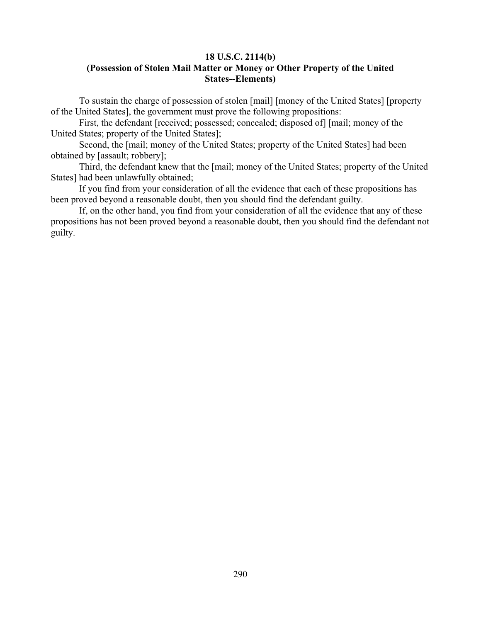### **18 U.S.C. 2114(b) (Possession of Stolen Mail Matter or Money or Other Property of the United States--Elements)**

To sustain the charge of possession of stolen [mail] [money of the United States] [property of the United States], the government must prove the following propositions:

First, the defendant [received; possessed; concealed; disposed of] [mail; money of the United States; property of the United States];

Second, the [mail; money of the United States; property of the United States] had been obtained by [assault; robbery];

Third, the defendant knew that the [mail; money of the United States; property of the United States] had been unlawfully obtained;

If you find from your consideration of all the evidence that each of these propositions has been proved beyond a reasonable doubt, then you should find the defendant guilty.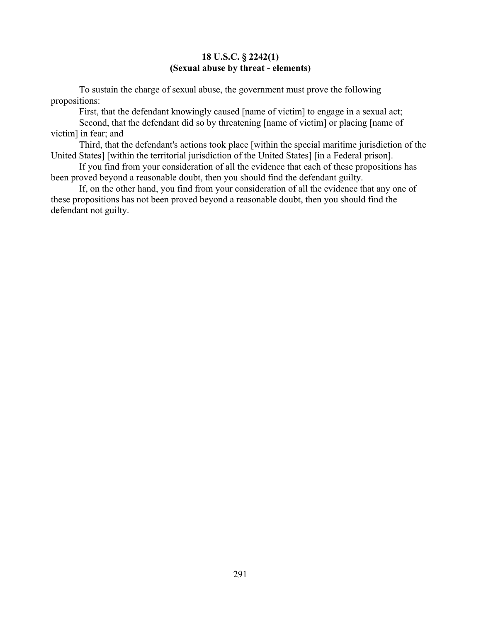### **18 U.S.C. § 2242(1) (Sexual abuse by threat - elements)**

To sustain the charge of sexual abuse, the government must prove the following propositions:

First, that the defendant knowingly caused [name of victim] to engage in a sexual act;

Second, that the defendant did so by threatening [name of victim] or placing [name of victim] in fear; and

Third, that the defendant's actions took place [within the special maritime jurisdiction of the United States] [within the territorial jurisdiction of the United States] [in a Federal prison].

If you find from your consideration of all the evidence that each of these propositions has been proved beyond a reasonable doubt, then you should find the defendant guilty.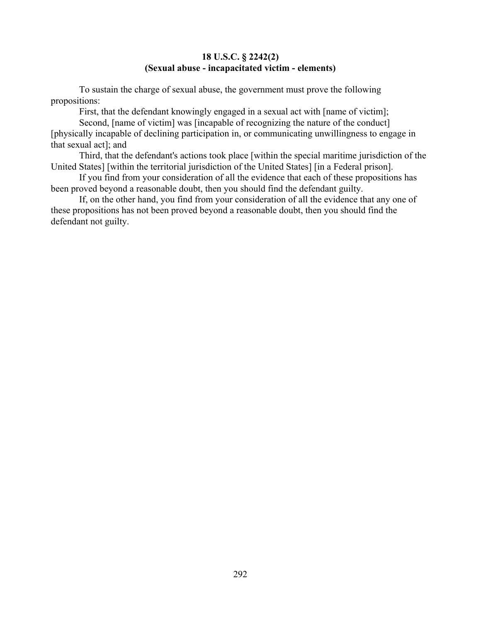### **18 U.S.C. § 2242(2) (Sexual abuse - incapacitated victim - elements)**

To sustain the charge of sexual abuse, the government must prove the following propositions:

First, that the defendant knowingly engaged in a sexual act with [name of victim];

Second, [name of victim] was [incapable of recognizing the nature of the conduct] [physically incapable of declining participation in, or communicating unwillingness to engage in that sexual act]; and

Third, that the defendant's actions took place [within the special maritime jurisdiction of the United States] [within the territorial jurisdiction of the United States] [in a Federal prison].

If you find from your consideration of all the evidence that each of these propositions has been proved beyond a reasonable doubt, then you should find the defendant guilty.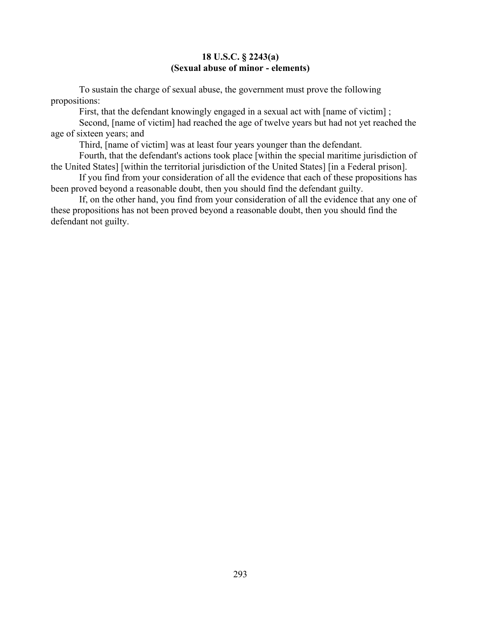### **18 U.S.C. § 2243(a) (Sexual abuse of minor - elements)**

To sustain the charge of sexual abuse, the government must prove the following propositions:

First, that the defendant knowingly engaged in a sexual act with [name of victim] ;

Second, [name of victim] had reached the age of twelve years but had not yet reached the age of sixteen years; and

Third, [name of victim] was at least four years younger than the defendant.

Fourth, that the defendant's actions took place [within the special maritime jurisdiction of the United States] [within the territorial jurisdiction of the United States] [in a Federal prison].

If you find from your consideration of all the evidence that each of these propositions has been proved beyond a reasonable doubt, then you should find the defendant guilty.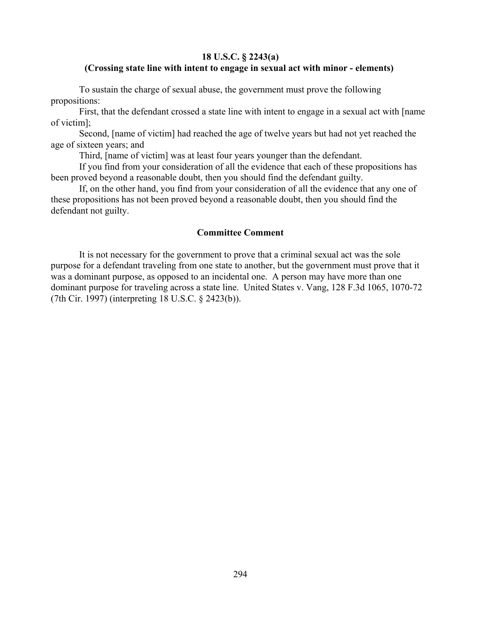#### **18 U.S.C. § 2243(a)**

#### **(Crossing state line with intent to engage in sexual act with minor - elements)**

To sustain the charge of sexual abuse, the government must prove the following propositions:

First, that the defendant crossed a state line with intent to engage in a sexual act with [name of victim];

Second, [name of victim] had reached the age of twelve years but had not yet reached the age of sixteen years; and

Third, [name of victim] was at least four years younger than the defendant.

If you find from your consideration of all the evidence that each of these propositions has been proved beyond a reasonable doubt, then you should find the defendant guilty.

If, on the other hand, you find from your consideration of all the evidence that any one of these propositions has not been proved beyond a reasonable doubt, then you should find the defendant not guilty.

#### **Committee Comment**

It is not necessary for the government to prove that a criminal sexual act was the sole purpose for a defendant traveling from one state to another, but the government must prove that it was a dominant purpose, as opposed to an incidental one. A person may have more than one dominant purpose for traveling across a state line. United States v. Vang, 128 F.3d 1065, 1070-72 (7th Cir. 1997) (interpreting 18 U.S.C. § 2423(b)).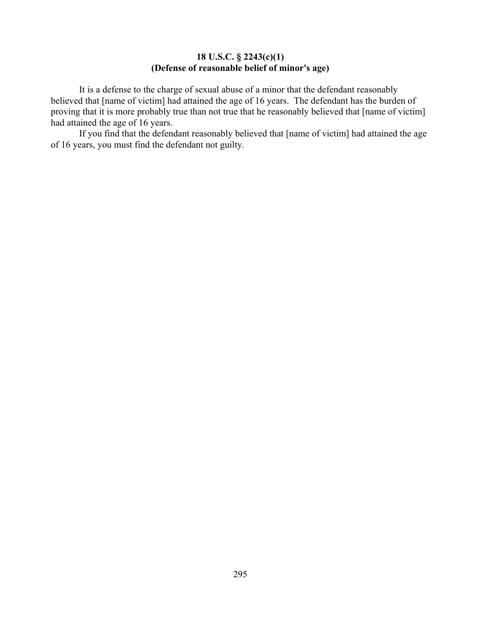# **18 U.S.C. § 2243(c)(1) (Defense of reasonable belief of minor's age)**

It is a defense to the charge of sexual abuse of a minor that the defendant reasonably believed that [name of victim] had attained the age of 16 years. The defendant has the burden of proving that it is more probably true than not true that he reasonably believed that [name of victim] had attained the age of 16 years.

If you find that the defendant reasonably believed that [name of victim] had attained the age of 16 years, you must find the defendant not guilty.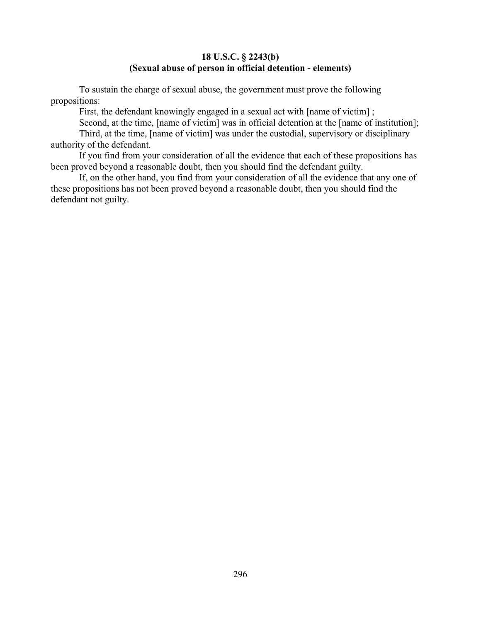# **18 U.S.C. § 2243(b) (Sexual abuse of person in official detention - elements)**

To sustain the charge of sexual abuse, the government must prove the following propositions:

First, the defendant knowingly engaged in a sexual act with [name of victim] ;

Second, at the time, [name of victim] was in official detention at the [name of institution];

Third, at the time, [name of victim] was under the custodial, supervisory or disciplinary authority of the defendant.

If you find from your consideration of all the evidence that each of these propositions has been proved beyond a reasonable doubt, then you should find the defendant guilty.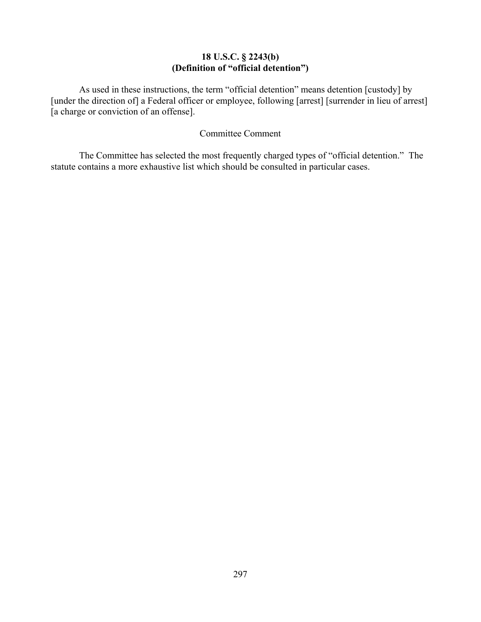# **18 U.S.C. § 2243(b) (Definition of "official detention")**

As used in these instructions, the term "official detention" means detention [custody] by [under the direction of] a Federal officer or employee, following [arrest] [surrender in lieu of arrest] [a charge or conviction of an offense].

### Committee Comment

The Committee has selected the most frequently charged types of "official detention." The statute contains a more exhaustive list which should be consulted in particular cases.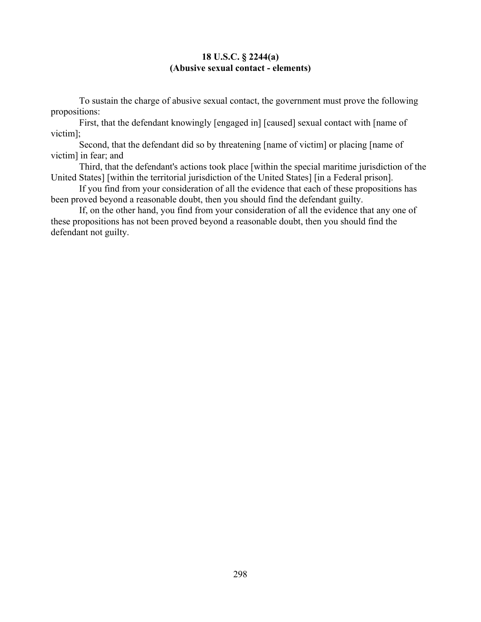### **18 U.S.C. § 2244(a) (Abusive sexual contact - elements)**

To sustain the charge of abusive sexual contact, the government must prove the following propositions:

First, that the defendant knowingly [engaged in] [caused] sexual contact with [name of victim];

Second, that the defendant did so by threatening [name of victim] or placing [name of victim] in fear; and

Third, that the defendant's actions took place [within the special maritime jurisdiction of the United States] [within the territorial jurisdiction of the United States] [in a Federal prison].

If you find from your consideration of all the evidence that each of these propositions has been proved beyond a reasonable doubt, then you should find the defendant guilty.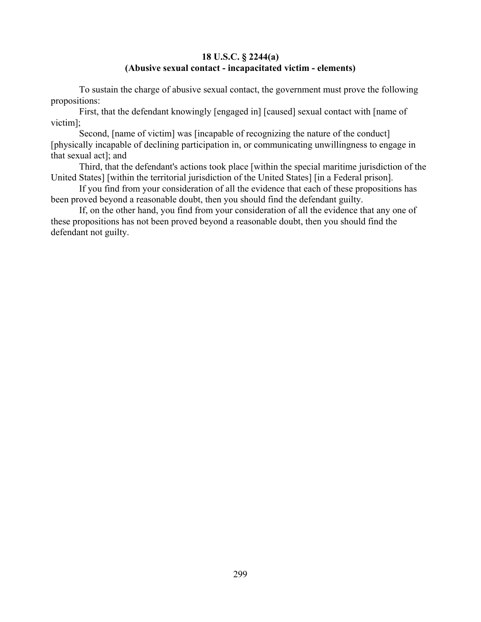### **18 U.S.C. § 2244(a) (Abusive sexual contact - incapacitated victim - elements)**

To sustain the charge of abusive sexual contact, the government must prove the following propositions:

First, that the defendant knowingly [engaged in] [caused] sexual contact with [name of victim];

Second, [name of victim] was [incapable of recognizing the nature of the conduct] [physically incapable of declining participation in, or communicating unwillingness to engage in that sexual act]; and

Third, that the defendant's actions took place [within the special maritime jurisdiction of the United States] [within the territorial jurisdiction of the United States] [in a Federal prison].

If you find from your consideration of all the evidence that each of these propositions has been proved beyond a reasonable doubt, then you should find the defendant guilty.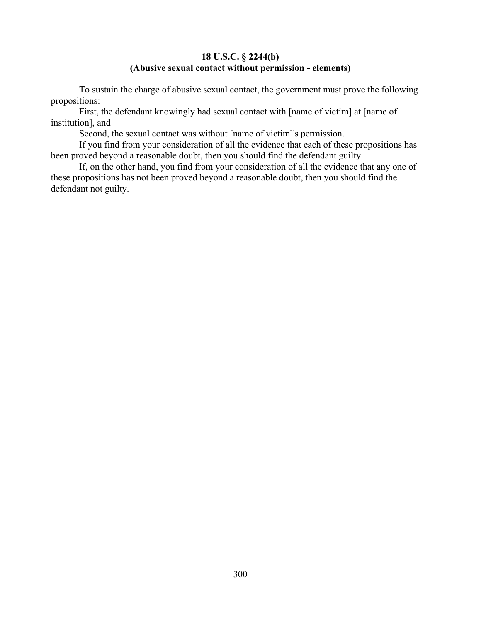## **18 U.S.C. § 2244(b) (Abusive sexual contact without permission - elements)**

To sustain the charge of abusive sexual contact, the government must prove the following propositions:

First, the defendant knowingly had sexual contact with [name of victim] at [name of institution], and

Second, the sexual contact was without [name of victim]'s permission.

If you find from your consideration of all the evidence that each of these propositions has been proved beyond a reasonable doubt, then you should find the defendant guilty.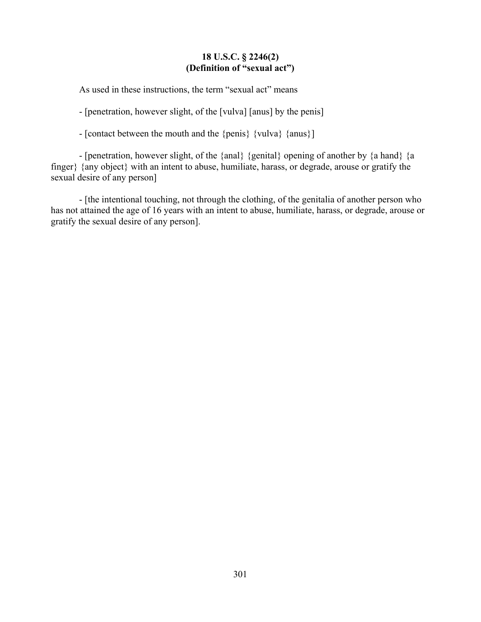### **18 U.S.C. § 2246(2) (Definition of "sexual act")**

As used in these instructions, the term "sexual act" means

- [penetration, however slight, of the [vulva] [anus] by the penis]

- [contact between the mouth and the {penis} {vulva} {anus}]

- [penetration, however slight, of the {anal} {genital} opening of another by {a hand} {a finger} {any object} with an intent to abuse, humiliate, harass, or degrade, arouse or gratify the sexual desire of any person]

- [the intentional touching, not through the clothing, of the genitalia of another person who has not attained the age of 16 years with an intent to abuse, humiliate, harass, or degrade, arouse or gratify the sexual desire of any person].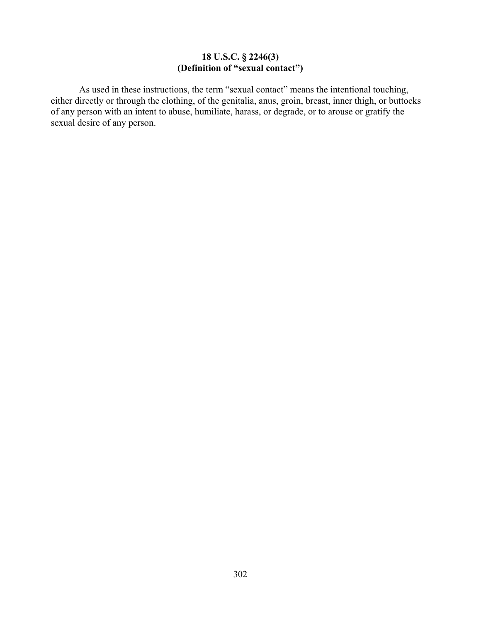# **18 U.S.C. § 2246(3) (Definition of "sexual contact")**

As used in these instructions, the term "sexual contact" means the intentional touching, either directly or through the clothing, of the genitalia, anus, groin, breast, inner thigh, or buttocks of any person with an intent to abuse, humiliate, harass, or degrade, or to arouse or gratify the sexual desire of any person.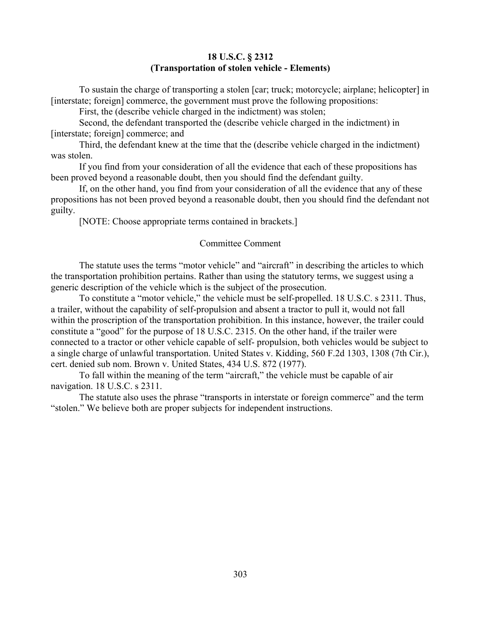### **18 U.S.C. § 2312 (Transportation of stolen vehicle - Elements)**

To sustain the charge of transporting a stolen [car; truck; motorcycle; airplane; helicopter] in [interstate; foreign] commerce, the government must prove the following propositions:

First, the (describe vehicle charged in the indictment) was stolen;

Second, the defendant transported the (describe vehicle charged in the indictment) in [interstate; foreign] commerce; and

Third, the defendant knew at the time that the (describe vehicle charged in the indictment) was stolen.

If you find from your consideration of all the evidence that each of these propositions has been proved beyond a reasonable doubt, then you should find the defendant guilty.

If, on the other hand, you find from your consideration of all the evidence that any of these propositions has not been proved beyond a reasonable doubt, then you should find the defendant not guilty.

[NOTE: Choose appropriate terms contained in brackets.]

#### Committee Comment

The statute uses the terms "motor vehicle" and "aircraft" in describing the articles to which the transportation prohibition pertains. Rather than using the statutory terms, we suggest using a generic description of the vehicle which is the subject of the prosecution.

To constitute a "motor vehicle," the vehicle must be self-propelled. 18 U.S.C. s 2311. Thus, a trailer, without the capability of self-propulsion and absent a tractor to pull it, would not fall within the proscription of the transportation prohibition. In this instance, however, the trailer could constitute a "good" for the purpose of 18 U.S.C. 2315. On the other hand, if the trailer were connected to a tractor or other vehicle capable of self- propulsion, both vehicles would be subject to a single charge of unlawful transportation. United States v. Kidding, 560 F.2d 1303, 1308 (7th Cir.), cert. denied sub nom. Brown v. United States, 434 U.S. 872 (1977).

To fall within the meaning of the term "aircraft," the vehicle must be capable of air navigation. 18 U.S.C. s 2311.

The statute also uses the phrase "transports in interstate or foreign commerce" and the term "stolen." We believe both are proper subjects for independent instructions.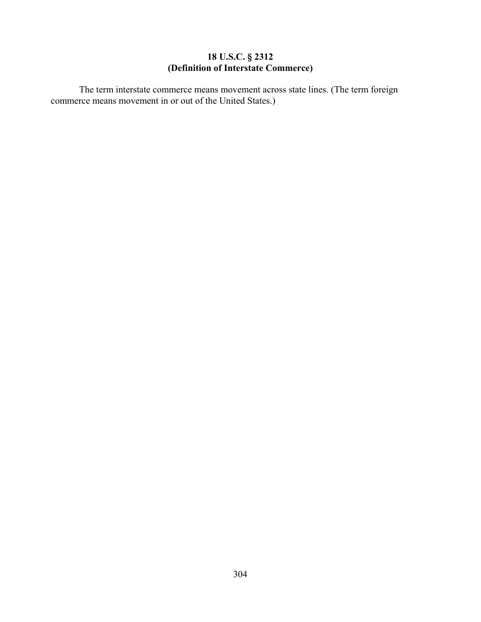### **18 U.S.C. § 2312 (Definition of Interstate Commerce)**

The term interstate commerce means movement across state lines. (The term foreign commerce means movement in or out of the United States.)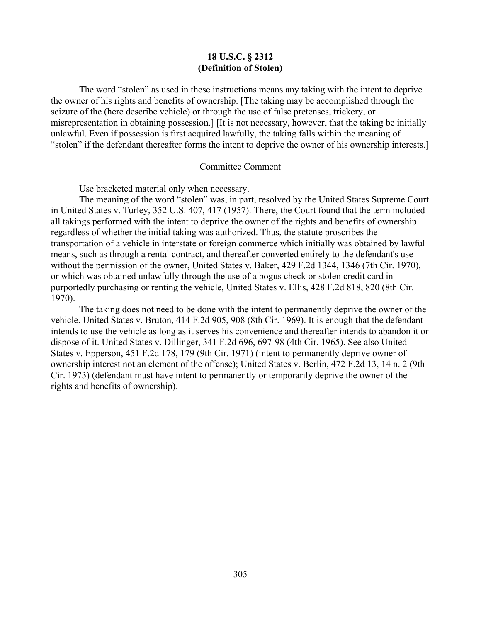#### **18 U.S.C. § 2312 (Definition of Stolen)**

The word "stolen" as used in these instructions means any taking with the intent to deprive the owner of his rights and benefits of ownership. [The taking may be accomplished through the seizure of the (here describe vehicle) or through the use of false pretenses, trickery, or misrepresentation in obtaining possession.] [It is not necessary, however, that the taking be initially unlawful. Even if possession is first acquired lawfully, the taking falls within the meaning of "stolen" if the defendant thereafter forms the intent to deprive the owner of his ownership interests.]

#### Committee Comment

Use bracketed material only when necessary.

The meaning of the word "stolen" was, in part, resolved by the United States Supreme Court in United States v. Turley, 352 U.S. 407, 417 (1957). There, the Court found that the term included all takings performed with the intent to deprive the owner of the rights and benefits of ownership regardless of whether the initial taking was authorized. Thus, the statute proscribes the transportation of a vehicle in interstate or foreign commerce which initially was obtained by lawful means, such as through a rental contract, and thereafter converted entirely to the defendant's use without the permission of the owner, United States v. Baker, 429 F.2d 1344, 1346 (7th Cir. 1970), or which was obtained unlawfully through the use of a bogus check or stolen credit card in purportedly purchasing or renting the vehicle, United States v. Ellis, 428 F.2d 818, 820 (8th Cir. 1970).

The taking does not need to be done with the intent to permanently deprive the owner of the vehicle. United States v. Bruton, 414 F.2d 905, 908 (8th Cir. 1969). It is enough that the defendant intends to use the vehicle as long as it serves his convenience and thereafter intends to abandon it or dispose of it. United States v. Dillinger, 341 F.2d 696, 697-98 (4th Cir. 1965). See also United States v. Epperson, 451 F.2d 178, 179 (9th Cir. 1971) (intent to permanently deprive owner of ownership interest not an element of the offense); United States v. Berlin, 472 F.2d 13, 14 n. 2 (9th Cir. 1973) (defendant must have intent to permanently or temporarily deprive the owner of the rights and benefits of ownership).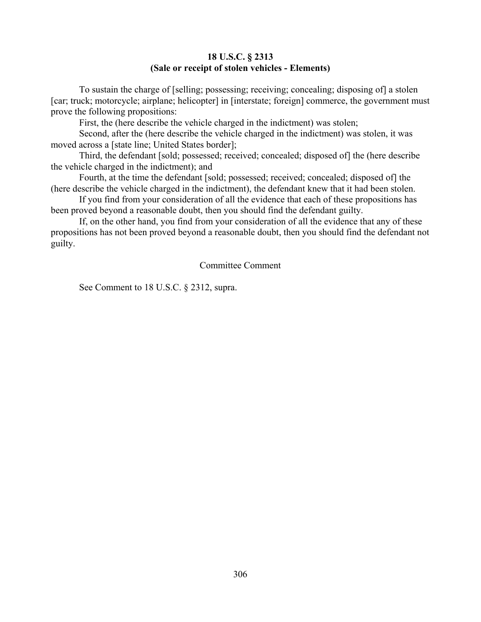### **18 U.S.C. § 2313 (Sale or receipt of stolen vehicles - Elements)**

To sustain the charge of [selling; possessing; receiving; concealing; disposing of] a stolen [car; truck; motorcycle; airplane; helicopter] in [interstate; foreign] commerce, the government must prove the following propositions:

First, the (here describe the vehicle charged in the indictment) was stolen;

Second, after the (here describe the vehicle charged in the indictment) was stolen, it was moved across a [state line; United States border];

Third, the defendant [sold; possessed; received; concealed; disposed of] the (here describe the vehicle charged in the indictment); and

Fourth, at the time the defendant [sold; possessed; received; concealed; disposed of] the (here describe the vehicle charged in the indictment), the defendant knew that it had been stolen.

If you find from your consideration of all the evidence that each of these propositions has been proved beyond a reasonable doubt, then you should find the defendant guilty.

If, on the other hand, you find from your consideration of all the evidence that any of these propositions has not been proved beyond a reasonable doubt, then you should find the defendant not guilty.

### Committee Comment

See Comment to 18 U.S.C. § 2312, supra.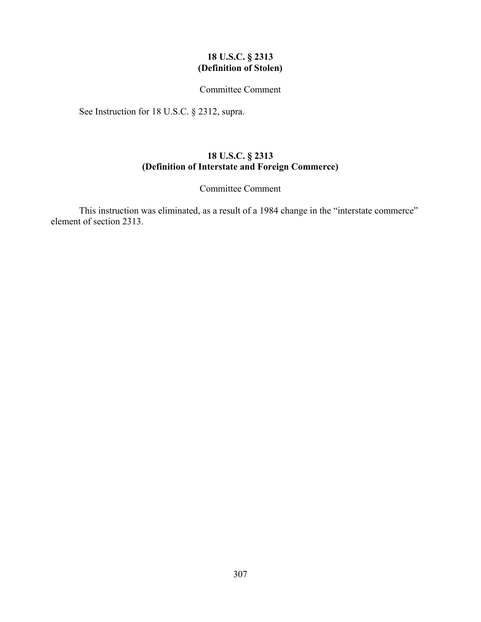### **18 U.S.C. § 2313 (Definition of Stolen)**

### Committee Comment

See Instruction for 18 U.S.C. § 2312, supra.

# **18 U.S.C. § 2313 (Definition of Interstate and Foreign Commerce)**

### Committee Comment

This instruction was eliminated, as a result of a 1984 change in the "interstate commerce" element of section 2313.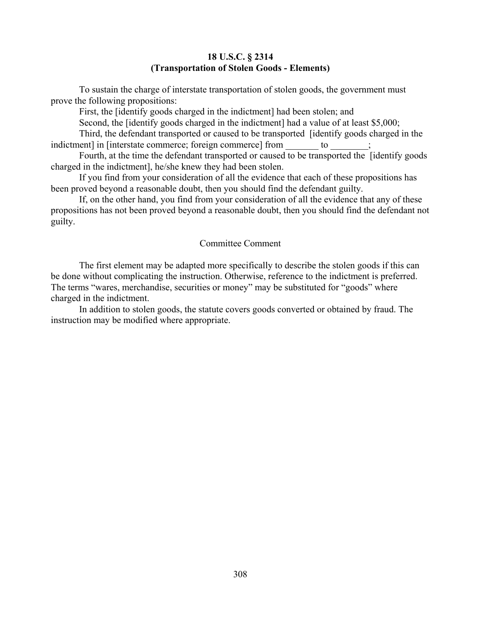### **18 U.S.C. § 2314 (Transportation of Stolen Goods - Elements)**

To sustain the charge of interstate transportation of stolen goods, the government must prove the following propositions:

First, the [identify goods charged in the indictment] had been stolen; and

Second, the [identify goods charged in the indictment] had a value of at least \$5,000;

Third, the defendant transported or caused to be transported [identify goods charged in the indictment] in [interstate commerce; foreign commerce] from to

Fourth, at the time the defendant transported or caused to be transported the [identify goods charged in the indictment], he/she knew they had been stolen.

If you find from your consideration of all the evidence that each of these propositions has been proved beyond a reasonable doubt, then you should find the defendant guilty.

If, on the other hand, you find from your consideration of all the evidence that any of these propositions has not been proved beyond a reasonable doubt, then you should find the defendant not guilty.

#### Committee Comment

The first element may be adapted more specifically to describe the stolen goods if this can be done without complicating the instruction. Otherwise, reference to the indictment is preferred. The terms "wares, merchandise, securities or money" may be substituted for "goods" where charged in the indictment.

In addition to stolen goods, the statute covers goods converted or obtained by fraud. The instruction may be modified where appropriate.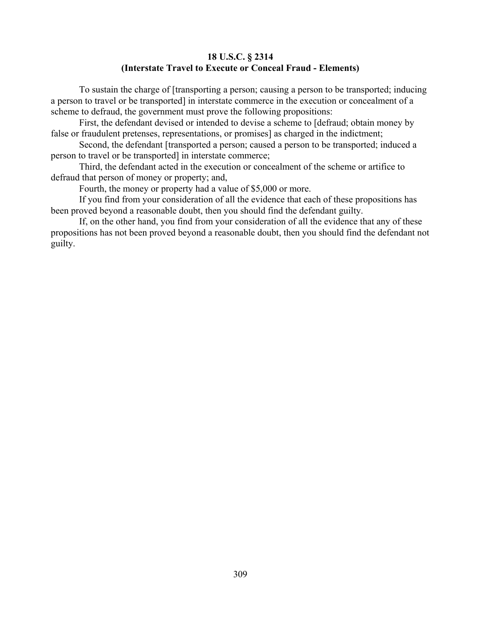# **18 U.S.C. § 2314 (Interstate Travel to Execute or Conceal Fraud - Elements)**

To sustain the charge of [transporting a person; causing a person to be transported; inducing a person to travel or be transported] in interstate commerce in the execution or concealment of a scheme to defraud, the government must prove the following propositions:

First, the defendant devised or intended to devise a scheme to [defraud; obtain money by false or fraudulent pretenses, representations, or promises] as charged in the indictment;

Second, the defendant [transported a person; caused a person to be transported; induced a person to travel or be transported] in interstate commerce;

Third, the defendant acted in the execution or concealment of the scheme or artifice to defraud that person of money or property; and,

Fourth, the money or property had a value of \$5,000 or more.

If you find from your consideration of all the evidence that each of these propositions has been proved beyond a reasonable doubt, then you should find the defendant guilty.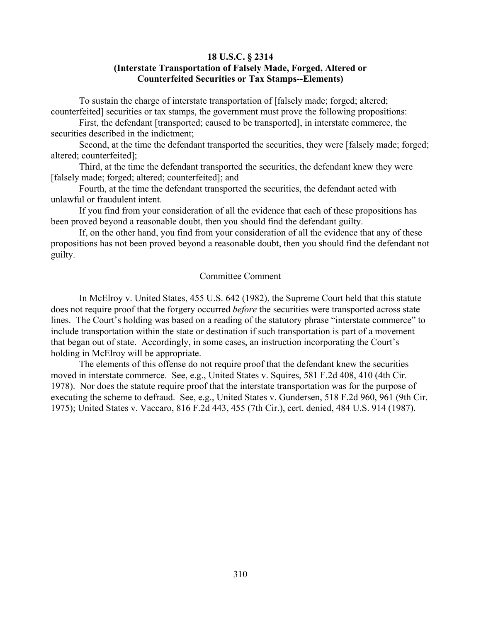#### **18 U.S.C. § 2314**

### **(Interstate Transportation of Falsely Made, Forged, Altered or Counterfeited Securities or Tax Stamps--Elements)**

To sustain the charge of interstate transportation of [falsely made; forged; altered; counterfeited] securities or tax stamps, the government must prove the following propositions:

First, the defendant [transported; caused to be transported], in interstate commerce, the securities described in the indictment;

Second, at the time the defendant transported the securities, they were [falsely made; forged; altered; counterfeited];

Third, at the time the defendant transported the securities, the defendant knew they were [falsely made; forged; altered; counterfeited]; and

Fourth, at the time the defendant transported the securities, the defendant acted with unlawful or fraudulent intent.

If you find from your consideration of all the evidence that each of these propositions has been proved beyond a reasonable doubt, then you should find the defendant guilty.

If, on the other hand, you find from your consideration of all the evidence that any of these propositions has not been proved beyond a reasonable doubt, then you should find the defendant not guilty.

#### Committee Comment

In McElroy v. United States, 455 U.S. 642 (1982), the Supreme Court held that this statute does not require proof that the forgery occurred *before* the securities were transported across state lines. The Court's holding was based on a reading of the statutory phrase "interstate commerce" to include transportation within the state or destination if such transportation is part of a movement that began out of state. Accordingly, in some cases, an instruction incorporating the Court's holding in McElroy will be appropriate.

The elements of this offense do not require proof that the defendant knew the securities moved in interstate commerce. See, e.g., United States v. Squires, 581 F.2d 408, 410 (4th Cir. 1978). Nor does the statute require proof that the interstate transportation was for the purpose of executing the scheme to defraud. See, e.g., United States v. Gundersen, 518 F.2d 960, 961 (9th Cir. 1975); United States v. Vaccaro, 816 F.2d 443, 455 (7th Cir.), cert. denied, 484 U.S. 914 (1987).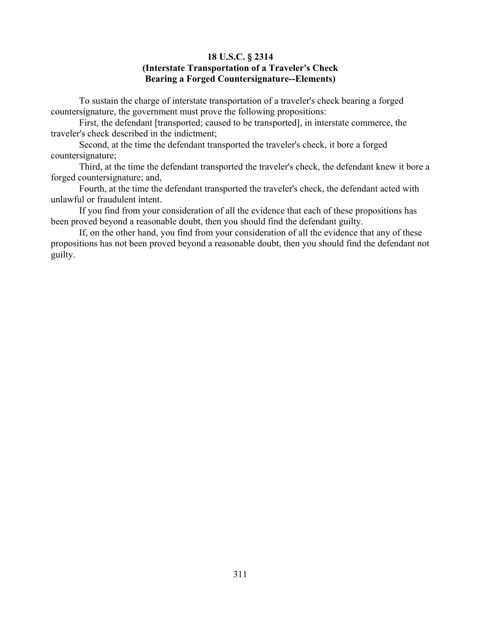## **18 U.S.C. § 2314 (Interstate Transportation of a Traveler's Check Bearing a Forged Countersignature--Elements)**

To sustain the charge of interstate transportation of a traveler's check bearing a forged countersignature, the government must prove the following propositions:

First, the defendant [transported; caused to be transported], in interstate commerce, the traveler's check described in the indictment;

Second, at the time the defendant transported the traveler's check, it bore a forged countersignature;

Third, at the time the defendant transported the traveler's check, the defendant knew it bore a forged countersignature; and,

Fourth, at the time the defendant transported the traveler's check, the defendant acted with unlawful or fraudulent intent.

If you find from your consideration of all the evidence that each of these propositions has been proved beyond a reasonable doubt, then you should find the defendant guilty.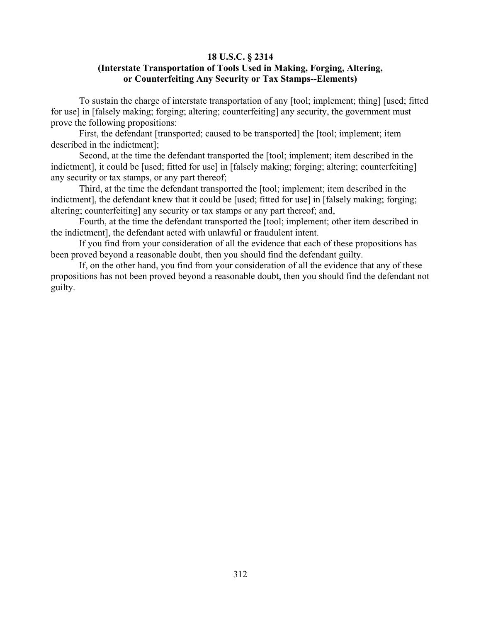### **18 U.S.C. § 2314 (Interstate Transportation of Tools Used in Making, Forging, Altering, or Counterfeiting Any Security or Tax Stamps--Elements)**

To sustain the charge of interstate transportation of any [tool; implement; thing] [used; fitted for use] in [falsely making; forging; altering; counterfeiting] any security, the government must prove the following propositions:

First, the defendant [transported; caused to be transported] the [tool; implement; item described in the indictment];

Second, at the time the defendant transported the [tool; implement; item described in the indictment], it could be [used; fitted for use] in [falsely making; forging; altering; counterfeiting] any security or tax stamps, or any part thereof;

Third, at the time the defendant transported the [tool; implement; item described in the indictment], the defendant knew that it could be [used; fitted for use] in [falsely making; forging; altering; counterfeiting] any security or tax stamps or any part thereof; and,

Fourth, at the time the defendant transported the [tool; implement; other item described in the indictment], the defendant acted with unlawful or fraudulent intent.

If you find from your consideration of all the evidence that each of these propositions has been proved beyond a reasonable doubt, then you should find the defendant guilty.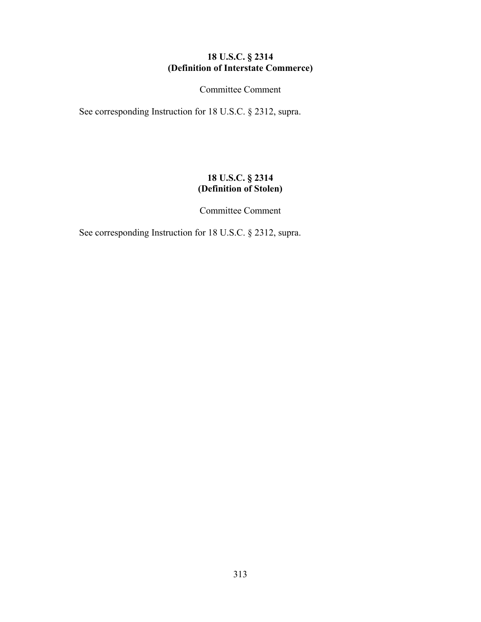## **18 U.S.C. § 2314 (Definition of Interstate Commerce)**

Committee Comment

See corresponding Instruction for 18 U.S.C. § 2312, supra.

# **18 U.S.C. § 2314 (Definition of Stolen)**

Committee Comment

See corresponding Instruction for 18 U.S.C. § 2312, supra.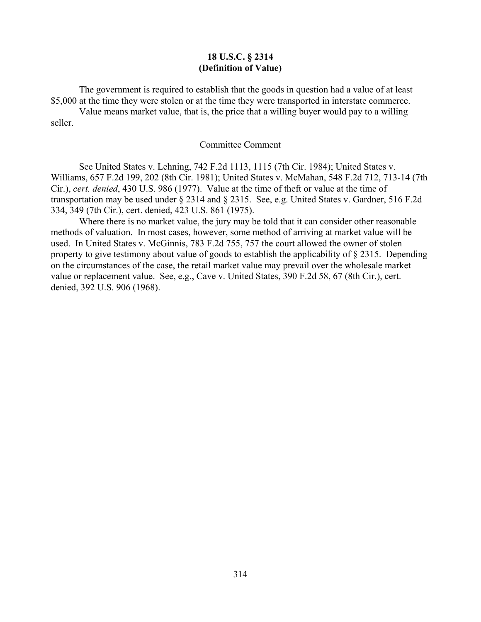### **18 U.S.C. § 2314 (Definition of Value)**

The government is required to establish that the goods in question had a value of at least \$5,000 at the time they were stolen or at the time they were transported in interstate commerce.

Value means market value, that is, the price that a willing buyer would pay to a willing seller.

#### Committee Comment

See United States v. Lehning, 742 F.2d 1113, 1115 (7th Cir. 1984); United States v. Williams, 657 F.2d 199, 202 (8th Cir. 1981); United States v. McMahan, 548 F.2d 712, 713-14 (7th Cir.), *cert. denied*, 430 U.S. 986 (1977). Value at the time of theft or value at the time of transportation may be used under § 2314 and § 2315. See, e.g. United States v. Gardner, 516 F.2d 334, 349 (7th Cir.), cert. denied, 423 U.S. 861 (1975).

Where there is no market value, the jury may be told that it can consider other reasonable methods of valuation. In most cases, however, some method of arriving at market value will be used. In United States v. McGinnis, 783 F.2d 755, 757 the court allowed the owner of stolen property to give testimony about value of goods to establish the applicability of § 2315. Depending on the circumstances of the case, the retail market value may prevail over the wholesale market value or replacement value. See, e.g., Cave v. United States, 390 F.2d 58, 67 (8th Cir.), cert. denied, 392 U.S. 906 (1968).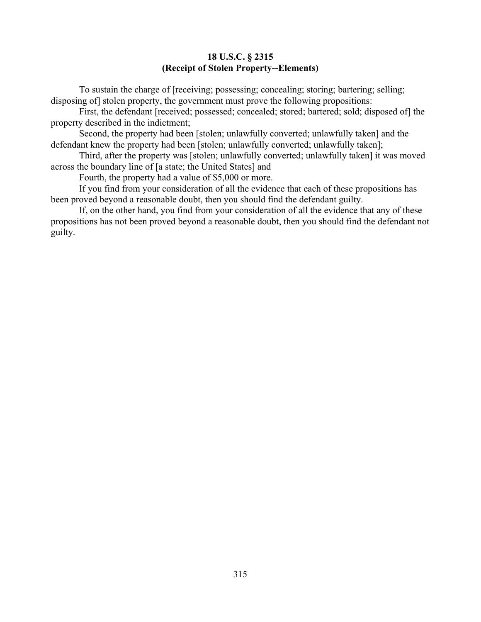## **18 U.S.C. § 2315 (Receipt of Stolen Property--Elements)**

To sustain the charge of [receiving; possessing; concealing; storing; bartering; selling; disposing of] stolen property, the government must prove the following propositions:

First, the defendant [received; possessed; concealed; stored; bartered; sold; disposed of] the property described in the indictment;

Second, the property had been [stolen; unlawfully converted; unlawfully taken] and the defendant knew the property had been [stolen; unlawfully converted; unlawfully taken];

Third, after the property was [stolen; unlawfully converted; unlawfully taken] it was moved across the boundary line of [a state; the United States] and

Fourth, the property had a value of \$5,000 or more.

If you find from your consideration of all the evidence that each of these propositions has been proved beyond a reasonable doubt, then you should find the defendant guilty.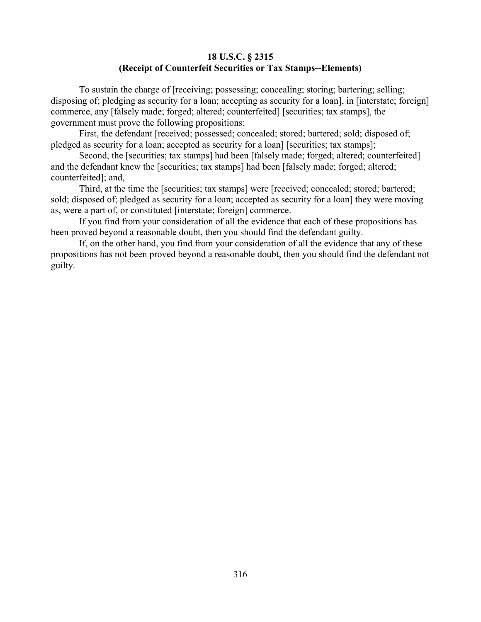### **18 U.S.C. § 2315 (Receipt of Counterfeit Securities or Tax Stamps--Elements)**

To sustain the charge of [receiving; possessing; concealing; storing; bartering; selling; disposing of; pledging as security for a loan; accepting as security for a loan], in [interstate; foreign] commerce, any [falsely made; forged; altered; counterfeited] [securities; tax stamps], the government must prove the following propositions:

First, the defendant [received; possessed; concealed; stored; bartered; sold; disposed of; pledged as security for a loan; accepted as security for a loan] [securities; tax stamps];

Second, the [securities; tax stamps] had been [falsely made; forged; altered; counterfeited] and the defendant knew the [securities; tax stamps] had been [falsely made; forged; altered; counterfeited]; and,

Third, at the time the [securities; tax stamps] were [received; concealed; stored; bartered; sold; disposed of; pledged as security for a loan; accepted as security for a loan] they were moving as, were a part of, or constituted [interstate; foreign] commerce.

If you find from your consideration of all the evidence that each of these propositions has been proved beyond a reasonable doubt, then you should find the defendant guilty.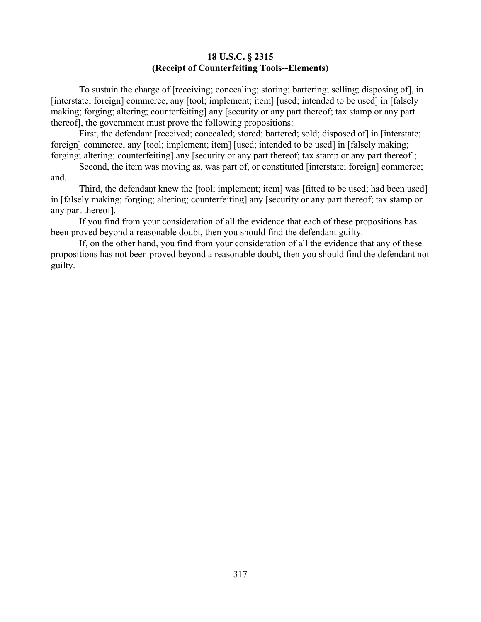### **18 U.S.C. § 2315 (Receipt of Counterfeiting Tools--Elements)**

To sustain the charge of [receiving; concealing; storing; bartering; selling; disposing of], in [interstate; foreign] commerce, any [tool; implement; item] [used; intended to be used] in [falsely making; forging; altering; counterfeiting] any [security or any part thereof; tax stamp or any part thereof], the government must prove the following propositions:

First, the defendant [received; concealed; stored; bartered; sold; disposed of] in [interstate; foreign] commerce, any [tool; implement; item] [used; intended to be used] in [falsely making; forging; altering; counterfeiting] any [security or any part thereof; tax stamp or any part thereof];

Second, the item was moving as, was part of, or constituted [interstate; foreign] commerce; and,

Third, the defendant knew the [tool; implement; item] was [fitted to be used; had been used] in [falsely making; forging; altering; counterfeiting] any [security or any part thereof; tax stamp or any part thereof].

If you find from your consideration of all the evidence that each of these propositions has been proved beyond a reasonable doubt, then you should find the defendant guilty.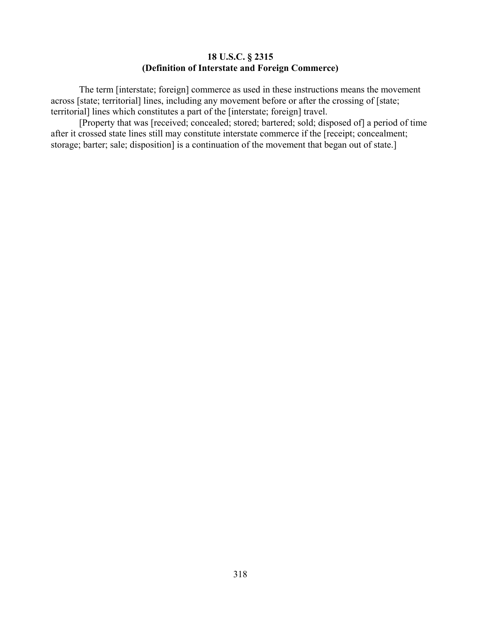### **18 U.S.C. § 2315 (Definition of Interstate and Foreign Commerce)**

The term [interstate; foreign] commerce as used in these instructions means the movement across [state; territorial] lines, including any movement before or after the crossing of [state; territorial] lines which constitutes a part of the [interstate; foreign] travel.

[Property that was [received; concealed; stored; bartered; sold; disposed of] a period of time after it crossed state lines still may constitute interstate commerce if the [receipt; concealment; storage; barter; sale; disposition] is a continuation of the movement that began out of state.]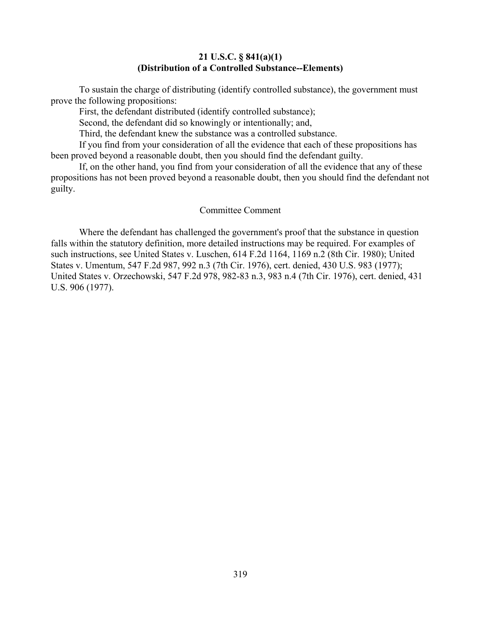### **21 U.S.C. § 841(a)(1) (Distribution of a Controlled Substance--Elements)**

To sustain the charge of distributing (identify controlled substance), the government must prove the following propositions:

First, the defendant distributed (identify controlled substance);

Second, the defendant did so knowingly or intentionally; and,

Third, the defendant knew the substance was a controlled substance.

If you find from your consideration of all the evidence that each of these propositions has been proved beyond a reasonable doubt, then you should find the defendant guilty.

If, on the other hand, you find from your consideration of all the evidence that any of these propositions has not been proved beyond a reasonable doubt, then you should find the defendant not guilty.

#### Committee Comment

Where the defendant has challenged the government's proof that the substance in question falls within the statutory definition, more detailed instructions may be required. For examples of such instructions, see United States v. Luschen, 614 F.2d 1164, 1169 n.2 (8th Cir. 1980); United States v. Umentum, 547 F.2d 987, 992 n.3 (7th Cir. 1976), cert. denied, 430 U.S. 983 (1977); United States v. Orzechowski, 547 F.2d 978, 982-83 n.3, 983 n.4 (7th Cir. 1976), cert. denied, 431 U.S. 906 (1977).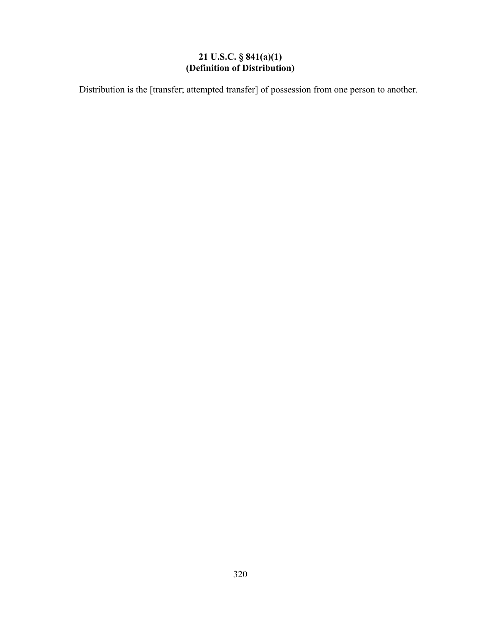# **21 U.S.C. § 841(a)(1) (Definition of Distribution)**

Distribution is the [transfer; attempted transfer] of possession from one person to another.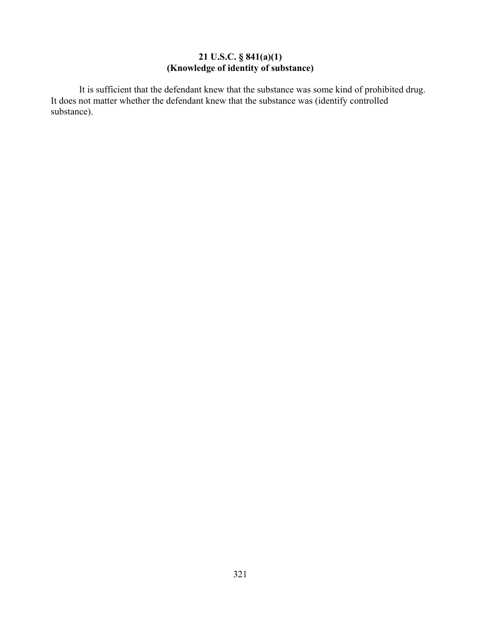## **21 U.S.C. § 841(a)(1) (Knowledge of identity of substance)**

It is sufficient that the defendant knew that the substance was some kind of prohibited drug. It does not matter whether the defendant knew that the substance was (identify controlled substance).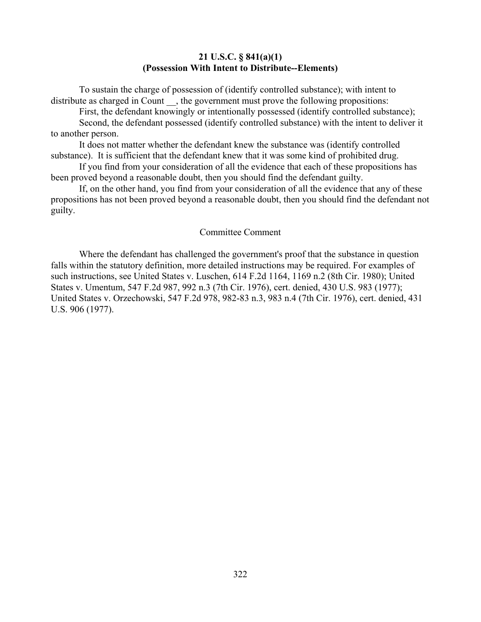### **21 U.S.C. § 841(a)(1) (Possession With Intent to Distribute--Elements)**

To sustain the charge of possession of (identify controlled substance); with intent to distribute as charged in Count , the government must prove the following propositions:

First, the defendant knowingly or intentionally possessed (identify controlled substance); Second, the defendant possessed (identify controlled substance) with the intent to deliver it to another person.

It does not matter whether the defendant knew the substance was (identify controlled substance). It is sufficient that the defendant knew that it was some kind of prohibited drug.

If you find from your consideration of all the evidence that each of these propositions has been proved beyond a reasonable doubt, then you should find the defendant guilty.

If, on the other hand, you find from your consideration of all the evidence that any of these propositions has not been proved beyond a reasonable doubt, then you should find the defendant not guilty.

### Committee Comment

Where the defendant has challenged the government's proof that the substance in question falls within the statutory definition, more detailed instructions may be required. For examples of such instructions, see United States v. Luschen, 614 F.2d 1164, 1169 n.2 (8th Cir. 1980); United States v. Umentum, 547 F.2d 987, 992 n.3 (7th Cir. 1976), cert. denied, 430 U.S. 983 (1977); United States v. Orzechowski, 547 F.2d 978, 982-83 n.3, 983 n.4 (7th Cir. 1976), cert. denied, 431 U.S. 906 (1977).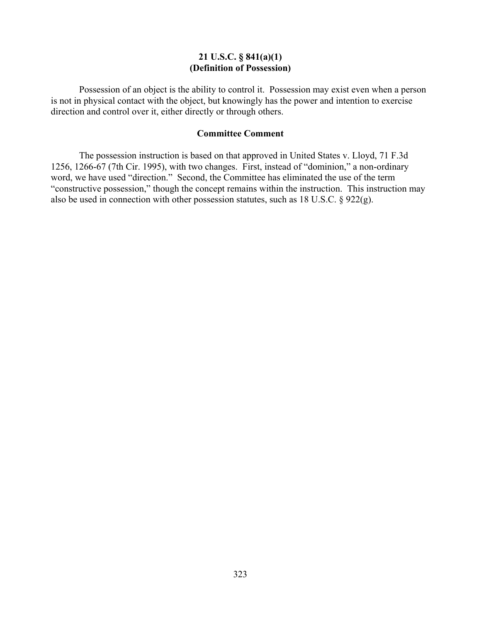### **21 U.S.C. § 841(a)(1) (Definition of Possession)**

Possession of an object is the ability to control it. Possession may exist even when a person is not in physical contact with the object, but knowingly has the power and intention to exercise direction and control over it, either directly or through others.

### **Committee Comment**

The possession instruction is based on that approved in United States v. Lloyd, 71 F.3d 1256, 1266-67 (7th Cir. 1995), with two changes. First, instead of "dominion," a non-ordinary word, we have used "direction." Second, the Committee has eliminated the use of the term "constructive possession," though the concept remains within the instruction. This instruction may also be used in connection with other possession statutes, such as 18 U.S.C. § 922(g).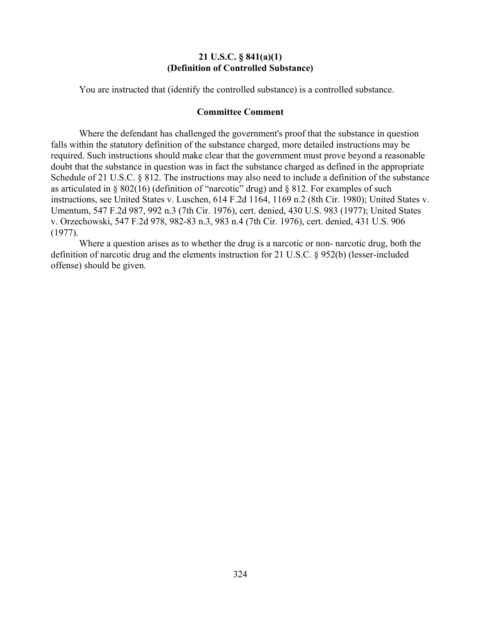### **21 U.S.C. § 841(a)(1) (Definition of Controlled Substance)**

You are instructed that (identify the controlled substance) is a controlled substance.

#### **Committee Comment**

Where the defendant has challenged the government's proof that the substance in question falls within the statutory definition of the substance charged, more detailed instructions may be required. Such instructions should make clear that the government must prove beyond a reasonable doubt that the substance in question was in fact the substance charged as defined in the appropriate Schedule of 21 U.S.C. § 812. The instructions may also need to include a definition of the substance as articulated in  $\S 802(16)$  (definition of "narcotic" drug) and  $\S 812$ . For examples of such instructions, see United States v. Luschen, 614 F.2d 1164, 1169 n.2 (8th Cir. 1980); United States v. Umentum, 547 F.2d 987, 992 n.3 (7th Cir. 1976), cert. denied, 430 U.S. 983 (1977); United States v. Orzechowski, 547 F.2d 978, 982-83 n.3, 983 n.4 (7th Cir. 1976), cert. denied, 431 U.S. 906 (1977).

Where a question arises as to whether the drug is a narcotic or non- narcotic drug, both the definition of narcotic drug and the elements instruction for 21 U.S.C. § 952(b) (lesser-included offense) should be given.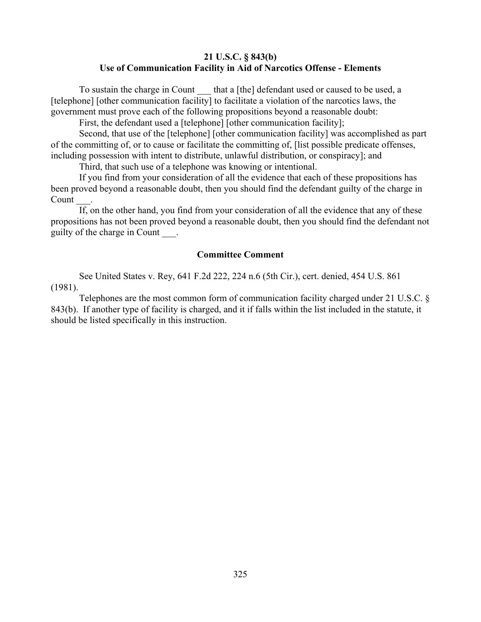### **21 U.S.C. § 843(b) Use of Communication Facility in Aid of Narcotics Offense - Elements**

To sustain the charge in Count that a [the] defendant used or caused to be used, a [telephone] [other communication facility] to facilitate a violation of the narcotics laws, the government must prove each of the following propositions beyond a reasonable doubt:

First, the defendant used a [telephone] [other communication facility];

Second, that use of the [telephone] [other communication facility] was accomplished as part of the committing of, or to cause or facilitate the committing of, [list possible predicate offenses, including possession with intent to distribute, unlawful distribution, or conspiracy]; and

Third, that such use of a telephone was knowing or intentional.

If you find from your consideration of all the evidence that each of these propositions has been proved beyond a reasonable doubt, then you should find the defendant guilty of the charge in Count

If, on the other hand, you find from your consideration of all the evidence that any of these propositions has not been proved beyond a reasonable doubt, then you should find the defendant not guilty of the charge in Count \_\_\_.

### **Committee Comment**

See United States v. Rey, 641 F.2d 222, 224 n.6 (5th Cir.), cert. denied, 454 U.S. 861 (1981).

Telephones are the most common form of communication facility charged under 21 U.S.C. § 843(b). If another type of facility is charged, and it if falls within the list included in the statute, it should be listed specifically in this instruction.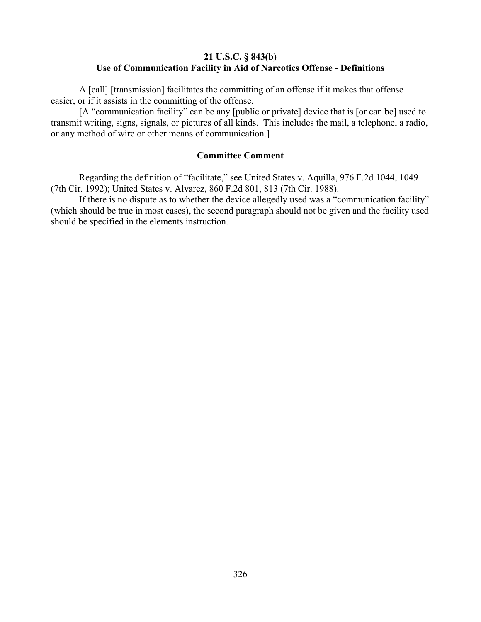## **21 U.S.C. § 843(b) Use of Communication Facility in Aid of Narcotics Offense - Definitions**

A [call] [transmission] facilitates the committing of an offense if it makes that offense easier, or if it assists in the committing of the offense.

[A "communication facility" can be any [public or private] device that is [or can be] used to transmit writing, signs, signals, or pictures of all kinds. This includes the mail, a telephone, a radio, or any method of wire or other means of communication.]

### **Committee Comment**

Regarding the definition of "facilitate," see United States v. Aquilla, 976 F.2d 1044, 1049 (7th Cir. 1992); United States v. Alvarez, 860 F.2d 801, 813 (7th Cir. 1988).

If there is no dispute as to whether the device allegedly used was a "communication facility" (which should be true in most cases), the second paragraph should not be given and the facility used should be specified in the elements instruction.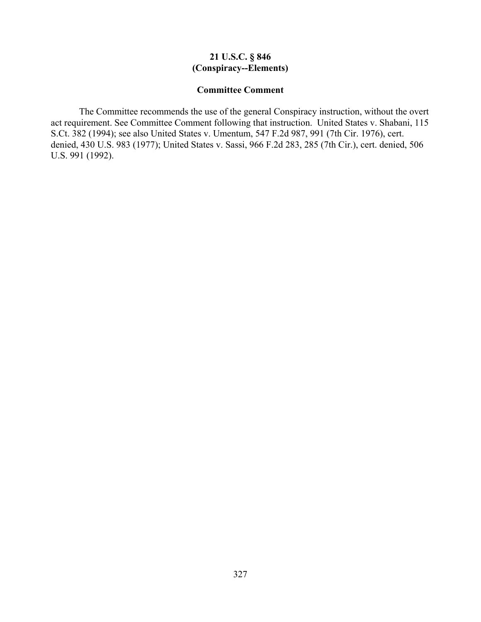## **21 U.S.C. § 846 (Conspiracy--Elements)**

### **Committee Comment**

The Committee recommends the use of the general Conspiracy instruction, without the overt act requirement. See Committee Comment following that instruction. United States v. Shabani, 115 S.Ct. 382 (1994); see also United States v. Umentum, 547 F.2d 987, 991 (7th Cir. 1976), cert. denied, 430 U.S. 983 (1977); United States v. Sassi, 966 F.2d 283, 285 (7th Cir.), cert. denied, 506 U.S. 991 (1992).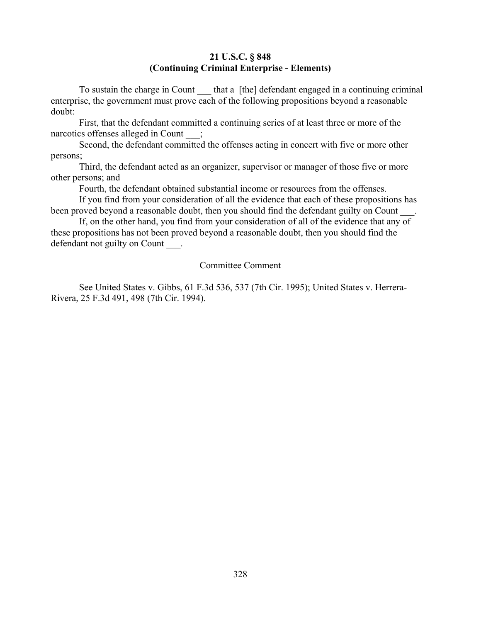## **21 U.S.C. § 848 (Continuing Criminal Enterprise - Elements)**

To sustain the charge in Count that a [the] defendant engaged in a continuing criminal enterprise, the government must prove each of the following propositions beyond a reasonable doubt:

First, that the defendant committed a continuing series of at least three or more of the narcotics offenses alleged in Count ;

Second, the defendant committed the offenses acting in concert with five or more other persons;

Third, the defendant acted as an organizer, supervisor or manager of those five or more other persons; and

Fourth, the defendant obtained substantial income or resources from the offenses.

If you find from your consideration of all the evidence that each of these propositions has been proved beyond a reasonable doubt, then you should find the defendant guilty on Count

If, on the other hand, you find from your consideration of all of the evidence that any of these propositions has not been proved beyond a reasonable doubt, then you should find the defendant not guilty on Count .

# Committee Comment

See United States v. Gibbs, 61 F.3d 536, 537 (7th Cir. 1995); United States v. Herrera-Rivera, 25 F.3d 491, 498 (7th Cir. 1994).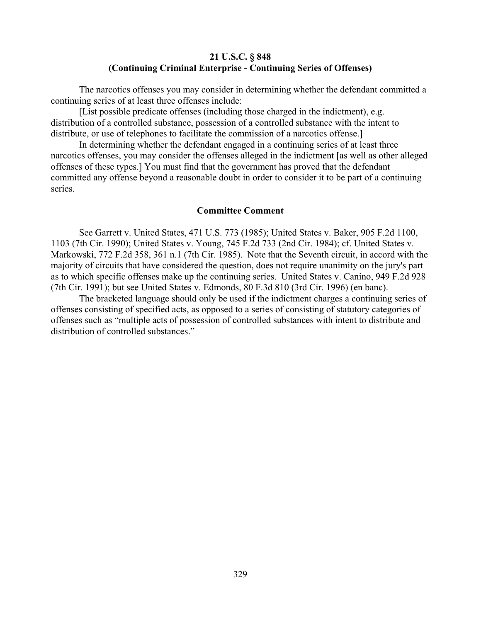### **21 U.S.C. § 848 (Continuing Criminal Enterprise - Continuing Series of Offenses)**

The narcotics offenses you may consider in determining whether the defendant committed a continuing series of at least three offenses include:

[List possible predicate offenses (including those charged in the indictment), e.g. distribution of a controlled substance, possession of a controlled substance with the intent to distribute, or use of telephones to facilitate the commission of a narcotics offense.

In determining whether the defendant engaged in a continuing series of at least three narcotics offenses, you may consider the offenses alleged in the indictment [as well as other alleged offenses of these types.] You must find that the government has proved that the defendant committed any offense beyond a reasonable doubt in order to consider it to be part of a continuing series.

#### **Committee Comment**

See Garrett v. United States, 471 U.S. 773 (1985); United States v. Baker, 905 F.2d 1100, 1103 (7th Cir. 1990); United States v. Young, 745 F.2d 733 (2nd Cir. 1984); cf. United States v. Markowski, 772 F.2d 358, 361 n.1 (7th Cir. 1985). Note that the Seventh circuit, in accord with the majority of circuits that have considered the question, does not require unanimity on the jury's part as to which specific offenses make up the continuing series. United States v. Canino, 949 F.2d 928 (7th Cir. 1991); but see United States v. Edmonds, 80 F.3d 810 (3rd Cir. 1996) (en banc).

The bracketed language should only be used if the indictment charges a continuing series of offenses consisting of specified acts, as opposed to a series of consisting of statutory categories of offenses such as "multiple acts of possession of controlled substances with intent to distribute and distribution of controlled substances."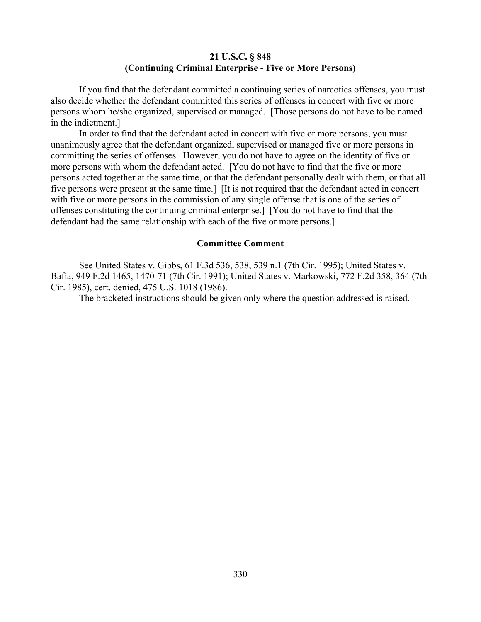## **21 U.S.C. § 848 (Continuing Criminal Enterprise - Five or More Persons)**

If you find that the defendant committed a continuing series of narcotics offenses, you must also decide whether the defendant committed this series of offenses in concert with five or more persons whom he/she organized, supervised or managed. [Those persons do not have to be named in the indictment.]

In order to find that the defendant acted in concert with five or more persons, you must unanimously agree that the defendant organized, supervised or managed five or more persons in committing the series of offenses. However, you do not have to agree on the identity of five or more persons with whom the defendant acted. [You do not have to find that the five or more persons acted together at the same time, or that the defendant personally dealt with them, or that all five persons were present at the same time.] [It is not required that the defendant acted in concert with five or more persons in the commission of any single offense that is one of the series of offenses constituting the continuing criminal enterprise.] [You do not have to find that the defendant had the same relationship with each of the five or more persons.]

#### **Committee Comment**

See United States v. Gibbs, 61 F.3d 536, 538, 539 n.1 (7th Cir. 1995); United States v. Bafia, 949 F.2d 1465, 1470-71 (7th Cir. 1991); United States v. Markowski, 772 F.2d 358, 364 (7th Cir. 1985), cert. denied, 475 U.S. 1018 (1986).

The bracketed instructions should be given only where the question addressed is raised.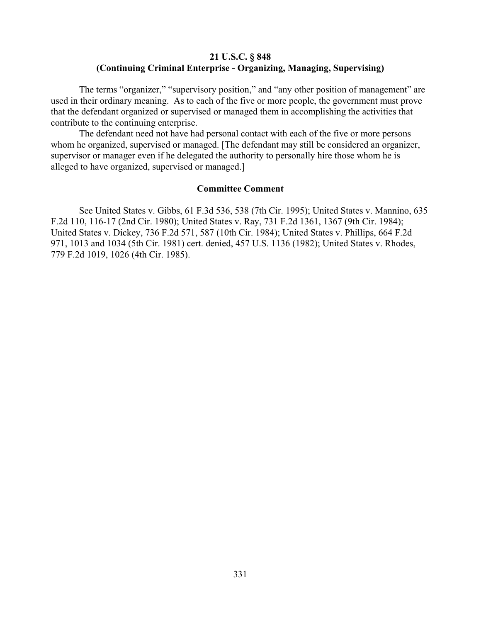# **21 U.S.C. § 848 (Continuing Criminal Enterprise - Organizing, Managing, Supervising)**

The terms "organizer," "supervisory position," and "any other position of management" are used in their ordinary meaning. As to each of the five or more people, the government must prove that the defendant organized or supervised or managed them in accomplishing the activities that contribute to the continuing enterprise.

The defendant need not have had personal contact with each of the five or more persons whom he organized, supervised or managed. [The defendant may still be considered an organizer, supervisor or manager even if he delegated the authority to personally hire those whom he is alleged to have organized, supervised or managed.]

#### **Committee Comment**

See United States v. Gibbs, 61 F.3d 536, 538 (7th Cir. 1995); United States v. Mannino, 635 F.2d 110, 116-17 (2nd Cir. 1980); United States v. Ray, 731 F.2d 1361, 1367 (9th Cir. 1984); United States v. Dickey, 736 F.2d 571, 587 (10th Cir. 1984); United States v. Phillips, 664 F.2d 971, 1013 and 1034 (5th Cir. 1981) cert. denied, 457 U.S. 1136 (1982); United States v. Rhodes, 779 F.2d 1019, 1026 (4th Cir. 1985).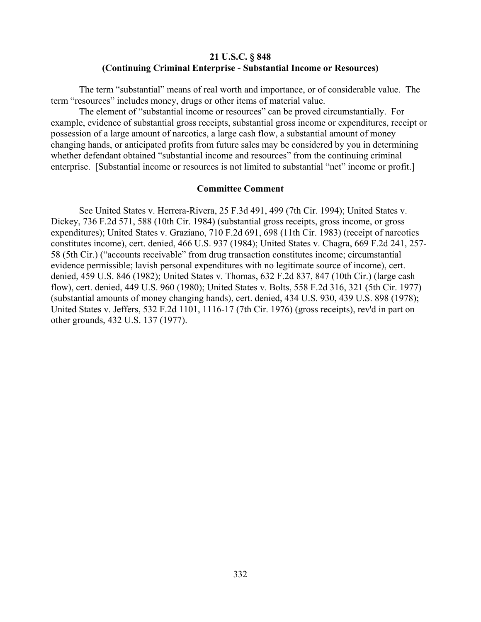### **21 U.S.C. § 848 (Continuing Criminal Enterprise - Substantial Income or Resources)**

The term "substantial" means of real worth and importance, or of considerable value. The term "resources" includes money, drugs or other items of material value.

The element of "substantial income or resources" can be proved circumstantially. For example, evidence of substantial gross receipts, substantial gross income or expenditures, receipt or possession of a large amount of narcotics, a large cash flow, a substantial amount of money changing hands, or anticipated profits from future sales may be considered by you in determining whether defendant obtained "substantial income and resources" from the continuing criminal enterprise. [Substantial income or resources is not limited to substantial "net" income or profit.]

#### **Committee Comment**

See United States v. Herrera-Rivera, 25 F.3d 491, 499 (7th Cir. 1994); United States v. Dickey, 736 F.2d 571, 588 (10th Cir. 1984) (substantial gross receipts, gross income, or gross expenditures); United States v. Graziano, 710 F.2d 691, 698 (11th Cir. 1983) (receipt of narcotics constitutes income), cert. denied, 466 U.S. 937 (1984); United States v. Chagra, 669 F.2d 241, 257- 58 (5th Cir.) ("accounts receivable" from drug transaction constitutes income; circumstantial evidence permissible; lavish personal expenditures with no legitimate source of income), cert. denied, 459 U.S. 846 (1982); United States v. Thomas, 632 F.2d 837, 847 (10th Cir.) (large cash flow), cert. denied, 449 U.S. 960 (1980); United States v. Bolts, 558 F.2d 316, 321 (5th Cir. 1977) (substantial amounts of money changing hands), cert. denied, 434 U.S. 930, 439 U.S. 898 (1978); United States v. Jeffers, 532 F.2d 1101, 1116-17 (7th Cir. 1976) (gross receipts), rev'd in part on other grounds, 432 U.S. 137 (1977).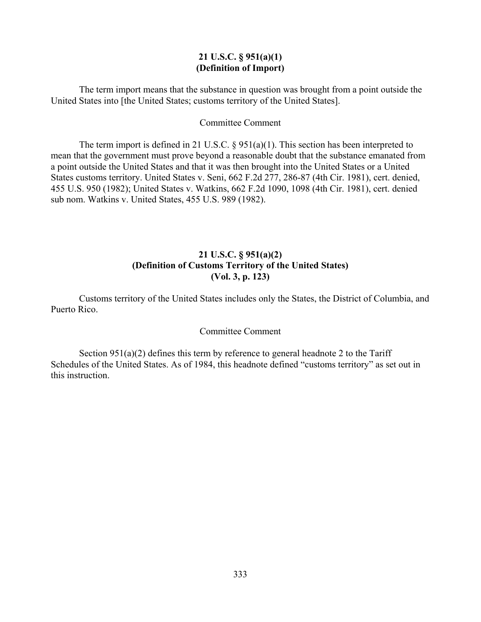### **21 U.S.C. § 951(a)(1) (Definition of Import)**

The term import means that the substance in question was brought from a point outside the United States into [the United States; customs territory of the United States].

### Committee Comment

The term import is defined in 21 U.S.C. § 951(a)(1). This section has been interpreted to mean that the government must prove beyond a reasonable doubt that the substance emanated from a point outside the United States and that it was then brought into the United States or a United States customs territory. United States v. Seni, 662 F.2d 277, 286-87 (4th Cir. 1981), cert. denied, 455 U.S. 950 (1982); United States v. Watkins, 662 F.2d 1090, 1098 (4th Cir. 1981), cert. denied sub nom. Watkins v. United States, 455 U.S. 989 (1982).

# **21 U.S.C. § 951(a)(2) (Definition of Customs Territory of the United States) (Vol. 3, p. 123)**

Customs territory of the United States includes only the States, the District of Columbia, and Puerto Rico.

## Committee Comment

Section  $951(a)(2)$  defines this term by reference to general headnote 2 to the Tariff Schedules of the United States. As of 1984, this headnote defined "customs territory" as set out in this instruction.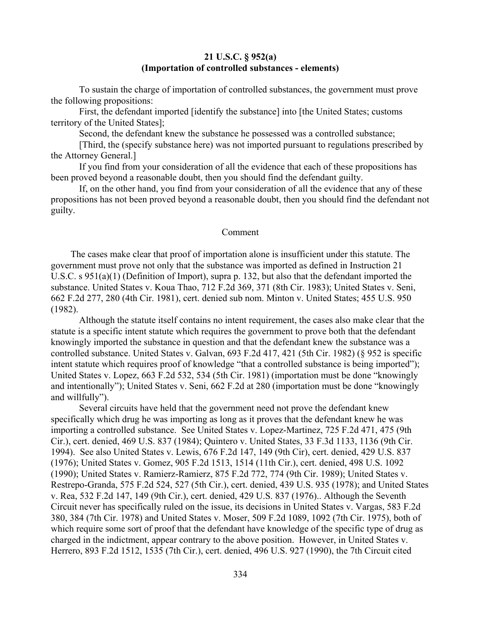### **21 U.S.C. § 952(a) (Importation of controlled substances - elements)**

To sustain the charge of importation of controlled substances, the government must prove the following propositions:

First, the defendant imported [identify the substance] into [the United States; customs territory of the United States];

Second, the defendant knew the substance he possessed was a controlled substance;

[Third, the (specify substance here) was not imported pursuant to regulations prescribed by the Attorney General.]

If you find from your consideration of all the evidence that each of these propositions has been proved beyond a reasonable doubt, then you should find the defendant guilty.

If, on the other hand, you find from your consideration of all the evidence that any of these propositions has not been proved beyond a reasonable doubt, then you should find the defendant not guilty.

#### Comment

The cases make clear that proof of importation alone is insufficient under this statute. The government must prove not only that the substance was imported as defined in Instruction 21 U.S.C. s 951(a)(1) (Definition of Import), supra p. 132, but also that the defendant imported the substance. United States v. Koua Thao, 712 F.2d 369, 371 (8th Cir. 1983); United States v. Seni, 662 F.2d 277, 280 (4th Cir. 1981), cert. denied sub nom. Minton v. United States; 455 U.S. 950 (1982).

Although the statute itself contains no intent requirement, the cases also make clear that the statute is a specific intent statute which requires the government to prove both that the defendant knowingly imported the substance in question and that the defendant knew the substance was a controlled substance. United States v. Galvan, 693 F.2d 417, 421 (5th Cir. 1982) (§ 952 is specific intent statute which requires proof of knowledge "that a controlled substance is being imported"); United States v. Lopez, 663 F.2d 532, 534 (5th Cir. 1981) (importation must be done "knowingly and intentionally"); United States v. Seni, 662 F.2d at 280 (importation must be done "knowingly and willfully").

Several circuits have held that the government need not prove the defendant knew specifically which drug he was importing as long as it proves that the defendant knew he was importing a controlled substance. See United States v. Lopez-Martinez, 725 F.2d 471, 475 (9th Cir.), cert. denied, 469 U.S. 837 (1984); Quintero v. United States, 33 F.3d 1133, 1136 (9th Cir. 1994). See also United States v. Lewis, 676 F.2d 147, 149 (9th Cir), cert. denied, 429 U.S. 837 (1976); United States v. Gomez, 905 F.2d 1513, 1514 (11th Cir.), cert. denied, 498 U.S. 1092 (1990); United States v. Ramierz-Ramierz, 875 F.2d 772, 774 (9th Cir. 1989); United States v. Restrepo-Granda, 575 F.2d 524, 527 (5th Cir.), cert. denied, 439 U.S. 935 (1978); and United States v. Rea, 532 F.2d 147, 149 (9th Cir.), cert. denied, 429 U.S. 837 (1976).. Although the Seventh Circuit never has specifically ruled on the issue, its decisions in United States v. Vargas, 583 F.2d 380, 384 (7th Cir. 1978) and United States v. Moser, 509 F.2d 1089, 1092 (7th Cir. 1975), both of which require some sort of proof that the defendant have knowledge of the specific type of drug as charged in the indictment, appear contrary to the above position. However, in United States v. Herrero, 893 F.2d 1512, 1535 (7th Cir.), cert. denied, 496 U.S. 927 (1990), the 7th Circuit cited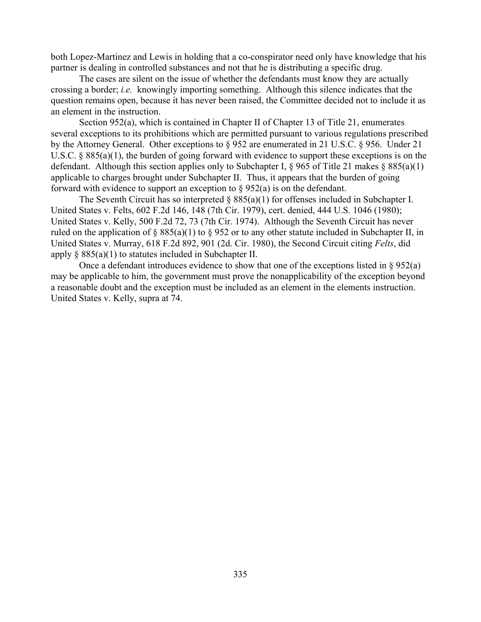both Lopez-Martinez and Lewis in holding that a co-conspirator need only have knowledge that his partner is dealing in controlled substances and not that he is distributing a specific drug.

The cases are silent on the issue of whether the defendants must know they are actually crossing a border; *i.e.* knowingly importing something. Although this silence indicates that the question remains open, because it has never been raised, the Committee decided not to include it as an element in the instruction.

Section 952(a), which is contained in Chapter II of Chapter 13 of Title 21, enumerates several exceptions to its prohibitions which are permitted pursuant to various regulations prescribed by the Attorney General. Other exceptions to § 952 are enumerated in 21 U.S.C. § 956. Under 21 U.S.C. § 885(a)(1), the burden of going forward with evidence to support these exceptions is on the defendant. Although this section applies only to Subchapter I,  $\S$  965 of Title 21 makes  $\S$  885(a)(1) applicable to charges brought under Subchapter II. Thus, it appears that the burden of going forward with evidence to support an exception to  $\S 952(a)$  is on the defendant.

The Seventh Circuit has so interpreted  $\S 885(a)(1)$  for offenses included in Subchapter I. United States v. Felts, 602 F.2d 146, 148 (7th Cir. 1979), cert. denied, 444 U.S. 1046 (1980); United States v. Kelly, 500 F.2d 72, 73 (7th Cir. 1974). Although the Seventh Circuit has never ruled on the application of  $\S 885(a)(1)$  to  $\S 952$  or to any other statute included in Subchapter II, in United States v. Murray, 618 F.2d 892, 901 (2d. Cir. 1980), the Second Circuit citing *Felts*, did apply  $\S$  885(a)(1) to statutes included in Subchapter II.

Once a defendant introduces evidence to show that one of the exceptions listed in § 952(a) may be applicable to him, the government must prove the nonapplicability of the exception beyond a reasonable doubt and the exception must be included as an element in the elements instruction. United States v. Kelly, supra at 74.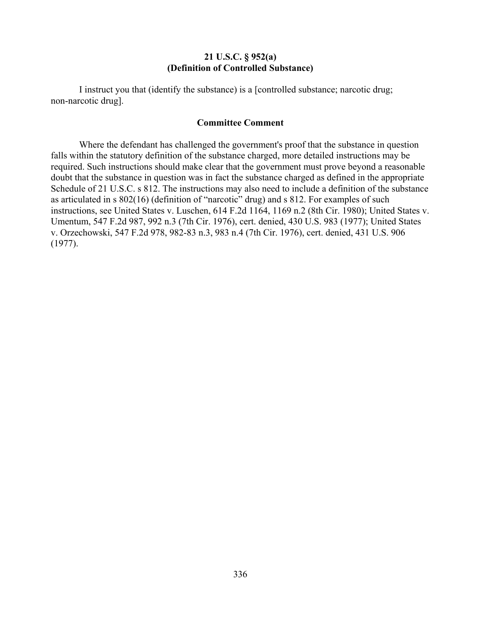### **21 U.S.C. § 952(a) (Definition of Controlled Substance)**

I instruct you that (identify the substance) is a [controlled substance; narcotic drug; non-narcotic drug].

### **Committee Comment**

Where the defendant has challenged the government's proof that the substance in question falls within the statutory definition of the substance charged, more detailed instructions may be required. Such instructions should make clear that the government must prove beyond a reasonable doubt that the substance in question was in fact the substance charged as defined in the appropriate Schedule of 21 U.S.C. s 812. The instructions may also need to include a definition of the substance as articulated in s 802(16) (definition of "narcotic" drug) and s 812. For examples of such instructions, see United States v. Luschen, 614 F.2d 1164, 1169 n.2 (8th Cir. 1980); United States v. Umentum, 547 F.2d 987, 992 n.3 (7th Cir. 1976), cert. denied, 430 U.S. 983 (1977); United States v. Orzechowski, 547 F.2d 978, 982-83 n.3, 983 n.4 (7th Cir. 1976), cert. denied, 431 U.S. 906 (1977).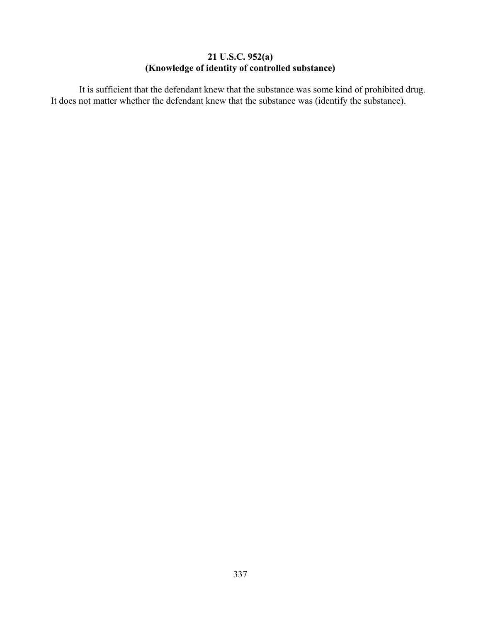# **21 U.S.C. 952(a) (Knowledge of identity of controlled substance)**

It is sufficient that the defendant knew that the substance was some kind of prohibited drug. It does not matter whether the defendant knew that the substance was (identify the substance).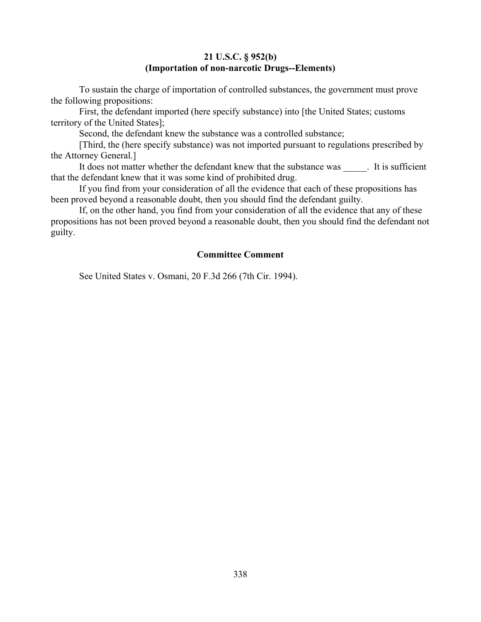## **21 U.S.C. § 952(b) (Importation of non-narcotic Drugs--Elements)**

To sustain the charge of importation of controlled substances, the government must prove the following propositions:

First, the defendant imported (here specify substance) into [the United States; customs territory of the United States];

Second, the defendant knew the substance was a controlled substance;

[Third, the (here specify substance) was not imported pursuant to regulations prescribed by the Attorney General.]

It does not matter whether the defendant knew that the substance was The sufficient that the defendant knew that it was some kind of prohibited drug.

If you find from your consideration of all the evidence that each of these propositions has been proved beyond a reasonable doubt, then you should find the defendant guilty.

If, on the other hand, you find from your consideration of all the evidence that any of these propositions has not been proved beyond a reasonable doubt, then you should find the defendant not guilty.

# **Committee Comment**

See United States v. Osmani, 20 F.3d 266 (7th Cir. 1994).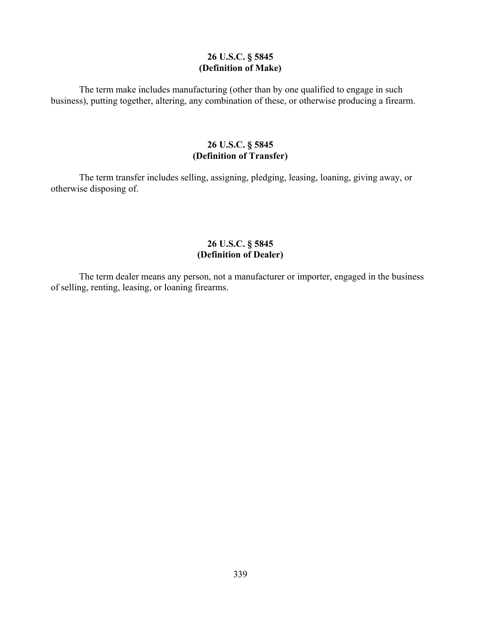## **26 U.S.C. § 5845 (Definition of Make)**

The term make includes manufacturing (other than by one qualified to engage in such business), putting together, altering, any combination of these, or otherwise producing a firearm.

# **26 U.S.C. § 5845 (Definition of Transfer)**

The term transfer includes selling, assigning, pledging, leasing, loaning, giving away, or otherwise disposing of.

# **26 U.S.C. § 5845 (Definition of Dealer)**

The term dealer means any person, not a manufacturer or importer, engaged in the business of selling, renting, leasing, or loaning firearms.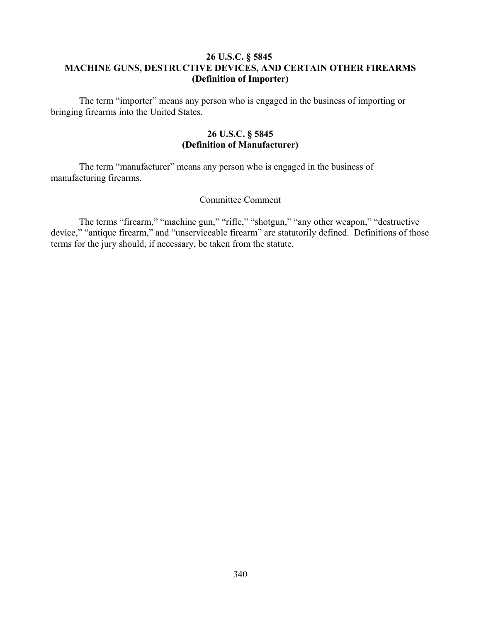# **26 U.S.C. § 5845 MACHINE GUNS, DESTRUCTIVE DEVICES, AND CERTAIN OTHER FIREARMS (Definition of Importer)**

The term "importer" means any person who is engaged in the business of importing or bringing firearms into the United States.

## **26 U.S.C. § 5845 (Definition of Manufacturer)**

The term "manufacturer" means any person who is engaged in the business of manufacturing firearms.

### Committee Comment

The terms "firearm," "machine gun," "rifle," "shotgun," "any other weapon," "destructive device," "antique firearm," and "unserviceable firearm" are statutorily defined. Definitions of those terms for the jury should, if necessary, be taken from the statute.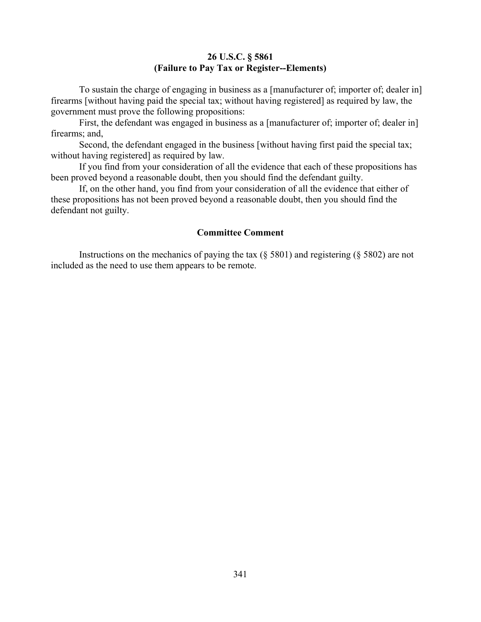# **26 U.S.C. § 5861 (Failure to Pay Tax or Register--Elements)**

To sustain the charge of engaging in business as a [manufacturer of; importer of; dealer in] firearms [without having paid the special tax; without having registered] as required by law, the government must prove the following propositions:

First, the defendant was engaged in business as a [manufacturer of; importer of; dealer in] firearms; and,

Second, the defendant engaged in the business [without having first paid the special tax; without having registered] as required by law.

If you find from your consideration of all the evidence that each of these propositions has been proved beyond a reasonable doubt, then you should find the defendant guilty.

If, on the other hand, you find from your consideration of all the evidence that either of these propositions has not been proved beyond a reasonable doubt, then you should find the defendant not guilty.

### **Committee Comment**

Instructions on the mechanics of paying the tax (§ 5801) and registering (§ 5802) are not included as the need to use them appears to be remote.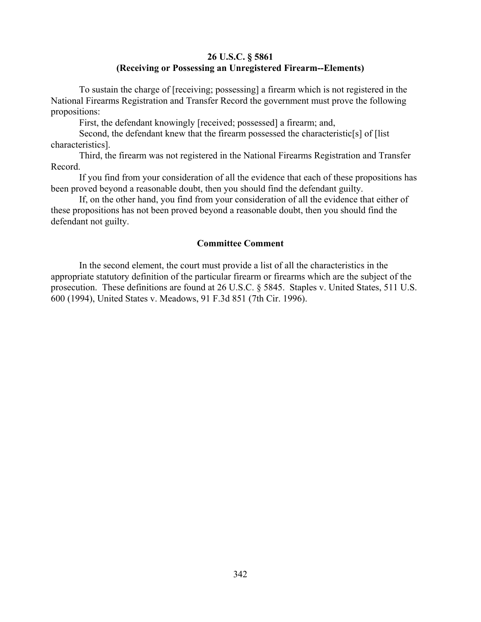## **26 U.S.C. § 5861 (Receiving or Possessing an Unregistered Firearm--Elements)**

To sustain the charge of [receiving; possessing] a firearm which is not registered in the National Firearms Registration and Transfer Record the government must prove the following propositions:

First, the defendant knowingly [received; possessed] a firearm; and,

Second, the defendant knew that the firearm possessed the characteristic[s] of [list characteristics].

Third, the firearm was not registered in the National Firearms Registration and Transfer Record.

If you find from your consideration of all the evidence that each of these propositions has been proved beyond a reasonable doubt, then you should find the defendant guilty.

If, on the other hand, you find from your consideration of all the evidence that either of these propositions has not been proved beyond a reasonable doubt, then you should find the defendant not guilty.

### **Committee Comment**

In the second element, the court must provide a list of all the characteristics in the appropriate statutory definition of the particular firearm or firearms which are the subject of the prosecution. These definitions are found at 26 U.S.C. § 5845. Staples v. United States, 511 U.S. 600 (1994), United States v. Meadows, 91 F.3d 851 (7th Cir. 1996).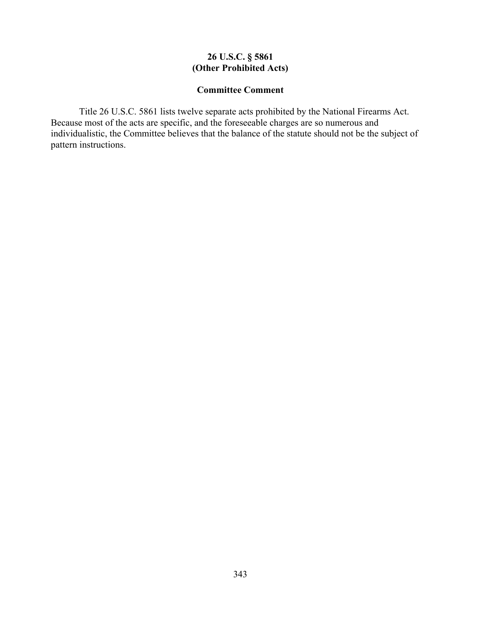# **26 U.S.C. § 5861 (Other Prohibited Acts)**

## **Committee Comment**

Title 26 U.S.C. 5861 lists twelve separate acts prohibited by the National Firearms Act. Because most of the acts are specific, and the foreseeable charges are so numerous and individualistic, the Committee believes that the balance of the statute should not be the subject of pattern instructions.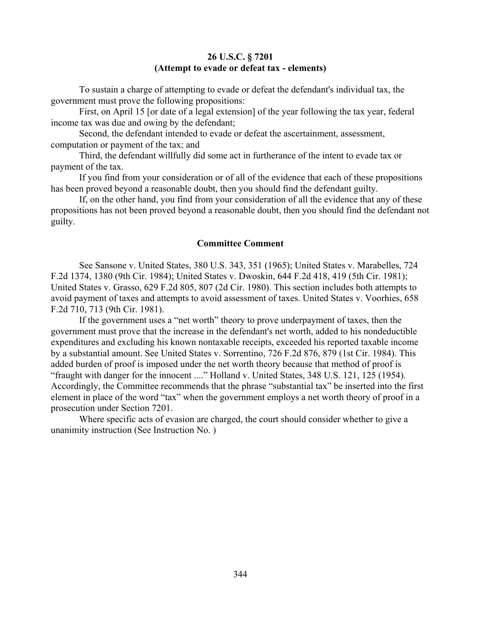### **26 U.S.C. § 7201 (Attempt to evade or defeat tax - elements)**

To sustain a charge of attempting to evade or defeat the defendant's individual tax, the government must prove the following propositions:

First, on April 15 [or date of a legal extension] of the year following the tax year, federal income tax was due and owing by the defendant;

Second, the defendant intended to evade or defeat the ascertainment, assessment, computation or payment of the tax; and

Third, the defendant willfully did some act in furtherance of the intent to evade tax or payment of the tax.

If you find from your consideration or of all of the evidence that each of these propositions has been proved beyond a reasonable doubt, then you should find the defendant guilty.

If, on the other hand, you find from your consideration of all the evidence that any of these propositions has not been proved beyond a reasonable doubt, then you should find the defendant not guilty.

### **Committee Comment**

See Sansone v. United States, 380 U.S. 343, 351 (1965); United States v. Marabelles, 724 F.2d 1374, 1380 (9th Cir. 1984); United States v. Dwoskin, 644 F.2d 418, 419 (5th Cir. 1981); United States v. Grasso, 629 F.2d 805, 807 (2d Cir. 1980). This section includes both attempts to avoid payment of taxes and attempts to avoid assessment of taxes. United States v. Voorhies, 658 F.2d 710, 713 (9th Cir. 1981).

If the government uses a "net worth" theory to prove underpayment of taxes, then the government must prove that the increase in the defendant's net worth, added to his nondeductible expenditures and excluding his known nontaxable receipts, exceeded his reported taxable income by a substantial amount. See United States v. Sorrentino, 726 F.2d 876, 879 (1st Cir. 1984). This added burden of proof is imposed under the net worth theory because that method of proof is "fraught with danger for the innocent ...." Holland v. United States, 348 U.S. 121, 125 (1954). Accordingly, the Committee recommends that the phrase "substantial tax" be inserted into the first element in place of the word "tax" when the government employs a net worth theory of proof in a prosecution under Section 7201.

Where specific acts of evasion are charged, the court should consider whether to give a unanimity instruction (See Instruction No. )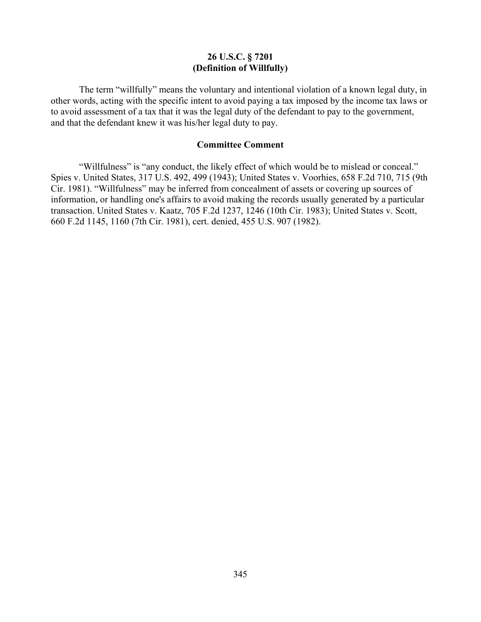## **26 U.S.C. § 7201 (Definition of Willfully)**

The term "willfully" means the voluntary and intentional violation of a known legal duty, in other words, acting with the specific intent to avoid paying a tax imposed by the income tax laws or to avoid assessment of a tax that it was the legal duty of the defendant to pay to the government, and that the defendant knew it was his/her legal duty to pay.

### **Committee Comment**

"Willfulness" is "any conduct, the likely effect of which would be to mislead or conceal." Spies v. United States, 317 U.S. 492, 499 (1943); United States v. Voorhies, 658 F.2d 710, 715 (9th Cir. 1981). "Willfulness" may be inferred from concealment of assets or covering up sources of information, or handling one's affairs to avoid making the records usually generated by a particular transaction. United States v. Kaatz, 705 F.2d 1237, 1246 (10th Cir. 1983); United States v. Scott, 660 F.2d 1145, 1160 (7th Cir. 1981), cert. denied, 455 U.S. 907 (1982).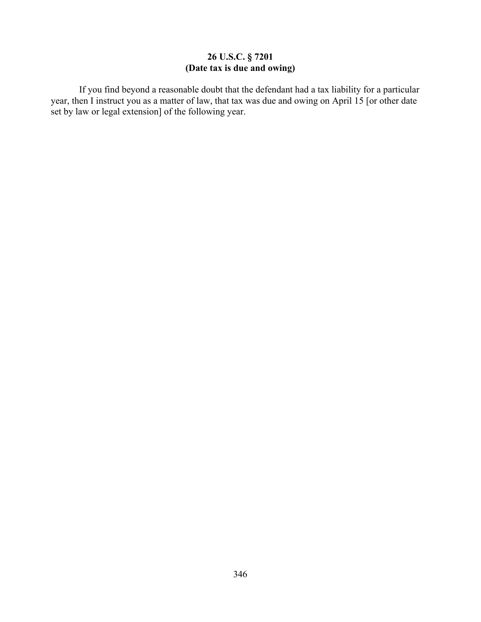# **26 U.S.C. § 7201 (Date tax is due and owing)**

If you find beyond a reasonable doubt that the defendant had a tax liability for a particular year, then I instruct you as a matter of law, that tax was due and owing on April 15 [or other date set by law or legal extension] of the following year.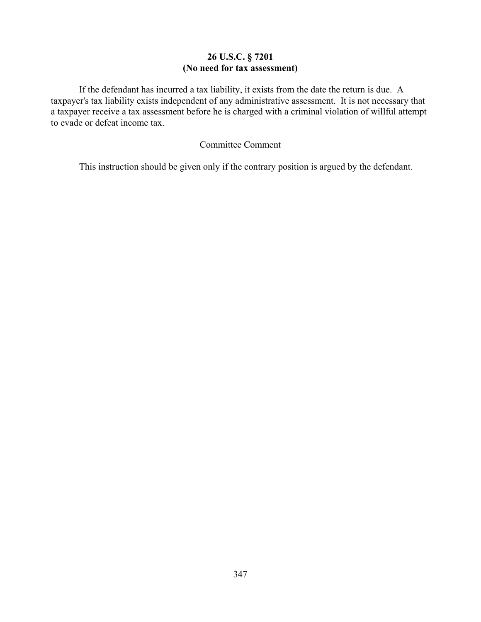# **26 U.S.C. § 7201 (No need for tax assessment)**

If the defendant has incurred a tax liability, it exists from the date the return is due. A taxpayer's tax liability exists independent of any administrative assessment. It is not necessary that a taxpayer receive a tax assessment before he is charged with a criminal violation of willful attempt to evade or defeat income tax.

# Committee Comment

This instruction should be given only if the contrary position is argued by the defendant.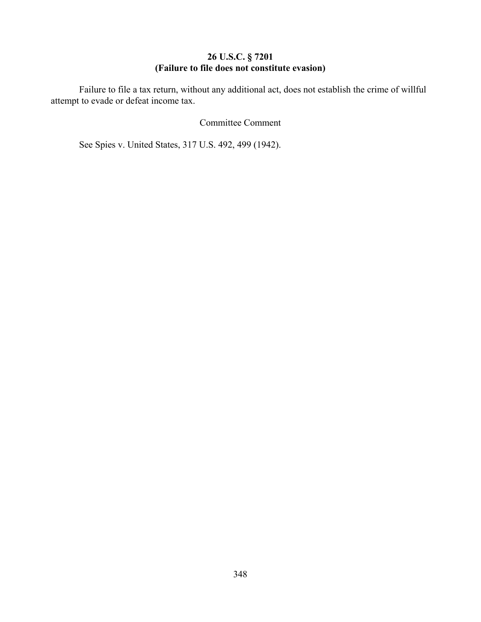## **26 U.S.C. § 7201 (Failure to file does not constitute evasion)**

Failure to file a tax return, without any additional act, does not establish the crime of willful attempt to evade or defeat income tax.

## Committee Comment

See Spies v. United States, 317 U.S. 492, 499 (1942).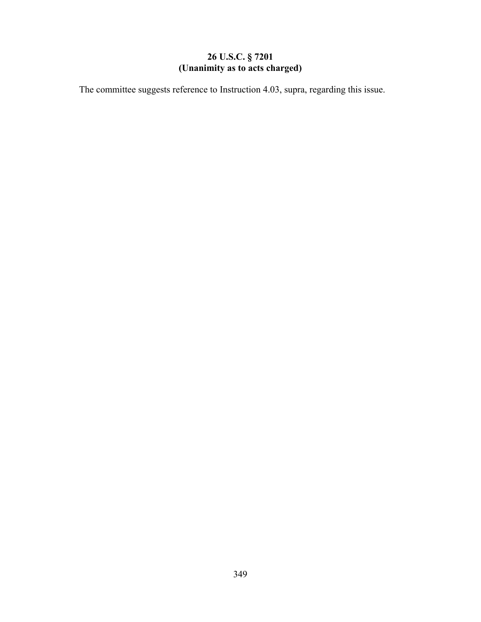# **26 U.S.C. § 7201 (Unanimity as to acts charged)**

The committee suggests reference to Instruction 4.03, supra, regarding this issue.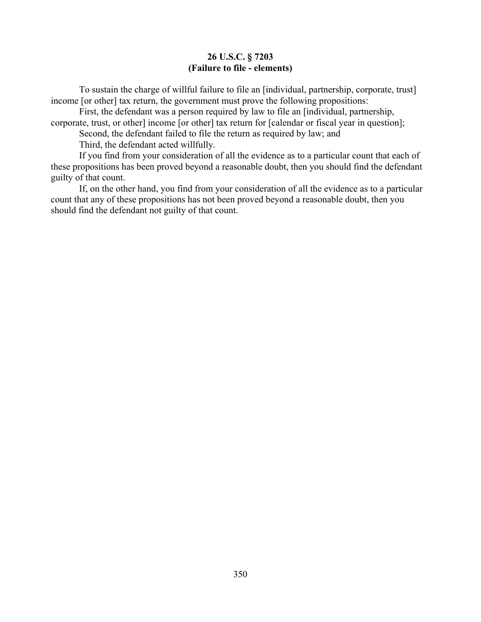## **26 U.S.C. § 7203 (Failure to file - elements)**

To sustain the charge of willful failure to file an [individual, partnership, corporate, trust] income [or other] tax return, the government must prove the following propositions:

First, the defendant was a person required by law to file an [individual, partnership, corporate, trust, or other] income [or other] tax return for [calendar or fiscal year in question];

Second, the defendant failed to file the return as required by law; and

Third, the defendant acted willfully.

If you find from your consideration of all the evidence as to a particular count that each of these propositions has been proved beyond a reasonable doubt, then you should find the defendant guilty of that count.

If, on the other hand, you find from your consideration of all the evidence as to a particular count that any of these propositions has not been proved beyond a reasonable doubt, then you should find the defendant not guilty of that count.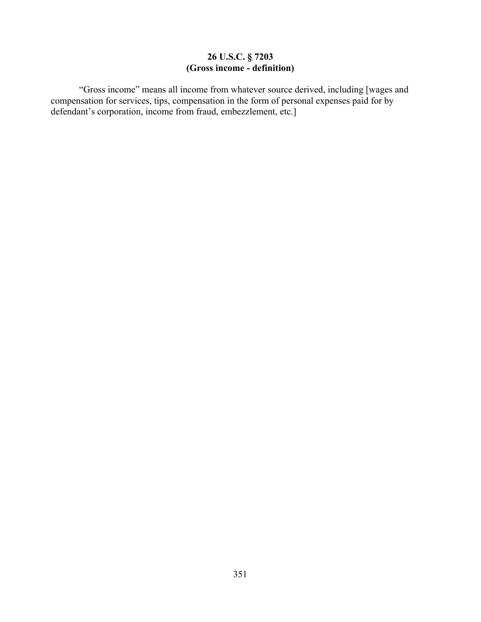## **26 U.S.C. § 7203 (Gross income - definition)**

"Gross income" means all income from whatever source derived, including [wages and compensation for services, tips, compensation in the form of personal expenses paid for by defendant's corporation, income from fraud, embezzlement, etc.]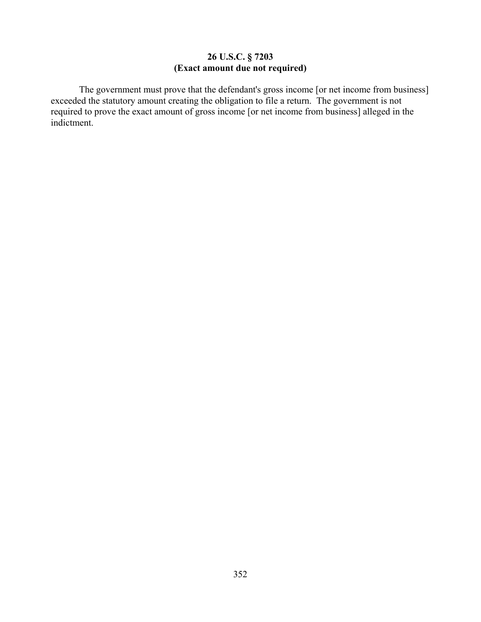# **26 U.S.C. § 7203 (Exact amount due not required)**

The government must prove that the defendant's gross income [or net income from business] exceeded the statutory amount creating the obligation to file a return. The government is not required to prove the exact amount of gross income [or net income from business] alleged in the indictment.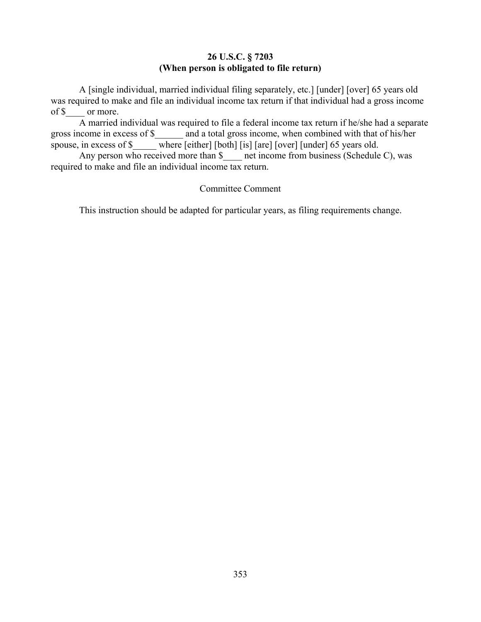## **26 U.S.C. § 7203 (When person is obligated to file return)**

A [single individual, married individual filing separately, etc.] [under] [over] 65 years old was required to make and file an individual income tax return if that individual had a gross income of \$\_\_\_\_ or more.

A married individual was required to file a federal income tax return if he/she had a separate gross income in excess of \$\_\_\_\_\_\_ and a total gross income, when combined with that of his/her spouse, in excess of \$ \_\_\_\_\_ where [either] [both] [is] [are] [over] [under] 65 years old.

Any person who received more than \$ \_\_\_ net income from business (Schedule C), was required to make and file an individual income tax return.

## Committee Comment

This instruction should be adapted for particular years, as filing requirements change.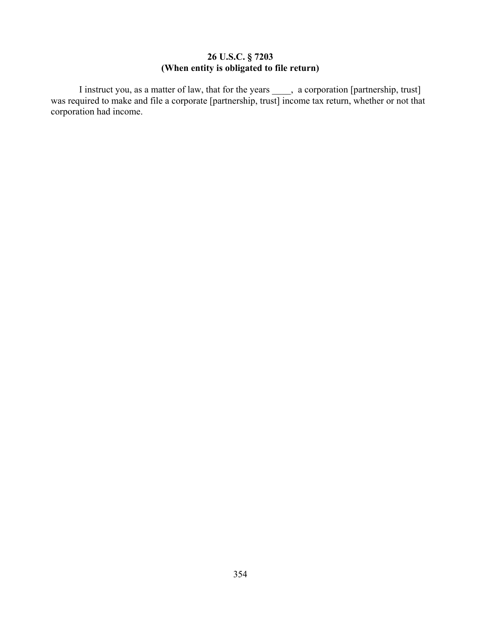## **26 U.S.C. § 7203 (When entity is obligated to file return)**

I instruct you, as a matter of law, that for the years \_\_\_\_, a corporation [partnership, trust] was required to make and file a corporate [partnership, trust] income tax return, whether or not that corporation had income.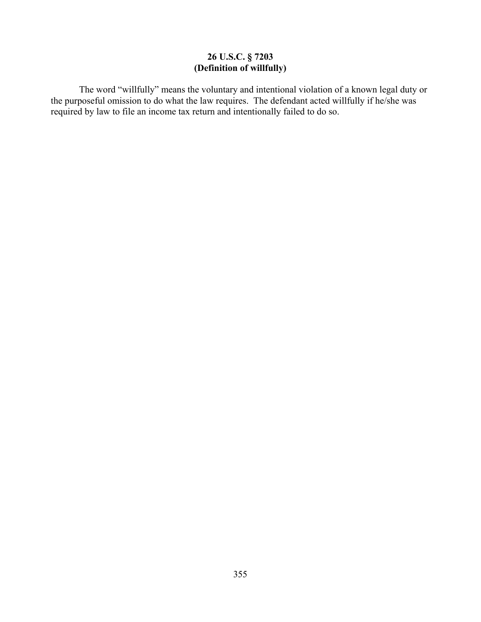## **26 U.S.C. § 7203 (Definition of willfully)**

The word "willfully" means the voluntary and intentional violation of a known legal duty or the purposeful omission to do what the law requires. The defendant acted willfully if he/she was required by law to file an income tax return and intentionally failed to do so.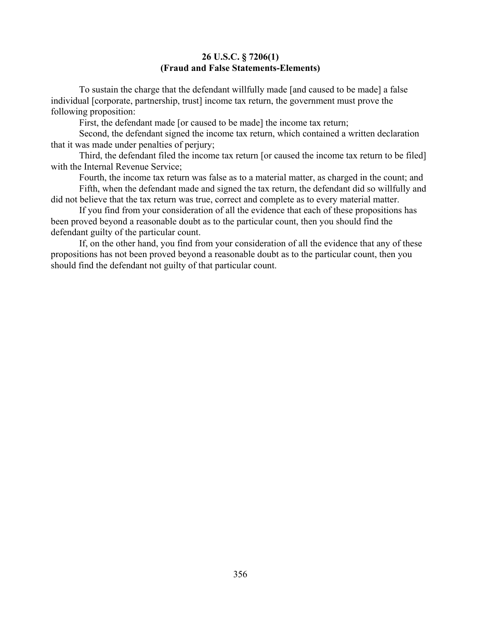### **26 U.S.C. § 7206(1) (Fraud and False Statements-Elements)**

To sustain the charge that the defendant willfully made [and caused to be made] a false individual [corporate, partnership, trust] income tax return, the government must prove the following proposition:

First, the defendant made [or caused to be made] the income tax return;

Second, the defendant signed the income tax return, which contained a written declaration that it was made under penalties of perjury;

Third, the defendant filed the income tax return [or caused the income tax return to be filed] with the Internal Revenue Service;

Fourth, the income tax return was false as to a material matter, as charged in the count; and Fifth, when the defendant made and signed the tax return, the defendant did so willfully and

did not believe that the tax return was true, correct and complete as to every material matter.

If you find from your consideration of all the evidence that each of these propositions has been proved beyond a reasonable doubt as to the particular count, then you should find the defendant guilty of the particular count.

If, on the other hand, you find from your consideration of all the evidence that any of these propositions has not been proved beyond a reasonable doubt as to the particular count, then you should find the defendant not guilty of that particular count.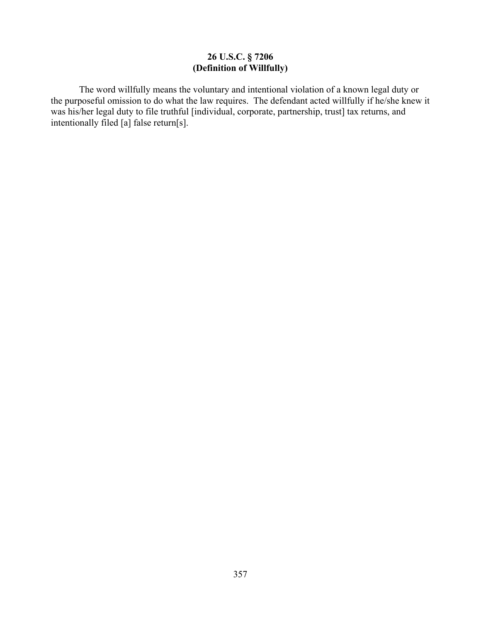# **26 U.S.C. § 7206 (Definition of Willfully)**

The word willfully means the voluntary and intentional violation of a known legal duty or the purposeful omission to do what the law requires. The defendant acted willfully if he/she knew it was his/her legal duty to file truthful [individual, corporate, partnership, trust] tax returns, and intentionally filed [a] false return[s].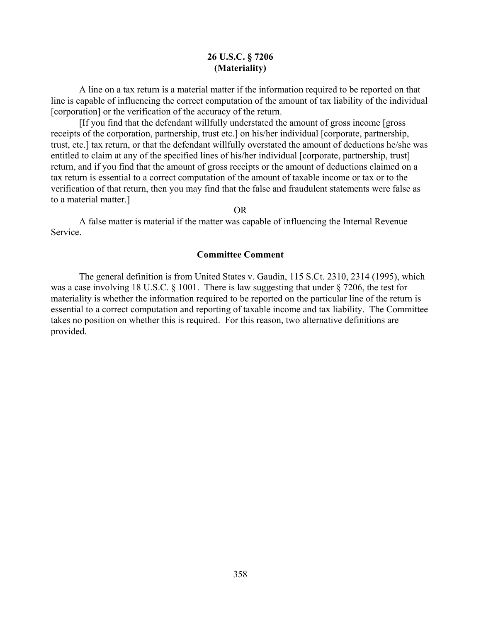### **26 U.S.C. § 7206 (Materiality)**

A line on a tax return is a material matter if the information required to be reported on that line is capable of influencing the correct computation of the amount of tax liability of the individual [corporation] or the verification of the accuracy of the return.

[If you find that the defendant willfully understated the amount of gross income [gross receipts of the corporation, partnership, trust etc.] on his/her individual [corporate, partnership, trust, etc.] tax return, or that the defendant willfully overstated the amount of deductions he/she was entitled to claim at any of the specified lines of his/her individual [corporate, partnership, trust] return, and if you find that the amount of gross receipts or the amount of deductions claimed on a tax return is essential to a correct computation of the amount of taxable income or tax or to the verification of that return, then you may find that the false and fraudulent statements were false as to a material matter.]

OR

A false matter is material if the matter was capable of influencing the Internal Revenue Service.

#### **Committee Comment**

The general definition is from United States v. Gaudin, 115 S.Ct. 2310, 2314 (1995), which was a case involving 18 U.S.C. § 1001. There is law suggesting that under § 7206, the test for materiality is whether the information required to be reported on the particular line of the return is essential to a correct computation and reporting of taxable income and tax liability. The Committee takes no position on whether this is required. For this reason, two alternative definitions are provided.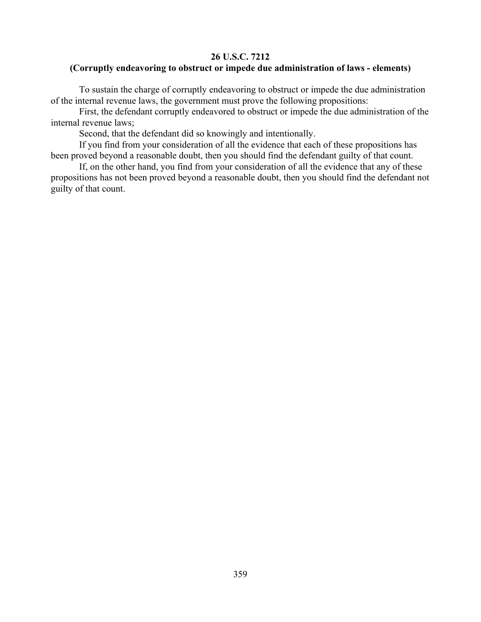## **26 U.S.C. 7212**

# **(Corruptly endeavoring to obstruct or impede due administration of laws - elements)**

To sustain the charge of corruptly endeavoring to obstruct or impede the due administration of the internal revenue laws, the government must prove the following propositions:

First, the defendant corruptly endeavored to obstruct or impede the due administration of the internal revenue laws;

Second, that the defendant did so knowingly and intentionally.

If you find from your consideration of all the evidence that each of these propositions has been proved beyond a reasonable doubt, then you should find the defendant guilty of that count.

If, on the other hand, you find from your consideration of all the evidence that any of these propositions has not been proved beyond a reasonable doubt, then you should find the defendant not guilty of that count.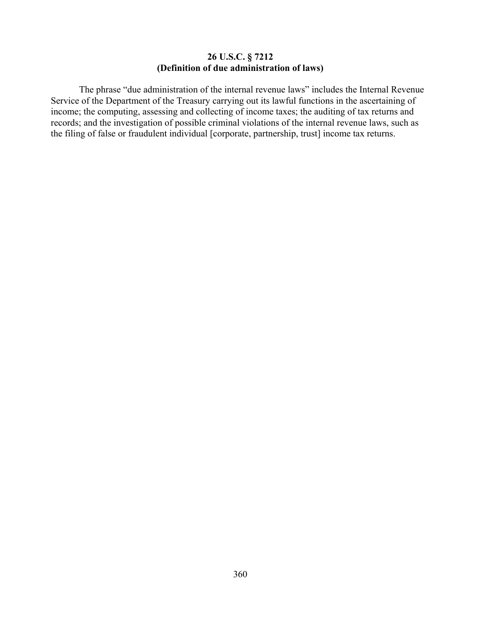### **26 U.S.C. § 7212 (Definition of due administration of laws)**

The phrase "due administration of the internal revenue laws" includes the Internal Revenue Service of the Department of the Treasury carrying out its lawful functions in the ascertaining of income; the computing, assessing and collecting of income taxes; the auditing of tax returns and records; and the investigation of possible criminal violations of the internal revenue laws, such as the filing of false or fraudulent individual [corporate, partnership, trust] income tax returns.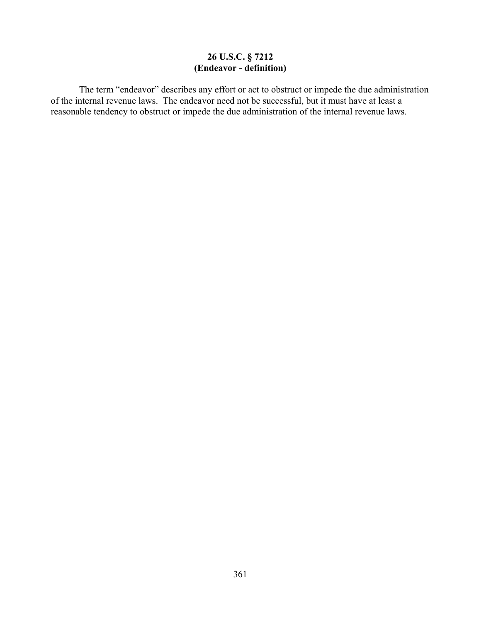# **26 U.S.C. § 7212 (Endeavor - definition)**

The term "endeavor" describes any effort or act to obstruct or impede the due administration of the internal revenue laws. The endeavor need not be successful, but it must have at least a reasonable tendency to obstruct or impede the due administration of the internal revenue laws.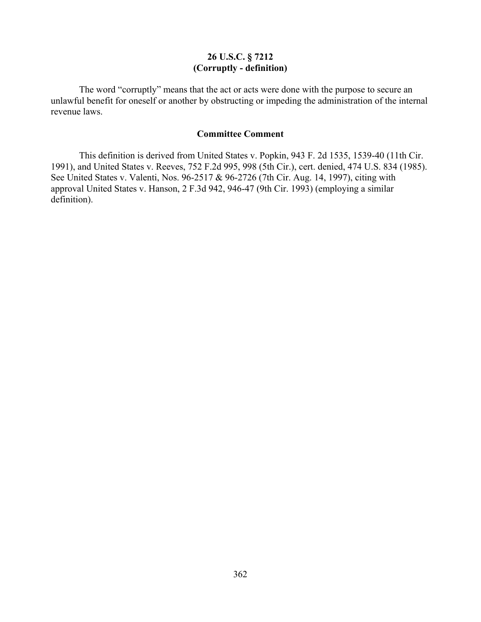## **26 U.S.C. § 7212 (Corruptly - definition)**

The word "corruptly" means that the act or acts were done with the purpose to secure an unlawful benefit for oneself or another by obstructing or impeding the administration of the internal revenue laws.

### **Committee Comment**

This definition is derived from United States v. Popkin, 943 F. 2d 1535, 1539-40 (11th Cir. 1991), and United States v. Reeves, 752 F.2d 995, 998 (5th Cir.), cert. denied, 474 U.S. 834 (1985). See United States v. Valenti, Nos. 96-2517 & 96-2726 (7th Cir. Aug. 14, 1997), citing with approval United States v. Hanson, 2 F.3d 942, 946-47 (9th Cir. 1993) (employing a similar definition).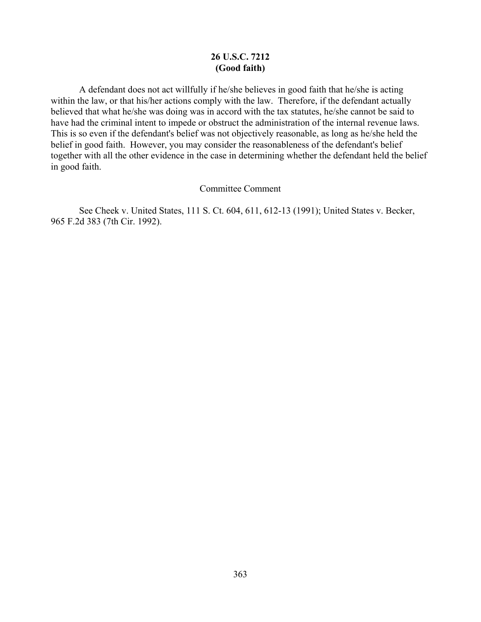## **26 U.S.C. 7212 (Good faith)**

A defendant does not act willfully if he/she believes in good faith that he/she is acting within the law, or that his/her actions comply with the law. Therefore, if the defendant actually believed that what he/she was doing was in accord with the tax statutes, he/she cannot be said to have had the criminal intent to impede or obstruct the administration of the internal revenue laws. This is so even if the defendant's belief was not objectively reasonable, as long as he/she held the belief in good faith. However, you may consider the reasonableness of the defendant's belief together with all the other evidence in the case in determining whether the defendant held the belief in good faith.

#### Committee Comment

 See Cheek v. United States, 111 S. Ct. 604, 611, 612-13 (1991); United States v. Becker, 965 F.2d 383 (7th Cir. 1992).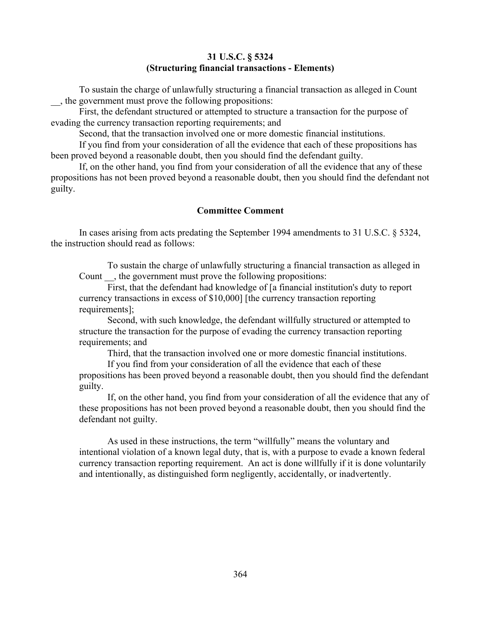#### **31 U.S.C. § 5324 (Structuring financial transactions - Elements)**

To sustain the charge of unlawfully structuring a financial transaction as alleged in Count \_\_, the government must prove the following propositions:

First, the defendant structured or attempted to structure a transaction for the purpose of evading the currency transaction reporting requirements; and

Second, that the transaction involved one or more domestic financial institutions.

If you find from your consideration of all the evidence that each of these propositions has been proved beyond a reasonable doubt, then you should find the defendant guilty.

If, on the other hand, you find from your consideration of all the evidence that any of these propositions has not been proved beyond a reasonable doubt, then you should find the defendant not guilty.

### **Committee Comment**

In cases arising from acts predating the September 1994 amendments to 31 U.S.C. § 5324, the instruction should read as follows:

To sustain the charge of unlawfully structuring a financial transaction as alleged in Count , the government must prove the following propositions:

First, that the defendant had knowledge of [a financial institution's duty to report currency transactions in excess of \$10,000] [the currency transaction reporting requirements];

Second, with such knowledge, the defendant willfully structured or attempted to structure the transaction for the purpose of evading the currency transaction reporting requirements; and

Third, that the transaction involved one or more domestic financial institutions.

If you find from your consideration of all the evidence that each of these propositions has been proved beyond a reasonable doubt, then you should find the defendant guilty.

If, on the other hand, you find from your consideration of all the evidence that any of these propositions has not been proved beyond a reasonable doubt, then you should find the defendant not guilty.

As used in these instructions, the term "willfully" means the voluntary and intentional violation of a known legal duty, that is, with a purpose to evade a known federal currency transaction reporting requirement. An act is done willfully if it is done voluntarily and intentionally, as distinguished form negligently, accidentally, or inadvertently.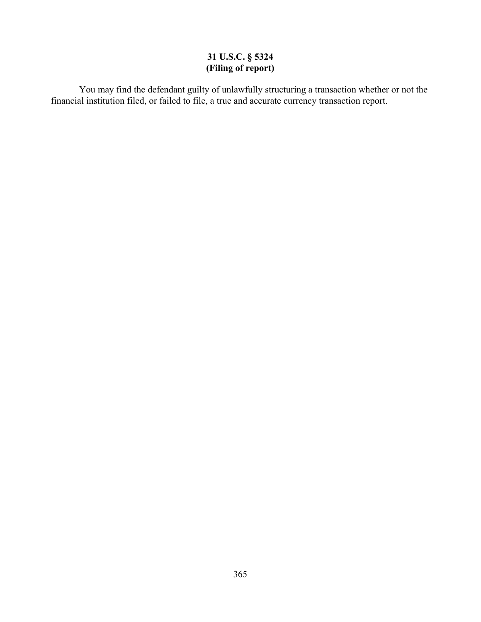## **31 U.S.C. § 5324 (Filing of report)**

You may find the defendant guilty of unlawfully structuring a transaction whether or not the financial institution filed, or failed to file, a true and accurate currency transaction report.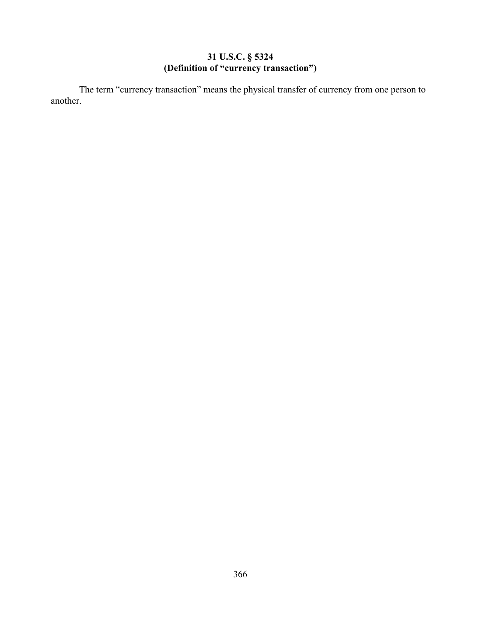## **31 U.S.C. § 5324 (Definition of "currency transaction")**

The term "currency transaction" means the physical transfer of currency from one person to another.